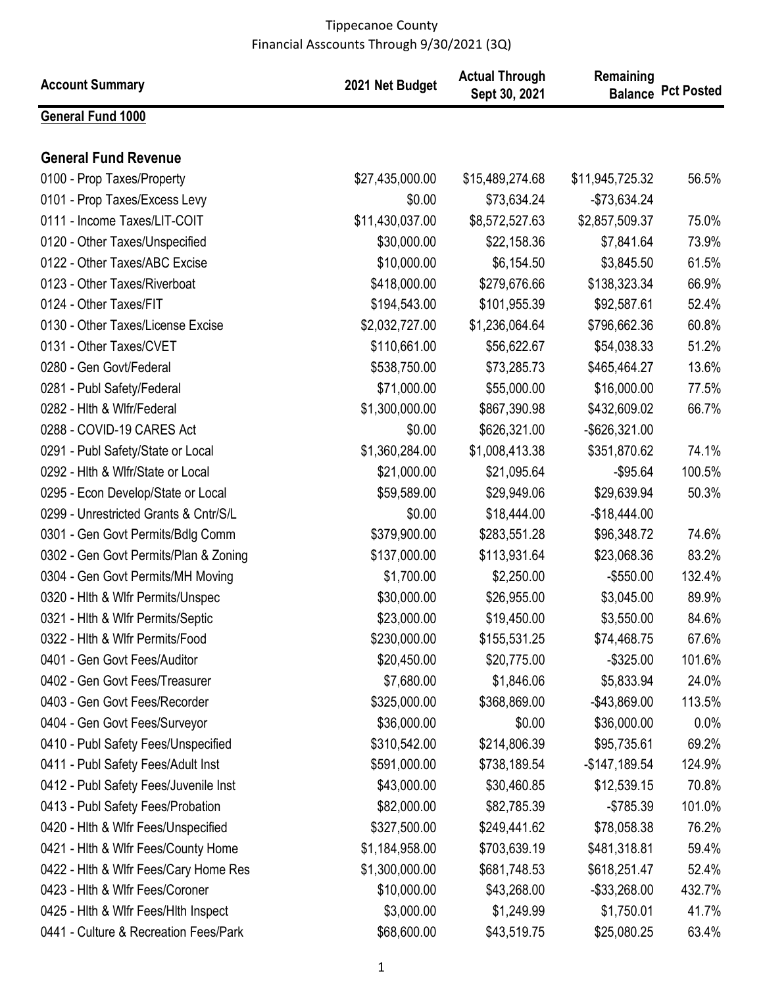| <b>Account Summary</b>                | 2021 Net Budget | <b>Actual Through</b><br>Sept 30, 2021 | Remaining       | <b>Balance Pct Posted</b> |
|---------------------------------------|-----------------|----------------------------------------|-----------------|---------------------------|
| <b>General Fund 1000</b>              |                 |                                        |                 |                           |
| <b>General Fund Revenue</b>           |                 |                                        |                 |                           |
| 0100 - Prop Taxes/Property            | \$27,435,000.00 | \$15,489,274.68                        | \$11,945,725.32 | 56.5%                     |
| 0101 - Prop Taxes/Excess Levy         | \$0.00          | \$73,634.24                            | $-$73,634.24$   |                           |
| 0111 - Income Taxes/LIT-COIT          | \$11,430,037.00 | \$8,572,527.63                         | \$2,857,509.37  | 75.0%                     |
| 0120 - Other Taxes/Unspecified        | \$30,000.00     | \$22,158.36                            | \$7,841.64      | 73.9%                     |
| 0122 - Other Taxes/ABC Excise         | \$10,000.00     | \$6,154.50                             | \$3,845.50      | 61.5%                     |
| 0123 - Other Taxes/Riverboat          | \$418,000.00    | \$279,676.66                           | \$138,323.34    | 66.9%                     |
| 0124 - Other Taxes/FIT                | \$194,543.00    | \$101,955.39                           | \$92,587.61     | 52.4%                     |
| 0130 - Other Taxes/License Excise     | \$2,032,727.00  | \$1,236,064.64                         | \$796,662.36    | 60.8%                     |
| 0131 - Other Taxes/CVET               | \$110,661.00    | \$56,622.67                            | \$54,038.33     | 51.2%                     |
| 0280 - Gen Govt/Federal               | \$538,750.00    | \$73,285.73                            | \$465,464.27    | 13.6%                     |
| 0281 - Publ Safety/Federal            | \$71,000.00     | \$55,000.00                            | \$16,000.00     | 77.5%                     |
| 0282 - Hith & Wifr/Federal            | \$1,300,000.00  | \$867,390.98                           | \$432,609.02    | 66.7%                     |
| 0288 - COVID-19 CARES Act             | \$0.00          | \$626,321.00                           | -\$626,321.00   |                           |
| 0291 - Publ Safety/State or Local     | \$1,360,284.00  | \$1,008,413.38                         | \$351,870.62    | 74.1%                     |
| 0292 - Hith & Wifr/State or Local     | \$21,000.00     | \$21,095.64                            | $-$95.64$       | 100.5%                    |
| 0295 - Econ Develop/State or Local    | \$59,589.00     | \$29,949.06                            | \$29,639.94     | 50.3%                     |
| 0299 - Unrestricted Grants & Cntr/S/L | \$0.00          | \$18,444.00                            | $-$18,444.00$   |                           |
| 0301 - Gen Govt Permits/Bdlg Comm     | \$379,900.00    | \$283,551.28                           | \$96,348.72     | 74.6%                     |
| 0302 - Gen Govt Permits/Plan & Zoning | \$137,000.00    | \$113,931.64                           | \$23,068.36     | 83.2%                     |
| 0304 - Gen Govt Permits/MH Moving     | \$1,700.00      | \$2,250.00                             | $-$550.00$      | 132.4%                    |
| 0320 - Hith & Wifr Permits/Unspec     | \$30,000.00     | \$26,955.00                            | \$3,045.00      | 89.9%                     |
| 0321 - Hith & Wifr Permits/Septic     | \$23,000.00     | \$19,450.00                            | \$3,550.00      | 84.6%                     |
| 0322 - Hith & Wifr Permits/Food       | \$230,000.00    | \$155,531.25                           | \$74,468.75     | 67.6%                     |
| 0401 - Gen Govt Fees/Auditor          | \$20,450.00     | \$20,775.00                            | $-$ \$325.00    | 101.6%                    |
| 0402 - Gen Govt Fees/Treasurer        | \$7,680.00      | \$1,846.06                             | \$5,833.94      | 24.0%                     |
| 0403 - Gen Govt Fees/Recorder         | \$325,000.00    | \$368,869.00                           | $-$ \$43,869.00 | 113.5%                    |
| 0404 - Gen Govt Fees/Surveyor         | \$36,000.00     | \$0.00                                 | \$36,000.00     | 0.0%                      |
| 0410 - Publ Safety Fees/Unspecified   | \$310,542.00    | \$214,806.39                           | \$95,735.61     | 69.2%                     |
| 0411 - Publ Safety Fees/Adult Inst    | \$591,000.00    | \$738,189.54                           | $-$147,189.54$  | 124.9%                    |
| 0412 - Publ Safety Fees/Juvenile Inst | \$43,000.00     | \$30,460.85                            | \$12,539.15     | 70.8%                     |
| 0413 - Publ Safety Fees/Probation     | \$82,000.00     | \$82,785.39                            | $-$785.39$      | 101.0%                    |
| 0420 - Hith & Wifr Fees/Unspecified   | \$327,500.00    | \$249,441.62                           | \$78,058.38     | 76.2%                     |
| 0421 - Hith & Wifr Fees/County Home   | \$1,184,958.00  | \$703,639.19                           | \$481,318.81    | 59.4%                     |
| 0422 - Hith & Wifr Fees/Cary Home Res | \$1,300,000.00  | \$681,748.53                           | \$618,251.47    | 52.4%                     |
| 0423 - Hith & Wifr Fees/Coroner       | \$10,000.00     | \$43,268.00                            | -\$33,268.00    | 432.7%                    |
| 0425 - Hith & Wifr Fees/Hith Inspect  | \$3,000.00      | \$1,249.99                             | \$1,750.01      | 41.7%                     |
| 0441 - Culture & Recreation Fees/Park | \$68,600.00     | \$43,519.75                            | \$25,080.25     | 63.4%                     |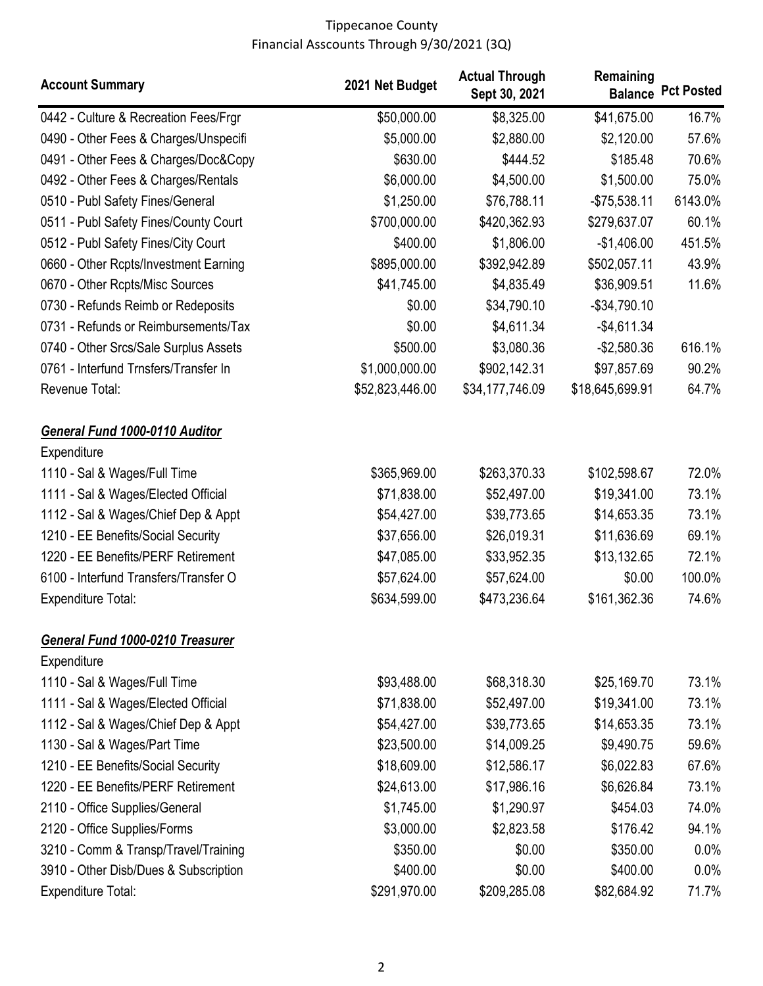| <b>Account Summary</b>                        | 2021 Net Budget | <b>Actual Through</b><br>Sept 30, 2021 | Remaining       | <b>Balance Pct Posted</b> |
|-----------------------------------------------|-----------------|----------------------------------------|-----------------|---------------------------|
| 0442 - Culture & Recreation Fees/Frgr         | \$50,000.00     | \$8,325.00                             | \$41,675.00     | 16.7%                     |
| 0490 - Other Fees & Charges/Unspecifi         | \$5,000.00      | \$2,880.00                             | \$2,120.00      | 57.6%                     |
| 0491 - Other Fees & Charges/Doc&Copy          | \$630.00        | \$444.52                               | \$185.48        | 70.6%                     |
| 0492 - Other Fees & Charges/Rentals           | \$6,000.00      | \$4,500.00                             | \$1,500.00      | 75.0%                     |
| 0510 - Publ Safety Fines/General              | \$1,250.00      | \$76,788.11                            | $-$75,538.11$   | 6143.0%                   |
| 0511 - Publ Safety Fines/County Court         | \$700,000.00    | \$420,362.93                           | \$279,637.07    | 60.1%                     |
| 0512 - Publ Safety Fines/City Court           | \$400.00        | \$1,806.00                             | $-$1,406.00$    | 451.5%                    |
| 0660 - Other Rcpts/Investment Earning         | \$895,000.00    | \$392,942.89                           | \$502,057.11    | 43.9%                     |
| 0670 - Other Rcpts/Misc Sources               | \$41,745.00     | \$4,835.49                             | \$36,909.51     | 11.6%                     |
| 0730 - Refunds Reimb or Redeposits            | \$0.00          | \$34,790.10                            | $-$34,790.10$   |                           |
| 0731 - Refunds or Reimbursements/Tax          | \$0.00          | \$4,611.34                             | $-$4,611.34$    |                           |
| 0740 - Other Srcs/Sale Surplus Assets         | \$500.00        | \$3,080.36                             | $-$2,580.36$    | 616.1%                    |
| 0761 - Interfund Trnsfers/Transfer In         | \$1,000,000.00  | \$902,142.31                           | \$97,857.69     | 90.2%                     |
| Revenue Total:                                | \$52,823,446.00 | \$34,177,746.09                        | \$18,645,699.91 | 64.7%                     |
| General Fund 1000-0110 Auditor<br>Expenditure |                 |                                        |                 |                           |
| 1110 - Sal & Wages/Full Time                  | \$365,969.00    | \$263,370.33                           | \$102,598.67    | 72.0%                     |
| 1111 - Sal & Wages/Elected Official           | \$71,838.00     | \$52,497.00                            | \$19,341.00     | 73.1%                     |
| 1112 - Sal & Wages/Chief Dep & Appt           | \$54,427.00     | \$39,773.65                            | \$14,653.35     | 73.1%                     |
| 1210 - EE Benefits/Social Security            | \$37,656.00     | \$26,019.31                            | \$11,636.69     | 69.1%                     |
| 1220 - EE Benefits/PERF Retirement            | \$47,085.00     | \$33,952.35                            | \$13,132.65     | 72.1%                     |
| 6100 - Interfund Transfers/Transfer O         | \$57,624.00     | \$57,624.00                            | \$0.00          | 100.0%                    |
| <b>Expenditure Total:</b>                     | \$634,599.00    | \$473,236.64                           | \$161,362.36    | 74.6%                     |
| <b>General Fund 1000-0210 Treasurer</b>       |                 |                                        |                 |                           |
| Expenditure                                   |                 |                                        |                 |                           |
| 1110 - Sal & Wages/Full Time                  | \$93,488.00     | \$68,318.30                            | \$25,169.70     | 73.1%                     |
| 1111 - Sal & Wages/Elected Official           | \$71,838.00     | \$52,497.00                            | \$19,341.00     | 73.1%                     |
| 1112 - Sal & Wages/Chief Dep & Appt           | \$54,427.00     | \$39,773.65                            | \$14,653.35     | 73.1%                     |
| 1130 - Sal & Wages/Part Time                  | \$23,500.00     | \$14,009.25                            | \$9,490.75      | 59.6%                     |
| 1210 - EE Benefits/Social Security            | \$18,609.00     | \$12,586.17                            | \$6,022.83      | 67.6%                     |
| 1220 - EE Benefits/PERF Retirement            | \$24,613.00     | \$17,986.16                            | \$6,626.84      | 73.1%                     |
| 2110 - Office Supplies/General                | \$1,745.00      | \$1,290.97                             | \$454.03        | 74.0%                     |
| 2120 - Office Supplies/Forms                  | \$3,000.00      | \$2,823.58                             | \$176.42        | 94.1%                     |
| 3210 - Comm & Transp/Travel/Training          | \$350.00        | \$0.00                                 | \$350.00        | 0.0%                      |
| 3910 - Other Disb/Dues & Subscription         | \$400.00        | \$0.00                                 | \$400.00        | 0.0%                      |
| <b>Expenditure Total:</b>                     | \$291,970.00    | \$209,285.08                           | \$82,684.92     | 71.7%                     |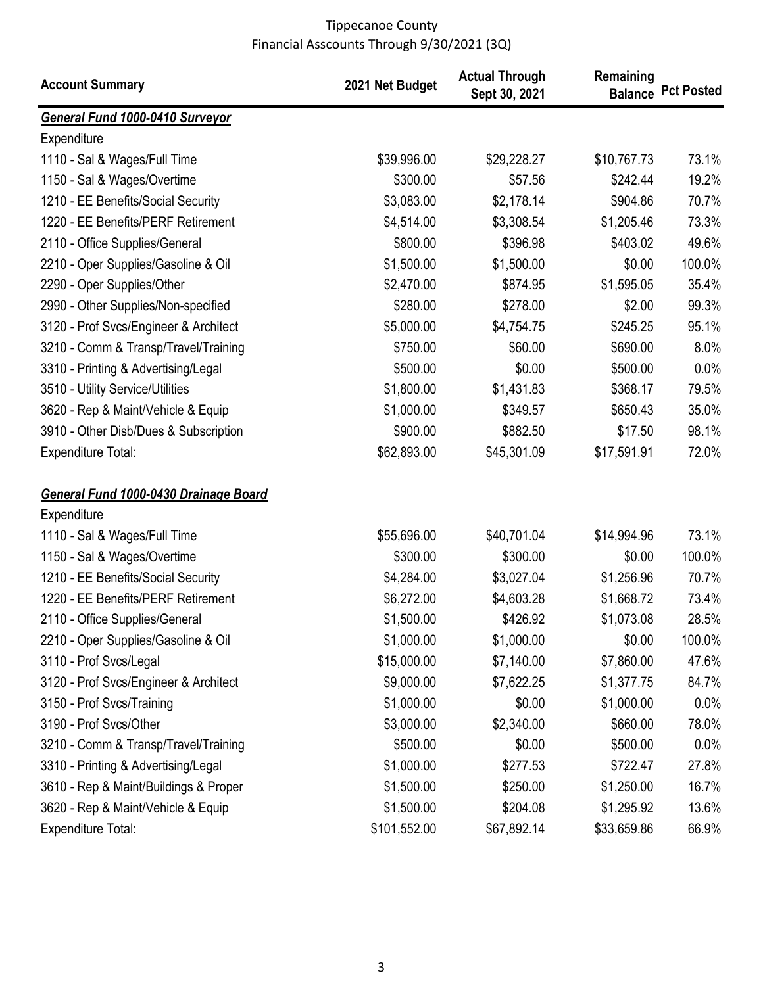| <b>Account Summary</b>                | 2021 Net Budget | <b>Actual Through</b><br>Sept 30, 2021 | Remaining   | <b>Balance Pct Posted</b> |
|---------------------------------------|-----------------|----------------------------------------|-------------|---------------------------|
| General Fund 1000-0410 Surveyor       |                 |                                        |             |                           |
| Expenditure                           |                 |                                        |             |                           |
| 1110 - Sal & Wages/Full Time          | \$39,996.00     | \$29,228.27                            | \$10,767.73 | 73.1%                     |
| 1150 - Sal & Wages/Overtime           | \$300.00        | \$57.56                                | \$242.44    | 19.2%                     |
| 1210 - EE Benefits/Social Security    | \$3,083.00      | \$2,178.14                             | \$904.86    | 70.7%                     |
| 1220 - EE Benefits/PERF Retirement    | \$4,514.00      | \$3,308.54                             | \$1,205.46  | 73.3%                     |
| 2110 - Office Supplies/General        | \$800.00        | \$396.98                               | \$403.02    | 49.6%                     |
| 2210 - Oper Supplies/Gasoline & Oil   | \$1,500.00      | \$1,500.00                             | \$0.00      | 100.0%                    |
| 2290 - Oper Supplies/Other            | \$2,470.00      | \$874.95                               | \$1,595.05  | 35.4%                     |
| 2990 - Other Supplies/Non-specified   | \$280.00        | \$278.00                               | \$2.00      | 99.3%                     |
| 3120 - Prof Svcs/Engineer & Architect | \$5,000.00      | \$4,754.75                             | \$245.25    | 95.1%                     |
| 3210 - Comm & Transp/Travel/Training  | \$750.00        | \$60.00                                | \$690.00    | 8.0%                      |
| 3310 - Printing & Advertising/Legal   | \$500.00        | \$0.00                                 | \$500.00    | 0.0%                      |
| 3510 - Utility Service/Utilities      | \$1,800.00      | \$1,431.83                             | \$368.17    | 79.5%                     |
| 3620 - Rep & Maint/Vehicle & Equip    | \$1,000.00      | \$349.57                               | \$650.43    | 35.0%                     |
| 3910 - Other Disb/Dues & Subscription | \$900.00        | \$882.50                               | \$17.50     | 98.1%                     |
| <b>Expenditure Total:</b>             | \$62,893.00     | \$45,301.09                            | \$17,591.91 | 72.0%                     |
| General Fund 1000-0430 Drainage Board |                 |                                        |             |                           |
| Expenditure                           |                 |                                        |             |                           |
| 1110 - Sal & Wages/Full Time          | \$55,696.00     | \$40,701.04                            | \$14,994.96 | 73.1%                     |
| 1150 - Sal & Wages/Overtime           | \$300.00        | \$300.00                               | \$0.00      | 100.0%                    |
| 1210 - EE Benefits/Social Security    | \$4,284.00      | \$3,027.04                             | \$1,256.96  | 70.7%                     |
| 1220 - EE Benefits/PERF Retirement    | \$6,272.00      | \$4,603.28                             | \$1,668.72  | 73.4%                     |
| 2110 - Office Supplies/General        | \$1,500.00      | \$426.92                               | \$1,073.08  | 28.5%                     |
| 2210 - Oper Supplies/Gasoline & Oil   | \$1,000.00      | \$1,000.00                             | \$0.00      | 100.0%                    |
| 3110 - Prof Svcs/Legal                | \$15,000.00     | \$7,140.00                             | \$7,860.00  | 47.6%                     |
| 3120 - Prof Svcs/Engineer & Architect | \$9,000.00      | \$7,622.25                             | \$1,377.75  | 84.7%                     |
| 3150 - Prof Svcs/Training             | \$1,000.00      | \$0.00                                 | \$1,000.00  | 0.0%                      |
| 3190 - Prof Svcs/Other                | \$3,000.00      | \$2,340.00                             | \$660.00    | 78.0%                     |
| 3210 - Comm & Transp/Travel/Training  | \$500.00        | \$0.00                                 | \$500.00    | $0.0\%$                   |
| 3310 - Printing & Advertising/Legal   | \$1,000.00      | \$277.53                               | \$722.47    | 27.8%                     |
| 3610 - Rep & Maint/Buildings & Proper | \$1,500.00      | \$250.00                               | \$1,250.00  | 16.7%                     |
| 3620 - Rep & Maint/Vehicle & Equip    | \$1,500.00      | \$204.08                               | \$1,295.92  | 13.6%                     |
| <b>Expenditure Total:</b>             | \$101,552.00    | \$67,892.14                            | \$33,659.86 | 66.9%                     |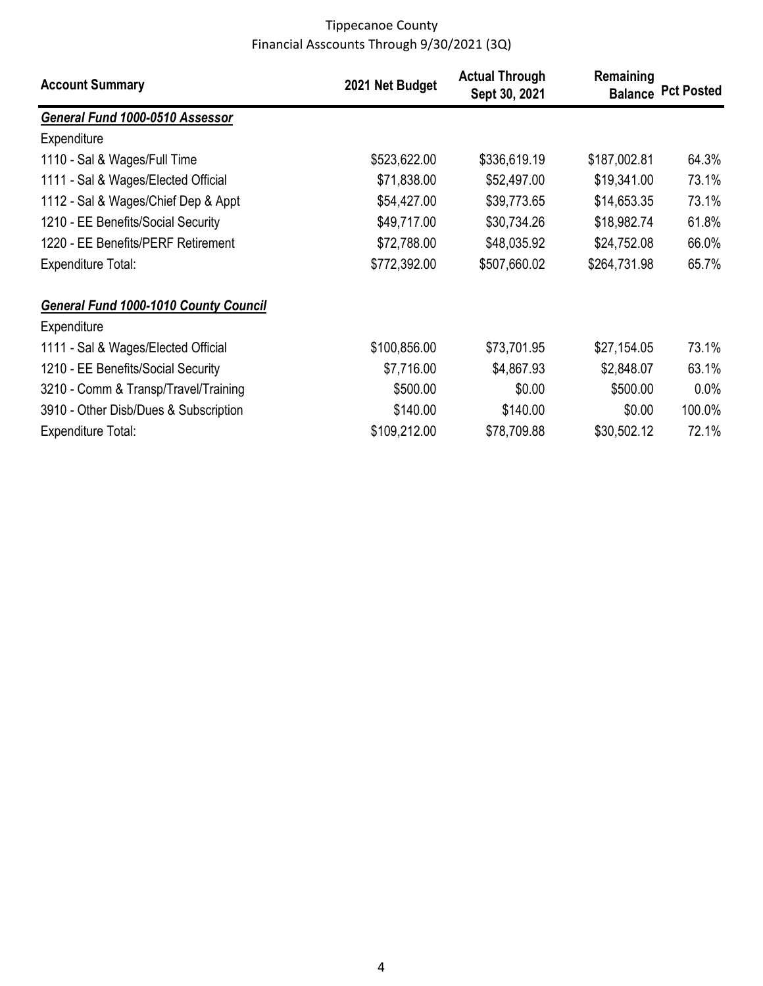| <b>Account Summary</b>                       | 2021 Net Budget | <b>Actual Through</b><br>Sept 30, 2021 | Remaining    | <b>Balance Pct Posted</b> |
|----------------------------------------------|-----------------|----------------------------------------|--------------|---------------------------|
| General Fund 1000-0510 Assessor              |                 |                                        |              |                           |
| Expenditure                                  |                 |                                        |              |                           |
| 1110 - Sal & Wages/Full Time                 | \$523,622.00    | \$336,619.19                           | \$187,002.81 | 64.3%                     |
| 1111 - Sal & Wages/Elected Official          | \$71,838.00     | \$52,497.00                            | \$19,341.00  | 73.1%                     |
| 1112 - Sal & Wages/Chief Dep & Appt          | \$54,427.00     | \$39,773.65                            | \$14,653.35  | 73.1%                     |
| 1210 - EE Benefits/Social Security           | \$49,717.00     | \$30,734.26                            | \$18,982.74  | 61.8%                     |
| 1220 - EE Benefits/PERF Retirement           | \$72,788.00     | \$48,035.92                            | \$24,752.08  | 66.0%                     |
| <b>Expenditure Total:</b>                    | \$772,392.00    | \$507,660.02                           | \$264,731.98 | 65.7%                     |
| <b>General Fund 1000-1010 County Council</b> |                 |                                        |              |                           |
| Expenditure                                  |                 |                                        |              |                           |
| 1111 - Sal & Wages/Elected Official          | \$100,856.00    | \$73,701.95                            | \$27,154.05  | 73.1%                     |
| 1210 - EE Benefits/Social Security           | \$7,716.00      | \$4,867.93                             | \$2,848.07   | 63.1%                     |
| 3210 - Comm & Transp/Travel/Training         | \$500.00        | \$0.00                                 | \$500.00     | $0.0\%$                   |
| 3910 - Other Disb/Dues & Subscription        | \$140.00        | \$140.00                               | \$0.00       | 100.0%                    |
| <b>Expenditure Total:</b>                    | \$109,212.00    | \$78,709.88                            | \$30,502.12  | 72.1%                     |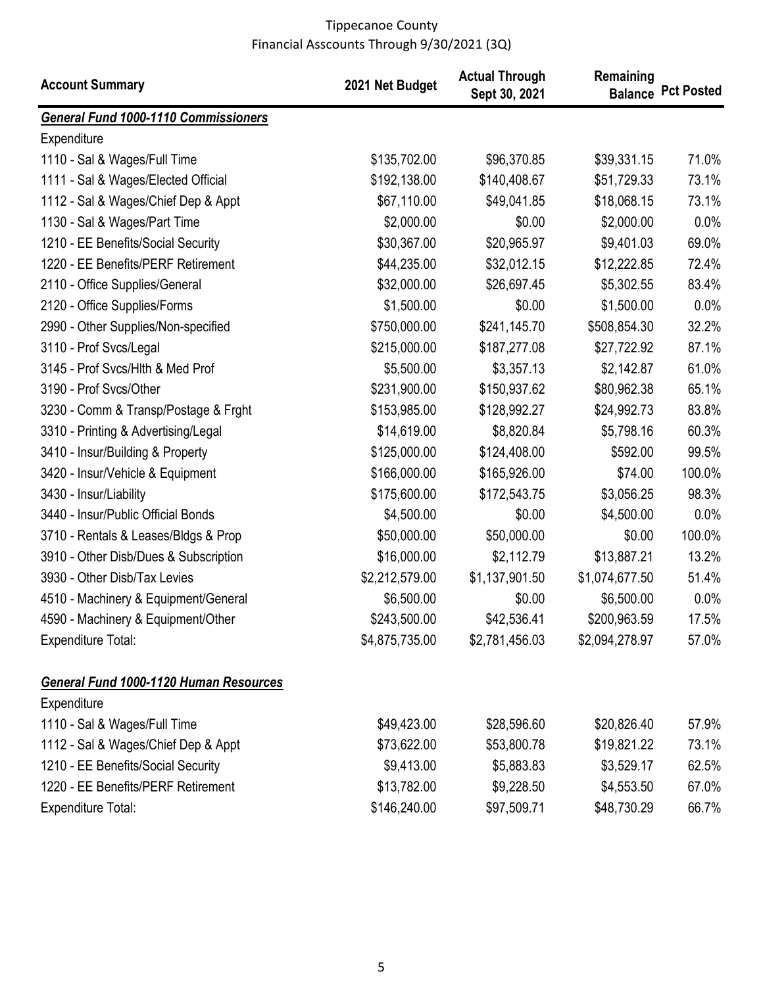| <b>Account Summary</b>                        | 2021 Net Budget | <b>Actual Through</b><br>Sept 30, 2021 | Remaining      | <b>Balance Pct Posted</b> |
|-----------------------------------------------|-----------------|----------------------------------------|----------------|---------------------------|
| General Fund 1000-1110 Commissioners          |                 |                                        |                |                           |
| Expenditure                                   |                 |                                        |                |                           |
| 1110 - Sal & Wages/Full Time                  | \$135,702.00    | \$96,370.85                            | \$39,331.15    | 71.0%                     |
| 1111 - Sal & Wages/Elected Official           | \$192,138.00    | \$140,408.67                           | \$51,729.33    | 73.1%                     |
| 1112 - Sal & Wages/Chief Dep & Appt           | \$67,110.00     | \$49,041.85                            | \$18,068.15    | 73.1%                     |
| 1130 - Sal & Wages/Part Time                  | \$2,000.00      | \$0.00                                 | \$2,000.00     | 0.0%                      |
| 1210 - EE Benefits/Social Security            | \$30,367.00     | \$20,965.97                            | \$9,401.03     | 69.0%                     |
| 1220 - EE Benefits/PERF Retirement            | \$44,235.00     | \$32,012.15                            | \$12,222.85    | 72.4%                     |
| 2110 - Office Supplies/General                | \$32,000.00     | \$26,697.45                            | \$5,302.55     | 83.4%                     |
| 2120 - Office Supplies/Forms                  | \$1,500.00      | \$0.00                                 | \$1,500.00     | 0.0%                      |
| 2990 - Other Supplies/Non-specified           | \$750,000.00    | \$241,145.70                           | \$508,854.30   | 32.2%                     |
| 3110 - Prof Svcs/Legal                        | \$215,000.00    | \$187,277.08                           | \$27,722.92    | 87.1%                     |
| 3145 - Prof Svcs/Hlth & Med Prof              | \$5,500.00      | \$3,357.13                             | \$2,142.87     | 61.0%                     |
| 3190 - Prof Svcs/Other                        | \$231,900.00    | \$150,937.62                           | \$80,962.38    | 65.1%                     |
| 3230 - Comm & Transp/Postage & Frght          | \$153,985.00    | \$128,992.27                           | \$24,992.73    | 83.8%                     |
| 3310 - Printing & Advertising/Legal           | \$14,619.00     | \$8,820.84                             | \$5,798.16     | 60.3%                     |
| 3410 - Insur/Building & Property              | \$125,000.00    | \$124,408.00                           | \$592.00       | 99.5%                     |
| 3420 - Insur/Vehicle & Equipment              | \$166,000.00    | \$165,926.00                           | \$74.00        | 100.0%                    |
| 3430 - Insur/Liability                        | \$175,600.00    | \$172,543.75                           | \$3,056.25     | 98.3%                     |
| 3440 - Insur/Public Official Bonds            | \$4,500.00      | \$0.00                                 | \$4,500.00     | 0.0%                      |
| 3710 - Rentals & Leases/Bldgs & Prop          | \$50,000.00     | \$50,000.00                            | \$0.00         | 100.0%                    |
| 3910 - Other Disb/Dues & Subscription         | \$16,000.00     | \$2,112.79                             | \$13,887.21    | 13.2%                     |
| 3930 - Other Disb/Tax Levies                  | \$2,212,579.00  | \$1,137,901.50                         | \$1,074,677.50 | 51.4%                     |
| 4510 - Machinery & Equipment/General          | \$6,500.00      | \$0.00                                 | \$6,500.00     | 0.0%                      |
| 4590 - Machinery & Equipment/Other            | \$243,500.00    | \$42,536.41                            | \$200,963.59   | 17.5%                     |
| <b>Expenditure Total:</b>                     | \$4,875,735.00  | \$2,781,456.03                         | \$2,094,278.97 | 57.0%                     |
| <b>General Fund 1000-1120 Human Resources</b> |                 |                                        |                |                           |
| Expenditure                                   |                 |                                        |                |                           |
| 1110 - Sal & Wages/Full Time                  | \$49,423.00     | \$28,596.60                            | \$20,826.40    | 57.9%                     |
| 1112 - Sal & Wages/Chief Dep & Appt           | \$73,622.00     | \$53,800.78                            | \$19,821.22    | 73.1%                     |
| 1210 - EE Benefits/Social Security            | \$9,413.00      | \$5,883.83                             | \$3,529.17     | 62.5%                     |
| 1220 - EE Benefits/PERF Retirement            | \$13,782.00     | \$9,228.50                             | \$4,553.50     | 67.0%                     |
| <b>Expenditure Total:</b>                     | \$146,240.00    | \$97,509.71                            | \$48,730.29    | 66.7%                     |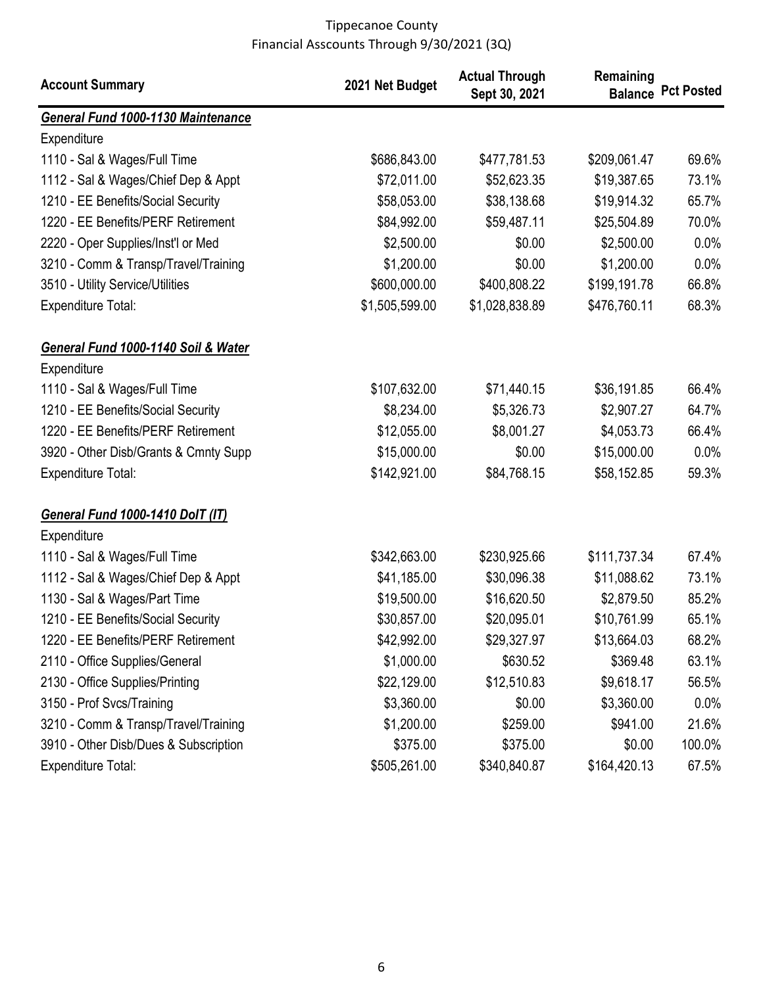| <b>Account Summary</b>                    | 2021 Net Budget | <b>Actual Through</b><br>Sept 30, 2021 | Remaining    | <b>Balance Pct Posted</b> |
|-------------------------------------------|-----------------|----------------------------------------|--------------|---------------------------|
| <b>General Fund 1000-1130 Maintenance</b> |                 |                                        |              |                           |
| Expenditure                               |                 |                                        |              |                           |
| 1110 - Sal & Wages/Full Time              | \$686,843.00    | \$477,781.53                           | \$209,061.47 | 69.6%                     |
| 1112 - Sal & Wages/Chief Dep & Appt       | \$72,011.00     | \$52,623.35                            | \$19,387.65  | 73.1%                     |
| 1210 - EE Benefits/Social Security        | \$58,053.00     | \$38,138.68                            | \$19,914.32  | 65.7%                     |
| 1220 - EE Benefits/PERF Retirement        | \$84,992.00     | \$59,487.11                            | \$25,504.89  | 70.0%                     |
| 2220 - Oper Supplies/Inst'l or Med        | \$2,500.00      | \$0.00                                 | \$2,500.00   | 0.0%                      |
| 3210 - Comm & Transp/Travel/Training      | \$1,200.00      | \$0.00                                 | \$1,200.00   | 0.0%                      |
| 3510 - Utility Service/Utilities          | \$600,000.00    | \$400,808.22                           | \$199,191.78 | 66.8%                     |
| <b>Expenditure Total:</b>                 | \$1,505,599.00  | \$1,028,838.89                         | \$476,760.11 | 68.3%                     |
| General Fund 1000-1140 Soil & Water       |                 |                                        |              |                           |
| Expenditure                               |                 |                                        |              |                           |
| 1110 - Sal & Wages/Full Time              | \$107,632.00    | \$71,440.15                            | \$36,191.85  | 66.4%                     |
| 1210 - EE Benefits/Social Security        | \$8,234.00      | \$5,326.73                             | \$2,907.27   | 64.7%                     |
| 1220 - EE Benefits/PERF Retirement        | \$12,055.00     | \$8,001.27                             | \$4,053.73   | 66.4%                     |
| 3920 - Other Disb/Grants & Cmnty Supp     | \$15,000.00     | \$0.00                                 | \$15,000.00  | 0.0%                      |
| <b>Expenditure Total:</b>                 | \$142,921.00    | \$84,768.15                            | \$58,152.85  | 59.3%                     |
| <b>General Fund 1000-1410 DolT (IT)</b>   |                 |                                        |              |                           |
| Expenditure                               |                 |                                        |              |                           |
| 1110 - Sal & Wages/Full Time              | \$342,663.00    | \$230,925.66                           | \$111,737.34 | 67.4%                     |
| 1112 - Sal & Wages/Chief Dep & Appt       | \$41,185.00     | \$30,096.38                            | \$11,088.62  | 73.1%                     |
| 1130 - Sal & Wages/Part Time              | \$19,500.00     | \$16,620.50                            | \$2,879.50   | 85.2%                     |
| 1210 - EE Benefits/Social Security        | \$30,857.00     | \$20,095.01                            | \$10,761.99  | 65.1%                     |
| 1220 - EE Benefits/PERF Retirement        | \$42,992.00     | \$29,327.97                            | \$13,664.03  | 68.2%                     |
| 2110 - Office Supplies/General            | \$1,000.00      | \$630.52                               | \$369.48     | 63.1%                     |
| 2130 - Office Supplies/Printing           | \$22,129.00     | \$12,510.83                            | \$9,618.17   | 56.5%                     |
| 3150 - Prof Svcs/Training                 | \$3,360.00      | \$0.00                                 | \$3,360.00   | 0.0%                      |
| 3210 - Comm & Transp/Travel/Training      | \$1,200.00      | \$259.00                               | \$941.00     | 21.6%                     |
| 3910 - Other Disb/Dues & Subscription     | \$375.00        | \$375.00                               | \$0.00       | 100.0%                    |
| Expenditure Total:                        | \$505,261.00    | \$340,840.87                           | \$164,420.13 | 67.5%                     |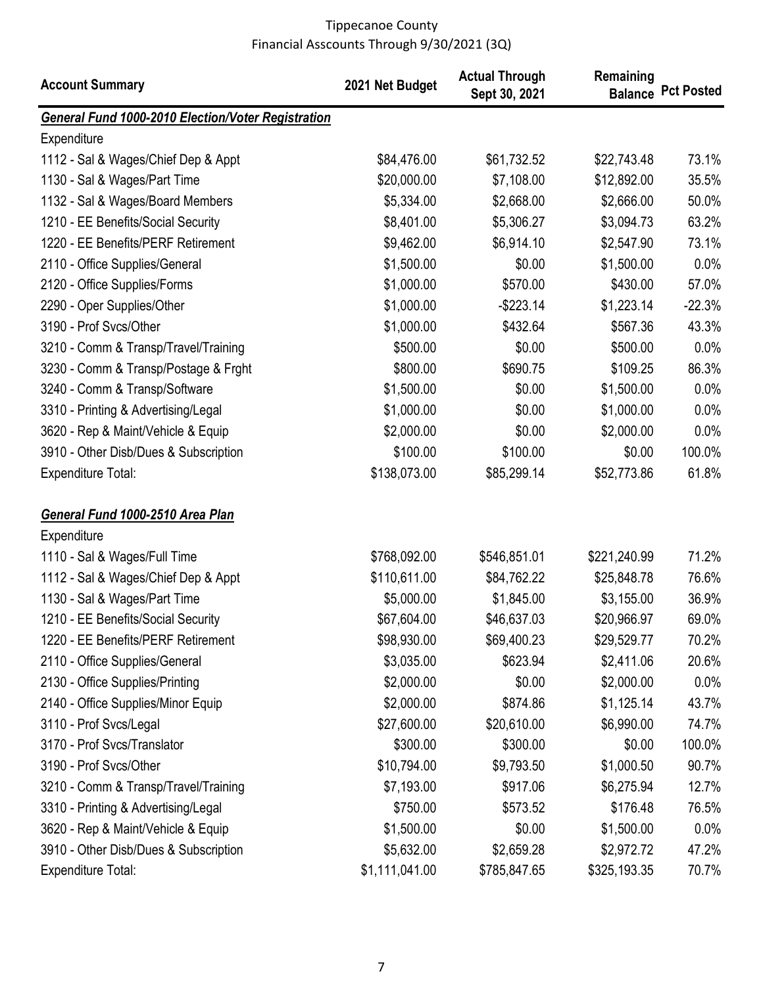| <b>Account Summary</b>                                    | 2021 Net Budget | <b>Actual Through</b><br>Sept 30, 2021 | Remaining<br><b>Balance</b> | <b>Pct Posted</b> |
|-----------------------------------------------------------|-----------------|----------------------------------------|-----------------------------|-------------------|
| <b>General Fund 1000-2010 Election/Voter Registration</b> |                 |                                        |                             |                   |
| Expenditure                                               |                 |                                        |                             |                   |
| 1112 - Sal & Wages/Chief Dep & Appt                       | \$84,476.00     | \$61,732.52                            | \$22,743.48                 | 73.1%             |
| 1130 - Sal & Wages/Part Time                              | \$20,000.00     | \$7,108.00                             | \$12,892.00                 | 35.5%             |
| 1132 - Sal & Wages/Board Members                          | \$5,334.00      | \$2,668.00                             | \$2,666.00                  | 50.0%             |
| 1210 - EE Benefits/Social Security                        | \$8,401.00      | \$5,306.27                             | \$3,094.73                  | 63.2%             |
| 1220 - EE Benefits/PERF Retirement                        | \$9,462.00      | \$6,914.10                             | \$2,547.90                  | 73.1%             |
| 2110 - Office Supplies/General                            | \$1,500.00      | \$0.00                                 | \$1,500.00                  | 0.0%              |
| 2120 - Office Supplies/Forms                              | \$1,000.00      | \$570.00                               | \$430.00                    | 57.0%             |
| 2290 - Oper Supplies/Other                                | \$1,000.00      | $-$223.14$                             | \$1,223.14                  | $-22.3%$          |
| 3190 - Prof Svcs/Other                                    | \$1,000.00      | \$432.64                               | \$567.36                    | 43.3%             |
| 3210 - Comm & Transp/Travel/Training                      | \$500.00        | \$0.00                                 | \$500.00                    | 0.0%              |
| 3230 - Comm & Transp/Postage & Frght                      | \$800.00        | \$690.75                               | \$109.25                    | 86.3%             |
| 3240 - Comm & Transp/Software                             | \$1,500.00      | \$0.00                                 | \$1,500.00                  | 0.0%              |
| 3310 - Printing & Advertising/Legal                       | \$1,000.00      | \$0.00                                 | \$1,000.00                  | 0.0%              |
| 3620 - Rep & Maint/Vehicle & Equip                        | \$2,000.00      | \$0.00                                 | \$2,000.00                  | 0.0%              |
| 3910 - Other Disb/Dues & Subscription                     | \$100.00        | \$100.00                               | \$0.00                      | 100.0%            |
| <b>Expenditure Total:</b>                                 | \$138,073.00    | \$85,299.14                            | \$52,773.86                 | 61.8%             |
| General Fund 1000-2510 Area Plan                          |                 |                                        |                             |                   |
| Expenditure                                               |                 |                                        |                             |                   |
| 1110 - Sal & Wages/Full Time                              | \$768,092.00    | \$546,851.01                           | \$221,240.99                | 71.2%             |
| 1112 - Sal & Wages/Chief Dep & Appt                       | \$110,611.00    | \$84,762.22                            | \$25,848.78                 | 76.6%             |
| 1130 - Sal & Wages/Part Time                              | \$5,000.00      | \$1,845.00                             | \$3,155.00                  | 36.9%             |
| 1210 - EE Benefits/Social Security                        | \$67,604.00     | \$46,637.03                            | \$20,966.97                 | 69.0%             |
| 1220 - EE Benefits/PERF Retirement                        | \$98,930.00     | \$69,400.23                            | \$29,529.77                 | 70.2%             |
| 2110 - Office Supplies/General                            | \$3,035.00      | \$623.94                               | \$2,411.06                  | 20.6%             |
| 2130 - Office Supplies/Printing                           | \$2,000.00      | \$0.00                                 | \$2,000.00                  | 0.0%              |
| 2140 - Office Supplies/Minor Equip                        | \$2,000.00      | \$874.86                               | \$1,125.14                  | 43.7%             |
| 3110 - Prof Svcs/Legal                                    | \$27,600.00     | \$20,610.00                            | \$6,990.00                  | 74.7%             |
| 3170 - Prof Svcs/Translator                               | \$300.00        | \$300.00                               | \$0.00                      | 100.0%            |
| 3190 - Prof Svcs/Other                                    | \$10,794.00     | \$9,793.50                             | \$1,000.50                  | 90.7%             |
| 3210 - Comm & Transp/Travel/Training                      | \$7,193.00      | \$917.06                               | \$6,275.94                  | 12.7%             |
| 3310 - Printing & Advertising/Legal                       | \$750.00        | \$573.52                               | \$176.48                    | 76.5%             |
| 3620 - Rep & Maint/Vehicle & Equip                        | \$1,500.00      | \$0.00                                 | \$1,500.00                  | 0.0%              |
| 3910 - Other Disb/Dues & Subscription                     | \$5,632.00      | \$2,659.28                             | \$2,972.72                  | 47.2%             |
| <b>Expenditure Total:</b>                                 | \$1,111,041.00  | \$785,847.65                           | \$325,193.35                | 70.7%             |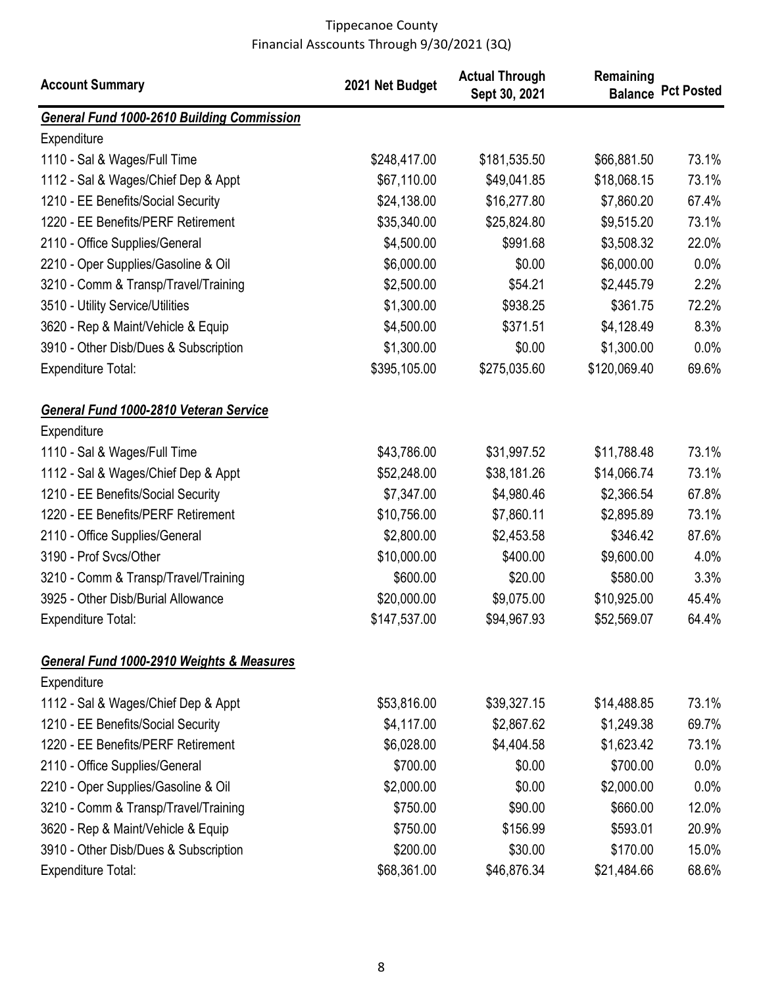| <b>Account Summary</b>                            | 2021 Net Budget | <b>Actual Through</b><br>Sept 30, 2021 | Remaining    | <b>Balance Pct Posted</b> |
|---------------------------------------------------|-----------------|----------------------------------------|--------------|---------------------------|
| <b>General Fund 1000-2610 Building Commission</b> |                 |                                        |              |                           |
| Expenditure                                       |                 |                                        |              |                           |
| 1110 - Sal & Wages/Full Time                      | \$248,417.00    | \$181,535.50                           | \$66,881.50  | 73.1%                     |
| 1112 - Sal & Wages/Chief Dep & Appt               | \$67,110.00     | \$49,041.85                            | \$18,068.15  | 73.1%                     |
| 1210 - EE Benefits/Social Security                | \$24,138.00     | \$16,277.80                            | \$7,860.20   | 67.4%                     |
| 1220 - EE Benefits/PERF Retirement                | \$35,340.00     | \$25,824.80                            | \$9,515.20   | 73.1%                     |
| 2110 - Office Supplies/General                    | \$4,500.00      | \$991.68                               | \$3,508.32   | 22.0%                     |
| 2210 - Oper Supplies/Gasoline & Oil               | \$6,000.00      | \$0.00                                 | \$6,000.00   | 0.0%                      |
| 3210 - Comm & Transp/Travel/Training              | \$2,500.00      | \$54.21                                | \$2,445.79   | 2.2%                      |
| 3510 - Utility Service/Utilities                  | \$1,300.00      | \$938.25                               | \$361.75     | 72.2%                     |
| 3620 - Rep & Maint/Vehicle & Equip                | \$4,500.00      | \$371.51                               | \$4,128.49   | 8.3%                      |
| 3910 - Other Disb/Dues & Subscription             | \$1,300.00      | \$0.00                                 | \$1,300.00   | $0.0\%$                   |
| <b>Expenditure Total:</b>                         | \$395,105.00    | \$275,035.60                           | \$120,069.40 | 69.6%                     |
| General Fund 1000-2810 Veteran Service            |                 |                                        |              |                           |
| Expenditure                                       |                 |                                        |              |                           |
| 1110 - Sal & Wages/Full Time                      | \$43,786.00     | \$31,997.52                            | \$11,788.48  | 73.1%                     |
| 1112 - Sal & Wages/Chief Dep & Appt               | \$52,248.00     | \$38,181.26                            | \$14,066.74  | 73.1%                     |
| 1210 - EE Benefits/Social Security                | \$7,347.00      | \$4,980.46                             | \$2,366.54   | 67.8%                     |
| 1220 - EE Benefits/PERF Retirement                | \$10,756.00     | \$7,860.11                             | \$2,895.89   | 73.1%                     |
| 2110 - Office Supplies/General                    | \$2,800.00      | \$2,453.58                             | \$346.42     | 87.6%                     |
| 3190 - Prof Svcs/Other                            | \$10,000.00     | \$400.00                               | \$9,600.00   | 4.0%                      |
| 3210 - Comm & Transp/Travel/Training              | \$600.00        | \$20.00                                | \$580.00     | 3.3%                      |
| 3925 - Other Disb/Burial Allowance                | \$20,000.00     | \$9,075.00                             | \$10,925.00  | 45.4%                     |
| <b>Expenditure Total:</b>                         | \$147,537.00    | \$94,967.93                            | \$52,569.07  | 64.4%                     |
| General Fund 1000-2910 Weights & Measures         |                 |                                        |              |                           |
| Expenditure                                       |                 |                                        |              |                           |
| 1112 - Sal & Wages/Chief Dep & Appt               | \$53,816.00     | \$39,327.15                            | \$14,488.85  | 73.1%                     |
| 1210 - EE Benefits/Social Security                | \$4,117.00      | \$2,867.62                             | \$1,249.38   | 69.7%                     |
| 1220 - EE Benefits/PERF Retirement                | \$6,028.00      | \$4,404.58                             | \$1,623.42   | 73.1%                     |
| 2110 - Office Supplies/General                    | \$700.00        | \$0.00                                 | \$700.00     | $0.0\%$                   |
| 2210 - Oper Supplies/Gasoline & Oil               | \$2,000.00      | \$0.00                                 | \$2,000.00   | 0.0%                      |
| 3210 - Comm & Transp/Travel/Training              | \$750.00        | \$90.00                                | \$660.00     | 12.0%                     |
| 3620 - Rep & Maint/Vehicle & Equip                | \$750.00        | \$156.99                               | \$593.01     | 20.9%                     |
| 3910 - Other Disb/Dues & Subscription             | \$200.00        | \$30.00                                | \$170.00     | 15.0%                     |
| <b>Expenditure Total:</b>                         | \$68,361.00     | \$46,876.34                            | \$21,484.66  | 68.6%                     |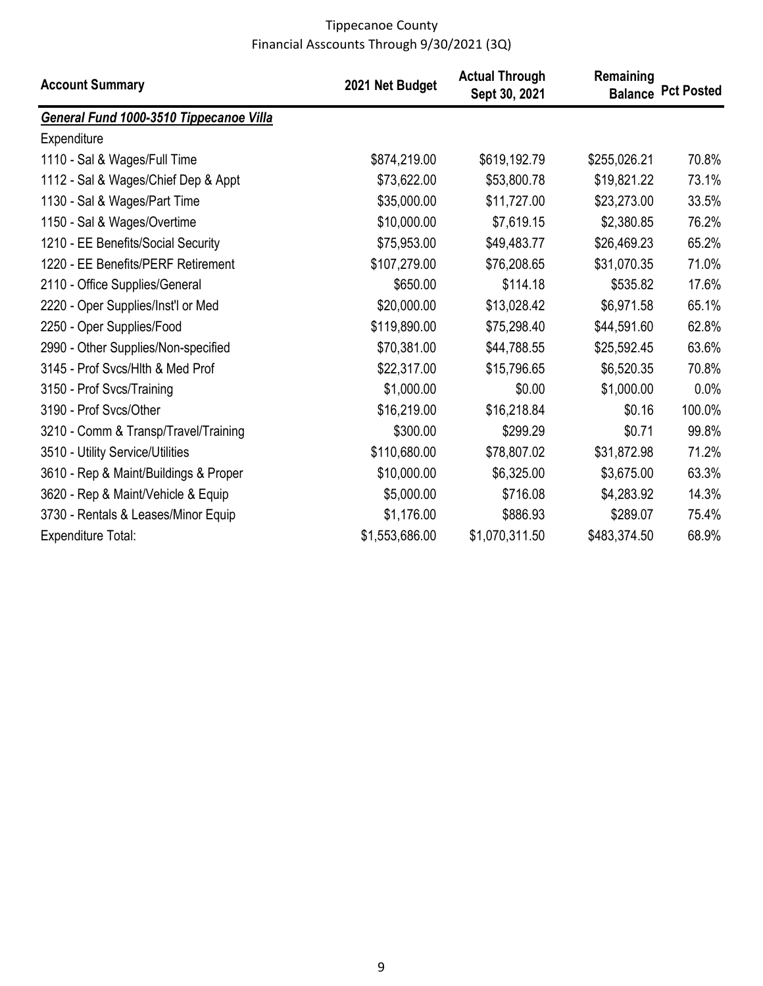| <b>Account Summary</b>                  | 2021 Net Budget | <b>Actual Through</b><br>Sept 30, 2021 | Remaining    | <b>Balance Pct Posted</b> |
|-----------------------------------------|-----------------|----------------------------------------|--------------|---------------------------|
| General Fund 1000-3510 Tippecanoe Villa |                 |                                        |              |                           |
| Expenditure                             |                 |                                        |              |                           |
| 1110 - Sal & Wages/Full Time            | \$874,219.00    | \$619,192.79                           | \$255,026.21 | 70.8%                     |
| 1112 - Sal & Wages/Chief Dep & Appt     | \$73,622.00     | \$53,800.78                            | \$19,821.22  | 73.1%                     |
| 1130 - Sal & Wages/Part Time            | \$35,000.00     | \$11,727.00                            | \$23,273.00  | 33.5%                     |
| 1150 - Sal & Wages/Overtime             | \$10,000.00     | \$7,619.15                             | \$2,380.85   | 76.2%                     |
| 1210 - EE Benefits/Social Security      | \$75,953.00     | \$49,483.77                            | \$26,469.23  | 65.2%                     |
| 1220 - EE Benefits/PERF Retirement      | \$107,279.00    | \$76,208.65                            | \$31,070.35  | 71.0%                     |
| 2110 - Office Supplies/General          | \$650.00        | \$114.18                               | \$535.82     | 17.6%                     |
| 2220 - Oper Supplies/Inst'l or Med      | \$20,000.00     | \$13,028.42                            | \$6,971.58   | 65.1%                     |
| 2250 - Oper Supplies/Food               | \$119,890.00    | \$75,298.40                            | \$44,591.60  | 62.8%                     |
| 2990 - Other Supplies/Non-specified     | \$70,381.00     | \$44,788.55                            | \$25,592.45  | 63.6%                     |
| 3145 - Prof Svcs/Hlth & Med Prof        | \$22,317.00     | \$15,796.65                            | \$6,520.35   | 70.8%                     |
| 3150 - Prof Svcs/Training               | \$1,000.00      | \$0.00                                 | \$1,000.00   | 0.0%                      |
| 3190 - Prof Sycs/Other                  | \$16,219.00     | \$16,218.84                            | \$0.16       | 100.0%                    |
| 3210 - Comm & Transp/Travel/Training    | \$300.00        | \$299.29                               | \$0.71       | 99.8%                     |
| 3510 - Utility Service/Utilities        | \$110,680.00    | \$78,807.02                            | \$31,872.98  | 71.2%                     |
| 3610 - Rep & Maint/Buildings & Proper   | \$10,000.00     | \$6,325.00                             | \$3,675.00   | 63.3%                     |
| 3620 - Rep & Maint/Vehicle & Equip      | \$5,000.00      | \$716.08                               | \$4,283.92   | 14.3%                     |
| 3730 - Rentals & Leases/Minor Equip     | \$1,176.00      | \$886.93                               | \$289.07     | 75.4%                     |
| <b>Expenditure Total:</b>               | \$1,553,686.00  | \$1,070,311.50                         | \$483,374.50 | 68.9%                     |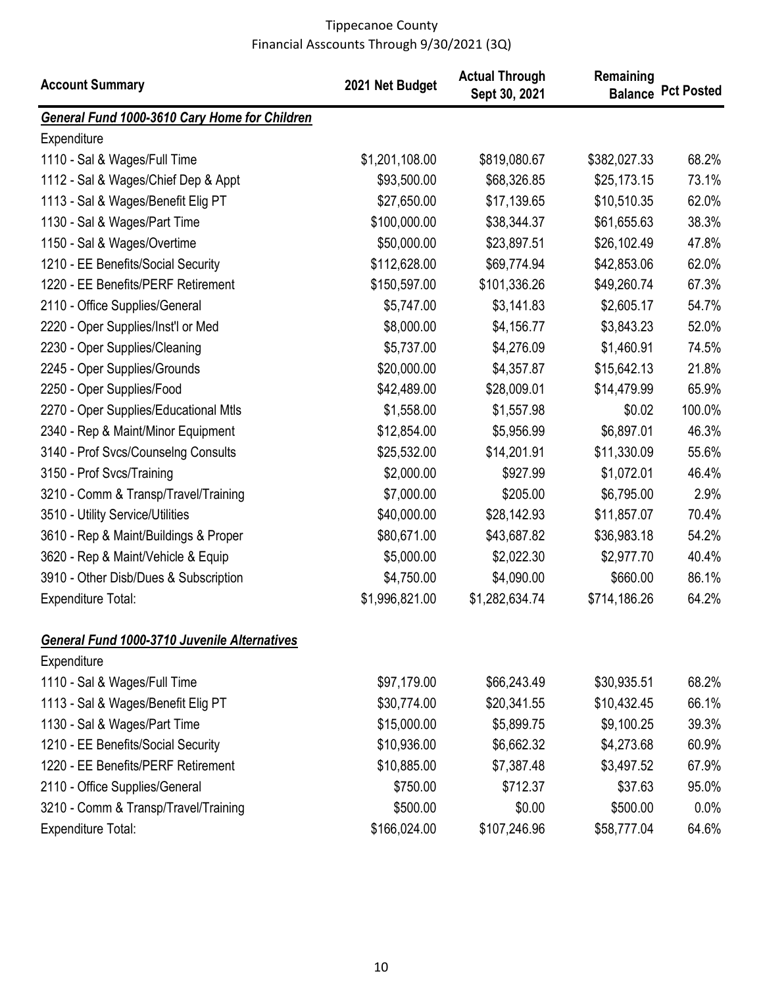| <b>Account Summary</b>                              | 2021 Net Budget | <b>Actual Through</b><br>Sept 30, 2021 | Remaining    | <b>Balance Pct Posted</b> |
|-----------------------------------------------------|-----------------|----------------------------------------|--------------|---------------------------|
| General Fund 1000-3610 Cary Home for Children       |                 |                                        |              |                           |
| Expenditure                                         |                 |                                        |              |                           |
| 1110 - Sal & Wages/Full Time                        | \$1,201,108.00  | \$819,080.67                           | \$382,027.33 | 68.2%                     |
| 1112 - Sal & Wages/Chief Dep & Appt                 | \$93,500.00     | \$68,326.85                            | \$25,173.15  | 73.1%                     |
| 1113 - Sal & Wages/Benefit Elig PT                  | \$27,650.00     | \$17,139.65                            | \$10,510.35  | 62.0%                     |
| 1130 - Sal & Wages/Part Time                        | \$100,000.00    | \$38,344.37                            | \$61,655.63  | 38.3%                     |
| 1150 - Sal & Wages/Overtime                         | \$50,000.00     | \$23,897.51                            | \$26,102.49  | 47.8%                     |
| 1210 - EE Benefits/Social Security                  | \$112,628.00    | \$69,774.94                            | \$42,853.06  | 62.0%                     |
| 1220 - EE Benefits/PERF Retirement                  | \$150,597.00    | \$101,336.26                           | \$49,260.74  | 67.3%                     |
| 2110 - Office Supplies/General                      | \$5,747.00      | \$3,141.83                             | \$2,605.17   | 54.7%                     |
| 2220 - Oper Supplies/Inst'l or Med                  | \$8,000.00      | \$4,156.77                             | \$3,843.23   | 52.0%                     |
| 2230 - Oper Supplies/Cleaning                       | \$5,737.00      | \$4,276.09                             | \$1,460.91   | 74.5%                     |
| 2245 - Oper Supplies/Grounds                        | \$20,000.00     | \$4,357.87                             | \$15,642.13  | 21.8%                     |
| 2250 - Oper Supplies/Food                           | \$42,489.00     | \$28,009.01                            | \$14,479.99  | 65.9%                     |
| 2270 - Oper Supplies/Educational Mtls               | \$1,558.00      | \$1,557.98                             | \$0.02       | 100.0%                    |
| 2340 - Rep & Maint/Minor Equipment                  | \$12,854.00     | \$5,956.99                             | \$6,897.01   | 46.3%                     |
| 3140 - Prof Svcs/Counselng Consults                 | \$25,532.00     | \$14,201.91                            | \$11,330.09  | 55.6%                     |
| 3150 - Prof Svcs/Training                           | \$2,000.00      | \$927.99                               | \$1,072.01   | 46.4%                     |
| 3210 - Comm & Transp/Travel/Training                | \$7,000.00      | \$205.00                               | \$6,795.00   | 2.9%                      |
| 3510 - Utility Service/Utilities                    | \$40,000.00     | \$28,142.93                            | \$11,857.07  | 70.4%                     |
| 3610 - Rep & Maint/Buildings & Proper               | \$80,671.00     | \$43,687.82                            | \$36,983.18  | 54.2%                     |
| 3620 - Rep & Maint/Vehicle & Equip                  | \$5,000.00      | \$2,022.30                             | \$2,977.70   | 40.4%                     |
| 3910 - Other Disb/Dues & Subscription               | \$4,750.00      | \$4,090.00                             | \$660.00     | 86.1%                     |
| <b>Expenditure Total:</b>                           | \$1,996,821.00  | \$1,282,634.74                         | \$714,186.26 | 64.2%                     |
| <b>General Fund 1000-3710 Juvenile Alternatives</b> |                 |                                        |              |                           |
| Expenditure                                         |                 |                                        |              |                           |
| 1110 - Sal & Wages/Full Time                        | \$97,179.00     | \$66,243.49                            | \$30,935.51  | 68.2%                     |
| 1113 - Sal & Wages/Benefit Elig PT                  | \$30,774.00     | \$20,341.55                            | \$10,432.45  | 66.1%                     |
| 1130 - Sal & Wages/Part Time                        | \$15,000.00     | \$5,899.75                             | \$9,100.25   | 39.3%                     |
| 1210 - EE Benefits/Social Security                  | \$10,936.00     | \$6,662.32                             | \$4,273.68   | 60.9%                     |
| 1220 - EE Benefits/PERF Retirement                  | \$10,885.00     | \$7,387.48                             | \$3,497.52   | 67.9%                     |
| 2110 - Office Supplies/General                      | \$750.00        | \$712.37                               | \$37.63      | 95.0%                     |
| 3210 - Comm & Transp/Travel/Training                | \$500.00        | \$0.00                                 | \$500.00     | 0.0%                      |
| <b>Expenditure Total:</b>                           | \$166,024.00    | \$107,246.96                           | \$58,777.04  | 64.6%                     |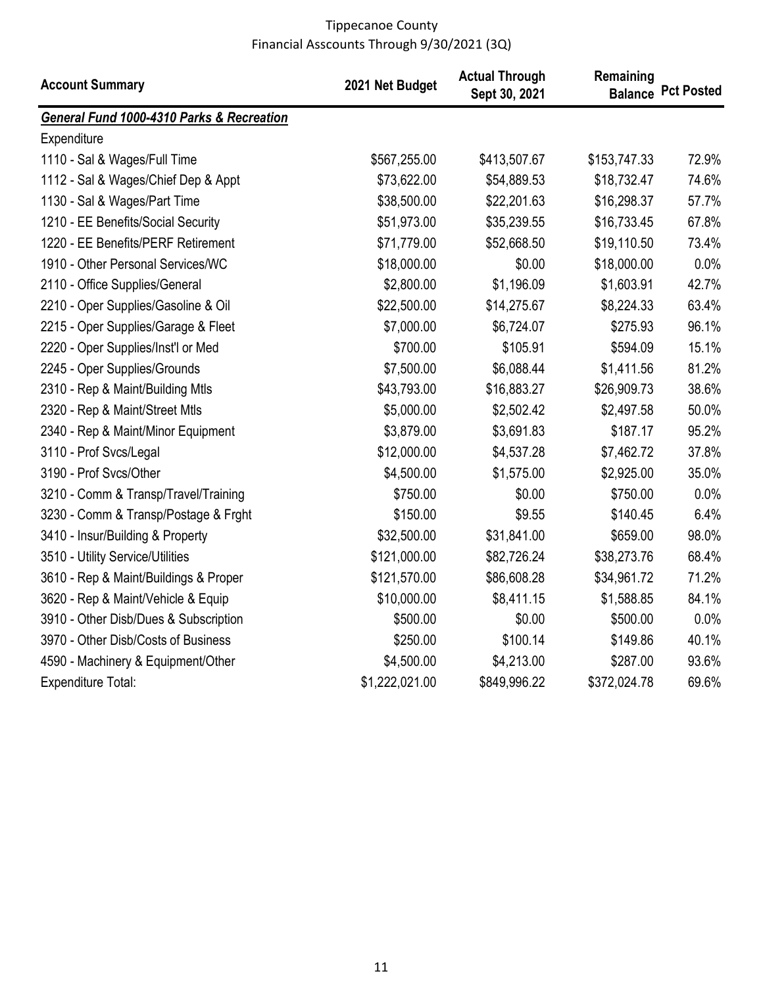| <b>Account Summary</b>                               | 2021 Net Budget | <b>Actual Through</b><br>Sept 30, 2021 | Remaining    | <b>Balance Pct Posted</b> |
|------------------------------------------------------|-----------------|----------------------------------------|--------------|---------------------------|
| <b>General Fund 1000-4310 Parks &amp; Recreation</b> |                 |                                        |              |                           |
| Expenditure                                          |                 |                                        |              |                           |
| 1110 - Sal & Wages/Full Time                         | \$567,255.00    | \$413,507.67                           | \$153,747.33 | 72.9%                     |
| 1112 - Sal & Wages/Chief Dep & Appt                  | \$73,622.00     | \$54,889.53                            | \$18,732.47  | 74.6%                     |
| 1130 - Sal & Wages/Part Time                         | \$38,500.00     | \$22,201.63                            | \$16,298.37  | 57.7%                     |
| 1210 - EE Benefits/Social Security                   | \$51,973.00     | \$35,239.55                            | \$16,733.45  | 67.8%                     |
| 1220 - EE Benefits/PERF Retirement                   | \$71,779.00     | \$52,668.50                            | \$19,110.50  | 73.4%                     |
| 1910 - Other Personal Services/WC                    | \$18,000.00     | \$0.00                                 | \$18,000.00  | 0.0%                      |
| 2110 - Office Supplies/General                       | \$2,800.00      | \$1,196.09                             | \$1,603.91   | 42.7%                     |
| 2210 - Oper Supplies/Gasoline & Oil                  | \$22,500.00     | \$14,275.67                            | \$8,224.33   | 63.4%                     |
| 2215 - Oper Supplies/Garage & Fleet                  | \$7,000.00      | \$6,724.07                             | \$275.93     | 96.1%                     |
| 2220 - Oper Supplies/Inst'l or Med                   | \$700.00        | \$105.91                               | \$594.09     | 15.1%                     |
| 2245 - Oper Supplies/Grounds                         | \$7,500.00      | \$6,088.44                             | \$1,411.56   | 81.2%                     |
| 2310 - Rep & Maint/Building Mtls                     | \$43,793.00     | \$16,883.27                            | \$26,909.73  | 38.6%                     |
| 2320 - Rep & Maint/Street Mtls                       | \$5,000.00      | \$2,502.42                             | \$2,497.58   | 50.0%                     |
| 2340 - Rep & Maint/Minor Equipment                   | \$3,879.00      | \$3,691.83                             | \$187.17     | 95.2%                     |
| 3110 - Prof Svcs/Legal                               | \$12,000.00     | \$4,537.28                             | \$7,462.72   | 37.8%                     |
| 3190 - Prof Svcs/Other                               | \$4,500.00      | \$1,575.00                             | \$2,925.00   | 35.0%                     |
| 3210 - Comm & Transp/Travel/Training                 | \$750.00        | \$0.00                                 | \$750.00     | 0.0%                      |
| 3230 - Comm & Transp/Postage & Frght                 | \$150.00        | \$9.55                                 | \$140.45     | 6.4%                      |
| 3410 - Insur/Building & Property                     | \$32,500.00     | \$31,841.00                            | \$659.00     | 98.0%                     |
| 3510 - Utility Service/Utilities                     | \$121,000.00    | \$82,726.24                            | \$38,273.76  | 68.4%                     |
| 3610 - Rep & Maint/Buildings & Proper                | \$121,570.00    | \$86,608.28                            | \$34,961.72  | 71.2%                     |
| 3620 - Rep & Maint/Vehicle & Equip                   | \$10,000.00     | \$8,411.15                             | \$1,588.85   | 84.1%                     |
| 3910 - Other Disb/Dues & Subscription                | \$500.00        | \$0.00                                 | \$500.00     | 0.0%                      |
| 3970 - Other Disb/Costs of Business                  | \$250.00        | \$100.14                               | \$149.86     | 40.1%                     |
| 4590 - Machinery & Equipment/Other                   | \$4,500.00      | \$4,213.00                             | \$287.00     | 93.6%                     |
| Expenditure Total:                                   | \$1,222,021.00  | \$849,996.22                           | \$372,024.78 | 69.6%                     |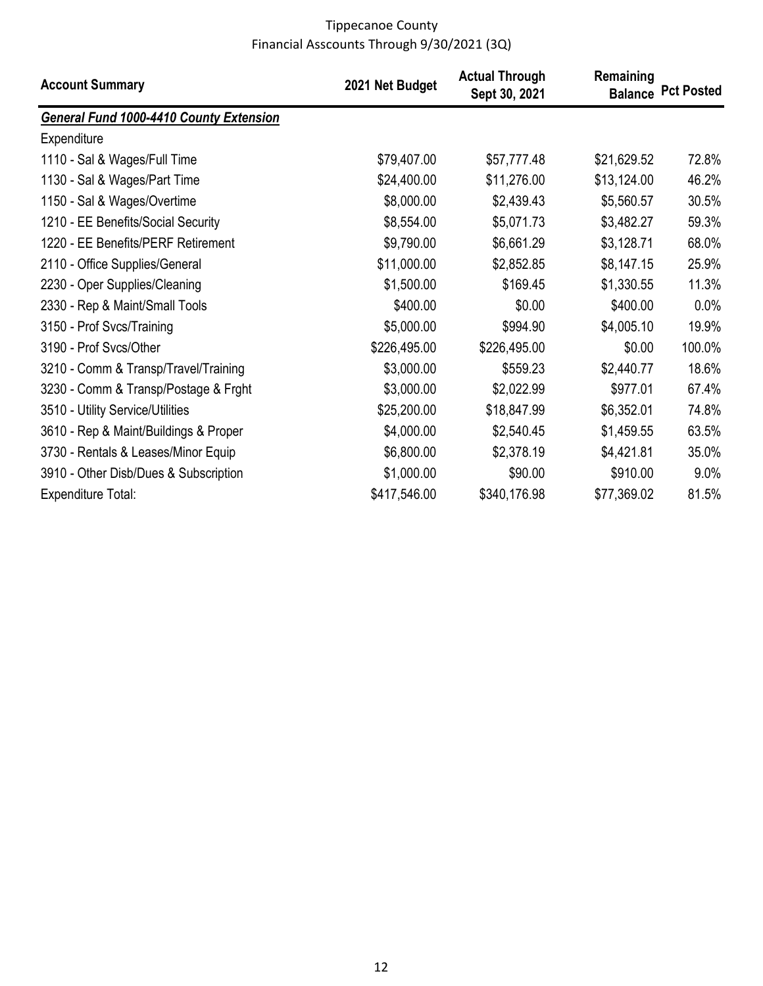| <b>Account Summary</b>                         | 2021 Net Budget | <b>Actual Through</b><br>Sept 30, 2021 | Remaining   | <b>Balance Pct Posted</b> |
|------------------------------------------------|-----------------|----------------------------------------|-------------|---------------------------|
| <b>General Fund 1000-4410 County Extension</b> |                 |                                        |             |                           |
| Expenditure                                    |                 |                                        |             |                           |
| 1110 - Sal & Wages/Full Time                   | \$79,407.00     | \$57,777.48                            | \$21,629.52 | 72.8%                     |
| 1130 - Sal & Wages/Part Time                   | \$24,400.00     | \$11,276.00                            | \$13,124.00 | 46.2%                     |
| 1150 - Sal & Wages/Overtime                    | \$8,000.00      | \$2,439.43                             | \$5,560.57  | 30.5%                     |
| 1210 - EE Benefits/Social Security             | \$8,554.00      | \$5,071.73                             | \$3,482.27  | 59.3%                     |
| 1220 - EE Benefits/PERF Retirement             | \$9,790.00      | \$6,661.29                             | \$3,128.71  | 68.0%                     |
| 2110 - Office Supplies/General                 | \$11,000.00     | \$2,852.85                             | \$8,147.15  | 25.9%                     |
| 2230 - Oper Supplies/Cleaning                  | \$1,500.00      | \$169.45                               | \$1,330.55  | 11.3%                     |
| 2330 - Rep & Maint/Small Tools                 | \$400.00        | \$0.00                                 | \$400.00    | 0.0%                      |
| 3150 - Prof Svcs/Training                      | \$5,000.00      | \$994.90                               | \$4,005.10  | 19.9%                     |
| 3190 - Prof Svcs/Other                         | \$226,495.00    | \$226,495.00                           | \$0.00      | 100.0%                    |
| 3210 - Comm & Transp/Travel/Training           | \$3,000.00      | \$559.23                               | \$2,440.77  | 18.6%                     |
| 3230 - Comm & Transp/Postage & Frght           | \$3,000.00      | \$2,022.99                             | \$977.01    | 67.4%                     |
| 3510 - Utility Service/Utilities               | \$25,200.00     | \$18,847.99                            | \$6,352.01  | 74.8%                     |
| 3610 - Rep & Maint/Buildings & Proper          | \$4,000.00      | \$2,540.45                             | \$1,459.55  | 63.5%                     |
| 3730 - Rentals & Leases/Minor Equip            | \$6,800.00      | \$2,378.19                             | \$4,421.81  | 35.0%                     |
| 3910 - Other Disb/Dues & Subscription          | \$1,000.00      | \$90.00                                | \$910.00    | 9.0%                      |
| Expenditure Total:                             | \$417,546.00    | \$340,176.98                           | \$77,369.02 | 81.5%                     |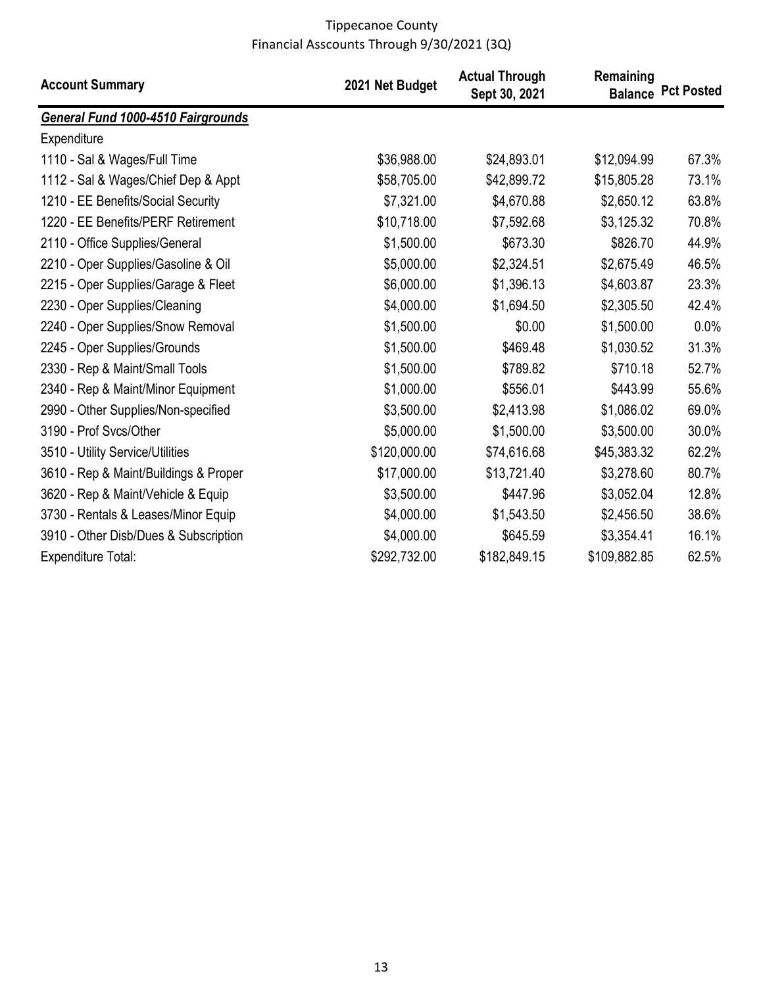| <b>Account Summary</b>                | 2021 Net Budget | <b>Actual Through</b><br>Sept 30, 2021 | Remaining    | <b>Balance Pct Posted</b> |
|---------------------------------------|-----------------|----------------------------------------|--------------|---------------------------|
| General Fund 1000-4510 Fairgrounds    |                 |                                        |              |                           |
| Expenditure                           |                 |                                        |              |                           |
| 1110 - Sal & Wages/Full Time          | \$36,988.00     | \$24,893.01                            | \$12,094.99  | 67.3%                     |
| 1112 - Sal & Wages/Chief Dep & Appt   | \$58,705.00     | \$42,899.72                            | \$15,805.28  | 73.1%                     |
| 1210 - EE Benefits/Social Security    | \$7,321.00      | \$4,670.88                             | \$2,650.12   | 63.8%                     |
| 1220 - EE Benefits/PERF Retirement    | \$10,718.00     | \$7,592.68                             | \$3,125.32   | 70.8%                     |
| 2110 - Office Supplies/General        | \$1,500.00      | \$673.30                               | \$826.70     | 44.9%                     |
| 2210 - Oper Supplies/Gasoline & Oil   | \$5,000.00      | \$2,324.51                             | \$2,675.49   | 46.5%                     |
| 2215 - Oper Supplies/Garage & Fleet   | \$6,000.00      | \$1,396.13                             | \$4,603.87   | 23.3%                     |
| 2230 - Oper Supplies/Cleaning         | \$4,000.00      | \$1,694.50                             | \$2,305.50   | 42.4%                     |
| 2240 - Oper Supplies/Snow Removal     | \$1,500.00      | \$0.00                                 | \$1,500.00   | 0.0%                      |
| 2245 - Oper Supplies/Grounds          | \$1,500.00      | \$469.48                               | \$1,030.52   | 31.3%                     |
| 2330 - Rep & Maint/Small Tools        | \$1,500.00      | \$789.82                               | \$710.18     | 52.7%                     |
| 2340 - Rep & Maint/Minor Equipment    | \$1,000.00      | \$556.01                               | \$443.99     | 55.6%                     |
| 2990 - Other Supplies/Non-specified   | \$3,500.00      | \$2,413.98                             | \$1,086.02   | 69.0%                     |
| 3190 - Prof Svcs/Other                | \$5,000.00      | \$1,500.00                             | \$3,500.00   | 30.0%                     |
| 3510 - Utility Service/Utilities      | \$120,000.00    | \$74,616.68                            | \$45,383.32  | 62.2%                     |
| 3610 - Rep & Maint/Buildings & Proper | \$17,000.00     | \$13,721.40                            | \$3,278.60   | 80.7%                     |
| 3620 - Rep & Maint/Vehicle & Equip    | \$3,500.00      | \$447.96                               | \$3,052.04   | 12.8%                     |
| 3730 - Rentals & Leases/Minor Equip   | \$4,000.00      | \$1,543.50                             | \$2,456.50   | 38.6%                     |
| 3910 - Other Disb/Dues & Subscription | \$4,000.00      | \$645.59                               | \$3,354.41   | 16.1%                     |
| <b>Expenditure Total:</b>             | \$292,732.00    | \$182,849.15                           | \$109,882.85 | 62.5%                     |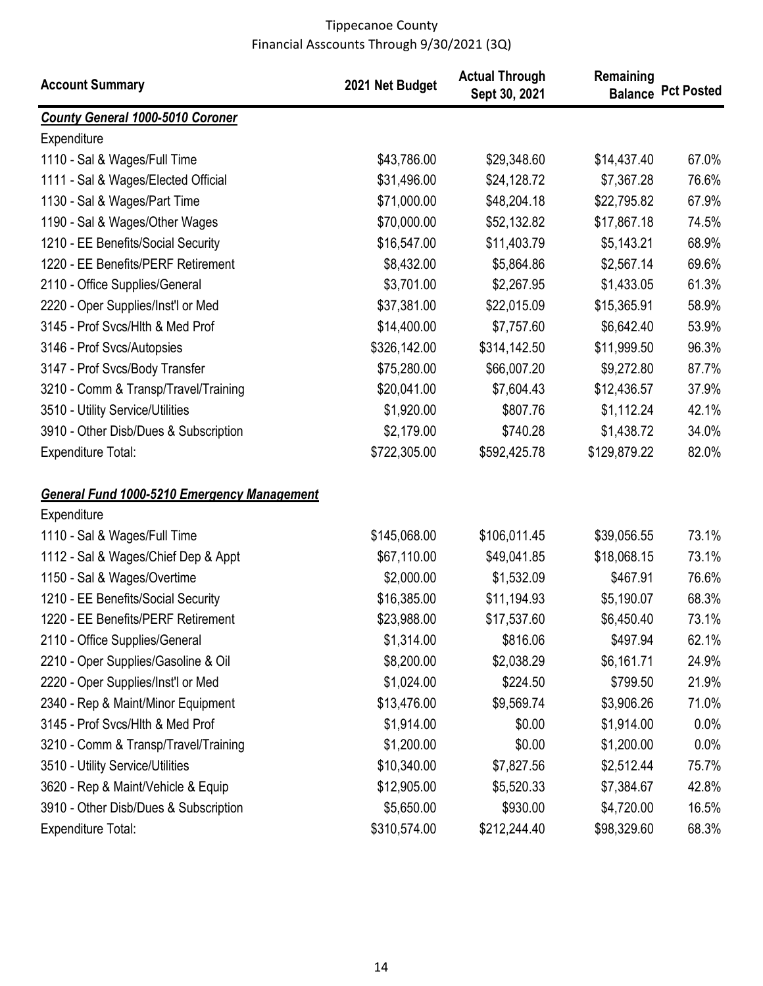| <b>Account Summary</b>                             | 2021 Net Budget | <b>Actual Through</b><br>Sept 30, 2021 | Remaining    | <b>Balance Pct Posted</b> |
|----------------------------------------------------|-----------------|----------------------------------------|--------------|---------------------------|
| <b>County General 1000-5010 Coroner</b>            |                 |                                        |              |                           |
| Expenditure                                        |                 |                                        |              |                           |
| 1110 - Sal & Wages/Full Time                       | \$43,786.00     | \$29,348.60                            | \$14,437.40  | 67.0%                     |
| 1111 - Sal & Wages/Elected Official                | \$31,496.00     | \$24,128.72                            | \$7,367.28   | 76.6%                     |
| 1130 - Sal & Wages/Part Time                       | \$71,000.00     | \$48,204.18                            | \$22,795.82  | 67.9%                     |
| 1190 - Sal & Wages/Other Wages                     | \$70,000.00     | \$52,132.82                            | \$17,867.18  | 74.5%                     |
| 1210 - EE Benefits/Social Security                 | \$16,547.00     | \$11,403.79                            | \$5,143.21   | 68.9%                     |
| 1220 - EE Benefits/PERF Retirement                 | \$8,432.00      | \$5,864.86                             | \$2,567.14   | 69.6%                     |
| 2110 - Office Supplies/General                     | \$3,701.00      | \$2,267.95                             | \$1,433.05   | 61.3%                     |
| 2220 - Oper Supplies/Inst'l or Med                 | \$37,381.00     | \$22,015.09                            | \$15,365.91  | 58.9%                     |
| 3145 - Prof Svcs/Hlth & Med Prof                   | \$14,400.00     | \$7,757.60                             | \$6,642.40   | 53.9%                     |
| 3146 - Prof Svcs/Autopsies                         | \$326,142.00    | \$314,142.50                           | \$11,999.50  | 96.3%                     |
| 3147 - Prof Svcs/Body Transfer                     | \$75,280.00     | \$66,007.20                            | \$9,272.80   | 87.7%                     |
| 3210 - Comm & Transp/Travel/Training               | \$20,041.00     | \$7,604.43                             | \$12,436.57  | 37.9%                     |
| 3510 - Utility Service/Utilities                   | \$1,920.00      | \$807.76                               | \$1,112.24   | 42.1%                     |
| 3910 - Other Disb/Dues & Subscription              | \$2,179.00      | \$740.28                               | \$1,438.72   | 34.0%                     |
| <b>Expenditure Total:</b>                          | \$722,305.00    | \$592,425.78                           | \$129,879.22 | 82.0%                     |
| <b>General Fund 1000-5210 Emergency Management</b> |                 |                                        |              |                           |
| Expenditure                                        |                 |                                        |              |                           |
| 1110 - Sal & Wages/Full Time                       | \$145,068.00    | \$106,011.45                           | \$39,056.55  | 73.1%                     |
| 1112 - Sal & Wages/Chief Dep & Appt                | \$67,110.00     | \$49,041.85                            | \$18,068.15  | 73.1%                     |
| 1150 - Sal & Wages/Overtime                        | \$2,000.00      | \$1,532.09                             | \$467.91     | 76.6%                     |
| 1210 - EE Benefits/Social Security                 | \$16,385.00     | \$11,194.93                            | \$5,190.07   | 68.3%                     |
| 1220 - EE Benefits/PERF Retirement                 | \$23,988.00     | \$17,537.60                            | \$6,450.40   | 73.1%                     |
| 2110 - Office Supplies/General                     | \$1,314.00      | \$816.06                               | \$497.94     | 62.1%                     |
| 2210 - Oper Supplies/Gasoline & Oil                | \$8,200.00      | \$2,038.29                             | \$6,161.71   | 24.9%                     |
| 2220 - Oper Supplies/Inst'l or Med                 | \$1,024.00      | \$224.50                               | \$799.50     | 21.9%                     |
| 2340 - Rep & Maint/Minor Equipment                 | \$13,476.00     | \$9,569.74                             | \$3,906.26   | 71.0%                     |
| 3145 - Prof Svcs/Hlth & Med Prof                   | \$1,914.00      | \$0.00                                 | \$1,914.00   | 0.0%                      |
| 3210 - Comm & Transp/Travel/Training               | \$1,200.00      | \$0.00                                 | \$1,200.00   | 0.0%                      |
| 3510 - Utility Service/Utilities                   | \$10,340.00     | \$7,827.56                             | \$2,512.44   | 75.7%                     |
| 3620 - Rep & Maint/Vehicle & Equip                 | \$12,905.00     | \$5,520.33                             | \$7,384.67   | 42.8%                     |
| 3910 - Other Disb/Dues & Subscription              | \$5,650.00      | \$930.00                               | \$4,720.00   | 16.5%                     |
| <b>Expenditure Total:</b>                          | \$310,574.00    | \$212,244.40                           | \$98,329.60  | 68.3%                     |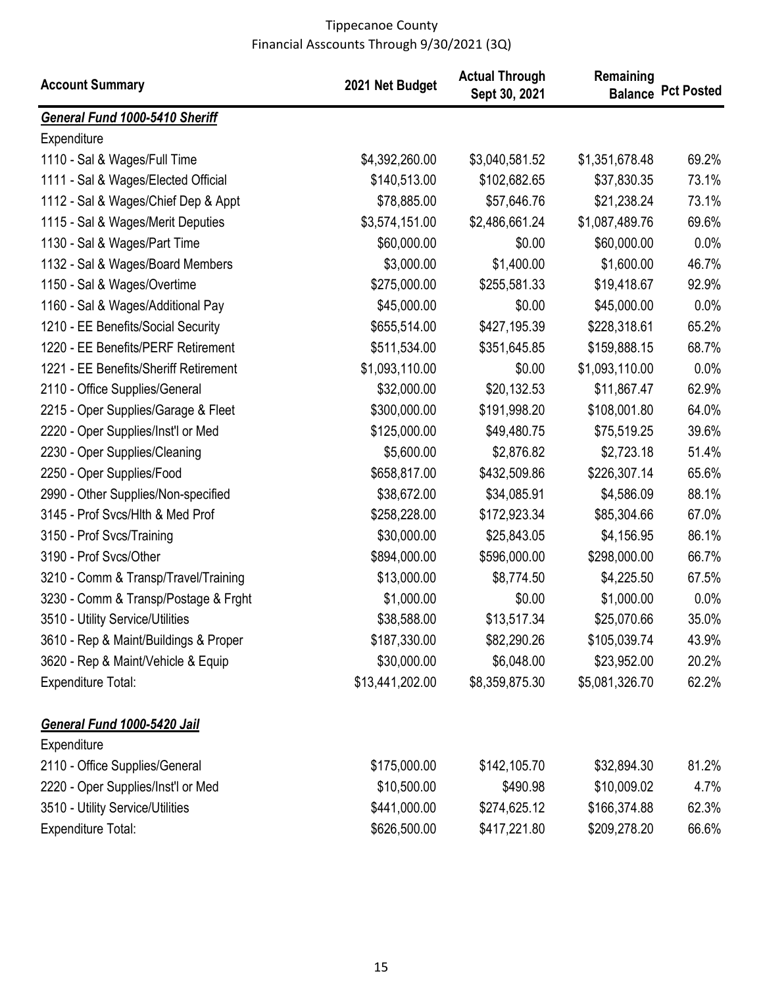| <b>Account Summary</b>                | 2021 Net Budget | <b>Actual Through</b><br>Sept 30, 2021 | Remaining      | <b>Balance Pct Posted</b> |
|---------------------------------------|-----------------|----------------------------------------|----------------|---------------------------|
| General Fund 1000-5410 Sheriff        |                 |                                        |                |                           |
| Expenditure                           |                 |                                        |                |                           |
| 1110 - Sal & Wages/Full Time          | \$4,392,260.00  | \$3,040,581.52                         | \$1,351,678.48 | 69.2%                     |
| 1111 - Sal & Wages/Elected Official   | \$140,513.00    | \$102,682.65                           | \$37,830.35    | 73.1%                     |
| 1112 - Sal & Wages/Chief Dep & Appt   | \$78,885.00     | \$57,646.76                            | \$21,238.24    | 73.1%                     |
| 1115 - Sal & Wages/Merit Deputies     | \$3,574,151.00  | \$2,486,661.24                         | \$1,087,489.76 | 69.6%                     |
| 1130 - Sal & Wages/Part Time          | \$60,000.00     | \$0.00                                 | \$60,000.00    | 0.0%                      |
| 1132 - Sal & Wages/Board Members      | \$3,000.00      | \$1,400.00                             | \$1,600.00     | 46.7%                     |
| 1150 - Sal & Wages/Overtime           | \$275,000.00    | \$255,581.33                           | \$19,418.67    | 92.9%                     |
| 1160 - Sal & Wages/Additional Pay     | \$45,000.00     | \$0.00                                 | \$45,000.00    | 0.0%                      |
| 1210 - EE Benefits/Social Security    | \$655,514.00    | \$427,195.39                           | \$228,318.61   | 65.2%                     |
| 1220 - EE Benefits/PERF Retirement    | \$511,534.00    | \$351,645.85                           | \$159,888.15   | 68.7%                     |
| 1221 - EE Benefits/Sheriff Retirement | \$1,093,110.00  | \$0.00                                 | \$1,093,110.00 | 0.0%                      |
| 2110 - Office Supplies/General        | \$32,000.00     | \$20,132.53                            | \$11,867.47    | 62.9%                     |
| 2215 - Oper Supplies/Garage & Fleet   | \$300,000.00    | \$191,998.20                           | \$108,001.80   | 64.0%                     |
| 2220 - Oper Supplies/Inst'l or Med    | \$125,000.00    | \$49,480.75                            | \$75,519.25    | 39.6%                     |
| 2230 - Oper Supplies/Cleaning         | \$5,600.00      | \$2,876.82                             | \$2,723.18     | 51.4%                     |
| 2250 - Oper Supplies/Food             | \$658,817.00    | \$432,509.86                           | \$226,307.14   | 65.6%                     |
| 2990 - Other Supplies/Non-specified   | \$38,672.00     | \$34,085.91                            | \$4,586.09     | 88.1%                     |
| 3145 - Prof Svcs/Hlth & Med Prof      | \$258,228.00    | \$172,923.34                           | \$85,304.66    | 67.0%                     |
| 3150 - Prof Svcs/Training             | \$30,000.00     | \$25,843.05                            | \$4,156.95     | 86.1%                     |
| 3190 - Prof Svcs/Other                | \$894,000.00    | \$596,000.00                           | \$298,000.00   | 66.7%                     |
| 3210 - Comm & Transp/Travel/Training  | \$13,000.00     | \$8,774.50                             | \$4,225.50     | 67.5%                     |
| 3230 - Comm & Transp/Postage & Frght  | \$1,000.00      | \$0.00                                 | \$1,000.00     | 0.0%                      |
| 3510 - Utility Service/Utilities      | \$38,588.00     | \$13,517.34                            | \$25,070.66    | 35.0%                     |
| 3610 - Rep & Maint/Buildings & Proper | \$187,330.00    | \$82,290.26                            | \$105,039.74   | 43.9%                     |
| 3620 - Rep & Maint/Vehicle & Equip    | \$30,000.00     | \$6,048.00                             | \$23,952.00    | 20.2%                     |
| <b>Expenditure Total:</b>             | \$13,441,202.00 | \$8,359,875.30                         | \$5,081,326.70 | 62.2%                     |
| General Fund 1000-5420 Jail           |                 |                                        |                |                           |
| Expenditure                           |                 |                                        |                |                           |
| 2110 - Office Supplies/General        | \$175,000.00    | \$142,105.70                           | \$32,894.30    | 81.2%                     |
| 2220 - Oper Supplies/Inst'l or Med    | \$10,500.00     | \$490.98                               | \$10,009.02    | 4.7%                      |
| 3510 - Utility Service/Utilities      | \$441,000.00    | \$274,625.12                           | \$166,374.88   | 62.3%                     |
| <b>Expenditure Total:</b>             | \$626,500.00    | \$417,221.80                           | \$209,278.20   | 66.6%                     |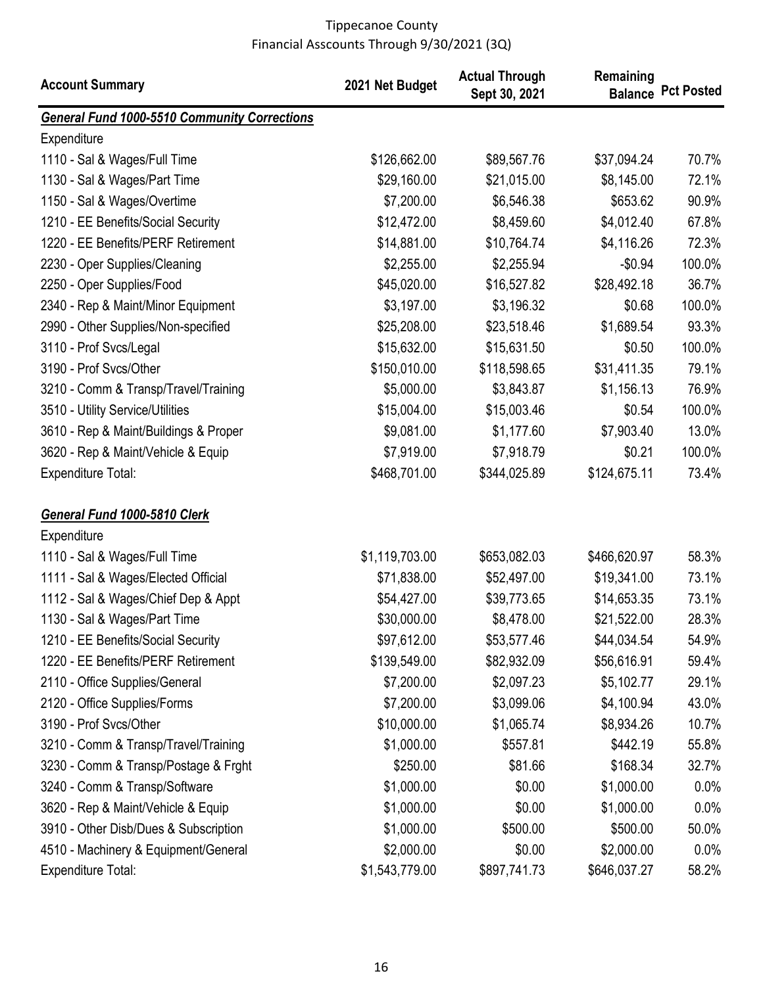| <b>Account Summary</b>                              | 2021 Net Budget | <b>Actual Through</b><br>Sept 30, 2021 | Remaining    | <b>Balance Pct Posted</b> |
|-----------------------------------------------------|-----------------|----------------------------------------|--------------|---------------------------|
| <b>General Fund 1000-5510 Community Corrections</b> |                 |                                        |              |                           |
| Expenditure                                         |                 |                                        |              |                           |
| 1110 - Sal & Wages/Full Time                        | \$126,662.00    | \$89,567.76                            | \$37,094.24  | 70.7%                     |
| 1130 - Sal & Wages/Part Time                        | \$29,160.00     | \$21,015.00                            | \$8,145.00   | 72.1%                     |
| 1150 - Sal & Wages/Overtime                         | \$7,200.00      | \$6,546.38                             | \$653.62     | 90.9%                     |
| 1210 - EE Benefits/Social Security                  | \$12,472.00     | \$8,459.60                             | \$4,012.40   | 67.8%                     |
| 1220 - EE Benefits/PERF Retirement                  | \$14,881.00     | \$10,764.74                            | \$4,116.26   | 72.3%                     |
| 2230 - Oper Supplies/Cleaning                       | \$2,255.00      | \$2,255.94                             | $-$0.94$     | 100.0%                    |
| 2250 - Oper Supplies/Food                           | \$45,020.00     | \$16,527.82                            | \$28,492.18  | 36.7%                     |
| 2340 - Rep & Maint/Minor Equipment                  | \$3,197.00      | \$3,196.32                             | \$0.68       | 100.0%                    |
| 2990 - Other Supplies/Non-specified                 | \$25,208.00     | \$23,518.46                            | \$1,689.54   | 93.3%                     |
| 3110 - Prof Svcs/Legal                              | \$15,632.00     | \$15,631.50                            | \$0.50       | 100.0%                    |
| 3190 - Prof Svcs/Other                              | \$150,010.00    | \$118,598.65                           | \$31,411.35  | 79.1%                     |
| 3210 - Comm & Transp/Travel/Training                | \$5,000.00      | \$3,843.87                             | \$1,156.13   | 76.9%                     |
| 3510 - Utility Service/Utilities                    | \$15,004.00     | \$15,003.46                            | \$0.54       | 100.0%                    |
| 3610 - Rep & Maint/Buildings & Proper               | \$9,081.00      | \$1,177.60                             | \$7,903.40   | 13.0%                     |
| 3620 - Rep & Maint/Vehicle & Equip                  | \$7,919.00      | \$7,918.79                             | \$0.21       | 100.0%                    |
| <b>Expenditure Total:</b>                           | \$468,701.00    | \$344,025.89                           | \$124,675.11 | 73.4%                     |
| General Fund 1000-5810 Clerk                        |                 |                                        |              |                           |
| Expenditure                                         |                 |                                        |              |                           |
| 1110 - Sal & Wages/Full Time                        | \$1,119,703.00  | \$653,082.03                           | \$466,620.97 | 58.3%                     |
| 1111 - Sal & Wages/Elected Official                 | \$71,838.00     | \$52,497.00                            | \$19,341.00  | 73.1%                     |
| 1112 - Sal & Wages/Chief Dep & Appt                 | \$54,427.00     | \$39,773.65                            | \$14,653.35  | 73.1%                     |
| 1130 - Sal & Wages/Part Time                        | \$30,000.00     | \$8,478.00                             | \$21,522.00  | 28.3%                     |
| 1210 - EE Benefits/Social Security                  | \$97,612.00     | \$53,577.46                            | \$44,034.54  | 54.9%                     |
| 1220 - EE Benefits/PERF Retirement                  | \$139,549.00    | \$82,932.09                            | \$56,616.91  | 59.4%                     |
| 2110 - Office Supplies/General                      | \$7,200.00      | \$2,097.23                             | \$5,102.77   | 29.1%                     |
| 2120 - Office Supplies/Forms                        | \$7,200.00      | \$3,099.06                             | \$4,100.94   | 43.0%                     |
| 3190 - Prof Svcs/Other                              | \$10,000.00     | \$1,065.74                             | \$8,934.26   | 10.7%                     |
| 3210 - Comm & Transp/Travel/Training                | \$1,000.00      | \$557.81                               | \$442.19     | 55.8%                     |
| 3230 - Comm & Transp/Postage & Frght                | \$250.00        | \$81.66                                | \$168.34     | 32.7%                     |
| 3240 - Comm & Transp/Software                       | \$1,000.00      | \$0.00                                 | \$1,000.00   | $0.0\%$                   |
| 3620 - Rep & Maint/Vehicle & Equip                  | \$1,000.00      | \$0.00                                 | \$1,000.00   | 0.0%                      |
| 3910 - Other Disb/Dues & Subscription               | \$1,000.00      | \$500.00                               | \$500.00     | 50.0%                     |
| 4510 - Machinery & Equipment/General                | \$2,000.00      | \$0.00                                 | \$2,000.00   | $0.0\%$                   |
| <b>Expenditure Total:</b>                           | \$1,543,779.00  | \$897,741.73                           | \$646,037.27 | 58.2%                     |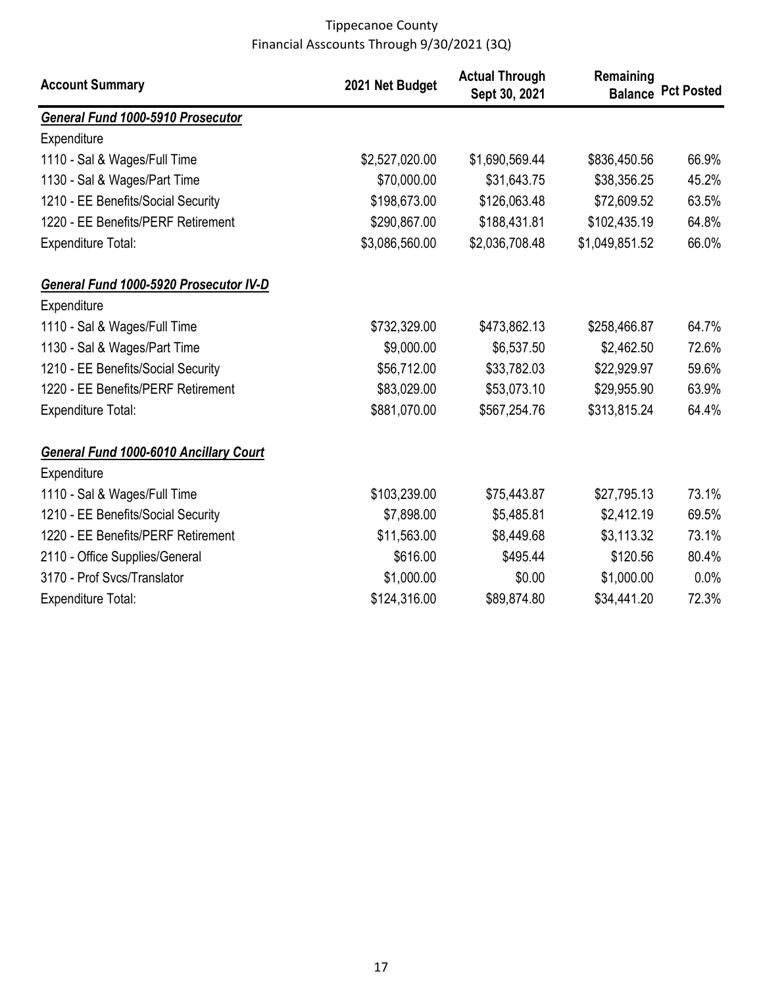| <b>Account Summary</b>                        | 2021 Net Budget | <b>Actual Through</b><br>Sept 30, 2021 | Remaining      | <b>Balance Pct Posted</b> |
|-----------------------------------------------|-----------------|----------------------------------------|----------------|---------------------------|
| General Fund 1000-5910 Prosecutor             |                 |                                        |                |                           |
| Expenditure                                   |                 |                                        |                |                           |
| 1110 - Sal & Wages/Full Time                  | \$2,527,020.00  | \$1,690,569.44                         | \$836,450.56   | 66.9%                     |
| 1130 - Sal & Wages/Part Time                  | \$70,000.00     | \$31,643.75                            | \$38,356.25    | 45.2%                     |
| 1210 - EE Benefits/Social Security            | \$198,673.00    | \$126,063.48                           | \$72,609.52    | 63.5%                     |
| 1220 - EE Benefits/PERF Retirement            | \$290,867.00    | \$188,431.81                           | \$102,435.19   | 64.8%                     |
| <b>Expenditure Total:</b>                     | \$3,086,560.00  | \$2,036,708.48                         | \$1,049,851.52 | 66.0%                     |
| General Fund 1000-5920 Prosecutor IV-D        |                 |                                        |                |                           |
| Expenditure                                   |                 |                                        |                |                           |
| 1110 - Sal & Wages/Full Time                  | \$732,329.00    | \$473,862.13                           | \$258,466.87   | 64.7%                     |
| 1130 - Sal & Wages/Part Time                  | \$9,000.00      | \$6,537.50                             | \$2,462.50     | 72.6%                     |
| 1210 - EE Benefits/Social Security            | \$56,712.00     | \$33,782.03                            | \$22,929.97    | 59.6%                     |
| 1220 - EE Benefits/PERF Retirement            | \$83,029.00     | \$53,073.10                            | \$29,955.90    | 63.9%                     |
| Expenditure Total:                            | \$881,070.00    | \$567,254.76                           | \$313,815.24   | 64.4%                     |
| <b>General Fund 1000-6010 Ancillary Court</b> |                 |                                        |                |                           |
| Expenditure                                   |                 |                                        |                |                           |
| 1110 - Sal & Wages/Full Time                  | \$103,239.00    | \$75,443.87                            | \$27,795.13    | 73.1%                     |
| 1210 - EE Benefits/Social Security            | \$7,898.00      | \$5,485.81                             | \$2,412.19     | 69.5%                     |
| 1220 - EE Benefits/PERF Retirement            | \$11,563.00     | \$8,449.68                             | \$3,113.32     | 73.1%                     |
| 2110 - Office Supplies/General                | \$616.00        | \$495.44                               | \$120.56       | 80.4%                     |
| 3170 - Prof Svcs/Translator                   | \$1,000.00      | \$0.00                                 | \$1,000.00     | 0.0%                      |
| Expenditure Total:                            | \$124,316.00    | \$89,874.80                            | \$34,441.20    | 72.3%                     |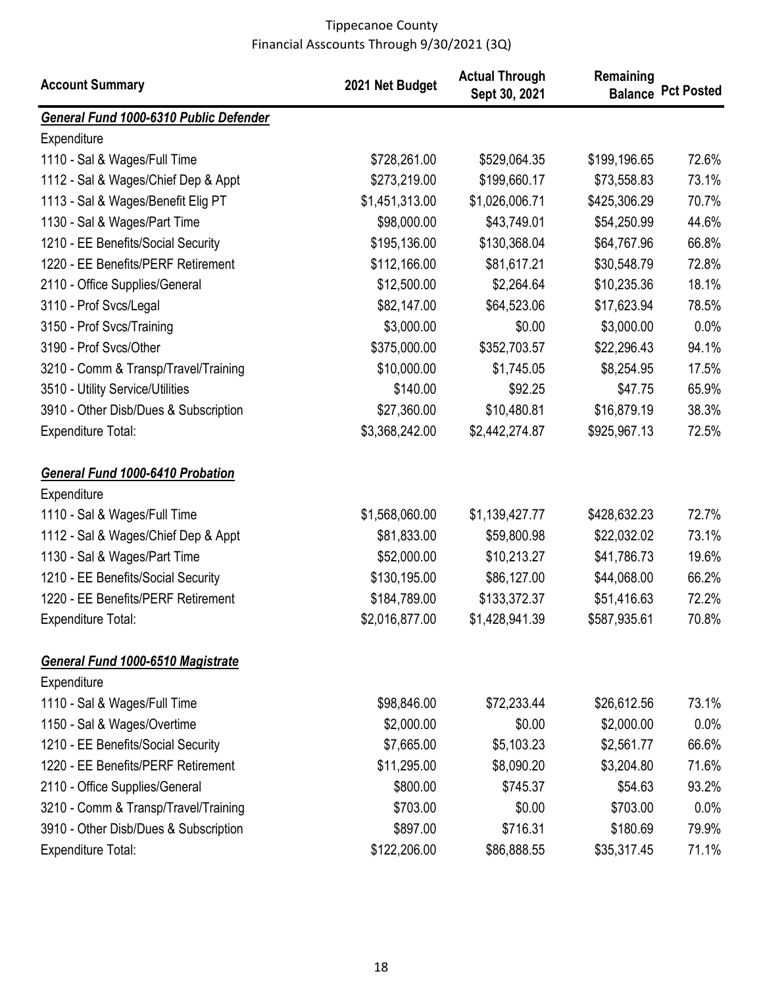| <b>Account Summary</b>                  | 2021 Net Budget | <b>Actual Through</b><br>Sept 30, 2021 | Remaining    | <b>Balance Pct Posted</b> |
|-----------------------------------------|-----------------|----------------------------------------|--------------|---------------------------|
| General Fund 1000-6310 Public Defender  |                 |                                        |              |                           |
| Expenditure                             |                 |                                        |              |                           |
| 1110 - Sal & Wages/Full Time            | \$728,261.00    | \$529,064.35                           | \$199,196.65 | 72.6%                     |
| 1112 - Sal & Wages/Chief Dep & Appt     | \$273,219.00    | \$199,660.17                           | \$73,558.83  | 73.1%                     |
| 1113 - Sal & Wages/Benefit Elig PT      | \$1,451,313.00  | \$1,026,006.71                         | \$425,306.29 | 70.7%                     |
| 1130 - Sal & Wages/Part Time            | \$98,000.00     | \$43,749.01                            | \$54,250.99  | 44.6%                     |
| 1210 - EE Benefits/Social Security      | \$195,136.00    | \$130,368.04                           | \$64,767.96  | 66.8%                     |
| 1220 - EE Benefits/PERF Retirement      | \$112,166.00    | \$81,617.21                            | \$30,548.79  | 72.8%                     |
| 2110 - Office Supplies/General          | \$12,500.00     | \$2,264.64                             | \$10,235.36  | 18.1%                     |
| 3110 - Prof Svcs/Legal                  | \$82,147.00     | \$64,523.06                            | \$17,623.94  | 78.5%                     |
| 3150 - Prof Svcs/Training               | \$3,000.00      | \$0.00                                 | \$3,000.00   | 0.0%                      |
| 3190 - Prof Svcs/Other                  | \$375,000.00    | \$352,703.57                           | \$22,296.43  | 94.1%                     |
| 3210 - Comm & Transp/Travel/Training    | \$10,000.00     | \$1,745.05                             | \$8,254.95   | 17.5%                     |
| 3510 - Utility Service/Utilities        | \$140.00        | \$92.25                                | \$47.75      | 65.9%                     |
| 3910 - Other Disb/Dues & Subscription   | \$27,360.00     | \$10,480.81                            | \$16,879.19  | 38.3%                     |
| <b>Expenditure Total:</b>               | \$3,368,242.00  | \$2,442,274.87                         | \$925,967.13 | 72.5%                     |
| <b>General Fund 1000-6410 Probation</b> |                 |                                        |              |                           |
| Expenditure                             |                 |                                        |              |                           |
| 1110 - Sal & Wages/Full Time            | \$1,568,060.00  | \$1,139,427.77                         | \$428,632.23 | 72.7%                     |
| 1112 - Sal & Wages/Chief Dep & Appt     | \$81,833.00     | \$59,800.98                            | \$22,032.02  | 73.1%                     |
| 1130 - Sal & Wages/Part Time            | \$52,000.00     | \$10,213.27                            | \$41,786.73  | 19.6%                     |
| 1210 - EE Benefits/Social Security      | \$130,195.00    | \$86,127.00                            | \$44,068.00  | 66.2%                     |
| 1220 - EE Benefits/PERF Retirement      | \$184,789.00    | \$133,372.37                           | \$51,416.63  | 72.2%                     |
| <b>Expenditure Total:</b>               | \$2,016,877.00  | \$1,428,941.39                         | \$587,935.61 | 70.8%                     |
| General Fund 1000-6510 Magistrate       |                 |                                        |              |                           |
| Expenditure                             |                 |                                        |              |                           |
| 1110 - Sal & Wages/Full Time            | \$98,846.00     | \$72,233.44                            | \$26,612.56  | 73.1%                     |
| 1150 - Sal & Wages/Overtime             | \$2,000.00      | \$0.00                                 | \$2,000.00   | $0.0\%$                   |
| 1210 - EE Benefits/Social Security      | \$7,665.00      | \$5,103.23                             | \$2,561.77   | 66.6%                     |
| 1220 - EE Benefits/PERF Retirement      | \$11,295.00     | \$8,090.20                             | \$3,204.80   | 71.6%                     |
| 2110 - Office Supplies/General          | \$800.00        | \$745.37                               | \$54.63      | 93.2%                     |
| 3210 - Comm & Transp/Travel/Training    | \$703.00        | \$0.00                                 | \$703.00     | 0.0%                      |
| 3910 - Other Disb/Dues & Subscription   | \$897.00        | \$716.31                               | \$180.69     | 79.9%                     |
| <b>Expenditure Total:</b>               | \$122,206.00    | \$86,888.55                            | \$35,317.45  | 71.1%                     |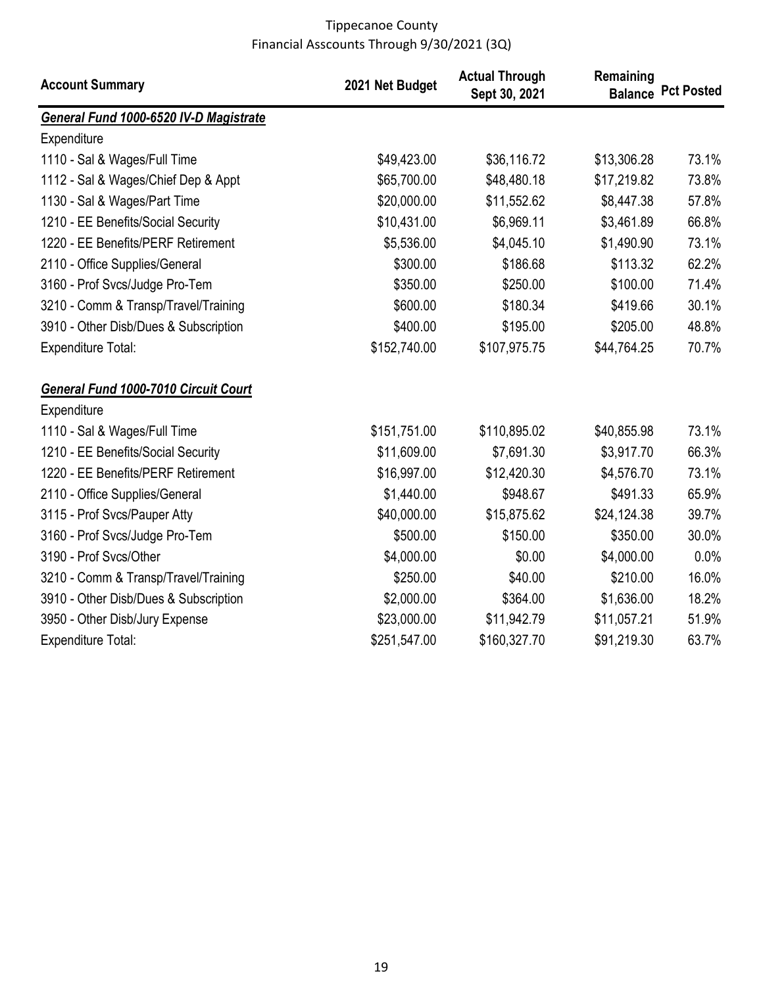| <b>Account Summary</b>                 | 2021 Net Budget | <b>Actual Through</b><br>Sept 30, 2021 | Remaining   | <b>Balance Pct Posted</b> |
|----------------------------------------|-----------------|----------------------------------------|-------------|---------------------------|
| General Fund 1000-6520 IV-D Magistrate |                 |                                        |             |                           |
| Expenditure                            |                 |                                        |             |                           |
| 1110 - Sal & Wages/Full Time           | \$49,423.00     | \$36,116.72                            | \$13,306.28 | 73.1%                     |
| 1112 - Sal & Wages/Chief Dep & Appt    | \$65,700.00     | \$48,480.18                            | \$17,219.82 | 73.8%                     |
| 1130 - Sal & Wages/Part Time           | \$20,000.00     | \$11,552.62                            | \$8,447.38  | 57.8%                     |
| 1210 - EE Benefits/Social Security     | \$10,431.00     | \$6,969.11                             | \$3,461.89  | 66.8%                     |
| 1220 - EE Benefits/PERF Retirement     | \$5,536.00      | \$4,045.10                             | \$1,490.90  | 73.1%                     |
| 2110 - Office Supplies/General         | \$300.00        | \$186.68                               | \$113.32    | 62.2%                     |
| 3160 - Prof Svcs/Judge Pro-Tem         | \$350.00        | \$250.00                               | \$100.00    | 71.4%                     |
| 3210 - Comm & Transp/Travel/Training   | \$600.00        | \$180.34                               | \$419.66    | 30.1%                     |
| 3910 - Other Disb/Dues & Subscription  | \$400.00        | \$195.00                               | \$205.00    | 48.8%                     |
| <b>Expenditure Total:</b>              | \$152,740.00    | \$107,975.75                           | \$44,764.25 | 70.7%                     |
| General Fund 1000-7010 Circuit Court   |                 |                                        |             |                           |
| Expenditure                            |                 |                                        |             |                           |
| 1110 - Sal & Wages/Full Time           | \$151,751.00    | \$110,895.02                           | \$40,855.98 | 73.1%                     |
| 1210 - EE Benefits/Social Security     | \$11,609.00     | \$7,691.30                             | \$3,917.70  | 66.3%                     |
| 1220 - EE Benefits/PERF Retirement     | \$16,997.00     | \$12,420.30                            | \$4,576.70  | 73.1%                     |
| 2110 - Office Supplies/General         | \$1,440.00      | \$948.67                               | \$491.33    | 65.9%                     |
| 3115 - Prof Svcs/Pauper Atty           | \$40,000.00     | \$15,875.62                            | \$24,124.38 | 39.7%                     |
| 3160 - Prof Svcs/Judge Pro-Tem         | \$500.00        | \$150.00                               | \$350.00    | 30.0%                     |
| 3190 - Prof Svcs/Other                 | \$4,000.00      | \$0.00                                 | \$4,000.00  | 0.0%                      |
| 3210 - Comm & Transp/Travel/Training   | \$250.00        | \$40.00                                | \$210.00    | 16.0%                     |
| 3910 - Other Disb/Dues & Subscription  | \$2,000.00      | \$364.00                               | \$1,636.00  | 18.2%                     |
| 3950 - Other Disb/Jury Expense         | \$23,000.00     | \$11,942.79                            | \$11,057.21 | 51.9%                     |
| <b>Expenditure Total:</b>              | \$251,547.00    | \$160,327.70                           | \$91,219.30 | 63.7%                     |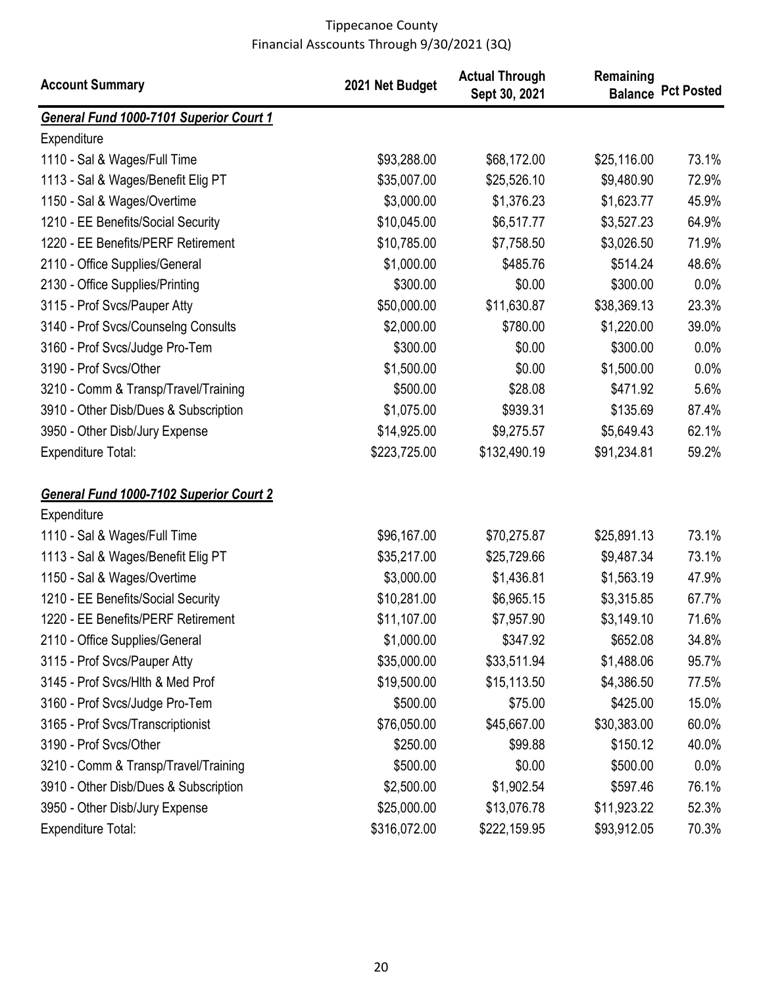| <b>Account Summary</b>                  | 2021 Net Budget | <b>Actual Through</b><br>Sept 30, 2021 | Remaining   | <b>Balance Pct Posted</b> |
|-----------------------------------------|-----------------|----------------------------------------|-------------|---------------------------|
| General Fund 1000-7101 Superior Court 1 |                 |                                        |             |                           |
| Expenditure                             |                 |                                        |             |                           |
| 1110 - Sal & Wages/Full Time            | \$93,288.00     | \$68,172.00                            | \$25,116.00 | 73.1%                     |
| 1113 - Sal & Wages/Benefit Elig PT      | \$35,007.00     | \$25,526.10                            | \$9,480.90  | 72.9%                     |
| 1150 - Sal & Wages/Overtime             | \$3,000.00      | \$1,376.23                             | \$1,623.77  | 45.9%                     |
| 1210 - EE Benefits/Social Security      | \$10,045.00     | \$6,517.77                             | \$3,527.23  | 64.9%                     |
| 1220 - EE Benefits/PERF Retirement      | \$10,785.00     | \$7,758.50                             | \$3,026.50  | 71.9%                     |
| 2110 - Office Supplies/General          | \$1,000.00      | \$485.76                               | \$514.24    | 48.6%                     |
| 2130 - Office Supplies/Printing         | \$300.00        | \$0.00                                 | \$300.00    | 0.0%                      |
| 3115 - Prof Svcs/Pauper Atty            | \$50,000.00     | \$11,630.87                            | \$38,369.13 | 23.3%                     |
| 3140 - Prof Svcs/Counselng Consults     | \$2,000.00      | \$780.00                               | \$1,220.00  | 39.0%                     |
| 3160 - Prof Svcs/Judge Pro-Tem          | \$300.00        | \$0.00                                 | \$300.00    | 0.0%                      |
| 3190 - Prof Svcs/Other                  | \$1,500.00      | \$0.00                                 | \$1,500.00  | 0.0%                      |
| 3210 - Comm & Transp/Travel/Training    | \$500.00        | \$28.08                                | \$471.92    | 5.6%                      |
| 3910 - Other Disb/Dues & Subscription   | \$1,075.00      | \$939.31                               | \$135.69    | 87.4%                     |
| 3950 - Other Disb/Jury Expense          | \$14,925.00     | \$9,275.57                             | \$5,649.43  | 62.1%                     |
| <b>Expenditure Total:</b>               | \$223,725.00    | \$132,490.19                           | \$91,234.81 | 59.2%                     |
| General Fund 1000-7102 Superior Court 2 |                 |                                        |             |                           |
| Expenditure                             |                 |                                        |             |                           |
| 1110 - Sal & Wages/Full Time            | \$96,167.00     | \$70,275.87                            | \$25,891.13 | 73.1%                     |
| 1113 - Sal & Wages/Benefit Elig PT      | \$35,217.00     | \$25,729.66                            | \$9,487.34  | 73.1%                     |
| 1150 - Sal & Wages/Overtime             | \$3,000.00      | \$1,436.81                             | \$1,563.19  | 47.9%                     |
| 1210 - EE Benefits/Social Security      | \$10,281.00     | \$6,965.15                             | \$3,315.85  | 67.7%                     |
| 1220 - EE Benefits/PERF Retirement      | \$11,107.00     | \$7,957.90                             | \$3,149.10  | 71.6%                     |
| 2110 - Office Supplies/General          | \$1,000.00      | \$347.92                               | \$652.08    | 34.8%                     |
| 3115 - Prof Svcs/Pauper Atty            | \$35,000.00     | \$33,511.94                            | \$1,488.06  | 95.7%                     |
| 3145 - Prof Svcs/Hlth & Med Prof        | \$19,500.00     | \$15,113.50                            | \$4,386.50  | 77.5%                     |
| 3160 - Prof Svcs/Judge Pro-Tem          | \$500.00        | \$75.00                                | \$425.00    | 15.0%                     |
| 3165 - Prof Svcs/Transcriptionist       | \$76,050.00     | \$45,667.00                            | \$30,383.00 | 60.0%                     |
| 3190 - Prof Svcs/Other                  | \$250.00        | \$99.88                                | \$150.12    | 40.0%                     |
| 3210 - Comm & Transp/Travel/Training    | \$500.00        | \$0.00                                 | \$500.00    | 0.0%                      |
| 3910 - Other Disb/Dues & Subscription   | \$2,500.00      | \$1,902.54                             | \$597.46    | 76.1%                     |
| 3950 - Other Disb/Jury Expense          | \$25,000.00     | \$13,076.78                            | \$11,923.22 | 52.3%                     |
| <b>Expenditure Total:</b>               | \$316,072.00    | \$222,159.95                           | \$93,912.05 | 70.3%                     |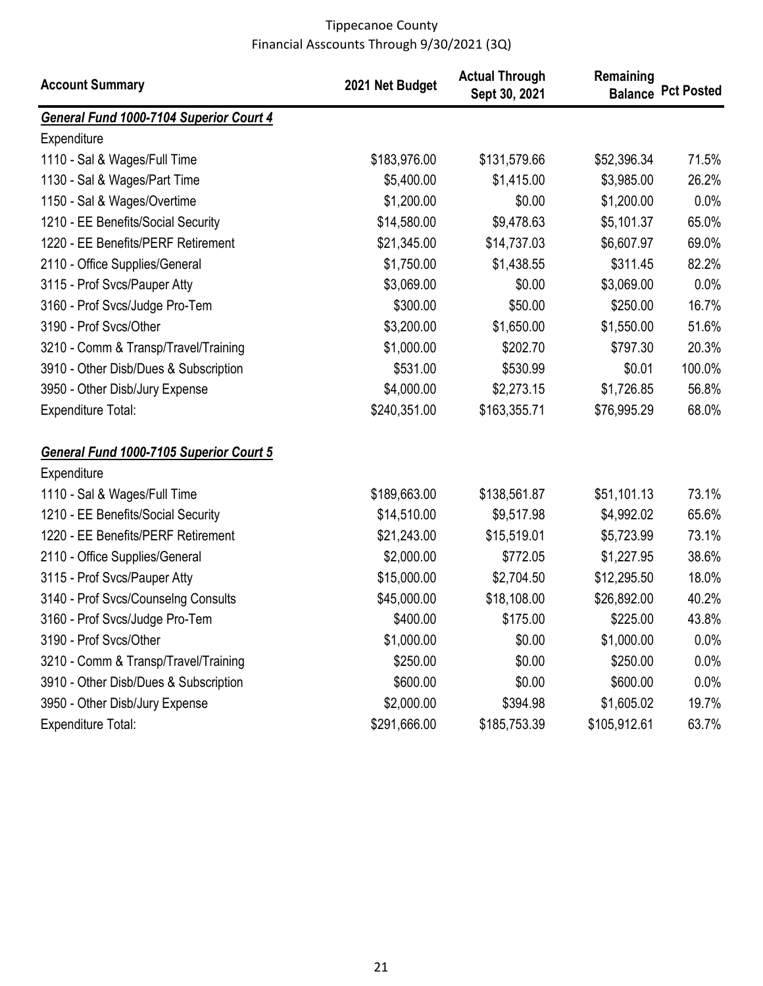| <b>Account Summary</b>                  | 2021 Net Budget | <b>Actual Through</b><br>Sept 30, 2021 | Remaining<br><b>Balance</b> | <b>Pct Posted</b> |
|-----------------------------------------|-----------------|----------------------------------------|-----------------------------|-------------------|
| General Fund 1000-7104 Superior Court 4 |                 |                                        |                             |                   |
| Expenditure                             |                 |                                        |                             |                   |
| 1110 - Sal & Wages/Full Time            | \$183,976.00    | \$131,579.66                           | \$52,396.34                 | 71.5%             |
| 1130 - Sal & Wages/Part Time            | \$5,400.00      | \$1,415.00                             | \$3,985.00                  | 26.2%             |
| 1150 - Sal & Wages/Overtime             | \$1,200.00      | \$0.00                                 | \$1,200.00                  | 0.0%              |
| 1210 - EE Benefits/Social Security      | \$14,580.00     | \$9,478.63                             | \$5,101.37                  | 65.0%             |
| 1220 - EE Benefits/PERF Retirement      | \$21,345.00     | \$14,737.03                            | \$6,607.97                  | 69.0%             |
| 2110 - Office Supplies/General          | \$1,750.00      | \$1,438.55                             | \$311.45                    | 82.2%             |
| 3115 - Prof Svcs/Pauper Atty            | \$3,069.00      | \$0.00                                 | \$3,069.00                  | 0.0%              |
| 3160 - Prof Svcs/Judge Pro-Tem          | \$300.00        | \$50.00                                | \$250.00                    | 16.7%             |
| 3190 - Prof Svcs/Other                  | \$3,200.00      | \$1,650.00                             | \$1,550.00                  | 51.6%             |
| 3210 - Comm & Transp/Travel/Training    | \$1,000.00      | \$202.70                               | \$797.30                    | 20.3%             |
| 3910 - Other Disb/Dues & Subscription   | \$531.00        | \$530.99                               | \$0.01                      | 100.0%            |
| 3950 - Other Disb/Jury Expense          | \$4,000.00      | \$2,273.15                             | \$1,726.85                  | 56.8%             |
| <b>Expenditure Total:</b>               | \$240,351.00    | \$163,355.71                           | \$76,995.29                 | 68.0%             |
| General Fund 1000-7105 Superior Court 5 |                 |                                        |                             |                   |
| Expenditure                             |                 |                                        |                             |                   |
| 1110 - Sal & Wages/Full Time            | \$189,663.00    | \$138,561.87                           | \$51,101.13                 | 73.1%             |
| 1210 - EE Benefits/Social Security      | \$14,510.00     | \$9,517.98                             | \$4,992.02                  | 65.6%             |
| 1220 - EE Benefits/PERF Retirement      | \$21,243.00     | \$15,519.01                            | \$5,723.99                  | 73.1%             |
| 2110 - Office Supplies/General          | \$2,000.00      | \$772.05                               | \$1,227.95                  | 38.6%             |
| 3115 - Prof Svcs/Pauper Atty            | \$15,000.00     | \$2,704.50                             | \$12,295.50                 | 18.0%             |
| 3140 - Prof Svcs/Counselng Consults     | \$45,000.00     | \$18,108.00                            | \$26,892.00                 | 40.2%             |
| 3160 - Prof Svcs/Judge Pro-Tem          | \$400.00        | \$175.00                               | \$225.00                    | 43.8%             |
| 3190 - Prof Svcs/Other                  | \$1,000.00      | \$0.00                                 | \$1,000.00                  | $0.0\%$           |
| 3210 - Comm & Transp/Travel/Training    | \$250.00        | \$0.00                                 | \$250.00                    | 0.0%              |
| 3910 - Other Disb/Dues & Subscription   | \$600.00        | \$0.00                                 | \$600.00                    | 0.0%              |
| 3950 - Other Disb/Jury Expense          | \$2,000.00      | \$394.98                               | \$1,605.02                  | 19.7%             |
| <b>Expenditure Total:</b>               | \$291,666.00    | \$185,753.39                           | \$105,912.61                | 63.7%             |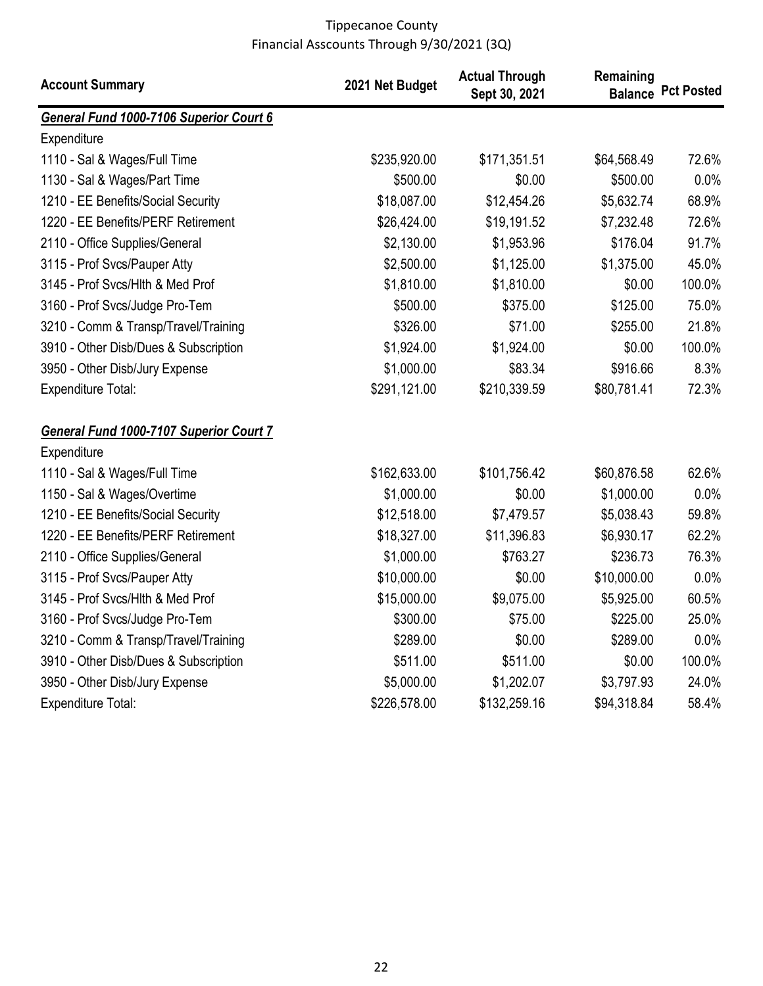| <b>Account Summary</b>                  | 2021 Net Budget | <b>Actual Through</b><br>Sept 30, 2021 | Remaining   | <b>Balance Pct Posted</b> |
|-----------------------------------------|-----------------|----------------------------------------|-------------|---------------------------|
| General Fund 1000-7106 Superior Court 6 |                 |                                        |             |                           |
| Expenditure                             |                 |                                        |             |                           |
| 1110 - Sal & Wages/Full Time            | \$235,920.00    | \$171,351.51                           | \$64,568.49 | 72.6%                     |
| 1130 - Sal & Wages/Part Time            | \$500.00        | \$0.00                                 | \$500.00    | 0.0%                      |
| 1210 - EE Benefits/Social Security      | \$18,087.00     | \$12,454.26                            | \$5,632.74  | 68.9%                     |
| 1220 - EE Benefits/PERF Retirement      | \$26,424.00     | \$19,191.52                            | \$7,232.48  | 72.6%                     |
| 2110 - Office Supplies/General          | \$2,130.00      | \$1,953.96                             | \$176.04    | 91.7%                     |
| 3115 - Prof Svcs/Pauper Atty            | \$2,500.00      | \$1,125.00                             | \$1,375.00  | 45.0%                     |
| 3145 - Prof Svcs/Hlth & Med Prof        | \$1,810.00      | \$1,810.00                             | \$0.00      | 100.0%                    |
| 3160 - Prof Svcs/Judge Pro-Tem          | \$500.00        | \$375.00                               | \$125.00    | 75.0%                     |
| 3210 - Comm & Transp/Travel/Training    | \$326.00        | \$71.00                                | \$255.00    | 21.8%                     |
| 3910 - Other Disb/Dues & Subscription   | \$1,924.00      | \$1,924.00                             | \$0.00      | 100.0%                    |
| 3950 - Other Disb/Jury Expense          | \$1,000.00      | \$83.34                                | \$916.66    | 8.3%                      |
| <b>Expenditure Total:</b>               | \$291,121.00    | \$210,339.59                           | \$80,781.41 | 72.3%                     |
| General Fund 1000-7107 Superior Court 7 |                 |                                        |             |                           |
| Expenditure                             |                 |                                        |             |                           |
| 1110 - Sal & Wages/Full Time            | \$162,633.00    | \$101,756.42                           | \$60,876.58 | 62.6%                     |
| 1150 - Sal & Wages/Overtime             | \$1,000.00      | \$0.00                                 | \$1,000.00  | 0.0%                      |
| 1210 - EE Benefits/Social Security      | \$12,518.00     | \$7,479.57                             | \$5,038.43  | 59.8%                     |
| 1220 - EE Benefits/PERF Retirement      | \$18,327.00     | \$11,396.83                            | \$6,930.17  | 62.2%                     |
| 2110 - Office Supplies/General          | \$1,000.00      | \$763.27                               | \$236.73    | 76.3%                     |
| 3115 - Prof Svcs/Pauper Atty            | \$10,000.00     | \$0.00                                 | \$10,000.00 | 0.0%                      |
| 3145 - Prof Svcs/Hlth & Med Prof        | \$15,000.00     | \$9,075.00                             | \$5,925.00  | 60.5%                     |
| 3160 - Prof Svcs/Judge Pro-Tem          | \$300.00        | \$75.00                                | \$225.00    | 25.0%                     |
| 3210 - Comm & Transp/Travel/Training    | \$289.00        | \$0.00                                 | \$289.00    | 0.0%                      |
| 3910 - Other Disb/Dues & Subscription   | \$511.00        | \$511.00                               | \$0.00      | 100.0%                    |
| 3950 - Other Disb/Jury Expense          | \$5,000.00      | \$1,202.07                             | \$3,797.93  | 24.0%                     |
| Expenditure Total:                      | \$226,578.00    | \$132,259.16                           | \$94,318.84 | 58.4%                     |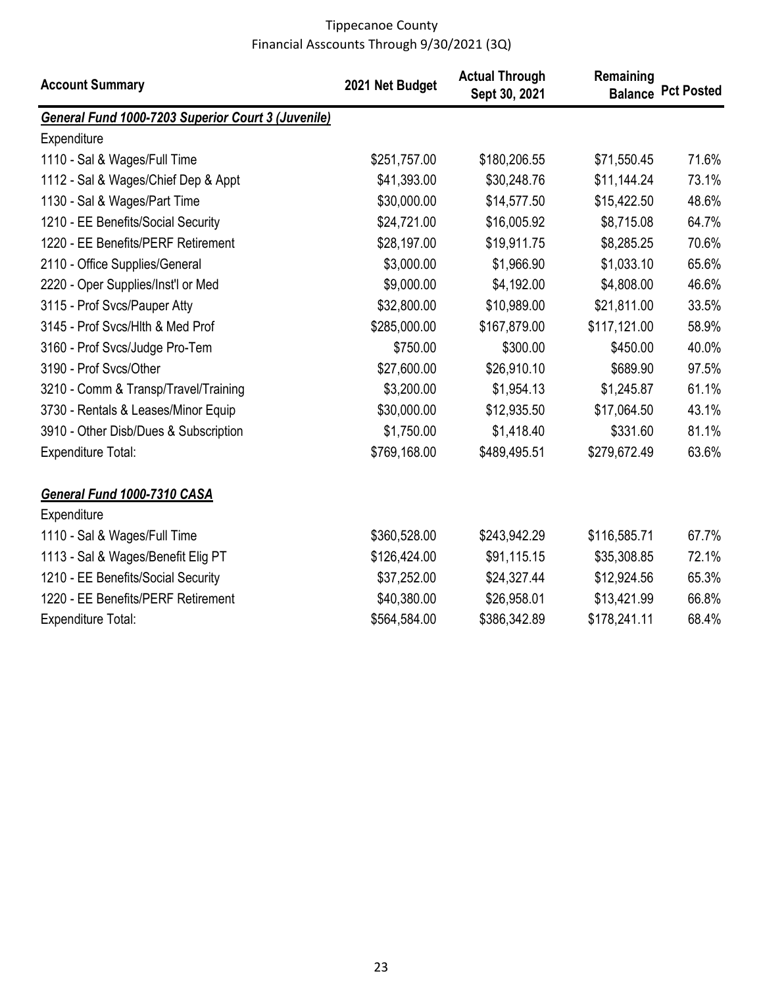| <b>Account Summary</b>                             | 2021 Net Budget | <b>Actual Through</b><br>Sept 30, 2021 | Remaining    | <b>Balance Pct Posted</b> |
|----------------------------------------------------|-----------------|----------------------------------------|--------------|---------------------------|
| General Fund 1000-7203 Superior Court 3 (Juvenile) |                 |                                        |              |                           |
| Expenditure                                        |                 |                                        |              |                           |
| 1110 - Sal & Wages/Full Time                       | \$251,757.00    | \$180,206.55                           | \$71,550.45  | 71.6%                     |
| 1112 - Sal & Wages/Chief Dep & Appt                | \$41,393.00     | \$30,248.76                            | \$11,144.24  | 73.1%                     |
| 1130 - Sal & Wages/Part Time                       | \$30,000.00     | \$14,577.50                            | \$15,422.50  | 48.6%                     |
| 1210 - EE Benefits/Social Security                 | \$24,721.00     | \$16,005.92                            | \$8,715.08   | 64.7%                     |
| 1220 - EE Benefits/PERF Retirement                 | \$28,197.00     | \$19,911.75                            | \$8,285.25   | 70.6%                     |
| 2110 - Office Supplies/General                     | \$3,000.00      | \$1,966.90                             | \$1,033.10   | 65.6%                     |
| 2220 - Oper Supplies/Inst'l or Med                 | \$9,000.00      | \$4,192.00                             | \$4,808.00   | 46.6%                     |
| 3115 - Prof Svcs/Pauper Atty                       | \$32,800.00     | \$10,989.00                            | \$21,811.00  | 33.5%                     |
| 3145 - Prof Svcs/Hlth & Med Prof                   | \$285,000.00    | \$167,879.00                           | \$117,121.00 | 58.9%                     |
| 3160 - Prof Svcs/Judge Pro-Tem                     | \$750.00        | \$300.00                               | \$450.00     | 40.0%                     |
| 3190 - Prof Svcs/Other                             | \$27,600.00     | \$26,910.10                            | \$689.90     | 97.5%                     |
| 3210 - Comm & Transp/Travel/Training               | \$3,200.00      | \$1,954.13                             | \$1,245.87   | 61.1%                     |
| 3730 - Rentals & Leases/Minor Equip                | \$30,000.00     | \$12,935.50                            | \$17,064.50  | 43.1%                     |
| 3910 - Other Disb/Dues & Subscription              | \$1,750.00      | \$1,418.40                             | \$331.60     | 81.1%                     |
| <b>Expenditure Total:</b>                          | \$769,168.00    | \$489,495.51                           | \$279,672.49 | 63.6%                     |
| General Fund 1000-7310 CASA                        |                 |                                        |              |                           |
| Expenditure                                        |                 |                                        |              |                           |
| 1110 - Sal & Wages/Full Time                       | \$360,528.00    | \$243,942.29                           | \$116,585.71 | 67.7%                     |
| 1113 - Sal & Wages/Benefit Elig PT                 | \$126,424.00    | \$91,115.15                            | \$35,308.85  | 72.1%                     |
| 1210 - EE Benefits/Social Security                 | \$37,252.00     | \$24,327.44                            | \$12,924.56  | 65.3%                     |
| 1220 - EE Benefits/PERF Retirement                 | \$40,380.00     | \$26,958.01                            | \$13,421.99  | 66.8%                     |
| <b>Expenditure Total:</b>                          | \$564,584.00    | \$386,342.89                           | \$178,241.11 | 68.4%                     |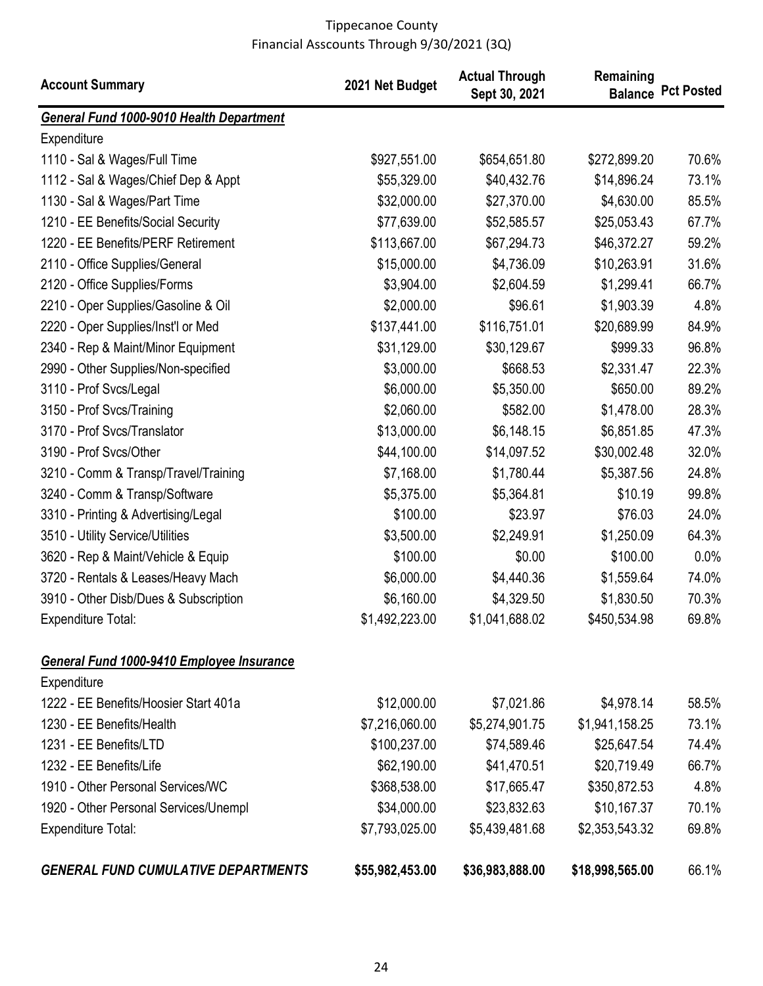| <b>Account Summary</b>                     | 2021 Net Budget | <b>Actual Through</b><br>Sept 30, 2021 | Remaining<br><b>Balance</b> | <b>Pct Posted</b> |
|--------------------------------------------|-----------------|----------------------------------------|-----------------------------|-------------------|
| General Fund 1000-9010 Health Department   |                 |                                        |                             |                   |
| Expenditure                                |                 |                                        |                             |                   |
| 1110 - Sal & Wages/Full Time               | \$927,551.00    | \$654,651.80                           | \$272,899.20                | 70.6%             |
| 1112 - Sal & Wages/Chief Dep & Appt        | \$55,329.00     | \$40,432.76                            | \$14,896.24                 | 73.1%             |
| 1130 - Sal & Wages/Part Time               | \$32,000.00     | \$27,370.00                            | \$4,630.00                  | 85.5%             |
| 1210 - EE Benefits/Social Security         | \$77,639.00     | \$52,585.57                            | \$25,053.43                 | 67.7%             |
| 1220 - EE Benefits/PERF Retirement         | \$113,667.00    | \$67,294.73                            | \$46,372.27                 | 59.2%             |
| 2110 - Office Supplies/General             | \$15,000.00     | \$4,736.09                             | \$10,263.91                 | 31.6%             |
| 2120 - Office Supplies/Forms               | \$3,904.00      | \$2,604.59                             | \$1,299.41                  | 66.7%             |
| 2210 - Oper Supplies/Gasoline & Oil        | \$2,000.00      | \$96.61                                | \$1,903.39                  | 4.8%              |
| 2220 - Oper Supplies/Inst'l or Med         | \$137,441.00    | \$116,751.01                           | \$20,689.99                 | 84.9%             |
| 2340 - Rep & Maint/Minor Equipment         | \$31,129.00     | \$30,129.67                            | \$999.33                    | 96.8%             |
| 2990 - Other Supplies/Non-specified        | \$3,000.00      | \$668.53                               | \$2,331.47                  | 22.3%             |
| 3110 - Prof Svcs/Legal                     | \$6,000.00      | \$5,350.00                             | \$650.00                    | 89.2%             |
| 3150 - Prof Svcs/Training                  | \$2,060.00      | \$582.00                               | \$1,478.00                  | 28.3%             |
| 3170 - Prof Svcs/Translator                | \$13,000.00     | \$6,148.15                             | \$6,851.85                  | 47.3%             |
| 3190 - Prof Svcs/Other                     | \$44,100.00     | \$14,097.52                            | \$30,002.48                 | 32.0%             |
| 3210 - Comm & Transp/Travel/Training       | \$7,168.00      | \$1,780.44                             | \$5,387.56                  | 24.8%             |
| 3240 - Comm & Transp/Software              | \$5,375.00      | \$5,364.81                             | \$10.19                     | 99.8%             |
| 3310 - Printing & Advertising/Legal        | \$100.00        | \$23.97                                | \$76.03                     | 24.0%             |
| 3510 - Utility Service/Utilities           | \$3,500.00      | \$2,249.91                             | \$1,250.09                  | 64.3%             |
| 3620 - Rep & Maint/Vehicle & Equip         | \$100.00        | \$0.00                                 | \$100.00                    | 0.0%              |
| 3720 - Rentals & Leases/Heavy Mach         | \$6,000.00      | \$4,440.36                             | \$1,559.64                  | 74.0%             |
| 3910 - Other Disb/Dues & Subscription      | \$6,160.00      | \$4,329.50                             | \$1,830.50                  | 70.3%             |
| <b>Expenditure Total:</b>                  | \$1,492,223.00  | \$1,041,688.02                         | \$450,534.98                | 69.8%             |
| General Fund 1000-9410 Employee Insurance  |                 |                                        |                             |                   |
| Expenditure                                |                 |                                        |                             |                   |
| 1222 - EE Benefits/Hoosier Start 401a      | \$12,000.00     | \$7,021.86                             | \$4,978.14                  | 58.5%             |
| 1230 - EE Benefits/Health                  | \$7,216,060.00  | \$5,274,901.75                         | \$1,941,158.25              | 73.1%             |
| 1231 - EE Benefits/LTD                     | \$100,237.00    | \$74,589.46                            | \$25,647.54                 | 74.4%             |
| 1232 - EE Benefits/Life                    | \$62,190.00     | \$41,470.51                            | \$20,719.49                 | 66.7%             |
| 1910 - Other Personal Services/WC          | \$368,538.00    | \$17,665.47                            | \$350,872.53                | 4.8%              |
| 1920 - Other Personal Services/Unempl      | \$34,000.00     | \$23,832.63                            | \$10,167.37                 | 70.1%             |
| <b>Expenditure Total:</b>                  | \$7,793,025.00  | \$5,439,481.68                         | \$2,353,543.32              | 69.8%             |
| <b>GENERAL FUND CUMULATIVE DEPARTMENTS</b> | \$55,982,453.00 | \$36,983,888.00                        | \$18,998,565.00             | 66.1%             |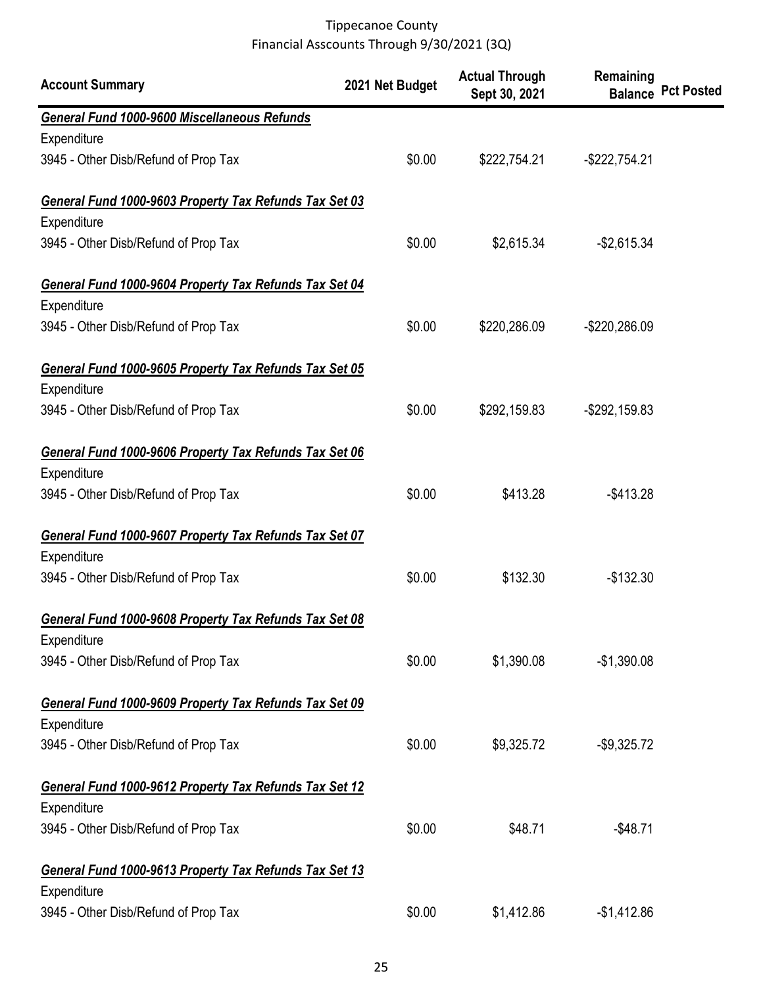| <b>Account Summary</b>                                 | 2021 Net Budget | <b>Actual Through</b><br>Sept 30, 2021 | Remaining        | <b>Balance Pct Posted</b> |
|--------------------------------------------------------|-----------------|----------------------------------------|------------------|---------------------------|
| General Fund 1000-9600 Miscellaneous Refunds           |                 |                                        |                  |                           |
| Expenditure                                            |                 |                                        |                  |                           |
| 3945 - Other Disb/Refund of Prop Tax                   | \$0.00          | \$222,754.21                           | $-$ \$222,754.21 |                           |
| General Fund 1000-9603 Property Tax Refunds Tax Set 03 |                 |                                        |                  |                           |
| Expenditure                                            |                 |                                        |                  |                           |
| 3945 - Other Disb/Refund of Prop Tax                   | \$0.00          | \$2,615.34                             | $-$2,615.34$     |                           |
| General Fund 1000-9604 Property Tax Refunds Tax Set 04 |                 |                                        |                  |                           |
| Expenditure                                            |                 |                                        |                  |                           |
| 3945 - Other Disb/Refund of Prop Tax                   | \$0.00          | \$220,286.09                           | -\$220,286.09    |                           |
| General Fund 1000-9605 Property Tax Refunds Tax Set 05 |                 |                                        |                  |                           |
| Expenditure                                            |                 |                                        |                  |                           |
| 3945 - Other Disb/Refund of Prop Tax                   | \$0.00          | \$292,159.83                           | -\$292,159.83    |                           |
| General Fund 1000-9606 Property Tax Refunds Tax Set 06 |                 |                                        |                  |                           |
| Expenditure                                            |                 |                                        |                  |                           |
| 3945 - Other Disb/Refund of Prop Tax                   | \$0.00          | \$413.28                               | $-$ \$413.28     |                           |
| General Fund 1000-9607 Property Tax Refunds Tax Set 07 |                 |                                        |                  |                           |
| Expenditure                                            |                 |                                        |                  |                           |
| 3945 - Other Disb/Refund of Prop Tax                   | \$0.00          | \$132.30                               | $-$132.30$       |                           |
| General Fund 1000-9608 Property Tax Refunds Tax Set 08 |                 |                                        |                  |                           |
| Expenditure                                            |                 |                                        |                  |                           |
| 3945 - Other Disb/Refund of Prop Tax                   | \$0.00          | \$1,390.08                             | $-$1,390.08$     |                           |
| General Fund 1000-9609 Property Tax Refunds Tax Set 09 |                 |                                        |                  |                           |
| Expenditure                                            |                 |                                        |                  |                           |
| 3945 - Other Disb/Refund of Prop Tax                   | \$0.00          | \$9,325.72                             | $-$9,325.72$     |                           |
| General Fund 1000-9612 Property Tax Refunds Tax Set 12 |                 |                                        |                  |                           |
| Expenditure                                            |                 |                                        |                  |                           |
| 3945 - Other Disb/Refund of Prop Tax                   | \$0.00          | \$48.71                                | $-$48.71$        |                           |
| General Fund 1000-9613 Property Tax Refunds Tax Set 13 |                 |                                        |                  |                           |
| Expenditure                                            |                 |                                        |                  |                           |
| 3945 - Other Disb/Refund of Prop Tax                   | \$0.00          | \$1,412.86                             | $-$1,412.86$     |                           |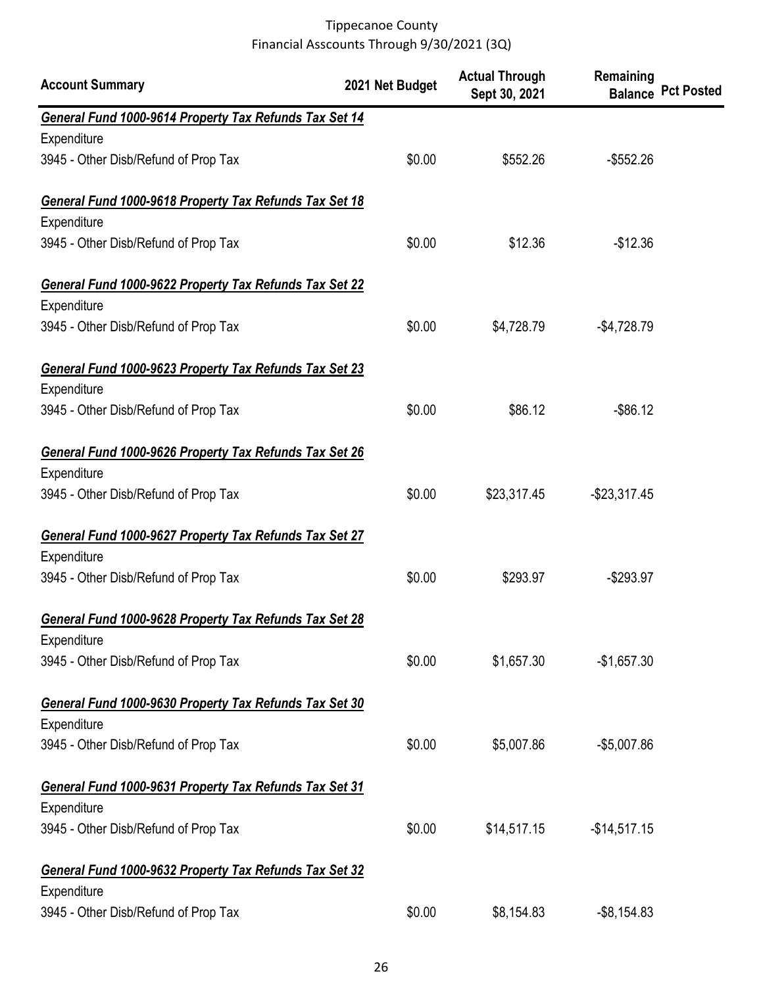| <b>Account Summary</b>                                 | 2021 Net Budget | <b>Actual Through</b><br>Sept 30, 2021 | Remaining      | <b>Balance Pct Posted</b> |
|--------------------------------------------------------|-----------------|----------------------------------------|----------------|---------------------------|
| General Fund 1000-9614 Property Tax Refunds Tax Set 14 |                 |                                        |                |                           |
| Expenditure                                            |                 |                                        |                |                           |
| 3945 - Other Disb/Refund of Prop Tax                   | \$0.00          | \$552.26                               | $-$ \$552.26   |                           |
| General Fund 1000-9618 Property Tax Refunds Tax Set 18 |                 |                                        |                |                           |
| Expenditure                                            |                 |                                        |                |                           |
| 3945 - Other Disb/Refund of Prop Tax                   | \$0.00          | \$12.36                                | $-$12.36$      |                           |
| General Fund 1000-9622 Property Tax Refunds Tax Set 22 |                 |                                        |                |                           |
| Expenditure                                            |                 |                                        |                |                           |
| 3945 - Other Disb/Refund of Prop Tax                   | \$0.00          | \$4,728.79                             | $-$4,728.79$   |                           |
| General Fund 1000-9623 Property Tax Refunds Tax Set 23 |                 |                                        |                |                           |
| Expenditure                                            |                 |                                        |                |                           |
| 3945 - Other Disb/Refund of Prop Tax                   | \$0.00          | \$86.12                                | $-$ \$86.12    |                           |
| General Fund 1000-9626 Property Tax Refunds Tax Set 26 |                 |                                        |                |                           |
| Expenditure                                            |                 |                                        |                |                           |
| 3945 - Other Disb/Refund of Prop Tax                   | \$0.00          | \$23,317.45                            | $-$23,317.45$  |                           |
| General Fund 1000-9627 Property Tax Refunds Tax Set 27 |                 |                                        |                |                           |
| Expenditure                                            |                 |                                        |                |                           |
| 3945 - Other Disb/Refund of Prop Tax                   | \$0.00          | \$293.97                               | $-$293.97$     |                           |
| General Fund 1000-9628 Property Tax Refunds Tax Set 28 |                 |                                        |                |                           |
| Expenditure                                            |                 |                                        |                |                           |
| 3945 - Other Disb/Refund of Prop Tax                   | \$0.00          | \$1,657.30                             | $-$1,657.30$   |                           |
| General Fund 1000-9630 Property Tax Refunds Tax Set 30 |                 |                                        |                |                           |
| Expenditure                                            |                 |                                        |                |                           |
| 3945 - Other Disb/Refund of Prop Tax                   | \$0.00          | \$5,007.86                             | $-$5,007.86$   |                           |
| General Fund 1000-9631 Property Tax Refunds Tax Set 31 |                 |                                        |                |                           |
| Expenditure                                            |                 |                                        |                |                           |
| 3945 - Other Disb/Refund of Prop Tax                   | \$0.00          | \$14,517.15                            | $-$14,517.15$  |                           |
| General Fund 1000-9632 Property Tax Refunds Tax Set 32 |                 |                                        |                |                           |
| Expenditure                                            |                 |                                        |                |                           |
| 3945 - Other Disb/Refund of Prop Tax                   | \$0.00          | \$8,154.83                             | $-$ \$8,154.83 |                           |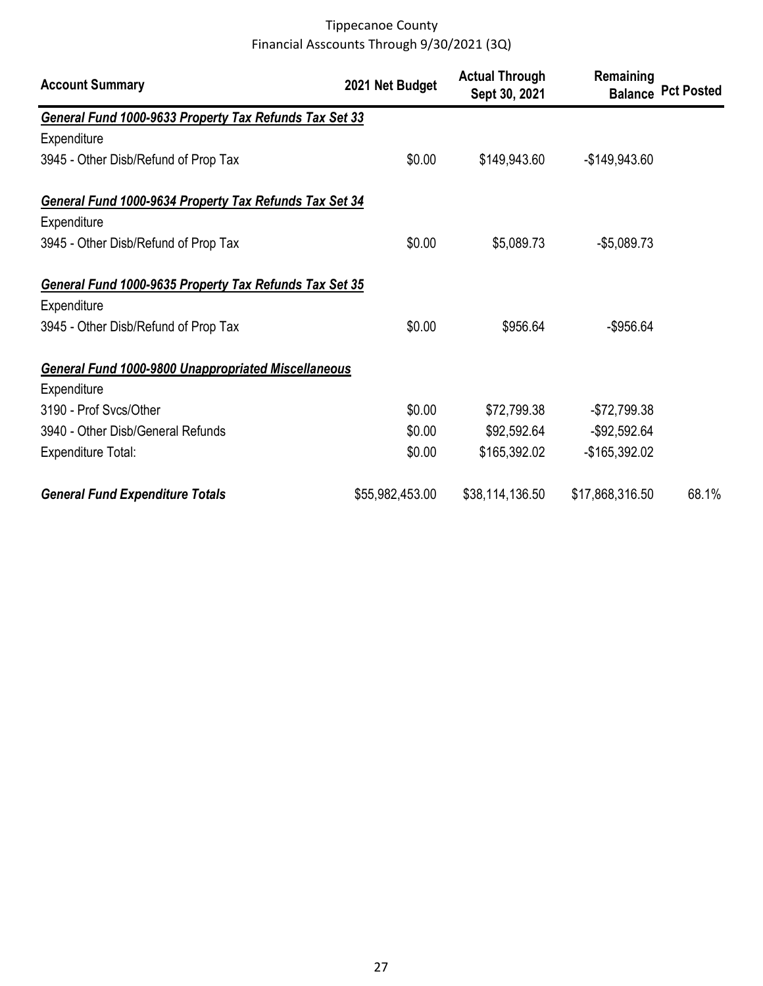| <b>Account Summary</b>                                     | 2021 Net Budget | <b>Actual Through</b><br>Sept 30, 2021 | Remaining       | <b>Balance Pct Posted</b> |
|------------------------------------------------------------|-----------------|----------------------------------------|-----------------|---------------------------|
| General Fund 1000-9633 Property Tax Refunds Tax Set 33     |                 |                                        |                 |                           |
| Expenditure                                                |                 |                                        |                 |                           |
| 3945 - Other Disb/Refund of Prop Tax                       | \$0.00          | \$149,943.60                           | $-$149,943.60$  |                           |
| General Fund 1000-9634 Property Tax Refunds Tax Set 34     |                 |                                        |                 |                           |
| Expenditure                                                |                 |                                        |                 |                           |
| 3945 - Other Disb/Refund of Prop Tax                       | \$0.00          | \$5,089.73                             | $-$5,089.73$    |                           |
| General Fund 1000-9635 Property Tax Refunds Tax Set 35     |                 |                                        |                 |                           |
| Expenditure                                                |                 |                                        |                 |                           |
| 3945 - Other Disb/Refund of Prop Tax                       | \$0.00          | \$956.64                               | $-$ \$956.64    |                           |
| <b>General Fund 1000-9800 Unappropriated Miscellaneous</b> |                 |                                        |                 |                           |
| Expenditure                                                |                 |                                        |                 |                           |
| 3190 - Prof Svcs/Other                                     | \$0.00          | \$72,799.38                            | $-$72,799.38$   |                           |
| 3940 - Other Disb/General Refunds                          | \$0.00          | \$92,592.64                            | $-$92,592.64$   |                           |
| <b>Expenditure Total:</b>                                  | \$0.00          | \$165,392.02                           | -\$165,392.02   |                           |
| <b>General Fund Expenditure Totals</b>                     | \$55,982,453.00 | \$38,114,136.50                        | \$17,868,316.50 | 68.1%                     |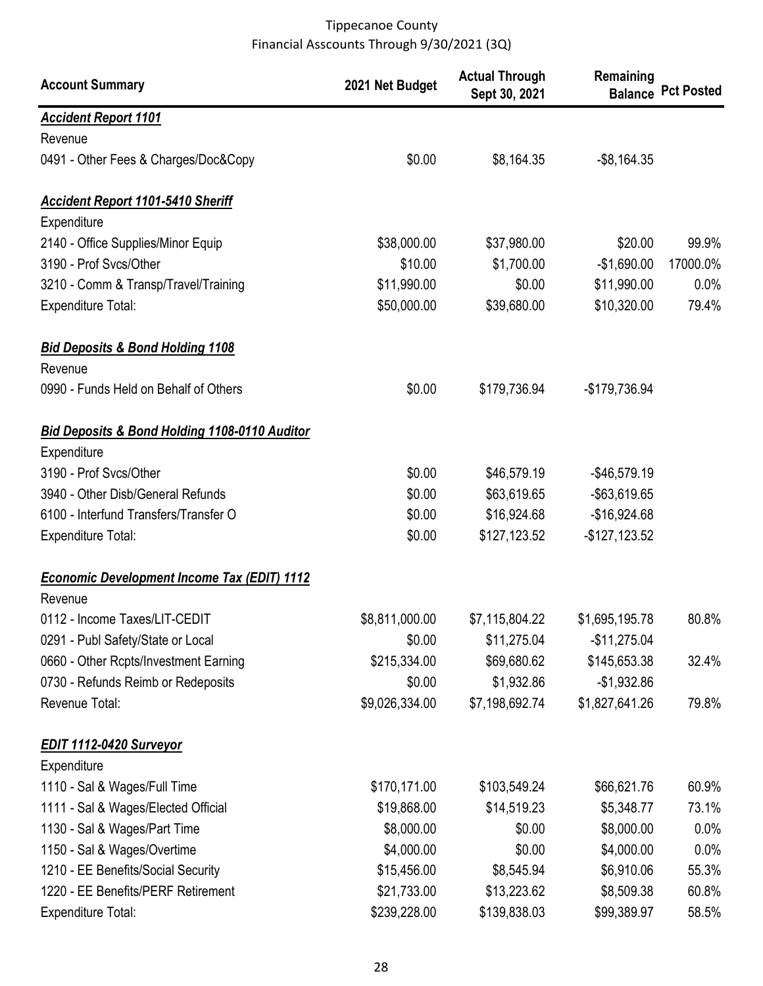| <b>Account Summary</b>                             | 2021 Net Budget | <b>Actual Through</b><br>Sept 30, 2021 | Remaining      | <b>Balance Pct Posted</b> |
|----------------------------------------------------|-----------------|----------------------------------------|----------------|---------------------------|
| <b>Accident Report 1101</b>                        |                 |                                        |                |                           |
| Revenue                                            |                 |                                        |                |                           |
| 0491 - Other Fees & Charges/Doc&Copy               | \$0.00          | \$8,164.35                             | $-$ \$8,164.35 |                           |
| <b>Accident Report 1101-5410 Sheriff</b>           |                 |                                        |                |                           |
| Expenditure                                        |                 |                                        |                |                           |
| 2140 - Office Supplies/Minor Equip                 | \$38,000.00     | \$37,980.00                            | \$20.00        | 99.9%                     |
| 3190 - Prof Svcs/Other                             | \$10.00         | \$1,700.00                             | $-$1,690.00$   | 17000.0%                  |
| 3210 - Comm & Transp/Travel/Training               | \$11,990.00     | \$0.00                                 | \$11,990.00    | 0.0%                      |
| <b>Expenditure Total:</b>                          | \$50,000.00     | \$39,680.00                            | \$10,320.00    | 79.4%                     |
| <b>Bid Deposits &amp; Bond Holding 1108</b>        |                 |                                        |                |                           |
| Revenue                                            |                 |                                        |                |                           |
| 0990 - Funds Held on Behalf of Others              | \$0.00          | \$179,736.94                           | -\$179,736.94  |                           |
| Bid Deposits & Bond Holding 1108-0110 Auditor      |                 |                                        |                |                           |
| Expenditure                                        |                 |                                        |                |                           |
| 3190 - Prof Svcs/Other                             | \$0.00          | \$46,579.19                            | $-$46,579.19$  |                           |
| 3940 - Other Disb/General Refunds                  | \$0.00          | \$63,619.65                            | -\$63,619.65   |                           |
| 6100 - Interfund Transfers/Transfer O              | \$0.00          | \$16,924.68                            | $-$16,924.68$  |                           |
| <b>Expenditure Total:</b>                          | \$0.00          | \$127,123.52                           | $-$127,123.52$ |                           |
| <b>Economic Development Income Tax (EDIT) 1112</b> |                 |                                        |                |                           |
| Revenue                                            |                 |                                        |                |                           |
| 0112 - Income Taxes/LIT-CEDIT                      | \$8,811,000.00  | \$7,115,804.22                         | \$1,695,195.78 | 80.8%                     |
| 0291 - Publ Safety/State or Local                  | \$0.00          | \$11,275.04                            | $-$11,275.04$  |                           |
| 0660 - Other Rcpts/Investment Earning              | \$215,334.00    | \$69,680.62                            | \$145,653.38   | 32.4%                     |
| 0730 - Refunds Reimb or Redeposits                 | \$0.00          | \$1,932.86                             | $-$1,932.86$   |                           |
| Revenue Total:                                     | \$9,026,334.00  | \$7,198,692.74                         | \$1,827,641.26 | 79.8%                     |
| EDIT 1112-0420 Surveyor                            |                 |                                        |                |                           |
| Expenditure                                        |                 |                                        |                |                           |
| 1110 - Sal & Wages/Full Time                       | \$170,171.00    | \$103,549.24                           | \$66,621.76    | 60.9%                     |
| 1111 - Sal & Wages/Elected Official                | \$19,868.00     | \$14,519.23                            | \$5,348.77     | 73.1%                     |
| 1130 - Sal & Wages/Part Time                       | \$8,000.00      | \$0.00                                 | \$8,000.00     | $0.0\%$                   |
| 1150 - Sal & Wages/Overtime                        | \$4,000.00      | \$0.00                                 | \$4,000.00     | $0.0\%$                   |
| 1210 - EE Benefits/Social Security                 | \$15,456.00     | \$8,545.94                             | \$6,910.06     | 55.3%                     |
| 1220 - EE Benefits/PERF Retirement                 | \$21,733.00     | \$13,223.62                            | \$8,509.38     | 60.8%                     |
| Expenditure Total:                                 | \$239,228.00    | \$139,838.03                           | \$99,389.97    | 58.5%                     |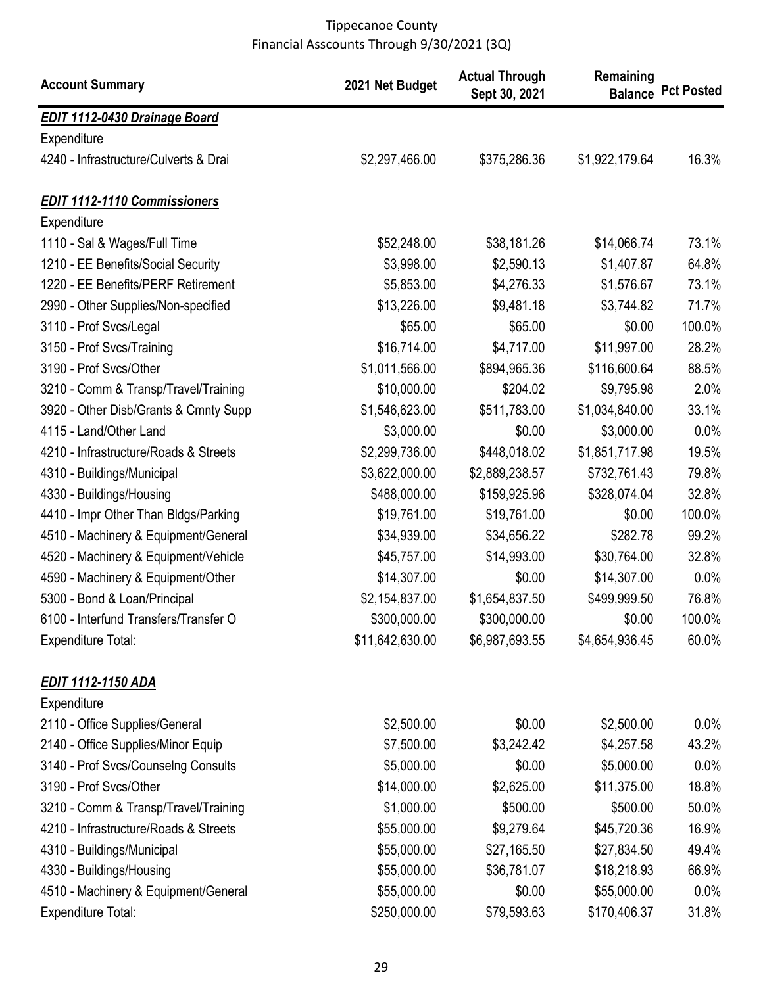| <b>Account Summary</b>                | 2021 Net Budget | <b>Actual Through</b><br>Sept 30, 2021 | Remaining      | <b>Balance Pct Posted</b> |
|---------------------------------------|-----------------|----------------------------------------|----------------|---------------------------|
| <b>EDIT 1112-0430 Drainage Board</b>  |                 |                                        |                |                           |
| Expenditure                           |                 |                                        |                |                           |
| 4240 - Infrastructure/Culverts & Drai | \$2,297,466.00  | \$375,286.36                           | \$1,922,179.64 | 16.3%                     |
| <b>EDIT 1112-1110 Commissioners</b>   |                 |                                        |                |                           |
| Expenditure                           |                 |                                        |                |                           |
| 1110 - Sal & Wages/Full Time          | \$52,248.00     | \$38,181.26                            | \$14,066.74    | 73.1%                     |
| 1210 - EE Benefits/Social Security    | \$3,998.00      | \$2,590.13                             | \$1,407.87     | 64.8%                     |
| 1220 - EE Benefits/PERF Retirement    | \$5,853.00      | \$4,276.33                             | \$1,576.67     | 73.1%                     |
| 2990 - Other Supplies/Non-specified   | \$13,226.00     | \$9,481.18                             | \$3,744.82     | 71.7%                     |
| 3110 - Prof Svcs/Legal                | \$65.00         | \$65.00                                | \$0.00         | 100.0%                    |
| 3150 - Prof Svcs/Training             | \$16,714.00     | \$4,717.00                             | \$11,997.00    | 28.2%                     |
| 3190 - Prof Svcs/Other                | \$1,011,566.00  | \$894,965.36                           | \$116,600.64   | 88.5%                     |
| 3210 - Comm & Transp/Travel/Training  | \$10,000.00     | \$204.02                               | \$9,795.98     | 2.0%                      |
| 3920 - Other Disb/Grants & Cmnty Supp | \$1,546,623.00  | \$511,783.00                           | \$1,034,840.00 | 33.1%                     |
| 4115 - Land/Other Land                | \$3,000.00      | \$0.00                                 | \$3,000.00     | 0.0%                      |
| 4210 - Infrastructure/Roads & Streets | \$2,299,736.00  | \$448,018.02                           | \$1,851,717.98 | 19.5%                     |
| 4310 - Buildings/Municipal            | \$3,622,000.00  | \$2,889,238.57                         | \$732,761.43   | 79.8%                     |
| 4330 - Buildings/Housing              | \$488,000.00    | \$159,925.96                           | \$328,074.04   | 32.8%                     |
| 4410 - Impr Other Than Bldgs/Parking  | \$19,761.00     | \$19,761.00                            | \$0.00         | 100.0%                    |
| 4510 - Machinery & Equipment/General  | \$34,939.00     | \$34,656.22                            | \$282.78       | 99.2%                     |
| 4520 - Machinery & Equipment/Vehicle  | \$45,757.00     | \$14,993.00                            | \$30,764.00    | 32.8%                     |
| 4590 - Machinery & Equipment/Other    | \$14,307.00     | \$0.00                                 | \$14,307.00    | 0.0%                      |
| 5300 - Bond & Loan/Principal          | \$2,154,837.00  | \$1,654,837.50                         | \$499,999.50   | 76.8%                     |
| 6100 - Interfund Transfers/Transfer O | \$300,000.00    | \$300,000.00                           | \$0.00         | 100.0%                    |
| <b>Expenditure Total:</b>             | \$11,642,630.00 | \$6,987,693.55                         | \$4,654,936.45 | 60.0%                     |
| <u>EDIT 1112-1150 ADA</u>             |                 |                                        |                |                           |
| Expenditure                           |                 |                                        |                |                           |
| 2110 - Office Supplies/General        | \$2,500.00      | \$0.00                                 | \$2,500.00     | $0.0\%$                   |
| 2140 - Office Supplies/Minor Equip    | \$7,500.00      | \$3,242.42                             | \$4,257.58     | 43.2%                     |
| 3140 - Prof Svcs/Counselng Consults   | \$5,000.00      | \$0.00                                 | \$5,000.00     | $0.0\%$                   |
| 3190 - Prof Svcs/Other                | \$14,000.00     | \$2,625.00                             | \$11,375.00    | 18.8%                     |
| 3210 - Comm & Transp/Travel/Training  | \$1,000.00      | \$500.00                               | \$500.00       | 50.0%                     |
| 4210 - Infrastructure/Roads & Streets | \$55,000.00     | \$9,279.64                             | \$45,720.36    | 16.9%                     |
| 4310 - Buildings/Municipal            | \$55,000.00     | \$27,165.50                            | \$27,834.50    | 49.4%                     |
| 4330 - Buildings/Housing              | \$55,000.00     | \$36,781.07                            | \$18,218.93    | 66.9%                     |
| 4510 - Machinery & Equipment/General  | \$55,000.00     | \$0.00                                 | \$55,000.00    | 0.0%                      |
| <b>Expenditure Total:</b>             | \$250,000.00    | \$79,593.63                            | \$170,406.37   | 31.8%                     |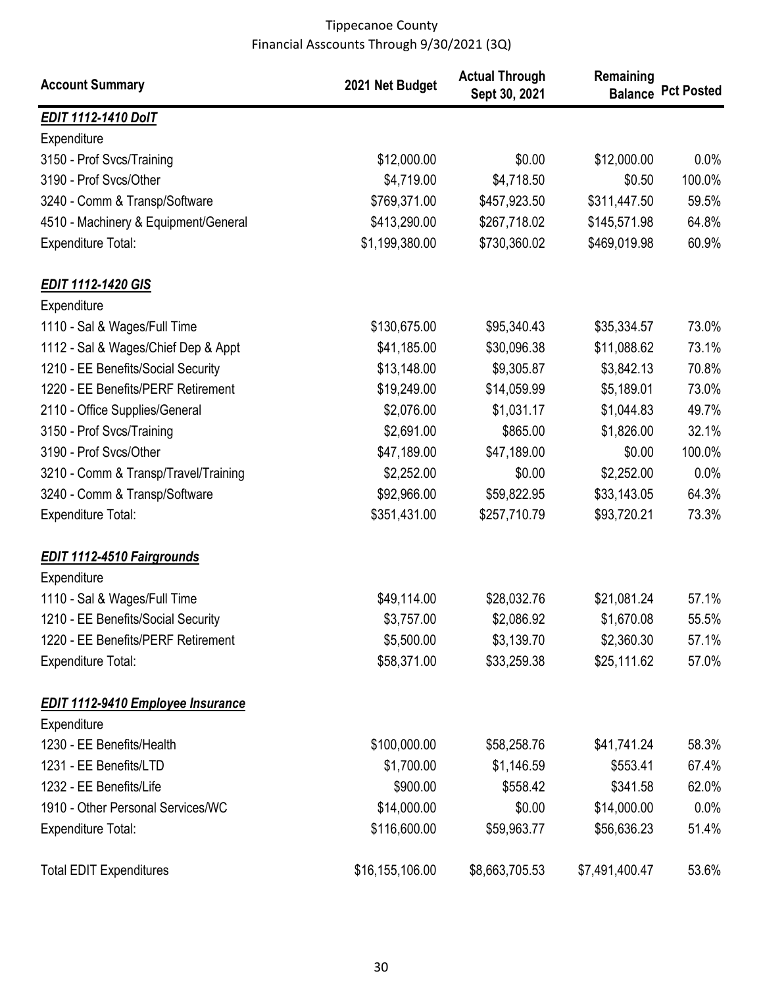| <b>Account Summary</b>                   | 2021 Net Budget | <b>Actual Through</b><br>Sept 30, 2021 | Remaining      | <b>Balance Pct Posted</b> |
|------------------------------------------|-----------------|----------------------------------------|----------------|---------------------------|
| <b>EDIT 1112-1410 DolT</b>               |                 |                                        |                |                           |
| Expenditure                              |                 |                                        |                |                           |
| 3150 - Prof Svcs/Training                | \$12,000.00     | \$0.00                                 | \$12,000.00    | $0.0\%$                   |
| 3190 - Prof Svcs/Other                   | \$4,719.00      | \$4,718.50                             | \$0.50         | 100.0%                    |
| 3240 - Comm & Transp/Software            | \$769,371.00    | \$457,923.50                           | \$311,447.50   | 59.5%                     |
| 4510 - Machinery & Equipment/General     | \$413,290.00    | \$267,718.02                           | \$145,571.98   | 64.8%                     |
| <b>Expenditure Total:</b>                | \$1,199,380.00  | \$730,360.02                           | \$469,019.98   | 60.9%                     |
| <b>EDIT 1112-1420 GIS</b>                |                 |                                        |                |                           |
| Expenditure                              |                 |                                        |                |                           |
| 1110 - Sal & Wages/Full Time             | \$130,675.00    | \$95,340.43                            | \$35,334.57    | 73.0%                     |
| 1112 - Sal & Wages/Chief Dep & Appt      | \$41,185.00     | \$30,096.38                            | \$11,088.62    | 73.1%                     |
| 1210 - EE Benefits/Social Security       | \$13,148.00     | \$9,305.87                             | \$3,842.13     | 70.8%                     |
| 1220 - EE Benefits/PERF Retirement       | \$19,249.00     | \$14,059.99                            | \$5,189.01     | 73.0%                     |
| 2110 - Office Supplies/General           | \$2,076.00      | \$1,031.17                             | \$1,044.83     | 49.7%                     |
| 3150 - Prof Svcs/Training                | \$2,691.00      | \$865.00                               | \$1,826.00     | 32.1%                     |
| 3190 - Prof Svcs/Other                   | \$47,189.00     | \$47,189.00                            | \$0.00         | 100.0%                    |
| 3210 - Comm & Transp/Travel/Training     | \$2,252.00      | \$0.00                                 | \$2,252.00     | 0.0%                      |
| 3240 - Comm & Transp/Software            | \$92,966.00     | \$59,822.95                            | \$33,143.05    | 64.3%                     |
| <b>Expenditure Total:</b>                | \$351,431.00    | \$257,710.79                           | \$93,720.21    | 73.3%                     |
| <b>EDIT 1112-4510 Fairgrounds</b>        |                 |                                        |                |                           |
| Expenditure                              |                 |                                        |                |                           |
| 1110 - Sal & Wages/Full Time             | \$49,114.00     | \$28,032.76                            | \$21,081.24    | 57.1%                     |
| 1210 - EE Benefits/Social Security       | \$3,757.00      | \$2,086.92                             | \$1,670.08     | 55.5%                     |
| 1220 - EE Benefits/PERF Retirement       | \$5,500.00      | \$3,139.70                             | \$2,360.30     | 57.1%                     |
| <b>Expenditure Total:</b>                | \$58,371.00     | \$33,259.38                            | \$25,111.62    | 57.0%                     |
| <b>EDIT 1112-9410 Employee Insurance</b> |                 |                                        |                |                           |
| Expenditure                              |                 |                                        |                |                           |
| 1230 - EE Benefits/Health                | \$100,000.00    | \$58,258.76                            | \$41,741.24    | 58.3%                     |
| 1231 - EE Benefits/LTD                   | \$1,700.00      | \$1,146.59                             | \$553.41       | 67.4%                     |
| 1232 - EE Benefits/Life                  | \$900.00        | \$558.42                               | \$341.58       | 62.0%                     |
| 1910 - Other Personal Services/WC        | \$14,000.00     | \$0.00                                 | \$14,000.00    | $0.0\%$                   |
| <b>Expenditure Total:</b>                | \$116,600.00    | \$59,963.77                            | \$56,636.23    | 51.4%                     |
| <b>Total EDIT Expenditures</b>           | \$16,155,106.00 | \$8,663,705.53                         | \$7,491,400.47 | 53.6%                     |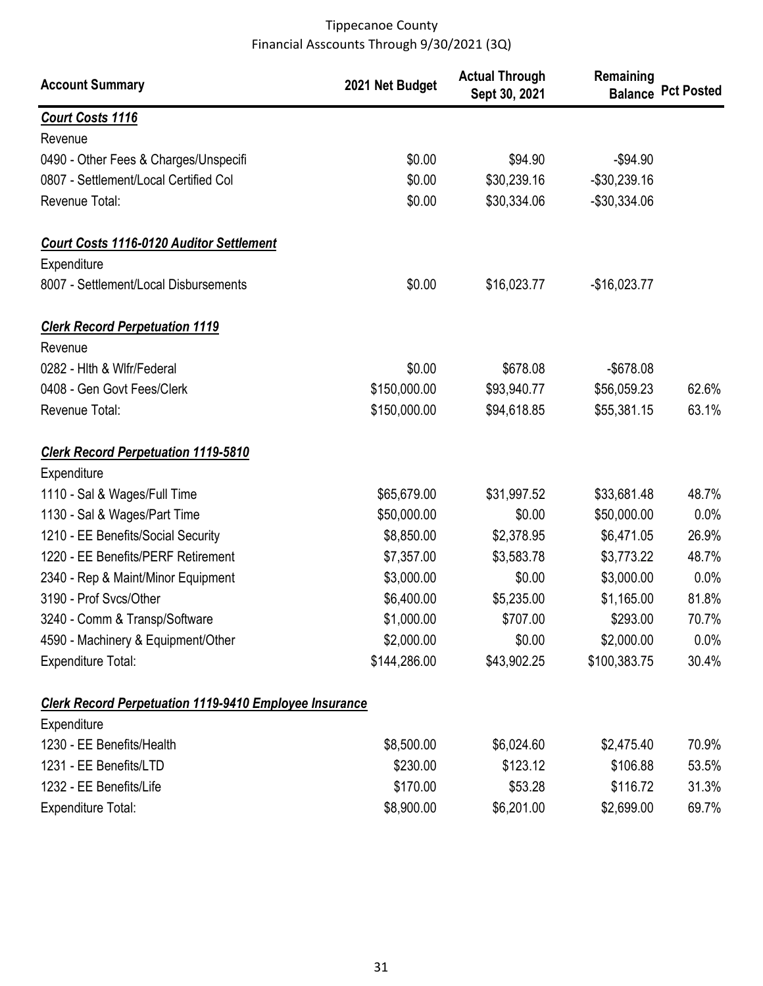| <b>Account Summary</b>                                        | 2021 Net Budget | <b>Actual Through</b><br>Sept 30, 2021 | Remaining     | <b>Balance Pct Posted</b> |
|---------------------------------------------------------------|-----------------|----------------------------------------|---------------|---------------------------|
| <b>Court Costs 1116</b>                                       |                 |                                        |               |                           |
| Revenue                                                       |                 |                                        |               |                           |
| 0490 - Other Fees & Charges/Unspecifi                         | \$0.00          | \$94.90                                | $-$94.90$     |                           |
| 0807 - Settlement/Local Certified Col                         | \$0.00          | \$30,239.16                            | $-$30,239.16$ |                           |
| Revenue Total:                                                | \$0.00          | \$30,334.06                            | -\$30,334.06  |                           |
| <b>Court Costs 1116-0120 Auditor Settlement</b>               |                 |                                        |               |                           |
| Expenditure                                                   |                 |                                        |               |                           |
| 8007 - Settlement/Local Disbursements                         | \$0.00          | \$16,023.77                            | $-$16,023.77$ |                           |
| <b>Clerk Record Perpetuation 1119</b>                         |                 |                                        |               |                           |
| Revenue                                                       |                 |                                        |               |                           |
| 0282 - Hith & Wifr/Federal                                    | \$0.00          | \$678.08                               | $-$ \$678.08  |                           |
| 0408 - Gen Govt Fees/Clerk                                    | \$150,000.00    | \$93,940.77                            | \$56,059.23   | 62.6%                     |
| Revenue Total:                                                | \$150,000.00    | \$94,618.85                            | \$55,381.15   | 63.1%                     |
| <b>Clerk Record Perpetuation 1119-5810</b>                    |                 |                                        |               |                           |
| Expenditure                                                   |                 |                                        |               |                           |
| 1110 - Sal & Wages/Full Time                                  | \$65,679.00     | \$31,997.52                            | \$33,681.48   | 48.7%                     |
| 1130 - Sal & Wages/Part Time                                  | \$50,000.00     | \$0.00                                 | \$50,000.00   | $0.0\%$                   |
| 1210 - EE Benefits/Social Security                            | \$8,850.00      | \$2,378.95                             | \$6,471.05    | 26.9%                     |
| 1220 - EE Benefits/PERF Retirement                            | \$7,357.00      | \$3,583.78                             | \$3,773.22    | 48.7%                     |
| 2340 - Rep & Maint/Minor Equipment                            | \$3,000.00      | \$0.00                                 | \$3,000.00    | 0.0%                      |
| 3190 - Prof Svcs/Other                                        | \$6,400.00      | \$5,235.00                             | \$1,165.00    | 81.8%                     |
| 3240 - Comm & Transp/Software                                 | \$1,000.00      | \$707.00                               | \$293.00      | 70.7%                     |
| 4590 - Machinery & Equipment/Other                            | \$2,000.00      | \$0.00                                 | \$2,000.00    | $0.0\%$                   |
| <b>Expenditure Total:</b>                                     | \$144,286.00    | \$43,902.25                            | \$100,383.75  | 30.4%                     |
| <b>Clerk Record Perpetuation 1119-9410 Employee Insurance</b> |                 |                                        |               |                           |
| Expenditure                                                   |                 |                                        |               |                           |
| 1230 - EE Benefits/Health                                     | \$8,500.00      | \$6,024.60                             | \$2,475.40    | 70.9%                     |
| 1231 - EE Benefits/LTD                                        | \$230.00        | \$123.12                               | \$106.88      | 53.5%                     |
| 1232 - EE Benefits/Life                                       | \$170.00        | \$53.28                                | \$116.72      | 31.3%                     |
| <b>Expenditure Total:</b>                                     | \$8,900.00      | \$6,201.00                             | \$2,699.00    | 69.7%                     |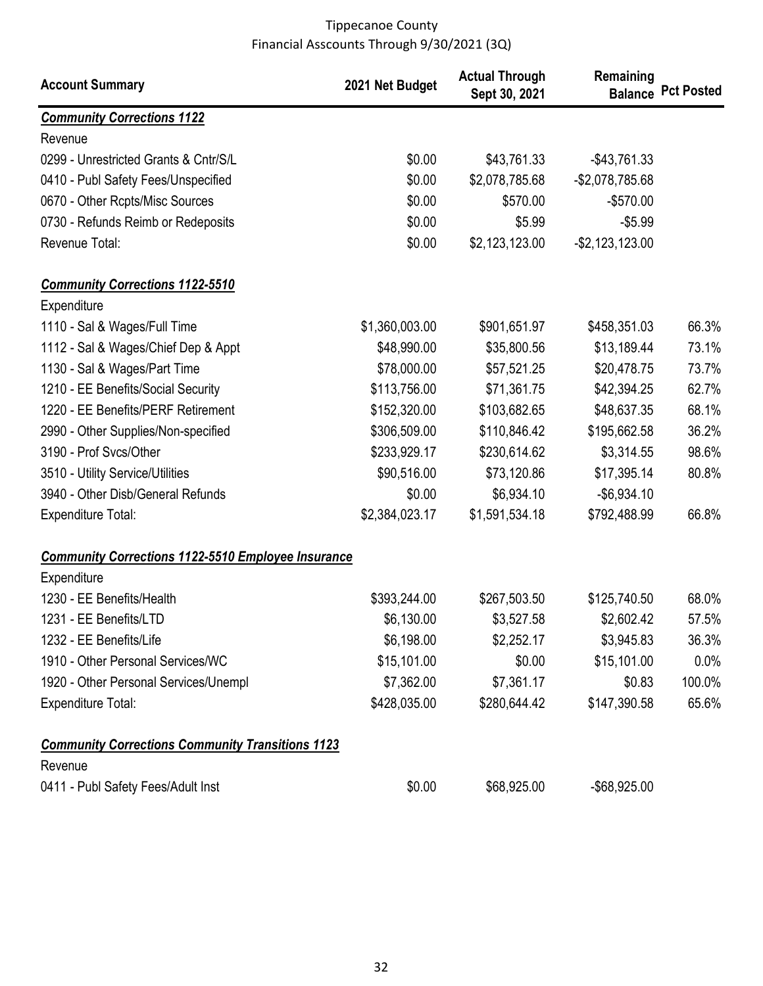| <b>Account Summary</b>                                    | 2021 Net Budget | <b>Actual Through</b><br>Sept 30, 2021 | Remaining          | <b>Balance Pct Posted</b> |
|-----------------------------------------------------------|-----------------|----------------------------------------|--------------------|---------------------------|
| <b>Community Corrections 1122</b>                         |                 |                                        |                    |                           |
| Revenue                                                   |                 |                                        |                    |                           |
| 0299 - Unrestricted Grants & Cntr/S/L                     | \$0.00          | \$43,761.33                            | $-$43,761.33$      |                           |
| 0410 - Publ Safety Fees/Unspecified                       | \$0.00          | \$2,078,785.68                         | $-$2,078,785.68$   |                           |
| 0670 - Other Rcpts/Misc Sources                           | \$0.00          | \$570.00                               | $-$570.00$         |                           |
| 0730 - Refunds Reimb or Redeposits                        | \$0.00          | \$5.99                                 | $-$ \$5.99         |                           |
| Revenue Total:                                            | \$0.00          | \$2,123,123.00                         | $-$ \$2,123,123.00 |                           |
| <b>Community Corrections 1122-5510</b>                    |                 |                                        |                    |                           |
| Expenditure                                               |                 |                                        |                    |                           |
| 1110 - Sal & Wages/Full Time                              | \$1,360,003.00  | \$901,651.97                           | \$458,351.03       | 66.3%                     |
| 1112 - Sal & Wages/Chief Dep & Appt                       | \$48,990.00     | \$35,800.56                            | \$13,189.44        | 73.1%                     |
| 1130 - Sal & Wages/Part Time                              | \$78,000.00     | \$57,521.25                            | \$20,478.75        | 73.7%                     |
| 1210 - EE Benefits/Social Security                        | \$113,756.00    | \$71,361.75                            | \$42,394.25        | 62.7%                     |
| 1220 - EE Benefits/PERF Retirement                        | \$152,320.00    | \$103,682.65                           | \$48,637.35        | 68.1%                     |
| 2990 - Other Supplies/Non-specified                       | \$306,509.00    | \$110,846.42                           | \$195,662.58       | 36.2%                     |
| 3190 - Prof Svcs/Other                                    | \$233,929.17    | \$230,614.62                           | \$3,314.55         | 98.6%                     |
| 3510 - Utility Service/Utilities                          | \$90,516.00     | \$73,120.86                            | \$17,395.14        | 80.8%                     |
| 3940 - Other Disb/General Refunds                         | \$0.00          | \$6,934.10                             | $-$6,934.10$       |                           |
| <b>Expenditure Total:</b>                                 | \$2,384,023.17  | \$1,591,534.18                         | \$792,488.99       | 66.8%                     |
| <b>Community Corrections 1122-5510 Employee Insurance</b> |                 |                                        |                    |                           |
| Expenditure                                               |                 |                                        |                    |                           |
| 1230 - EE Benefits/Health                                 | \$393,244.00    | \$267,503.50                           | \$125,740.50       | 68.0%                     |
| 1231 - EE Benefits/LTD                                    | \$6,130.00      | \$3,527.58                             | \$2,602.42         | 57.5%                     |
| 1232 - EE Benefits/Life                                   | \$6,198.00      | \$2,252.17                             | \$3,945.83         | 36.3%                     |
| 1910 - Other Personal Services/WC                         | \$15,101.00     | \$0.00                                 | \$15,101.00        | $0.0\%$                   |
| 1920 - Other Personal Services/Unempl                     | \$7,362.00      | \$7,361.17                             | \$0.83             | 100.0%                    |
| <b>Expenditure Total:</b>                                 | \$428,035.00    | \$280,644.42                           | \$147,390.58       | 65.6%                     |
| <b>Community Corrections Community Transitions 1123</b>   |                 |                                        |                    |                           |
| Revenue                                                   |                 |                                        |                    |                           |
| 0411 - Publ Safety Fees/Adult Inst                        | \$0.00          | \$68,925.00                            | -\$68,925.00       |                           |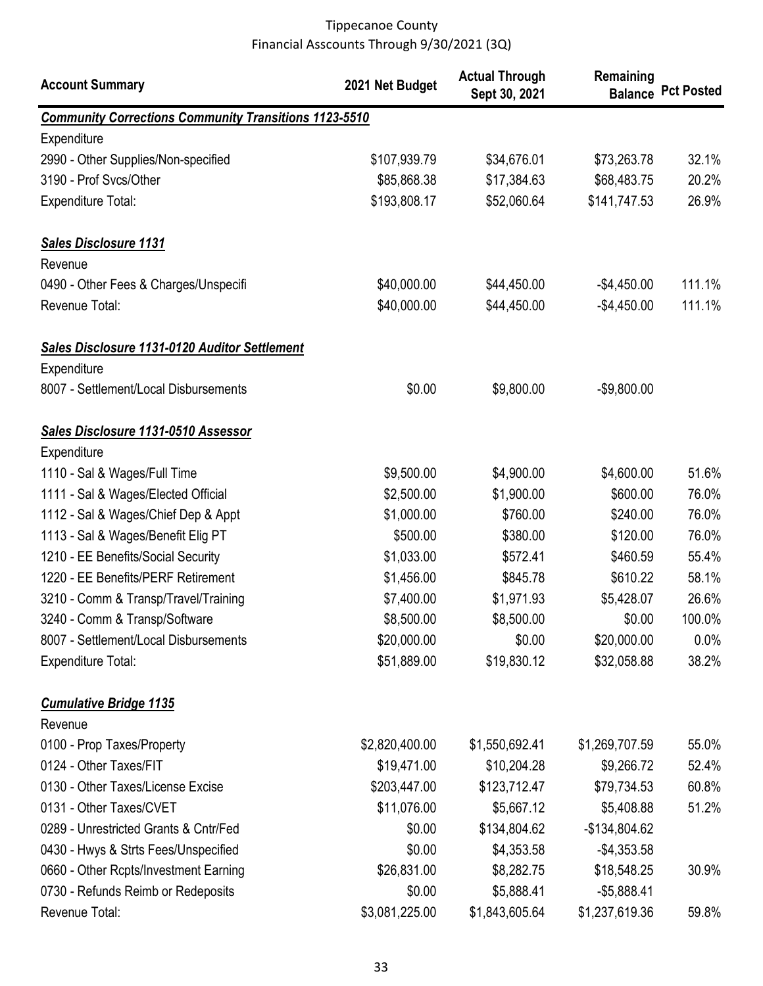| <b>Account Summary</b>                                       | 2021 Net Budget | <b>Actual Through</b><br>Sept 30, 2021 | Remaining      | <b>Balance Pct Posted</b> |
|--------------------------------------------------------------|-----------------|----------------------------------------|----------------|---------------------------|
| <b>Community Corrections Community Transitions 1123-5510</b> |                 |                                        |                |                           |
| Expenditure                                                  |                 |                                        |                |                           |
| 2990 - Other Supplies/Non-specified                          | \$107,939.79    | \$34,676.01                            | \$73,263.78    | 32.1%                     |
| 3190 - Prof Svcs/Other                                       | \$85,868.38     | \$17,384.63                            | \$68,483.75    | 20.2%                     |
| <b>Expenditure Total:</b>                                    | \$193,808.17    | \$52,060.64                            | \$141,747.53   | 26.9%                     |
| <b>Sales Disclosure 1131</b>                                 |                 |                                        |                |                           |
| Revenue                                                      |                 |                                        |                |                           |
| 0490 - Other Fees & Charges/Unspecifi                        | \$40,000.00     | \$44,450.00                            | $-$4,450.00$   | 111.1%                    |
| Revenue Total:                                               | \$40,000.00     | \$44,450.00                            | $-$4,450.00$   | 111.1%                    |
| <b>Sales Disclosure 1131-0120 Auditor Settlement</b>         |                 |                                        |                |                           |
| Expenditure                                                  |                 |                                        |                |                           |
| 8007 - Settlement/Local Disbursements                        | \$0.00          | \$9,800.00                             | $-$9,800.00$   |                           |
| Sales Disclosure 1131-0510 Assessor                          |                 |                                        |                |                           |
| Expenditure                                                  |                 |                                        |                |                           |
| 1110 - Sal & Wages/Full Time                                 | \$9,500.00      | \$4,900.00                             | \$4,600.00     | 51.6%                     |
| 1111 - Sal & Wages/Elected Official                          | \$2,500.00      | \$1,900.00                             | \$600.00       | 76.0%                     |
| 1112 - Sal & Wages/Chief Dep & Appt                          | \$1,000.00      | \$760.00                               | \$240.00       | 76.0%                     |
| 1113 - Sal & Wages/Benefit Elig PT                           | \$500.00        | \$380.00                               | \$120.00       | 76.0%                     |
| 1210 - EE Benefits/Social Security                           | \$1,033.00      | \$572.41                               | \$460.59       | 55.4%                     |
| 1220 - EE Benefits/PERF Retirement                           | \$1,456.00      | \$845.78                               | \$610.22       | 58.1%                     |
| 3210 - Comm & Transp/Travel/Training                         | \$7,400.00      | \$1,971.93                             | \$5,428.07     | 26.6%                     |
| 3240 - Comm & Transp/Software                                | \$8,500.00      | \$8,500.00                             | \$0.00         | 100.0%                    |
| 8007 - Settlement/Local Disbursements                        | \$20,000.00     | \$0.00                                 | \$20,000.00    | $0.0\%$                   |
| <b>Expenditure Total:</b>                                    | \$51,889.00     | \$19,830.12                            | \$32,058.88    | 38.2%                     |
| <b>Cumulative Bridge 1135</b>                                |                 |                                        |                |                           |
| Revenue                                                      |                 |                                        |                |                           |
| 0100 - Prop Taxes/Property                                   | \$2,820,400.00  | \$1,550,692.41                         | \$1,269,707.59 | 55.0%                     |
| 0124 - Other Taxes/FIT                                       | \$19,471.00     | \$10,204.28                            | \$9,266.72     | 52.4%                     |
| 0130 - Other Taxes/License Excise                            | \$203,447.00    | \$123,712.47                           | \$79,734.53    | 60.8%                     |
| 0131 - Other Taxes/CVET                                      | \$11,076.00     | \$5,667.12                             | \$5,408.88     | 51.2%                     |
| 0289 - Unrestricted Grants & Cntr/Fed                        | \$0.00          | \$134,804.62                           | $-$134,804.62$ |                           |
| 0430 - Hwys & Strts Fees/Unspecified                         | \$0.00          | \$4,353.58                             | $-$4,353.58$   |                           |
| 0660 - Other Rcpts/Investment Earning                        | \$26,831.00     | \$8,282.75                             | \$18,548.25    | 30.9%                     |
| 0730 - Refunds Reimb or Redeposits                           | \$0.00          | \$5,888.41                             | $-$5,888.41$   |                           |
| Revenue Total:                                               | \$3,081,225.00  | \$1,843,605.64                         | \$1,237,619.36 | 59.8%                     |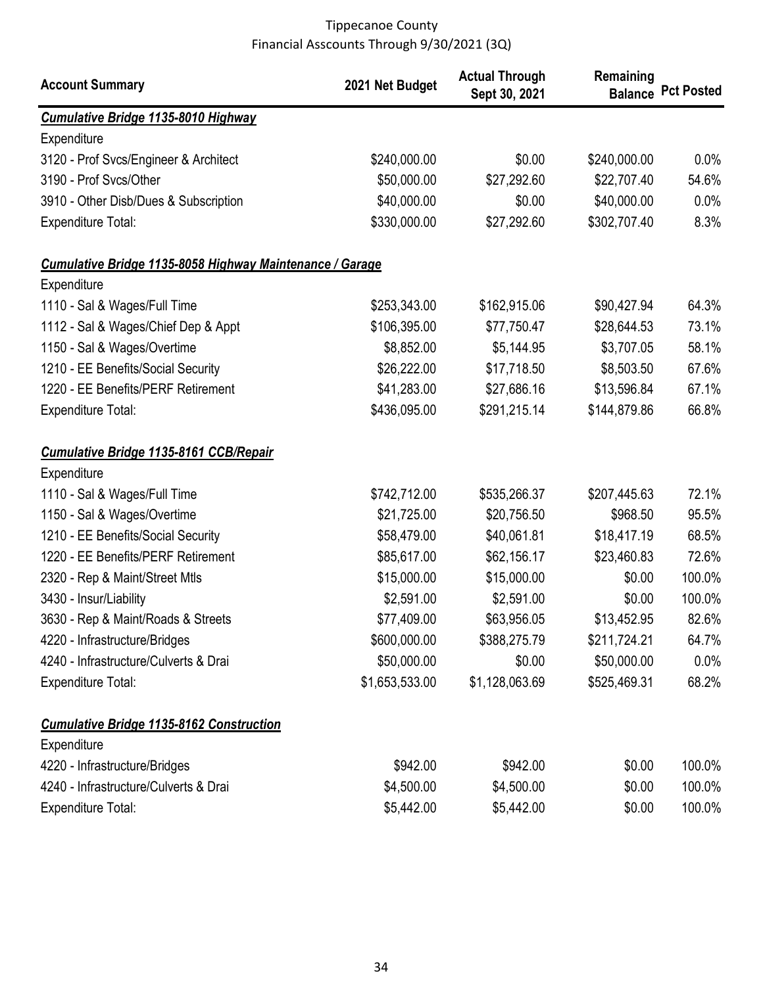| <b>Account Summary</b>                                   | 2021 Net Budget | <b>Actual Through</b><br>Sept 30, 2021 | Remaining    | <b>Balance Pct Posted</b> |
|----------------------------------------------------------|-----------------|----------------------------------------|--------------|---------------------------|
| <b>Cumulative Bridge 1135-8010 Highway</b>               |                 |                                        |              |                           |
| Expenditure                                              |                 |                                        |              |                           |
| 3120 - Prof Svcs/Engineer & Architect                    | \$240,000.00    | \$0.00                                 | \$240,000.00 | $0.0\%$                   |
| 3190 - Prof Svcs/Other                                   | \$50,000.00     | \$27,292.60                            | \$22,707.40  | 54.6%                     |
| 3910 - Other Disb/Dues & Subscription                    | \$40,000.00     | \$0.00                                 | \$40,000.00  | 0.0%                      |
| <b>Expenditure Total:</b>                                | \$330,000.00    | \$27,292.60                            | \$302,707.40 | 8.3%                      |
| Cumulative Bridge 1135-8058 Highway Maintenance / Garage |                 |                                        |              |                           |
| Expenditure                                              |                 |                                        |              |                           |
| 1110 - Sal & Wages/Full Time                             | \$253,343.00    | \$162,915.06                           | \$90,427.94  | 64.3%                     |
| 1112 - Sal & Wages/Chief Dep & Appt                      | \$106,395.00    | \$77,750.47                            | \$28,644.53  | 73.1%                     |
| 1150 - Sal & Wages/Overtime                              | \$8,852.00      | \$5,144.95                             | \$3,707.05   | 58.1%                     |
| 1210 - EE Benefits/Social Security                       | \$26,222.00     | \$17,718.50                            | \$8,503.50   | 67.6%                     |
| 1220 - EE Benefits/PERF Retirement                       | \$41,283.00     | \$27,686.16                            | \$13,596.84  | 67.1%                     |
| <b>Expenditure Total:</b>                                | \$436,095.00    | \$291,215.14                           | \$144,879.86 | 66.8%                     |
| <b>Cumulative Bridge 1135-8161 CCB/Repair</b>            |                 |                                        |              |                           |
| Expenditure                                              |                 |                                        |              |                           |
| 1110 - Sal & Wages/Full Time                             | \$742,712.00    | \$535,266.37                           | \$207,445.63 | 72.1%                     |
| 1150 - Sal & Wages/Overtime                              | \$21,725.00     | \$20,756.50                            | \$968.50     | 95.5%                     |
| 1210 - EE Benefits/Social Security                       | \$58,479.00     | \$40,061.81                            | \$18,417.19  | 68.5%                     |
| 1220 - EE Benefits/PERF Retirement                       | \$85,617.00     | \$62,156.17                            | \$23,460.83  | 72.6%                     |
| 2320 - Rep & Maint/Street Mtls                           | \$15,000.00     | \$15,000.00                            | \$0.00       | 100.0%                    |
| 3430 - Insur/Liability                                   | \$2,591.00      | \$2,591.00                             | \$0.00       | 100.0%                    |
| 3630 - Rep & Maint/Roads & Streets                       | \$77,409.00     | \$63,956.05                            | \$13,452.95  | 82.6%                     |
| 4220 - Infrastructure/Bridges                            | \$600,000.00    | \$388,275.79                           | \$211,724.21 | 64.7%                     |
| 4240 - Infrastructure/Culverts & Drai                    | \$50,000.00     | \$0.00                                 | \$50,000.00  | $0.0\%$                   |
| <b>Expenditure Total:</b>                                | \$1,653,533.00  | \$1,128,063.69                         | \$525,469.31 | 68.2%                     |
| <b>Cumulative Bridge 1135-8162 Construction</b>          |                 |                                        |              |                           |
| Expenditure                                              |                 |                                        |              |                           |
| 4220 - Infrastructure/Bridges                            | \$942.00        | \$942.00                               | \$0.00       | 100.0%                    |
| 4240 - Infrastructure/Culverts & Drai                    | \$4,500.00      | \$4,500.00                             | \$0.00       | 100.0%                    |
| <b>Expenditure Total:</b>                                | \$5,442.00      | \$5,442.00                             | \$0.00       | 100.0%                    |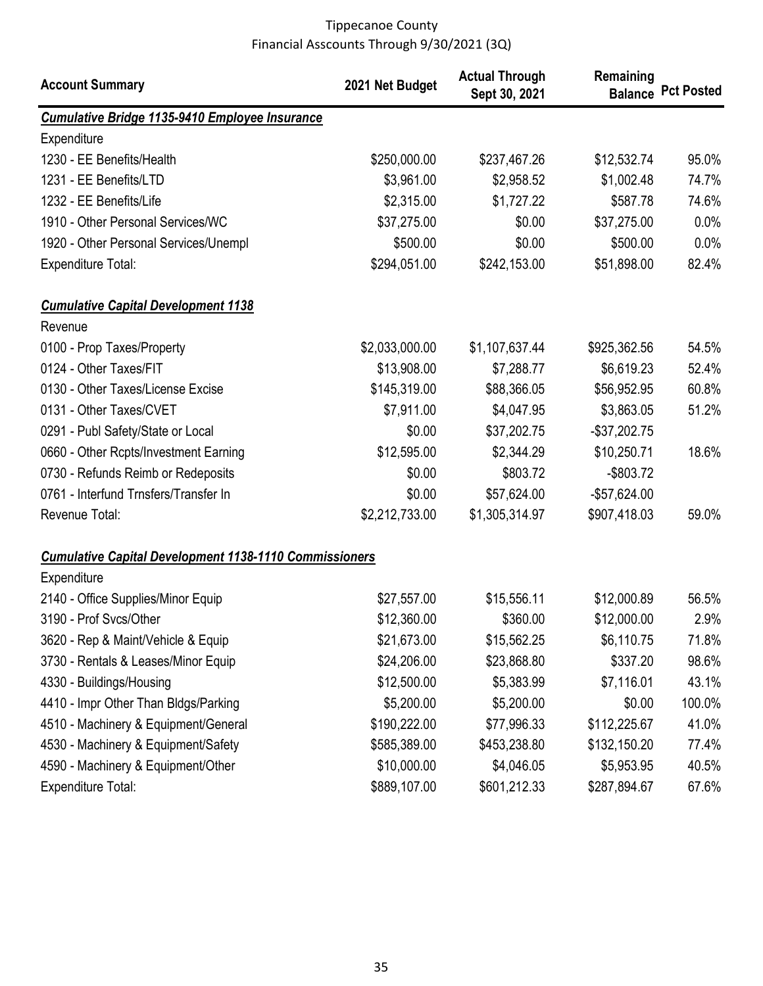| <b>Account Summary</b>                                        | 2021 Net Budget | <b>Actual Through</b><br>Sept 30, 2021 | Remaining<br><b>Balance</b> | <b>Pct Posted</b> |
|---------------------------------------------------------------|-----------------|----------------------------------------|-----------------------------|-------------------|
| <b>Cumulative Bridge 1135-9410 Employee Insurance</b>         |                 |                                        |                             |                   |
| Expenditure                                                   |                 |                                        |                             |                   |
| 1230 - EE Benefits/Health                                     | \$250,000.00    | \$237,467.26                           | \$12,532.74                 | 95.0%             |
| 1231 - EE Benefits/LTD                                        | \$3,961.00      | \$2,958.52                             | \$1,002.48                  | 74.7%             |
| 1232 - EE Benefits/Life                                       | \$2,315.00      | \$1,727.22                             | \$587.78                    | 74.6%             |
| 1910 - Other Personal Services/WC                             | \$37,275.00     | \$0.00                                 | \$37,275.00                 | 0.0%              |
| 1920 - Other Personal Services/Unempl                         | \$500.00        | \$0.00                                 | \$500.00                    | 0.0%              |
| <b>Expenditure Total:</b>                                     | \$294,051.00    | \$242,153.00                           | \$51,898.00                 | 82.4%             |
| <b>Cumulative Capital Development 1138</b>                    |                 |                                        |                             |                   |
| Revenue                                                       |                 |                                        |                             |                   |
| 0100 - Prop Taxes/Property                                    | \$2,033,000.00  | \$1,107,637.44                         | \$925,362.56                | 54.5%             |
| 0124 - Other Taxes/FIT                                        | \$13,908.00     | \$7,288.77                             | \$6,619.23                  | 52.4%             |
| 0130 - Other Taxes/License Excise                             | \$145,319.00    | \$88,366.05                            | \$56,952.95                 | 60.8%             |
| 0131 - Other Taxes/CVET                                       | \$7,911.00      | \$4,047.95                             | \$3,863.05                  | 51.2%             |
| 0291 - Publ Safety/State or Local                             | \$0.00          | \$37,202.75                            | $-$ \$37,202.75             |                   |
| 0660 - Other Rcpts/Investment Earning                         | \$12,595.00     | \$2,344.29                             | \$10,250.71                 | 18.6%             |
| 0730 - Refunds Reimb or Redeposits                            | \$0.00          | \$803.72                               | $-$ \$803.72                |                   |
| 0761 - Interfund Trnsfers/Transfer In                         | \$0.00          | \$57,624.00                            | $-$57,624.00$               |                   |
| Revenue Total:                                                | \$2,212,733.00  | \$1,305,314.97                         | \$907,418.03                | 59.0%             |
| <b>Cumulative Capital Development 1138-1110 Commissioners</b> |                 |                                        |                             |                   |
| Expenditure                                                   |                 |                                        |                             |                   |
| 2140 - Office Supplies/Minor Equip                            | \$27,557.00     | \$15,556.11                            | \$12,000.89                 | 56.5%             |
| 3190 - Prof Svcs/Other                                        | \$12,360.00     | \$360.00                               | \$12,000.00                 | 2.9%              |
| 3620 - Rep & Maint/Vehicle & Equip                            | \$21,673.00     | \$15,562.25                            | \$6,110.75                  | 71.8%             |
| 3730 - Rentals & Leases/Minor Equip                           | \$24,206.00     | \$23,868.80                            | \$337.20                    | 98.6%             |
| 4330 - Buildings/Housing                                      | \$12,500.00     | \$5,383.99                             | \$7,116.01                  | 43.1%             |
| 4410 - Impr Other Than Bldgs/Parking                          | \$5,200.00      | \$5,200.00                             | \$0.00                      | 100.0%            |
| 4510 - Machinery & Equipment/General                          | \$190,222.00    | \$77,996.33                            | \$112,225.67                | 41.0%             |
| 4530 - Machinery & Equipment/Safety                           | \$585,389.00    | \$453,238.80                           | \$132,150.20                | 77.4%             |
| 4590 - Machinery & Equipment/Other                            | \$10,000.00     | \$4,046.05                             | \$5,953.95                  | 40.5%             |
| <b>Expenditure Total:</b>                                     | \$889,107.00    | \$601,212.33                           | \$287,894.67                | 67.6%             |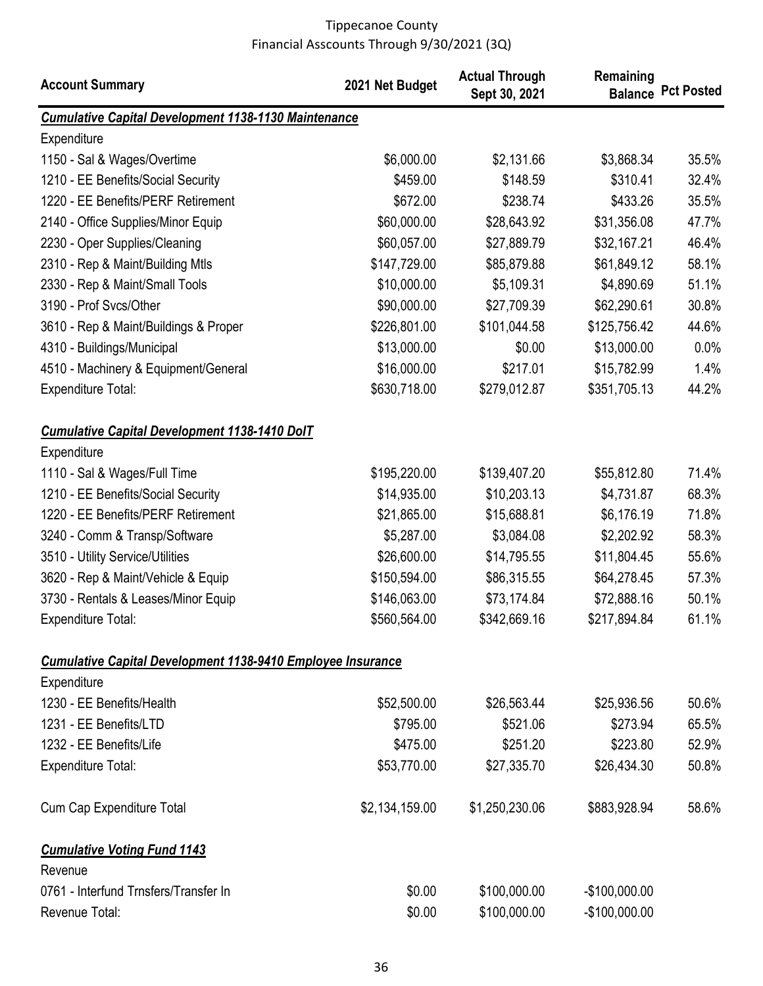| <b>Account Summary</b>                                             | 2021 Net Budget | <b>Actual Through</b><br>Sept 30, 2021 | Remaining      | <b>Balance Pct Posted</b> |
|--------------------------------------------------------------------|-----------------|----------------------------------------|----------------|---------------------------|
| <b>Cumulative Capital Development 1138-1130 Maintenance</b>        |                 |                                        |                |                           |
| Expenditure                                                        |                 |                                        |                |                           |
| 1150 - Sal & Wages/Overtime                                        | \$6,000.00      | \$2,131.66                             | \$3,868.34     | 35.5%                     |
| 1210 - EE Benefits/Social Security                                 | \$459.00        | \$148.59                               | \$310.41       | 32.4%                     |
| 1220 - EE Benefits/PERF Retirement                                 | \$672.00        | \$238.74                               | \$433.26       | 35.5%                     |
| 2140 - Office Supplies/Minor Equip                                 | \$60,000.00     | \$28,643.92                            | \$31,356.08    | 47.7%                     |
| 2230 - Oper Supplies/Cleaning                                      | \$60,057.00     | \$27,889.79                            | \$32,167.21    | 46.4%                     |
| 2310 - Rep & Maint/Building Mtls                                   | \$147,729.00    | \$85,879.88                            | \$61,849.12    | 58.1%                     |
| 2330 - Rep & Maint/Small Tools                                     | \$10,000.00     | \$5,109.31                             | \$4,890.69     | 51.1%                     |
| 3190 - Prof Svcs/Other                                             | \$90,000.00     | \$27,709.39                            | \$62,290.61    | 30.8%                     |
| 3610 - Rep & Maint/Buildings & Proper                              | \$226,801.00    | \$101,044.58                           | \$125,756.42   | 44.6%                     |
| 4310 - Buildings/Municipal                                         | \$13,000.00     | \$0.00                                 | \$13,000.00    | 0.0%                      |
| 4510 - Machinery & Equipment/General                               | \$16,000.00     | \$217.01                               | \$15,782.99    | 1.4%                      |
| <b>Expenditure Total:</b>                                          | \$630,718.00    | \$279,012.87                           | \$351,705.13   | 44.2%                     |
| <b>Cumulative Capital Development 1138-1410 DolT</b>               |                 |                                        |                |                           |
| Expenditure                                                        |                 |                                        |                |                           |
| 1110 - Sal & Wages/Full Time                                       | \$195,220.00    | \$139,407.20                           | \$55,812.80    | 71.4%                     |
| 1210 - EE Benefits/Social Security                                 | \$14,935.00     | \$10,203.13                            | \$4,731.87     | 68.3%                     |
| 1220 - EE Benefits/PERF Retirement                                 | \$21,865.00     | \$15,688.81                            | \$6,176.19     | 71.8%                     |
| 3240 - Comm & Transp/Software                                      | \$5,287.00      | \$3,084.08                             | \$2,202.92     | 58.3%                     |
| 3510 - Utility Service/Utilities                                   | \$26,600.00     | \$14,795.55                            | \$11,804.45    | 55.6%                     |
| 3620 - Rep & Maint/Vehicle & Equip                                 | \$150,594.00    | \$86,315.55                            | \$64,278.45    | 57.3%                     |
| 3730 - Rentals & Leases/Minor Equip                                | \$146,063.00    | \$73,174.84                            | \$72,888.16    | 50.1%                     |
| <b>Expenditure Total:</b>                                          | \$560,564.00    | \$342,669.16                           | \$217,894.84   | 61.1%                     |
| <b>Cumulative Capital Development 1138-9410 Employee Insurance</b> |                 |                                        |                |                           |
| Expenditure                                                        |                 |                                        |                |                           |
| 1230 - EE Benefits/Health                                          | \$52,500.00     | \$26,563.44                            | \$25,936.56    | 50.6%                     |
| 1231 - EE Benefits/LTD                                             | \$795.00        | \$521.06                               | \$273.94       | 65.5%                     |
| 1232 - EE Benefits/Life                                            | \$475.00        | \$251.20                               | \$223.80       | 52.9%                     |
| <b>Expenditure Total:</b>                                          | \$53,770.00     | \$27,335.70                            | \$26,434.30    | 50.8%                     |
| <b>Cum Cap Expenditure Total</b>                                   | \$2,134,159.00  | \$1,250,230.06                         | \$883,928.94   | 58.6%                     |
| <b>Cumulative Voting Fund 1143</b>                                 |                 |                                        |                |                           |
| Revenue                                                            |                 |                                        |                |                           |
| 0761 - Interfund Trnsfers/Transfer In                              | \$0.00          | \$100,000.00                           | $-$100,000.00$ |                           |
| Revenue Total:                                                     | \$0.00          | \$100,000.00                           | $-$100,000.00$ |                           |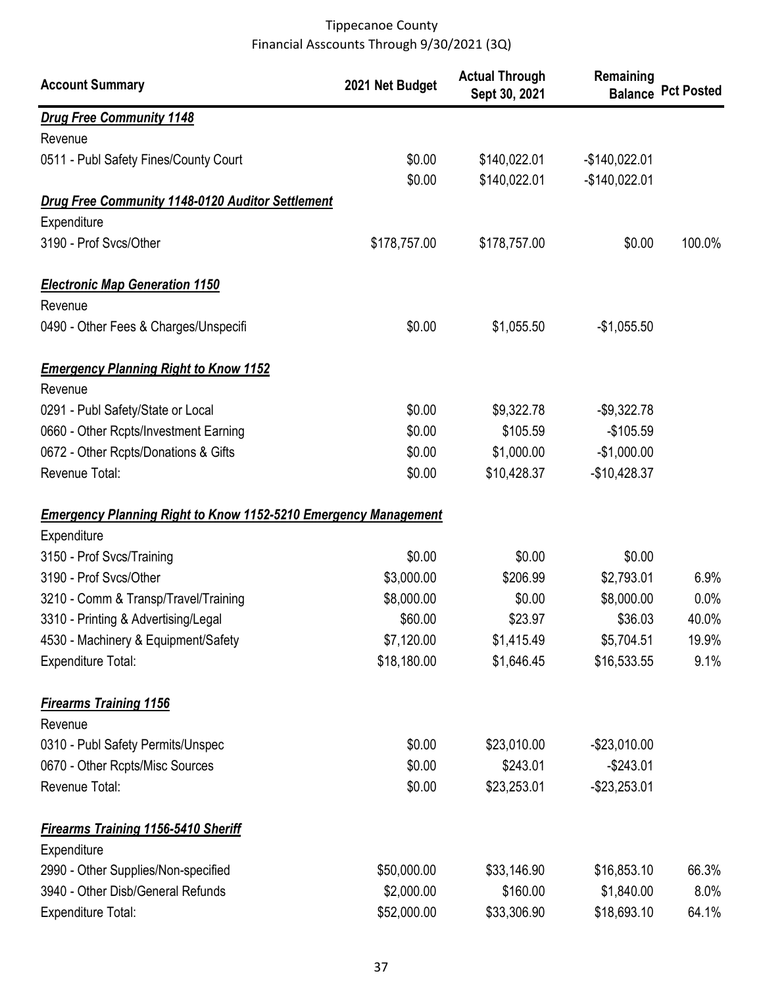| <b>Account Summary</b>                                                 | 2021 Net Budget | <b>Actual Through</b><br>Sept 30, 2021 | Remaining      | <b>Balance Pct Posted</b> |
|------------------------------------------------------------------------|-----------------|----------------------------------------|----------------|---------------------------|
| <b>Drug Free Community 1148</b>                                        |                 |                                        |                |                           |
| Revenue                                                                |                 |                                        |                |                           |
| 0511 - Publ Safety Fines/County Court                                  | \$0.00          | \$140,022.01                           | $-$140,022.01$ |                           |
|                                                                        | \$0.00          | \$140,022.01                           | $-$140,022.01$ |                           |
| Drug Free Community 1148-0120 Auditor Settlement                       |                 |                                        |                |                           |
| Expenditure                                                            |                 |                                        |                |                           |
| 3190 - Prof Svcs/Other                                                 | \$178,757.00    | \$178,757.00                           | \$0.00         | 100.0%                    |
| <b>Electronic Map Generation 1150</b>                                  |                 |                                        |                |                           |
| Revenue                                                                |                 |                                        |                |                           |
| 0490 - Other Fees & Charges/Unspecifi                                  | \$0.00          | \$1,055.50                             | $-$1,055.50$   |                           |
| <b>Emergency Planning Right to Know 1152</b>                           |                 |                                        |                |                           |
| Revenue                                                                |                 |                                        |                |                           |
| 0291 - Publ Safety/State or Local                                      | \$0.00          | \$9,322.78                             | $-$9,322.78$   |                           |
| 0660 - Other Rcpts/Investment Earning                                  | \$0.00          | \$105.59                               | $-$105.59$     |                           |
| 0672 - Other Rcpts/Donations & Gifts                                   | \$0.00          | \$1,000.00                             | $-$1,000.00$   |                           |
| Revenue Total:                                                         | \$0.00          | \$10,428.37                            | $-$10,428.37$  |                           |
| <b>Emergency Planning Right to Know 1152-5210 Emergency Management</b> |                 |                                        |                |                           |
| Expenditure                                                            |                 |                                        |                |                           |
| 3150 - Prof Svcs/Training                                              | \$0.00          | \$0.00                                 | \$0.00         |                           |
| 3190 - Prof Svcs/Other                                                 | \$3,000.00      | \$206.99                               | \$2,793.01     | 6.9%                      |
| 3210 - Comm & Transp/Travel/Training                                   | \$8,000.00      | \$0.00                                 | \$8,000.00     | 0.0%                      |
| 3310 - Printing & Advertising/Legal                                    | \$60.00         | \$23.97                                | \$36.03        | 40.0%                     |
| 4530 - Machinery & Equipment/Safety                                    | \$7,120.00      | \$1,415.49                             | \$5,704.51     | 19.9%                     |
| <b>Expenditure Total:</b>                                              | \$18,180.00     | \$1,646.45                             | \$16,533.55    | 9.1%                      |
| <b>Firearms Training 1156</b>                                          |                 |                                        |                |                           |
| Revenue                                                                |                 |                                        |                |                           |
| 0310 - Publ Safety Permits/Unspec                                      | \$0.00          | \$23,010.00                            | $-$23,010.00$  |                           |
| 0670 - Other Rcpts/Misc Sources                                        | \$0.00          | \$243.01                               | $-$243.01$     |                           |
| Revenue Total:                                                         | \$0.00          | \$23,253.01                            | $-$23,253.01$  |                           |
| <b>Firearms Training 1156-5410 Sheriff</b>                             |                 |                                        |                |                           |
| Expenditure                                                            |                 |                                        |                |                           |
| 2990 - Other Supplies/Non-specified                                    | \$50,000.00     | \$33,146.90                            | \$16,853.10    | 66.3%                     |
| 3940 - Other Disb/General Refunds                                      | \$2,000.00      | \$160.00                               | \$1,840.00     | $8.0\%$                   |
| <b>Expenditure Total:</b>                                              | \$52,000.00     | \$33,306.90                            | \$18,693.10    | 64.1%                     |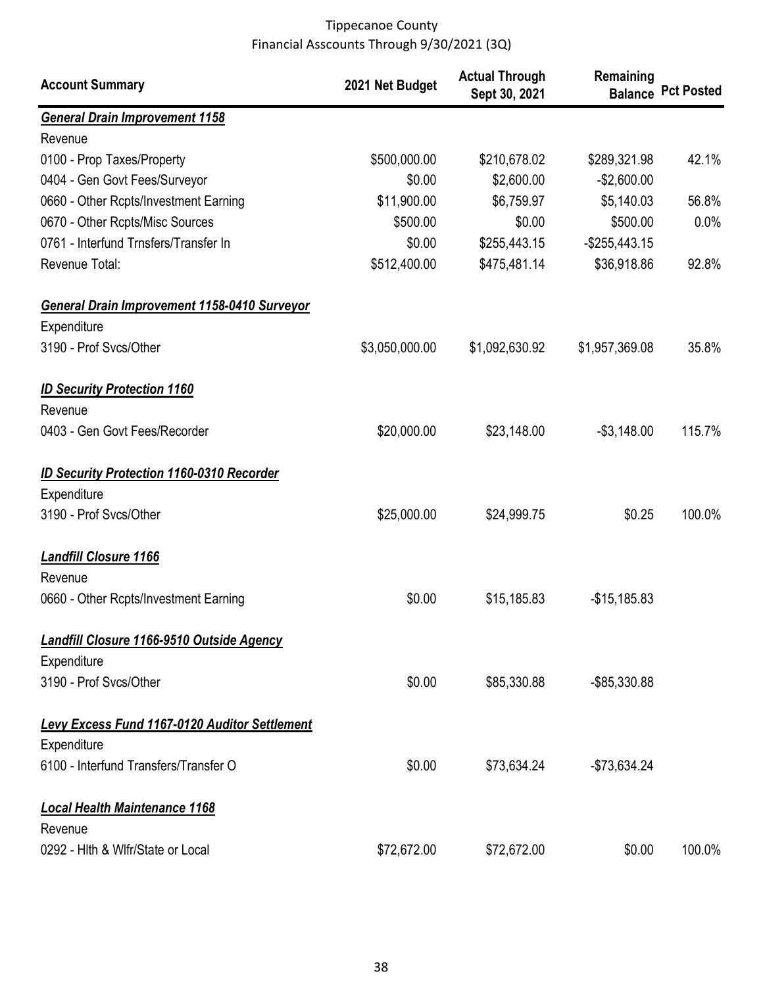| <b>Account Summary</b>                               | 2021 Net Budget | <b>Actual Through</b><br>Sept 30, 2021 | Remaining        | <b>Balance Pct Posted</b> |
|------------------------------------------------------|-----------------|----------------------------------------|------------------|---------------------------|
| <b>General Drain Improvement 1158</b>                |                 |                                        |                  |                           |
| Revenue                                              |                 |                                        |                  |                           |
| 0100 - Prop Taxes/Property                           | \$500,000.00    | \$210,678.02                           | \$289,321.98     | 42.1%                     |
| 0404 - Gen Govt Fees/Surveyor                        | \$0.00          | \$2,600.00                             | $-$2,600.00$     |                           |
| 0660 - Other Rcpts/Investment Earning                | \$11,900.00     | \$6,759.97                             | \$5,140.03       | 56.8%                     |
| 0670 - Other Rcpts/Misc Sources                      | \$500.00        | \$0.00                                 | \$500.00         | 0.0%                      |
| 0761 - Interfund Trnsfers/Transfer In                | \$0.00          | \$255,443.15                           | $-$ \$255,443.15 |                           |
| Revenue Total:                                       | \$512,400.00    | \$475,481.14                           | \$36,918.86      | 92.8%                     |
| General Drain Improvement 1158-0410 Surveyor         |                 |                                        |                  |                           |
| Expenditure                                          |                 |                                        |                  |                           |
| 3190 - Prof Svcs/Other                               | \$3,050,000.00  | \$1,092,630.92                         | \$1,957,369.08   | 35.8%                     |
| <b>ID Security Protection 1160</b>                   |                 |                                        |                  |                           |
| Revenue                                              |                 |                                        |                  |                           |
| 0403 - Gen Govt Fees/Recorder                        | \$20,000.00     | \$23,148.00                            | $-$3,148.00$     | 115.7%                    |
| <b>ID Security Protection 1160-0310 Recorder</b>     |                 |                                        |                  |                           |
| Expenditure                                          |                 |                                        |                  |                           |
| 3190 - Prof Svcs/Other                               | \$25,000.00     | \$24,999.75                            | \$0.25           | 100.0%                    |
| <b>Landfill Closure 1166</b>                         |                 |                                        |                  |                           |
| Revenue                                              |                 |                                        |                  |                           |
| 0660 - Other Rcpts/Investment Earning                | \$0.00          | \$15,185.83                            | $-$15,185.83$    |                           |
| <b>Landfill Closure 1166-9510 Outside Agency</b>     |                 |                                        |                  |                           |
| Expenditure                                          |                 |                                        |                  |                           |
| 3190 - Prof Svcs/Other                               | \$0.00          | \$85,330.88                            | -\$85,330.88     |                           |
| <b>Levy Excess Fund 1167-0120 Auditor Settlement</b> |                 |                                        |                  |                           |
| Expenditure                                          |                 |                                        |                  |                           |
| 6100 - Interfund Transfers/Transfer O                | \$0.00          | \$73,634.24                            | $-$73,634.24$    |                           |
| <b>Local Health Maintenance 1168</b>                 |                 |                                        |                  |                           |
| Revenue                                              |                 |                                        |                  |                           |
| 0292 - Hith & Wifr/State or Local                    | \$72,672.00     | \$72,672.00                            | \$0.00           | 100.0%                    |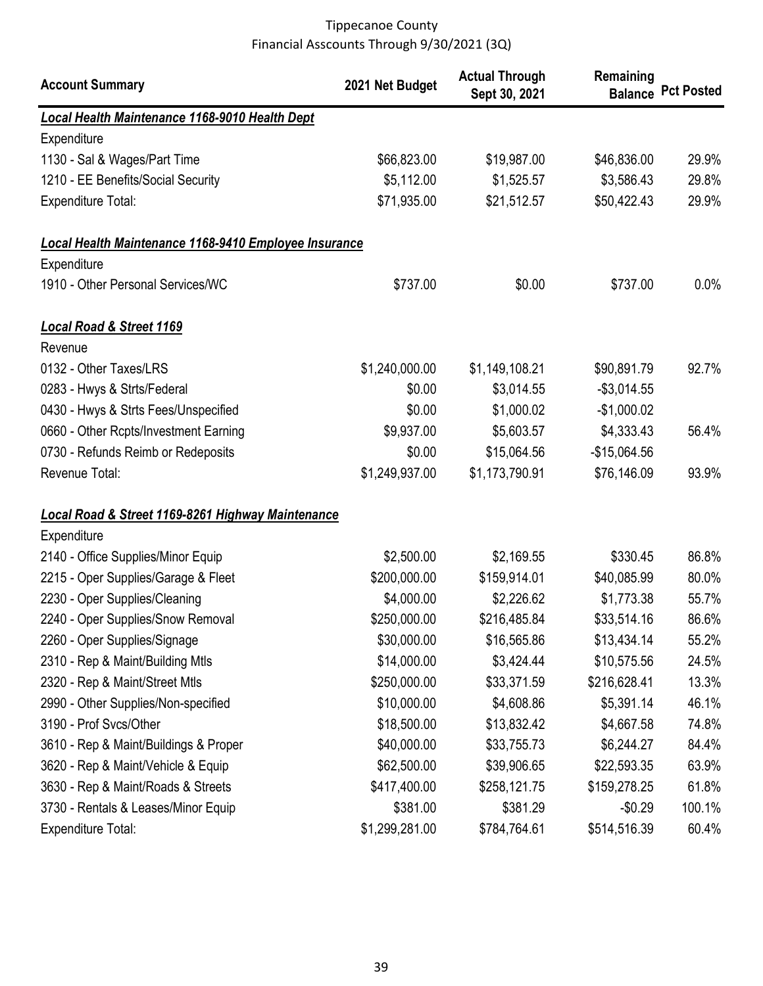| <b>Account Summary</b>                                       | 2021 Net Budget | <b>Actual Through</b><br>Sept 30, 2021 | Remaining     | <b>Balance Pct Posted</b> |
|--------------------------------------------------------------|-----------------|----------------------------------------|---------------|---------------------------|
| <b>Local Health Maintenance 1168-9010 Health Dept</b>        |                 |                                        |               |                           |
| Expenditure                                                  |                 |                                        |               |                           |
| 1130 - Sal & Wages/Part Time                                 | \$66,823.00     | \$19,987.00                            | \$46,836.00   | 29.9%                     |
| 1210 - EE Benefits/Social Security                           | \$5,112.00      | \$1,525.57                             | \$3,586.43    | 29.8%                     |
| <b>Expenditure Total:</b>                                    | \$71,935.00     | \$21,512.57                            | \$50,422.43   | 29.9%                     |
| Local Health Maintenance 1168-9410 Employee Insurance        |                 |                                        |               |                           |
| Expenditure                                                  |                 |                                        |               |                           |
| 1910 - Other Personal Services/WC                            | \$737.00        | \$0.00                                 | \$737.00      | 0.0%                      |
| <b>Local Road &amp; Street 1169</b>                          |                 |                                        |               |                           |
| Revenue                                                      |                 |                                        |               |                           |
| 0132 - Other Taxes/LRS                                       | \$1,240,000.00  | \$1,149,108.21                         | \$90,891.79   | 92.7%                     |
| 0283 - Hwys & Strts/Federal                                  | \$0.00          | \$3,014.55                             | $-$3,014.55$  |                           |
| 0430 - Hwys & Strts Fees/Unspecified                         | \$0.00          | \$1,000.02                             | $-$1,000.02$  |                           |
| 0660 - Other Rcpts/Investment Earning                        | \$9,937.00      | \$5,603.57                             | \$4,333.43    | 56.4%                     |
| 0730 - Refunds Reimb or Redeposits                           | \$0.00          | \$15,064.56                            | $-$15,064.56$ |                           |
| Revenue Total:                                               | \$1,249,937.00  | \$1,173,790.91                         | \$76,146.09   | 93.9%                     |
| <b>Local Road &amp; Street 1169-8261 Highway Maintenance</b> |                 |                                        |               |                           |
| Expenditure                                                  |                 |                                        |               |                           |
| 2140 - Office Supplies/Minor Equip                           | \$2,500.00      | \$2,169.55                             | \$330.45      | 86.8%                     |
| 2215 - Oper Supplies/Garage & Fleet                          | \$200,000.00    | \$159,914.01                           | \$40,085.99   | 80.0%                     |
| 2230 - Oper Supplies/Cleaning                                | \$4,000.00      | \$2,226.62                             | \$1,773.38    | 55.7%                     |
| 2240 - Oper Supplies/Snow Removal                            | \$250,000.00    | \$216,485.84                           | \$33,514.16   | 86.6%                     |
| 2260 - Oper Supplies/Signage                                 | \$30,000.00     | \$16,565.86                            | \$13,434.14   | 55.2%                     |
| 2310 - Rep & Maint/Building Mtls                             | \$14,000.00     | \$3,424.44                             | \$10,575.56   | 24.5%                     |
| 2320 - Rep & Maint/Street Mtls                               | \$250,000.00    | \$33,371.59                            | \$216,628.41  | 13.3%                     |
| 2990 - Other Supplies/Non-specified                          | \$10,000.00     | \$4,608.86                             | \$5,391.14    | 46.1%                     |
| 3190 - Prof Svcs/Other                                       | \$18,500.00     | \$13,832.42                            | \$4,667.58    | 74.8%                     |
| 3610 - Rep & Maint/Buildings & Proper                        | \$40,000.00     | \$33,755.73                            | \$6,244.27    | 84.4%                     |
| 3620 - Rep & Maint/Vehicle & Equip                           | \$62,500.00     | \$39,906.65                            | \$22,593.35   | 63.9%                     |
| 3630 - Rep & Maint/Roads & Streets                           | \$417,400.00    | \$258,121.75                           | \$159,278.25  | 61.8%                     |
| 3730 - Rentals & Leases/Minor Equip                          | \$381.00        | \$381.29                               | $-$0.29$      | 100.1%                    |
| <b>Expenditure Total:</b>                                    | \$1,299,281.00  | \$784,764.61                           | \$514,516.39  | 60.4%                     |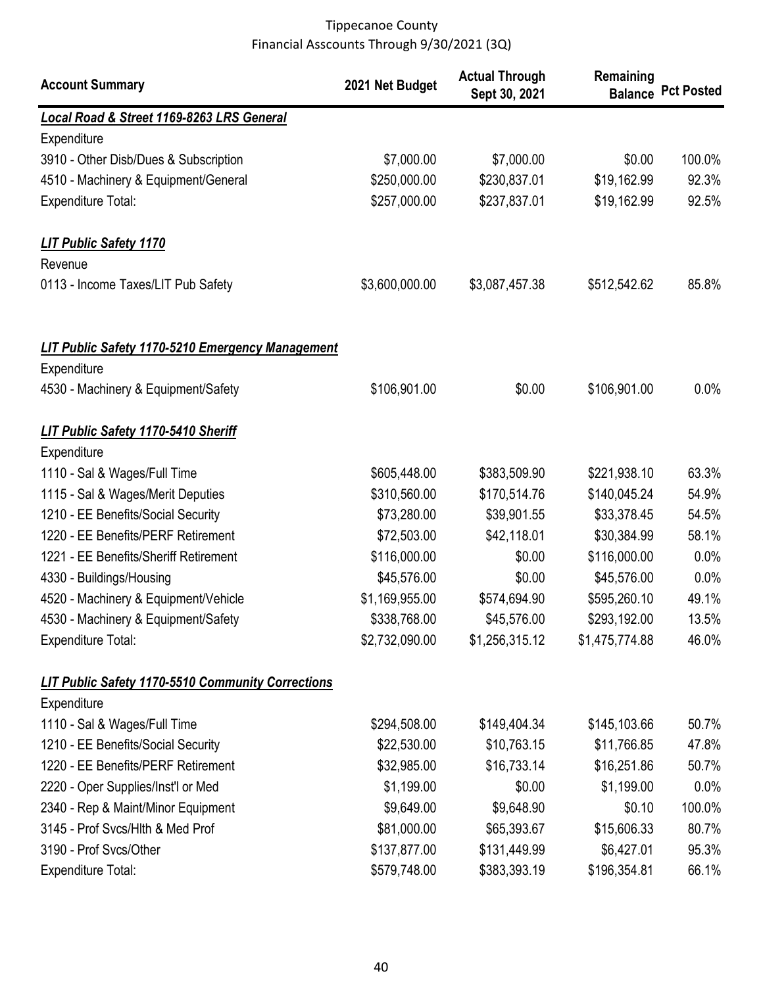| <b>Account Summary</b>                                   | 2021 Net Budget | <b>Actual Through</b><br>Sept 30, 2021 | Remaining      | <b>Balance Pct Posted</b> |
|----------------------------------------------------------|-----------------|----------------------------------------|----------------|---------------------------|
| Local Road & Street 1169-8263 LRS General                |                 |                                        |                |                           |
| Expenditure                                              |                 |                                        |                |                           |
| 3910 - Other Disb/Dues & Subscription                    | \$7,000.00      | \$7,000.00                             | \$0.00         | 100.0%                    |
| 4510 - Machinery & Equipment/General                     | \$250,000.00    | \$230,837.01                           | \$19,162.99    | 92.3%                     |
| <b>Expenditure Total:</b>                                | \$257,000.00    | \$237,837.01                           | \$19,162.99    | 92.5%                     |
| <b>LIT Public Safety 1170</b>                            |                 |                                        |                |                           |
| Revenue                                                  |                 |                                        |                |                           |
| 0113 - Income Taxes/LIT Pub Safety                       | \$3,600,000.00  | \$3,087,457.38                         | \$512,542.62   | 85.8%                     |
| <b>LIT Public Safety 1170-5210 Emergency Management</b>  |                 |                                        |                |                           |
| Expenditure                                              |                 |                                        |                |                           |
| 4530 - Machinery & Equipment/Safety                      | \$106,901.00    | \$0.00                                 | \$106,901.00   | $0.0\%$                   |
| <b>LIT Public Safety 1170-5410 Sheriff</b>               |                 |                                        |                |                           |
| Expenditure                                              |                 |                                        |                |                           |
| 1110 - Sal & Wages/Full Time                             | \$605,448.00    | \$383,509.90                           | \$221,938.10   | 63.3%                     |
| 1115 - Sal & Wages/Merit Deputies                        | \$310,560.00    | \$170,514.76                           | \$140,045.24   | 54.9%                     |
| 1210 - EE Benefits/Social Security                       | \$73,280.00     | \$39,901.55                            | \$33,378.45    | 54.5%                     |
| 1220 - EE Benefits/PERF Retirement                       | \$72,503.00     | \$42,118.01                            | \$30,384.99    | 58.1%                     |
| 1221 - EE Benefits/Sheriff Retirement                    | \$116,000.00    | \$0.00                                 | \$116,000.00   | 0.0%                      |
| 4330 - Buildings/Housing                                 | \$45,576.00     | \$0.00                                 | \$45,576.00    | 0.0%                      |
| 4520 - Machinery & Equipment/Vehicle                     | \$1,169,955.00  | \$574,694.90                           | \$595,260.10   | 49.1%                     |
| 4530 - Machinery & Equipment/Safety                      | \$338,768.00    | \$45,576.00                            | \$293,192.00   | 13.5%                     |
| <b>Expenditure Total:</b>                                | \$2,732,090.00  | \$1,256,315.12                         | \$1,475,774.88 | 46.0%                     |
| <b>LIT Public Safety 1170-5510 Community Corrections</b> |                 |                                        |                |                           |
| Expenditure                                              |                 |                                        |                |                           |
| 1110 - Sal & Wages/Full Time                             | \$294,508.00    | \$149,404.34                           | \$145,103.66   | 50.7%                     |
| 1210 - EE Benefits/Social Security                       | \$22,530.00     | \$10,763.15                            | \$11,766.85    | 47.8%                     |
| 1220 - EE Benefits/PERF Retirement                       | \$32,985.00     | \$16,733.14                            | \$16,251.86    | 50.7%                     |
| 2220 - Oper Supplies/Inst'l or Med                       | \$1,199.00      | \$0.00                                 | \$1,199.00     | $0.0\%$                   |
| 2340 - Rep & Maint/Minor Equipment                       | \$9,649.00      | \$9,648.90                             | \$0.10         | 100.0%                    |
| 3145 - Prof Svcs/Hlth & Med Prof                         | \$81,000.00     | \$65,393.67                            | \$15,606.33    | 80.7%                     |
| 3190 - Prof Svcs/Other                                   | \$137,877.00    | \$131,449.99                           | \$6,427.01     | 95.3%                     |
| <b>Expenditure Total:</b>                                | \$579,748.00    | \$383,393.19                           | \$196,354.81   | 66.1%                     |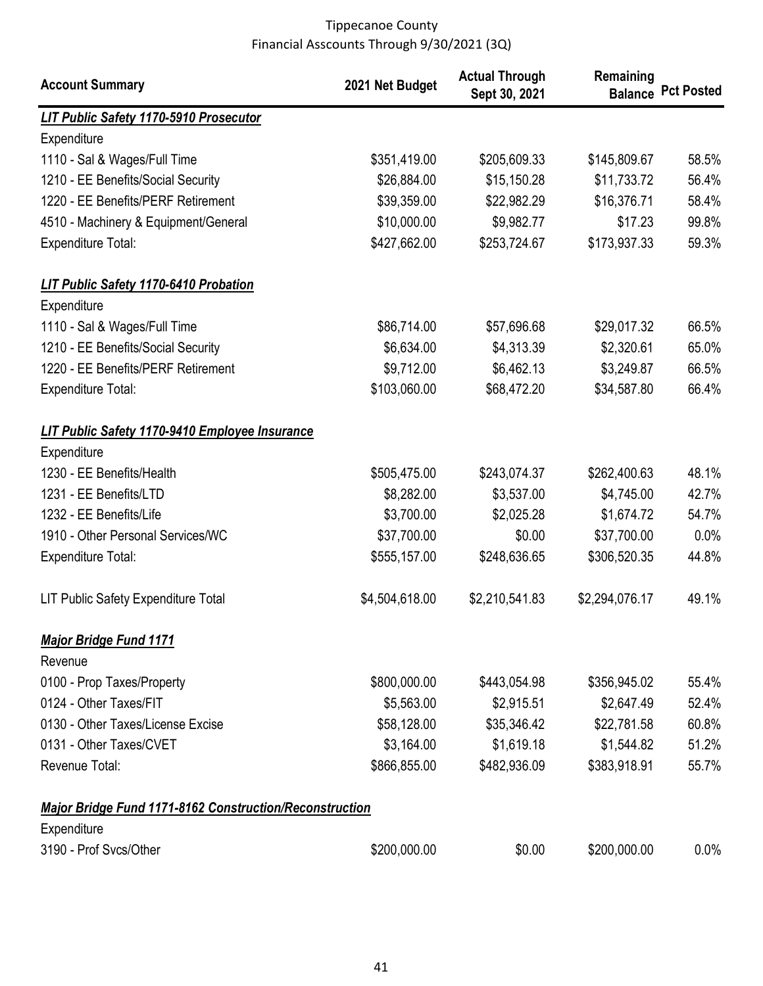| <b>Account Summary</b>                                         | 2021 Net Budget | <b>Actual Through</b><br>Sept 30, 2021 | Remaining      | <b>Balance Pct Posted</b> |
|----------------------------------------------------------------|-----------------|----------------------------------------|----------------|---------------------------|
| <b>LIT Public Safety 1170-5910 Prosecutor</b>                  |                 |                                        |                |                           |
| Expenditure                                                    |                 |                                        |                |                           |
| 1110 - Sal & Wages/Full Time                                   | \$351,419.00    | \$205,609.33                           | \$145,809.67   | 58.5%                     |
| 1210 - EE Benefits/Social Security                             | \$26,884.00     | \$15,150.28                            | \$11,733.72    | 56.4%                     |
| 1220 - EE Benefits/PERF Retirement                             | \$39,359.00     | \$22,982.29                            | \$16,376.71    | 58.4%                     |
| 4510 - Machinery & Equipment/General                           | \$10,000.00     | \$9,982.77                             | \$17.23        | 99.8%                     |
| <b>Expenditure Total:</b>                                      | \$427,662.00    | \$253,724.67                           | \$173,937.33   | 59.3%                     |
| <b>LIT Public Safety 1170-6410 Probation</b>                   |                 |                                        |                |                           |
| Expenditure                                                    |                 |                                        |                |                           |
| 1110 - Sal & Wages/Full Time                                   | \$86,714.00     | \$57,696.68                            | \$29,017.32    | 66.5%                     |
| 1210 - EE Benefits/Social Security                             | \$6,634.00      | \$4,313.39                             | \$2,320.61     | 65.0%                     |
| 1220 - EE Benefits/PERF Retirement                             | \$9,712.00      | \$6,462.13                             | \$3,249.87     | 66.5%                     |
| Expenditure Total:                                             | \$103,060.00    | \$68,472.20                            | \$34,587.80    | 66.4%                     |
| <b>LIT Public Safety 1170-9410 Employee Insurance</b>          |                 |                                        |                |                           |
| Expenditure                                                    |                 |                                        |                |                           |
| 1230 - EE Benefits/Health                                      | \$505,475.00    | \$243,074.37                           | \$262,400.63   | 48.1%                     |
| 1231 - EE Benefits/LTD                                         | \$8,282.00      | \$3,537.00                             | \$4,745.00     | 42.7%                     |
| 1232 - EE Benefits/Life                                        | \$3,700.00      | \$2,025.28                             | \$1,674.72     | 54.7%                     |
| 1910 - Other Personal Services/WC                              | \$37,700.00     | \$0.00                                 | \$37,700.00    | 0.0%                      |
| <b>Expenditure Total:</b>                                      | \$555,157.00    | \$248,636.65                           | \$306,520.35   | 44.8%                     |
| LIT Public Safety Expenditure Total                            | \$4,504,618.00  | \$2,210,541.83                         | \$2,294,076.17 | 49.1%                     |
| <b>Major Bridge Fund 1171</b>                                  |                 |                                        |                |                           |
| Revenue                                                        |                 |                                        |                |                           |
| 0100 - Prop Taxes/Property                                     | \$800,000.00    | \$443,054.98                           | \$356,945.02   | 55.4%                     |
| 0124 - Other Taxes/FIT                                         | \$5,563.00      | \$2,915.51                             | \$2,647.49     | 52.4%                     |
| 0130 - Other Taxes/License Excise                              | \$58,128.00     | \$35,346.42                            | \$22,781.58    | 60.8%                     |
| 0131 - Other Taxes/CVET                                        | \$3,164.00      | \$1,619.18                             | \$1,544.82     | 51.2%                     |
| Revenue Total:                                                 | \$866,855.00    | \$482,936.09                           | \$383,918.91   | 55.7%                     |
| <b>Major Bridge Fund 1171-8162 Construction/Reconstruction</b> |                 |                                        |                |                           |
| Expenditure                                                    |                 |                                        |                |                           |
| 3190 - Prof Svcs/Other                                         | \$200,000.00    | \$0.00                                 | \$200,000.00   | 0.0%                      |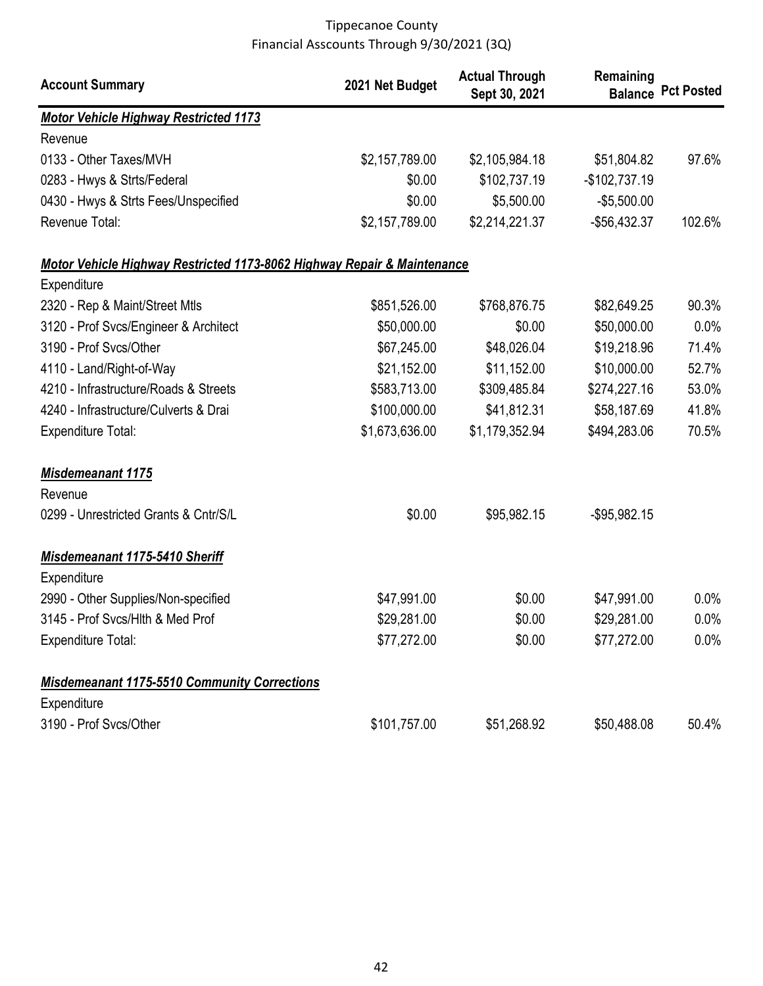| <b>Account Summary</b>                                                  | 2021 Net Budget | <b>Actual Through</b><br>Sept 30, 2021 | Remaining       | <b>Balance Pct Posted</b> |
|-------------------------------------------------------------------------|-----------------|----------------------------------------|-----------------|---------------------------|
| <b>Motor Vehicle Highway Restricted 1173</b>                            |                 |                                        |                 |                           |
| Revenue                                                                 |                 |                                        |                 |                           |
| 0133 - Other Taxes/MVH                                                  | \$2,157,789.00  | \$2,105,984.18                         | \$51,804.82     | 97.6%                     |
| 0283 - Hwys & Strts/Federal                                             | \$0.00          | \$102,737.19                           | $-$102,737.19$  |                           |
| 0430 - Hwys & Strts Fees/Unspecified                                    | \$0.00          | \$5,500.00                             | $-$5,500.00$    |                           |
| Revenue Total:                                                          | \$2,157,789.00  | \$2,214,221.37                         | -\$56,432.37    | 102.6%                    |
| Motor Vehicle Highway Restricted 1173-8062 Highway Repair & Maintenance |                 |                                        |                 |                           |
| Expenditure                                                             |                 |                                        |                 |                           |
| 2320 - Rep & Maint/Street Mtls                                          | \$851,526.00    | \$768,876.75                           | \$82,649.25     | 90.3%                     |
| 3120 - Prof Svcs/Engineer & Architect                                   | \$50,000.00     | \$0.00                                 | \$50,000.00     | 0.0%                      |
| 3190 - Prof Svcs/Other                                                  | \$67,245.00     | \$48,026.04                            | \$19,218.96     | 71.4%                     |
| 4110 - Land/Right-of-Way                                                | \$21,152.00     | \$11,152.00                            | \$10,000.00     | 52.7%                     |
| 4210 - Infrastructure/Roads & Streets                                   | \$583,713.00    | \$309,485.84                           | \$274,227.16    | 53.0%                     |
| 4240 - Infrastructure/Culverts & Drai                                   | \$100,000.00    | \$41,812.31                            | \$58,187.69     | 41.8%                     |
| <b>Expenditure Total:</b>                                               | \$1,673,636.00  | \$1,179,352.94                         | \$494,283.06    | 70.5%                     |
| <b>Misdemeanant 1175</b>                                                |                 |                                        |                 |                           |
| Revenue                                                                 |                 |                                        |                 |                           |
| 0299 - Unrestricted Grants & Cntr/S/L                                   | \$0.00          | \$95,982.15                            | $-$ \$95,982.15 |                           |
| <b>Misdemeanant 1175-5410 Sheriff</b>                                   |                 |                                        |                 |                           |
| Expenditure                                                             |                 |                                        |                 |                           |
| 2990 - Other Supplies/Non-specified                                     | \$47,991.00     | \$0.00                                 | \$47,991.00     | $0.0\%$                   |
| 3145 - Prof Svcs/Hlth & Med Prof                                        | \$29,281.00     | \$0.00                                 | \$29,281.00     | $0.0\%$                   |
| <b>Expenditure Total:</b>                                               | \$77,272.00     | \$0.00                                 | \$77,272.00     | $0.0\%$                   |
| <b>Misdemeanant 1175-5510 Community Corrections</b>                     |                 |                                        |                 |                           |
| Expenditure                                                             |                 |                                        |                 |                           |
| 3190 - Prof Svcs/Other                                                  | \$101,757.00    | \$51,268.92                            | \$50,488.08     | 50.4%                     |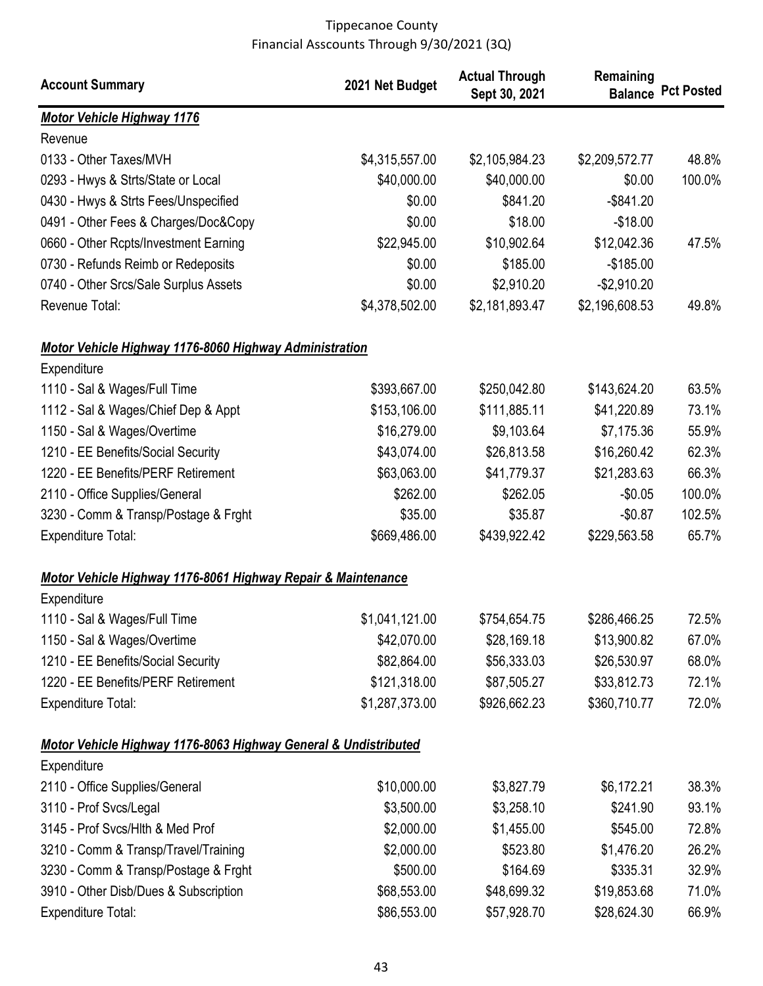| <b>Account Summary</b>                                          | 2021 Net Budget | <b>Actual Through</b><br>Sept 30, 2021 | Remaining      | <b>Balance Pct Posted</b> |
|-----------------------------------------------------------------|-----------------|----------------------------------------|----------------|---------------------------|
| <b>Motor Vehicle Highway 1176</b>                               |                 |                                        |                |                           |
| Revenue                                                         |                 |                                        |                |                           |
| 0133 - Other Taxes/MVH                                          | \$4,315,557.00  | \$2,105,984.23                         | \$2,209,572.77 | 48.8%                     |
| 0293 - Hwys & Strts/State or Local                              | \$40,000.00     | \$40,000.00                            | \$0.00         | 100.0%                    |
| 0430 - Hwys & Strts Fees/Unspecified                            | \$0.00          | \$841.20                               | $-$ \$841.20   |                           |
| 0491 - Other Fees & Charges/Doc&Copy                            | \$0.00          | \$18.00                                | $-$18.00$      |                           |
| 0660 - Other Rcpts/Investment Earning                           | \$22,945.00     | \$10,902.64                            | \$12,042.36    | 47.5%                     |
| 0730 - Refunds Reimb or Redeposits                              | \$0.00          | \$185.00                               | $-$185.00$     |                           |
| 0740 - Other Srcs/Sale Surplus Assets                           | \$0.00          | \$2,910.20                             | $-$2,910.20$   |                           |
| Revenue Total:                                                  | \$4,378,502.00  | \$2,181,893.47                         | \$2,196,608.53 | 49.8%                     |
| <b>Motor Vehicle Highway 1176-8060 Highway Administration</b>   |                 |                                        |                |                           |
| Expenditure                                                     |                 |                                        |                |                           |
| 1110 - Sal & Wages/Full Time                                    | \$393,667.00    | \$250,042.80                           | \$143,624.20   | 63.5%                     |
| 1112 - Sal & Wages/Chief Dep & Appt                             | \$153,106.00    | \$111,885.11                           | \$41,220.89    | 73.1%                     |
| 1150 - Sal & Wages/Overtime                                     | \$16,279.00     | \$9,103.64                             | \$7,175.36     | 55.9%                     |
| 1210 - EE Benefits/Social Security                              | \$43,074.00     | \$26,813.58                            | \$16,260.42    | 62.3%                     |
| 1220 - EE Benefits/PERF Retirement                              | \$63,063.00     | \$41,779.37                            | \$21,283.63    | 66.3%                     |
| 2110 - Office Supplies/General                                  | \$262.00        | \$262.05                               | $-$0.05$       | 100.0%                    |
| 3230 - Comm & Transp/Postage & Frght                            | \$35.00         | \$35.87                                | $-$0.87$       | 102.5%                    |
| <b>Expenditure Total:</b>                                       | \$669,486.00    | \$439,922.42                           | \$229,563.58   | 65.7%                     |
| Motor Vehicle Highway 1176-8061 Highway Repair & Maintenance    |                 |                                        |                |                           |
| Expenditure                                                     |                 |                                        |                |                           |
| 1110 - Sal & Wages/Full Time                                    | \$1,041,121.00  | \$754,654.75                           | \$286,466.25   | 72.5%                     |
| 1150 - Sal & Wages/Overtime                                     | \$42,070.00     | \$28,169.18                            | \$13,900.82    | 67.0%                     |
| 1210 - EE Benefits/Social Security                              | \$82,864.00     | \$56,333.03                            | \$26,530.97    | 68.0%                     |
| 1220 - EE Benefits/PERF Retirement                              | \$121,318.00    | \$87,505.27                            | \$33,812.73    | 72.1%                     |
| <b>Expenditure Total:</b>                                       | \$1,287,373.00  | \$926,662.23                           | \$360,710.77   | 72.0%                     |
| Motor Vehicle Highway 1176-8063 Highway General & Undistributed |                 |                                        |                |                           |
| Expenditure                                                     |                 |                                        |                |                           |
| 2110 - Office Supplies/General                                  | \$10,000.00     | \$3,827.79                             | \$6,172.21     | 38.3%                     |
| 3110 - Prof Svcs/Legal                                          | \$3,500.00      | \$3,258.10                             | \$241.90       | 93.1%                     |
| 3145 - Prof Svcs/Hlth & Med Prof                                | \$2,000.00      | \$1,455.00                             | \$545.00       | 72.8%                     |
| 3210 - Comm & Transp/Travel/Training                            | \$2,000.00      | \$523.80                               | \$1,476.20     | 26.2%                     |
| 3230 - Comm & Transp/Postage & Frght                            | \$500.00        | \$164.69                               | \$335.31       | 32.9%                     |
| 3910 - Other Disb/Dues & Subscription                           | \$68,553.00     | \$48,699.32                            | \$19,853.68    | 71.0%                     |
| <b>Expenditure Total:</b>                                       | \$86,553.00     | \$57,928.70                            | \$28,624.30    | 66.9%                     |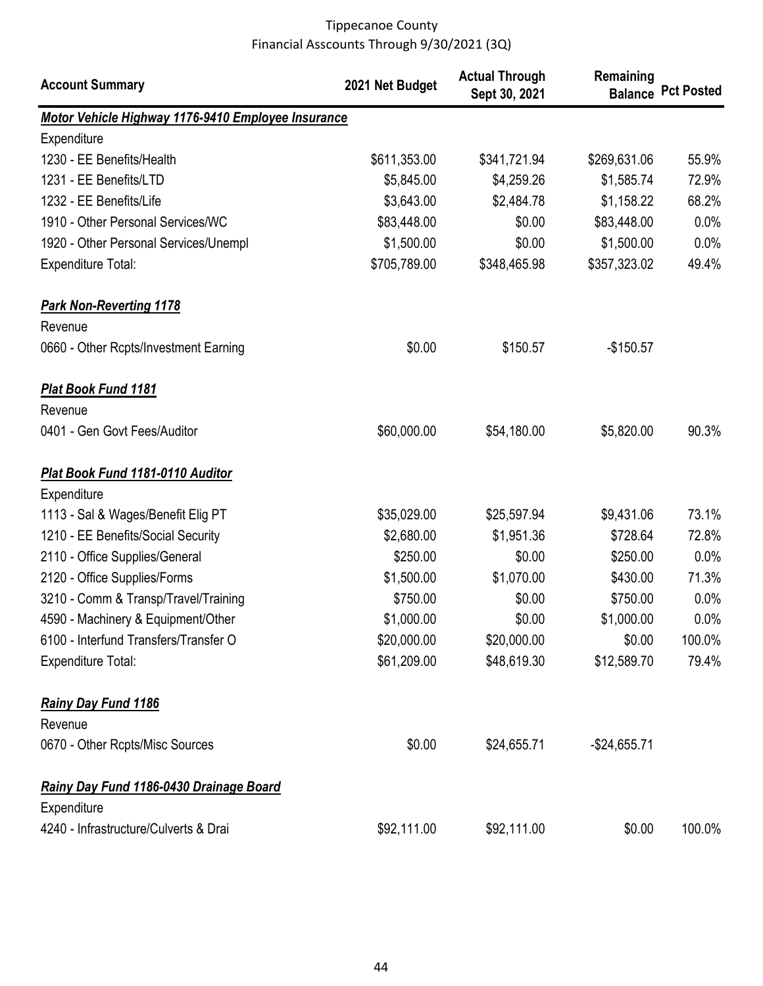| <b>Account Summary</b>                             | 2021 Net Budget | <b>Actual Through</b><br>Sept 30, 2021 | Remaining     | <b>Balance Pct Posted</b> |
|----------------------------------------------------|-----------------|----------------------------------------|---------------|---------------------------|
| Motor Vehicle Highway 1176-9410 Employee Insurance |                 |                                        |               |                           |
| Expenditure                                        |                 |                                        |               |                           |
| 1230 - EE Benefits/Health                          | \$611,353.00    | \$341,721.94                           | \$269,631.06  | 55.9%                     |
| 1231 - EE Benefits/LTD                             | \$5,845.00      | \$4,259.26                             | \$1,585.74    | 72.9%                     |
| 1232 - EE Benefits/Life                            | \$3,643.00      | \$2,484.78                             | \$1,158.22    | 68.2%                     |
| 1910 - Other Personal Services/WC                  | \$83,448.00     | \$0.00                                 | \$83,448.00   | 0.0%                      |
| 1920 - Other Personal Services/Unempl              | \$1,500.00      | \$0.00                                 | \$1,500.00    | 0.0%                      |
| <b>Expenditure Total:</b>                          | \$705,789.00    | \$348,465.98                           | \$357,323.02  | 49.4%                     |
| <b>Park Non-Reverting 1178</b><br>Revenue          |                 |                                        |               |                           |
| 0660 - Other Rcpts/Investment Earning              | \$0.00          | \$150.57                               | $-$150.57$    |                           |
| <b>Plat Book Fund 1181</b>                         |                 |                                        |               |                           |
| Revenue                                            |                 |                                        |               |                           |
| 0401 - Gen Govt Fees/Auditor                       | \$60,000.00     | \$54,180.00                            | \$5,820.00    | 90.3%                     |
| Plat Book Fund 1181-0110 Auditor                   |                 |                                        |               |                           |
| Expenditure                                        |                 |                                        |               |                           |
| 1113 - Sal & Wages/Benefit Elig PT                 | \$35,029.00     | \$25,597.94                            | \$9,431.06    | 73.1%                     |
| 1210 - EE Benefits/Social Security                 | \$2,680.00      | \$1,951.36                             | \$728.64      | 72.8%                     |
| 2110 - Office Supplies/General                     | \$250.00        | \$0.00                                 | \$250.00      | 0.0%                      |
| 2120 - Office Supplies/Forms                       | \$1,500.00      | \$1,070.00                             | \$430.00      | 71.3%                     |
| 3210 - Comm & Transp/Travel/Training               | \$750.00        | \$0.00                                 | \$750.00      | 0.0%                      |
| 4590 - Machinery & Equipment/Other                 | \$1,000.00      | \$0.00                                 | \$1,000.00    | 0.0%                      |
| 6100 - Interfund Transfers/Transfer O              | \$20,000.00     | \$20,000.00                            | \$0.00        | 100.0%                    |
| <b>Expenditure Total:</b>                          | \$61,209.00     | \$48,619.30                            | \$12,589.70   | 79.4%                     |
| <b>Rainy Day Fund 1186</b>                         |                 |                                        |               |                           |
| Revenue                                            |                 |                                        |               |                           |
| 0670 - Other Rcpts/Misc Sources                    | \$0.00          | \$24,655.71                            | $-$24,655.71$ |                           |
| Rainy Day Fund 1186-0430 Drainage Board            |                 |                                        |               |                           |
| Expenditure                                        |                 |                                        |               |                           |
| 4240 - Infrastructure/Culverts & Drai              | \$92,111.00     | \$92,111.00                            | \$0.00        | 100.0%                    |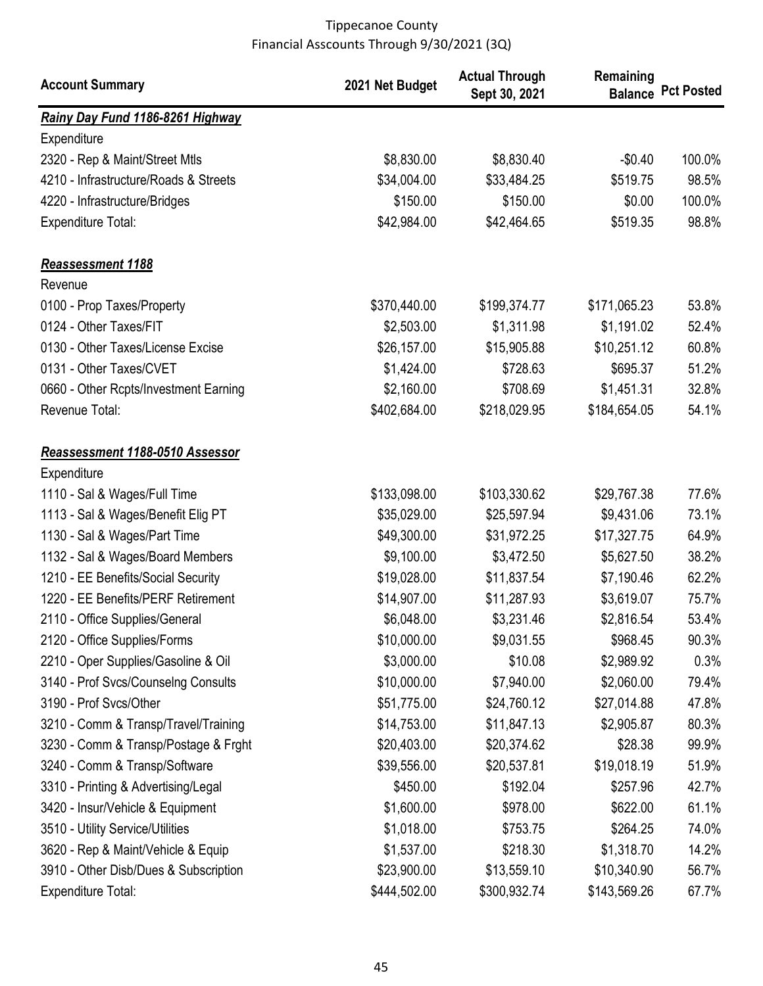| <b>Account Summary</b>                | 2021 Net Budget | <b>Actual Through</b><br>Sept 30, 2021 | Remaining    | <b>Balance Pct Posted</b> |
|---------------------------------------|-----------------|----------------------------------------|--------------|---------------------------|
| Rainy Day Fund 1186-8261 Highway      |                 |                                        |              |                           |
| Expenditure                           |                 |                                        |              |                           |
| 2320 - Rep & Maint/Street Mtls        | \$8,830.00      | \$8,830.40                             | $-$0.40$     | 100.0%                    |
| 4210 - Infrastructure/Roads & Streets | \$34,004.00     | \$33,484.25                            | \$519.75     | 98.5%                     |
| 4220 - Infrastructure/Bridges         | \$150.00        | \$150.00                               | \$0.00       | 100.0%                    |
| <b>Expenditure Total:</b>             | \$42,984.00     | \$42,464.65                            | \$519.35     | 98.8%                     |
| <b>Reassessment 1188</b>              |                 |                                        |              |                           |
| Revenue                               |                 |                                        |              |                           |
| 0100 - Prop Taxes/Property            | \$370,440.00    | \$199,374.77                           | \$171,065.23 | 53.8%                     |
| 0124 - Other Taxes/FIT                | \$2,503.00      | \$1,311.98                             | \$1,191.02   | 52.4%                     |
| 0130 - Other Taxes/License Excise     | \$26,157.00     | \$15,905.88                            | \$10,251.12  | 60.8%                     |
| 0131 - Other Taxes/CVET               | \$1,424.00      | \$728.63                               | \$695.37     | 51.2%                     |
| 0660 - Other Rcpts/Investment Earning | \$2,160.00      | \$708.69                               | \$1,451.31   | 32.8%                     |
| Revenue Total:                        | \$402,684.00    | \$218,029.95                           | \$184,654.05 | 54.1%                     |
| Reassessment 1188-0510 Assessor       |                 |                                        |              |                           |
| Expenditure                           |                 |                                        |              |                           |
| 1110 - Sal & Wages/Full Time          | \$133,098.00    | \$103,330.62                           | \$29,767.38  | 77.6%                     |
| 1113 - Sal & Wages/Benefit Elig PT    | \$35,029.00     | \$25,597.94                            | \$9,431.06   | 73.1%                     |
| 1130 - Sal & Wages/Part Time          | \$49,300.00     | \$31,972.25                            | \$17,327.75  | 64.9%                     |
| 1132 - Sal & Wages/Board Members      | \$9,100.00      | \$3,472.50                             | \$5,627.50   | 38.2%                     |
| 1210 - EE Benefits/Social Security    | \$19,028.00     | \$11,837.54                            | \$7,190.46   | 62.2%                     |
| 1220 - EE Benefits/PERF Retirement    | \$14,907.00     | \$11,287.93                            | \$3,619.07   | 75.7%                     |
| 2110 - Office Supplies/General        | \$6,048.00      | \$3,231.46                             | \$2,816.54   | 53.4%                     |
| 2120 - Office Supplies/Forms          | \$10,000.00     | \$9,031.55                             | \$968.45     | 90.3%                     |
| 2210 - Oper Supplies/Gasoline & Oil   | \$3,000.00      | \$10.08                                | \$2,989.92   | 0.3%                      |
| 3140 - Prof Svcs/Counselng Consults   | \$10,000.00     | \$7,940.00                             | \$2,060.00   | 79.4%                     |
| 3190 - Prof Svcs/Other                | \$51,775.00     | \$24,760.12                            | \$27,014.88  | 47.8%                     |
| 3210 - Comm & Transp/Travel/Training  | \$14,753.00     | \$11,847.13                            | \$2,905.87   | 80.3%                     |
| 3230 - Comm & Transp/Postage & Frght  | \$20,403.00     | \$20,374.62                            | \$28.38      | 99.9%                     |
| 3240 - Comm & Transp/Software         | \$39,556.00     | \$20,537.81                            | \$19,018.19  | 51.9%                     |
| 3310 - Printing & Advertising/Legal   | \$450.00        | \$192.04                               | \$257.96     | 42.7%                     |
| 3420 - Insur/Vehicle & Equipment      | \$1,600.00      | \$978.00                               | \$622.00     | 61.1%                     |
| 3510 - Utility Service/Utilities      | \$1,018.00      | \$753.75                               | \$264.25     | 74.0%                     |
| 3620 - Rep & Maint/Vehicle & Equip    | \$1,537.00      | \$218.30                               | \$1,318.70   | 14.2%                     |
| 3910 - Other Disb/Dues & Subscription | \$23,900.00     | \$13,559.10                            | \$10,340.90  | 56.7%                     |
| <b>Expenditure Total:</b>             | \$444,502.00    | \$300,932.74                           | \$143,569.26 | 67.7%                     |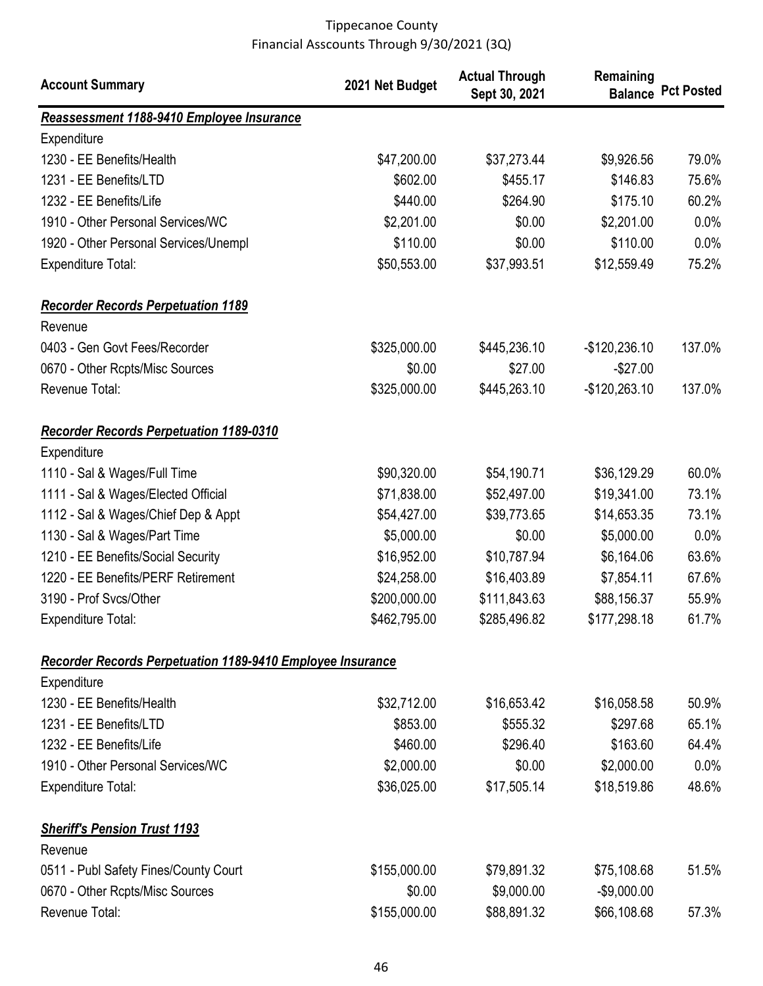| <b>Account Summary</b>                                            | 2021 Net Budget | <b>Actual Through</b><br>Sept 30, 2021 | Remaining      | <b>Balance Pct Posted</b> |
|-------------------------------------------------------------------|-----------------|----------------------------------------|----------------|---------------------------|
| Reassessment 1188-9410 Employee Insurance                         |                 |                                        |                |                           |
| Expenditure                                                       |                 |                                        |                |                           |
| 1230 - EE Benefits/Health                                         | \$47,200.00     | \$37,273.44                            | \$9,926.56     | 79.0%                     |
| 1231 - EE Benefits/LTD                                            | \$602.00        | \$455.17                               | \$146.83       | 75.6%                     |
| 1232 - EE Benefits/Life                                           | \$440.00        | \$264.90                               | \$175.10       | 60.2%                     |
| 1910 - Other Personal Services/WC                                 | \$2,201.00      | \$0.00                                 | \$2,201.00     | 0.0%                      |
| 1920 - Other Personal Services/Unempl                             | \$110.00        | \$0.00                                 | \$110.00       | 0.0%                      |
| <b>Expenditure Total:</b>                                         | \$50,553.00     | \$37,993.51                            | \$12,559.49    | 75.2%                     |
| <b>Recorder Records Perpetuation 1189</b>                         |                 |                                        |                |                           |
| Revenue                                                           |                 |                                        |                |                           |
| 0403 - Gen Govt Fees/Recorder                                     | \$325,000.00    | \$445,236.10                           | $-$120,236.10$ | 137.0%                    |
| 0670 - Other Rcpts/Misc Sources                                   | \$0.00          | \$27.00                                | $-$27.00$      |                           |
| Revenue Total:                                                    | \$325,000.00    | \$445,263.10                           | $-$120,263.10$ | 137.0%                    |
| <b>Recorder Records Perpetuation 1189-0310</b>                    |                 |                                        |                |                           |
| Expenditure                                                       |                 |                                        |                |                           |
| 1110 - Sal & Wages/Full Time                                      | \$90,320.00     | \$54,190.71                            | \$36,129.29    | 60.0%                     |
| 1111 - Sal & Wages/Elected Official                               | \$71,838.00     | \$52,497.00                            | \$19,341.00    | 73.1%                     |
| 1112 - Sal & Wages/Chief Dep & Appt                               | \$54,427.00     | \$39,773.65                            | \$14,653.35    | 73.1%                     |
| 1130 - Sal & Wages/Part Time                                      | \$5,000.00      | \$0.00                                 | \$5,000.00     | 0.0%                      |
| 1210 - EE Benefits/Social Security                                | \$16,952.00     | \$10,787.94                            | \$6,164.06     | 63.6%                     |
| 1220 - EE Benefits/PERF Retirement                                | \$24,258.00     | \$16,403.89                            | \$7,854.11     | 67.6%                     |
| 3190 - Prof Svcs/Other                                            | \$200,000.00    | \$111,843.63                           | \$88,156.37    | 55.9%                     |
| Expenditure Total:                                                | \$462,795.00    | \$285,496.82                           | \$177,298.18   | 61.7%                     |
| <b>Recorder Records Perpetuation 1189-9410 Employee Insurance</b> |                 |                                        |                |                           |
| Expenditure                                                       |                 |                                        |                |                           |
| 1230 - EE Benefits/Health                                         | \$32,712.00     | \$16,653.42                            | \$16,058.58    | 50.9%                     |
| 1231 - EE Benefits/LTD                                            | \$853.00        | \$555.32                               | \$297.68       | 65.1%                     |
| 1232 - EE Benefits/Life                                           | \$460.00        | \$296.40                               | \$163.60       | 64.4%                     |
| 1910 - Other Personal Services/WC                                 | \$2,000.00      | \$0.00                                 | \$2,000.00     | $0.0\%$                   |
| <b>Expenditure Total:</b>                                         | \$36,025.00     | \$17,505.14                            | \$18,519.86    | 48.6%                     |
| <b>Sheriff's Pension Trust 1193</b>                               |                 |                                        |                |                           |
| Revenue                                                           |                 |                                        |                |                           |
| 0511 - Publ Safety Fines/County Court                             | \$155,000.00    | \$79,891.32                            | \$75,108.68    | 51.5%                     |
| 0670 - Other Rcpts/Misc Sources                                   | \$0.00          | \$9,000.00                             | $-$9,000.00$   |                           |
| Revenue Total:                                                    | \$155,000.00    | \$88,891.32                            | \$66,108.68    | 57.3%                     |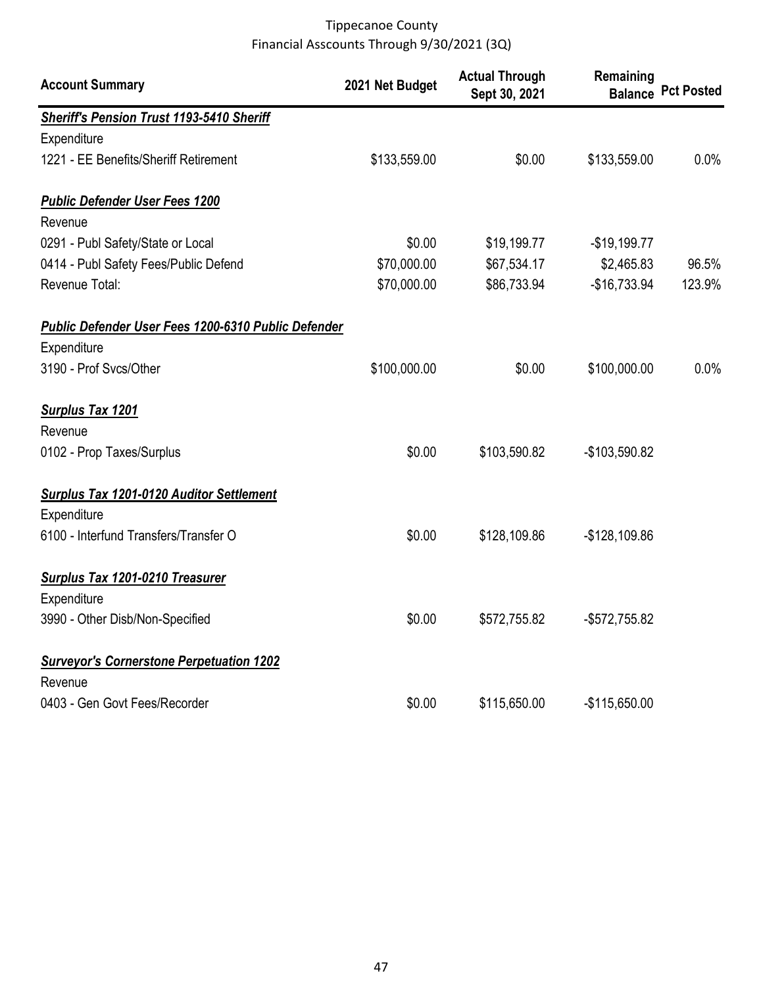| <b>Account Summary</b>                                     | 2021 Net Budget | <b>Actual Through</b><br>Sept 30, 2021 | Remaining      | <b>Balance Pct Posted</b> |
|------------------------------------------------------------|-----------------|----------------------------------------|----------------|---------------------------|
| <b>Sheriff's Pension Trust 1193-5410 Sheriff</b>           |                 |                                        |                |                           |
| Expenditure                                                |                 |                                        |                |                           |
| 1221 - EE Benefits/Sheriff Retirement                      | \$133,559.00    | \$0.00                                 | \$133,559.00   | $0.0\%$                   |
| <b>Public Defender User Fees 1200</b>                      |                 |                                        |                |                           |
| Revenue                                                    |                 |                                        |                |                           |
| 0291 - Publ Safety/State or Local                          | \$0.00          | \$19,199.77                            | $-$19,199.77$  |                           |
| 0414 - Publ Safety Fees/Public Defend                      | \$70,000.00     | \$67,534.17                            | \$2,465.83     | 96.5%                     |
| Revenue Total:                                             | \$70,000.00     | \$86,733.94                            | $-$16,733.94$  | 123.9%                    |
| <b>Public Defender User Fees 1200-6310 Public Defender</b> |                 |                                        |                |                           |
| Expenditure                                                |                 |                                        |                |                           |
| 3190 - Prof Svcs/Other                                     | \$100,000.00    | \$0.00                                 | \$100,000.00   | $0.0\%$                   |
| <b>Surplus Tax 1201</b>                                    |                 |                                        |                |                           |
| Revenue                                                    |                 |                                        |                |                           |
| 0102 - Prop Taxes/Surplus                                  | \$0.00          | \$103,590.82                           | -\$103,590.82  |                           |
| <b>Surplus Tax 1201-0120 Auditor Settlement</b>            |                 |                                        |                |                           |
| Expenditure                                                |                 |                                        |                |                           |
| 6100 - Interfund Transfers/Transfer O                      | \$0.00          | \$128,109.86                           | $-$128,109.86$ |                           |
| <b>Surplus Tax 1201-0210 Treasurer</b>                     |                 |                                        |                |                           |
| Expenditure                                                |                 |                                        |                |                           |
| 3990 - Other Disb/Non-Specified                            | \$0.00          | \$572,755.82                           | -\$572,755.82  |                           |
| <b>Surveyor's Cornerstone Perpetuation 1202</b>            |                 |                                        |                |                           |
| Revenue                                                    |                 |                                        |                |                           |
| 0403 - Gen Govt Fees/Recorder                              | \$0.00          | \$115,650.00                           | $-$115,650.00$ |                           |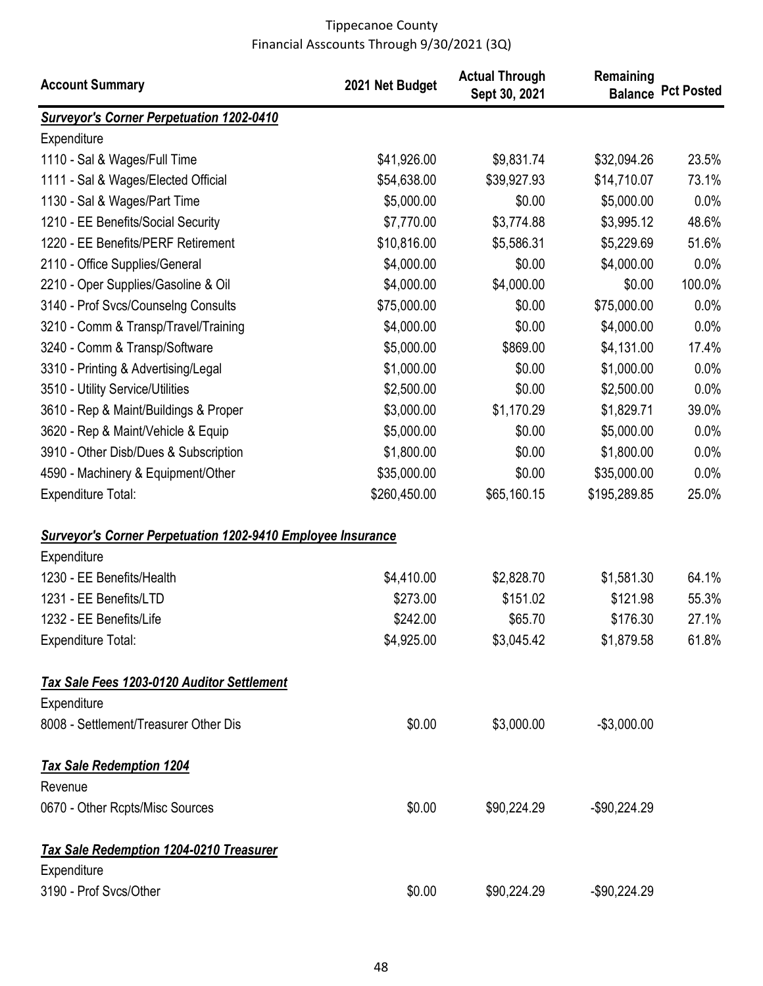| <b>Account Summary</b>                                             | 2021 Net Budget | <b>Actual Through</b><br>Sept 30, 2021 | Remaining     | <b>Balance Pct Posted</b> |
|--------------------------------------------------------------------|-----------------|----------------------------------------|---------------|---------------------------|
| <b>Surveyor's Corner Perpetuation 1202-0410</b>                    |                 |                                        |               |                           |
| Expenditure                                                        |                 |                                        |               |                           |
| 1110 - Sal & Wages/Full Time                                       | \$41,926.00     | \$9,831.74                             | \$32,094.26   | 23.5%                     |
| 1111 - Sal & Wages/Elected Official                                | \$54,638.00     | \$39,927.93                            | \$14,710.07   | 73.1%                     |
| 1130 - Sal & Wages/Part Time                                       | \$5,000.00      | \$0.00                                 | \$5,000.00    | 0.0%                      |
| 1210 - EE Benefits/Social Security                                 | \$7,770.00      | \$3,774.88                             | \$3,995.12    | 48.6%                     |
| 1220 - EE Benefits/PERF Retirement                                 | \$10,816.00     | \$5,586.31                             | \$5,229.69    | 51.6%                     |
| 2110 - Office Supplies/General                                     | \$4,000.00      | \$0.00                                 | \$4,000.00    | 0.0%                      |
| 2210 - Oper Supplies/Gasoline & Oil                                | \$4,000.00      | \$4,000.00                             | \$0.00        | 100.0%                    |
| 3140 - Prof Svcs/Counselng Consults                                | \$75,000.00     | \$0.00                                 | \$75,000.00   | 0.0%                      |
| 3210 - Comm & Transp/Travel/Training                               | \$4,000.00      | \$0.00                                 | \$4,000.00    | 0.0%                      |
| 3240 - Comm & Transp/Software                                      | \$5,000.00      | \$869.00                               | \$4,131.00    | 17.4%                     |
| 3310 - Printing & Advertising/Legal                                | \$1,000.00      | \$0.00                                 | \$1,000.00    | 0.0%                      |
| 3510 - Utility Service/Utilities                                   | \$2,500.00      | \$0.00                                 | \$2,500.00    | 0.0%                      |
| 3610 - Rep & Maint/Buildings & Proper                              | \$3,000.00      | \$1,170.29                             | \$1,829.71    | 39.0%                     |
| 3620 - Rep & Maint/Vehicle & Equip                                 | \$5,000.00      | \$0.00                                 | \$5,000.00    | 0.0%                      |
| 3910 - Other Disb/Dues & Subscription                              | \$1,800.00      | \$0.00                                 | \$1,800.00    | 0.0%                      |
| 4590 - Machinery & Equipment/Other                                 | \$35,000.00     | \$0.00                                 | \$35,000.00   | 0.0%                      |
| <b>Expenditure Total:</b>                                          | \$260,450.00    | \$65,160.15                            | \$195,289.85  | 25.0%                     |
| <b>Surveyor's Corner Perpetuation 1202-9410 Employee Insurance</b> |                 |                                        |               |                           |
| Expenditure                                                        |                 |                                        |               |                           |
| 1230 - EE Benefits/Health                                          | \$4,410.00      | \$2,828.70                             | \$1,581.30    | 64.1%                     |
| 1231 - EE Benefits/LTD                                             | \$273.00        | \$151.02                               | \$121.98      | 55.3%                     |
| 1232 - EE Benefits/Life                                            | \$242.00        | \$65.70                                | \$176.30      | 27.1%                     |
| <b>Expenditure Total:</b>                                          | \$4,925.00      | \$3,045.42                             | \$1,879.58    | 61.8%                     |
| <b>Tax Sale Fees 1203-0120 Auditor Settlement</b>                  |                 |                                        |               |                           |
| Expenditure                                                        |                 |                                        |               |                           |
| 8008 - Settlement/Treasurer Other Dis                              | \$0.00          | \$3,000.00                             | $-$3,000.00$  |                           |
| <b>Tax Sale Redemption 1204</b>                                    |                 |                                        |               |                           |
| Revenue                                                            |                 |                                        |               |                           |
| 0670 - Other Rcpts/Misc Sources                                    | \$0.00          | \$90,224.29                            | $-$90,224.29$ |                           |
| <b>Tax Sale Redemption 1204-0210 Treasurer</b>                     |                 |                                        |               |                           |
| Expenditure                                                        |                 |                                        |               |                           |
| 3190 - Prof Svcs/Other                                             | \$0.00          | \$90,224.29                            | $-$90,224.29$ |                           |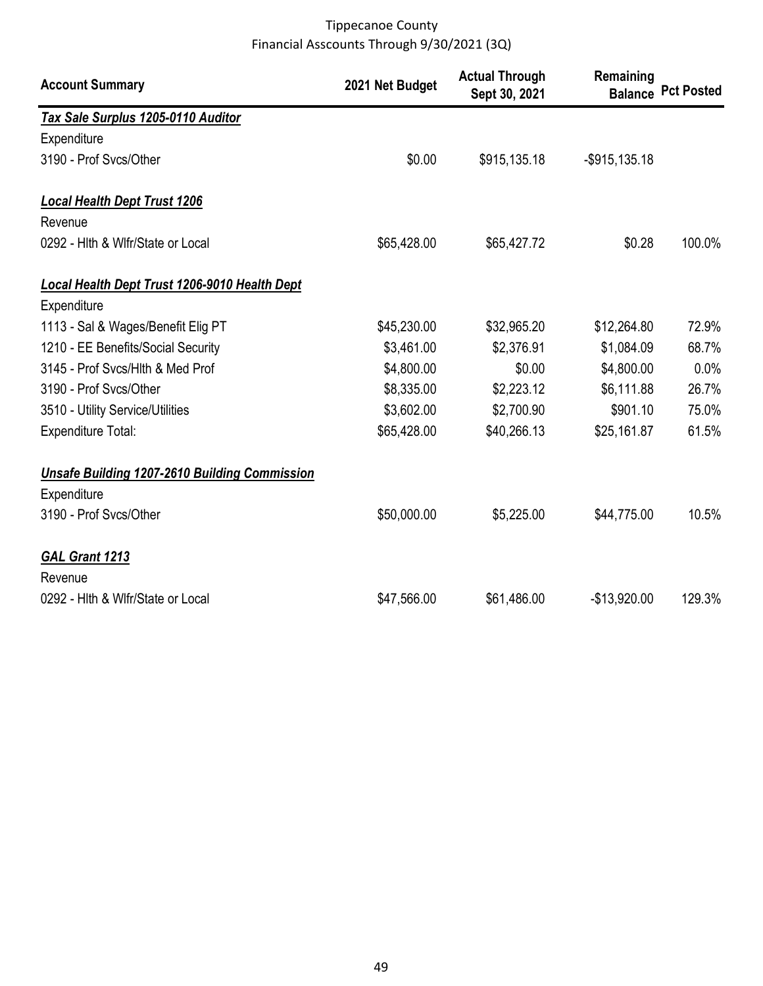| <b>Account Summary</b>                               | 2021 Net Budget | <b>Actual Through</b><br>Sept 30, 2021 | Remaining        | <b>Balance Pct Posted</b> |
|------------------------------------------------------|-----------------|----------------------------------------|------------------|---------------------------|
| Tax Sale Surplus 1205-0110 Auditor                   |                 |                                        |                  |                           |
| Expenditure                                          |                 |                                        |                  |                           |
| 3190 - Prof Svcs/Other                               | \$0.00          | \$915,135.18                           | $-$ \$915,135.18 |                           |
| <b>Local Health Dept Trust 1206</b>                  |                 |                                        |                  |                           |
| Revenue                                              |                 |                                        |                  |                           |
| 0292 - Hith & Wifr/State or Local                    | \$65,428.00     | \$65,427.72                            | \$0.28           | 100.0%                    |
| <b>Local Health Dept Trust 1206-9010 Health Dept</b> |                 |                                        |                  |                           |
| Expenditure                                          |                 |                                        |                  |                           |
| 1113 - Sal & Wages/Benefit Elig PT                   | \$45,230.00     | \$32,965.20                            | \$12,264.80      | 72.9%                     |
| 1210 - EE Benefits/Social Security                   | \$3,461.00      | \$2,376.91                             | \$1,084.09       | 68.7%                     |
| 3145 - Prof Svcs/Hlth & Med Prof                     | \$4,800.00      | \$0.00                                 | \$4,800.00       | 0.0%                      |
| 3190 - Prof Svcs/Other                               | \$8,335.00      | \$2,223.12                             | \$6,111.88       | 26.7%                     |
| 3510 - Utility Service/Utilities                     | \$3,602.00      | \$2,700.90                             | \$901.10         | 75.0%                     |
| <b>Expenditure Total:</b>                            | \$65,428.00     | \$40,266.13                            | \$25,161.87      | 61.5%                     |
| <b>Unsafe Building 1207-2610 Building Commission</b> |                 |                                        |                  |                           |
| Expenditure                                          |                 |                                        |                  |                           |
| 3190 - Prof Svcs/Other                               | \$50,000.00     | \$5,225.00                             | \$44,775.00      | 10.5%                     |
| <b>GAL Grant 1213</b>                                |                 |                                        |                  |                           |
| Revenue                                              |                 |                                        |                  |                           |
| 0292 - Hith & Wifr/State or Local                    | \$47,566.00     | \$61,486.00                            | $-$13,920.00$    | 129.3%                    |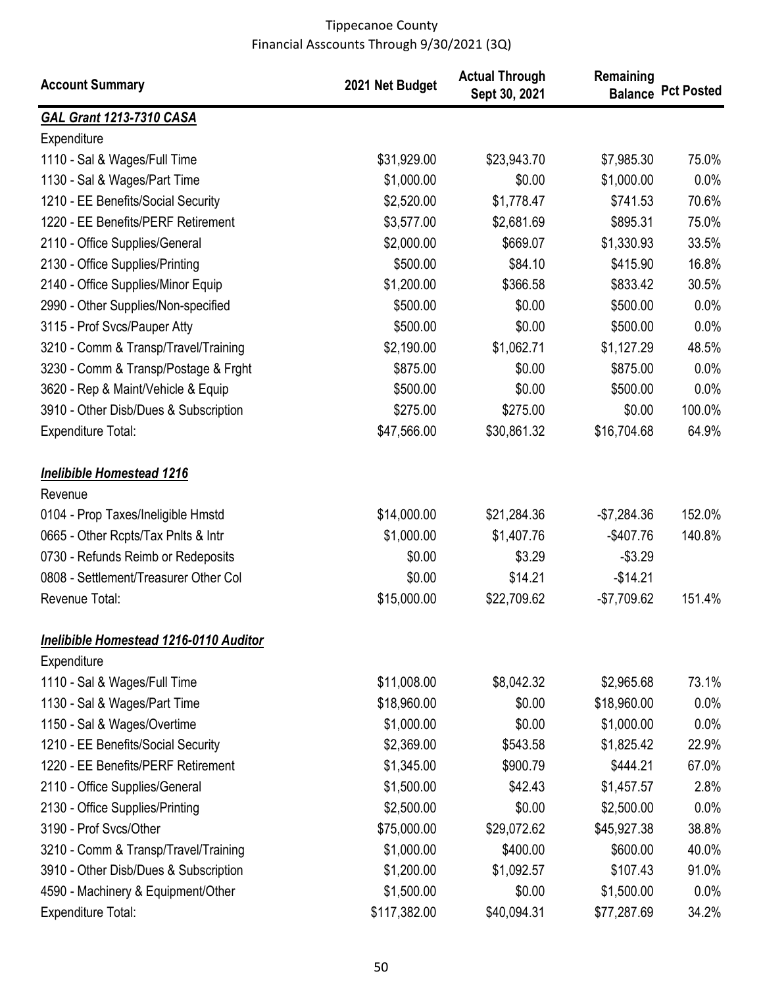| <b>Account Summary</b>                        | 2021 Net Budget | <b>Actual Through</b><br>Sept 30, 2021 | Remaining    | <b>Balance Pct Posted</b> |
|-----------------------------------------------|-----------------|----------------------------------------|--------------|---------------------------|
| <b>GAL Grant 1213-7310 CASA</b>               |                 |                                        |              |                           |
| Expenditure                                   |                 |                                        |              |                           |
| 1110 - Sal & Wages/Full Time                  | \$31,929.00     | \$23,943.70                            | \$7,985.30   | 75.0%                     |
| 1130 - Sal & Wages/Part Time                  | \$1,000.00      | \$0.00                                 | \$1,000.00   | 0.0%                      |
| 1210 - EE Benefits/Social Security            | \$2,520.00      | \$1,778.47                             | \$741.53     | 70.6%                     |
| 1220 - EE Benefits/PERF Retirement            | \$3,577.00      | \$2,681.69                             | \$895.31     | 75.0%                     |
| 2110 - Office Supplies/General                | \$2,000.00      | \$669.07                               | \$1,330.93   | 33.5%                     |
| 2130 - Office Supplies/Printing               | \$500.00        | \$84.10                                | \$415.90     | 16.8%                     |
| 2140 - Office Supplies/Minor Equip            | \$1,200.00      | \$366.58                               | \$833.42     | 30.5%                     |
| 2990 - Other Supplies/Non-specified           | \$500.00        | \$0.00                                 | \$500.00     | 0.0%                      |
| 3115 - Prof Svcs/Pauper Atty                  | \$500.00        | \$0.00                                 | \$500.00     | 0.0%                      |
| 3210 - Comm & Transp/Travel/Training          | \$2,190.00      | \$1,062.71                             | \$1,127.29   | 48.5%                     |
| 3230 - Comm & Transp/Postage & Frght          | \$875.00        | \$0.00                                 | \$875.00     | 0.0%                      |
| 3620 - Rep & Maint/Vehicle & Equip            | \$500.00        | \$0.00                                 | \$500.00     | 0.0%                      |
| 3910 - Other Disb/Dues & Subscription         | \$275.00        | \$275.00                               | \$0.00       | 100.0%                    |
| <b>Expenditure Total:</b>                     | \$47,566.00     | \$30,861.32                            | \$16,704.68  | 64.9%                     |
| <b>Inelibible Homestead 1216</b>              |                 |                                        |              |                           |
| Revenue                                       |                 |                                        |              |                           |
| 0104 - Prop Taxes/Ineligible Hmstd            | \$14,000.00     | \$21,284.36                            | $-$7,284.36$ | 152.0%                    |
| 0665 - Other Rcpts/Tax Pnlts & Intr           | \$1,000.00      | \$1,407.76                             | $-$407.76$   | 140.8%                    |
| 0730 - Refunds Reimb or Redeposits            | \$0.00          | \$3.29                                 | $-$3.29$     |                           |
| 0808 - Settlement/Treasurer Other Col         | \$0.00          | \$14.21                                | $-$14.21$    |                           |
| Revenue Total:                                | \$15,000.00     | \$22,709.62                            | $-$7,709.62$ | 151.4%                    |
| <b>Inelibible Homestead 1216-0110 Auditor</b> |                 |                                        |              |                           |
| Expenditure                                   |                 |                                        |              |                           |
| 1110 - Sal & Wages/Full Time                  | \$11,008.00     | \$8,042.32                             | \$2,965.68   | 73.1%                     |
| 1130 - Sal & Wages/Part Time                  | \$18,960.00     | \$0.00                                 | \$18,960.00  | 0.0%                      |
| 1150 - Sal & Wages/Overtime                   | \$1,000.00      | \$0.00                                 | \$1,000.00   | 0.0%                      |
| 1210 - EE Benefits/Social Security            | \$2,369.00      | \$543.58                               | \$1,825.42   | 22.9%                     |
| 1220 - EE Benefits/PERF Retirement            | \$1,345.00      | \$900.79                               | \$444.21     | 67.0%                     |
| 2110 - Office Supplies/General                | \$1,500.00      | \$42.43                                | \$1,457.57   | 2.8%                      |
| 2130 - Office Supplies/Printing               | \$2,500.00      | \$0.00                                 | \$2,500.00   | 0.0%                      |
| 3190 - Prof Svcs/Other                        | \$75,000.00     | \$29,072.62                            | \$45,927.38  | 38.8%                     |
| 3210 - Comm & Transp/Travel/Training          | \$1,000.00      | \$400.00                               | \$600.00     | 40.0%                     |
| 3910 - Other Disb/Dues & Subscription         | \$1,200.00      | \$1,092.57                             | \$107.43     | 91.0%                     |
| 4590 - Machinery & Equipment/Other            | \$1,500.00      | \$0.00                                 | \$1,500.00   | 0.0%                      |
| <b>Expenditure Total:</b>                     | \$117,382.00    | \$40,094.31                            | \$77,287.69  | 34.2%                     |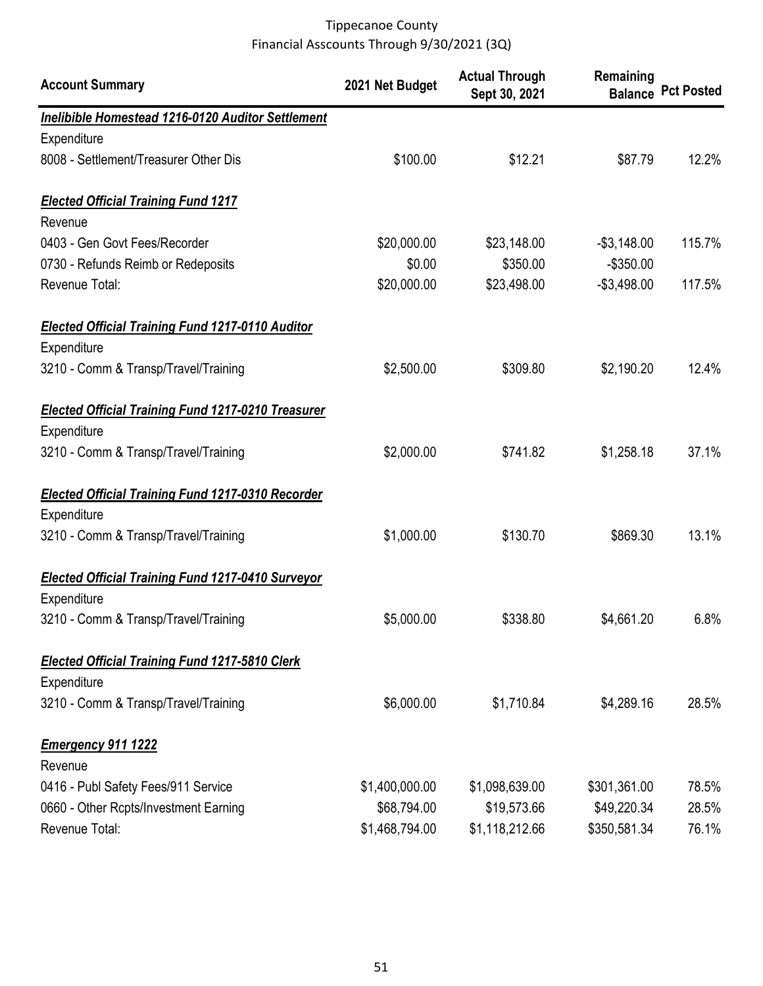| <b>Account Summary</b>                                                   | 2021 Net Budget | <b>Actual Through</b><br>Sept 30, 2021 | Remaining      | <b>Balance Pct Posted</b> |
|--------------------------------------------------------------------------|-----------------|----------------------------------------|----------------|---------------------------|
| Inelibible Homestead 1216-0120 Auditor Settlement                        |                 |                                        |                |                           |
| Expenditure                                                              |                 |                                        |                |                           |
| 8008 - Settlement/Treasurer Other Dis                                    | \$100.00        | \$12.21                                | \$87.79        | 12.2%                     |
| <b>Elected Official Training Fund 1217</b>                               |                 |                                        |                |                           |
| Revenue                                                                  |                 |                                        |                |                           |
| 0403 - Gen Govt Fees/Recorder                                            | \$20,000.00     | \$23,148.00                            | $-$ \$3,148.00 | 115.7%                    |
| 0730 - Refunds Reimb or Redeposits                                       | \$0.00          | \$350.00                               | $-$350.00$     |                           |
| Revenue Total:                                                           | \$20,000.00     | \$23,498.00                            | $-$3,498.00$   | 117.5%                    |
| <b>Elected Official Training Fund 1217-0110 Auditor</b><br>Expenditure   |                 |                                        |                |                           |
| 3210 - Comm & Transp/Travel/Training                                     | \$2,500.00      | \$309.80                               | \$2,190.20     | 12.4%                     |
| <b>Elected Official Training Fund 1217-0210 Treasurer</b><br>Expenditure |                 |                                        |                |                           |
| 3210 - Comm & Transp/Travel/Training                                     | \$2,000.00      | \$741.82                               | \$1,258.18     | 37.1%                     |
| <b>Elected Official Training Fund 1217-0310 Recorder</b><br>Expenditure  |                 |                                        |                |                           |
| 3210 - Comm & Transp/Travel/Training                                     | \$1,000.00      | \$130.70                               | \$869.30       | 13.1%                     |
| <b>Elected Official Training Fund 1217-0410 Surveyor</b>                 |                 |                                        |                |                           |
| Expenditure                                                              |                 |                                        |                |                           |
| 3210 - Comm & Transp/Travel/Training                                     | \$5,000.00      | \$338.80                               | \$4,661.20     | 6.8%                      |
| <b>Elected Official Training Fund 1217-5810 Clerk</b>                    |                 |                                        |                |                           |
| Expenditure                                                              |                 |                                        |                |                           |
| 3210 - Comm & Transp/Travel/Training                                     | \$6,000.00      | \$1,710.84                             | \$4,289.16     | 28.5%                     |
| <b>Emergency 911 1222</b><br>Revenue                                     |                 |                                        |                |                           |
| 0416 - Publ Safety Fees/911 Service                                      | \$1,400,000.00  | \$1,098,639.00                         | \$301,361.00   | 78.5%                     |
| 0660 - Other Rcpts/Investment Earning                                    | \$68,794.00     | \$19,573.66                            | \$49,220.34    | 28.5%                     |
| Revenue Total:                                                           | \$1,468,794.00  | \$1,118,212.66                         | \$350,581.34   | 76.1%                     |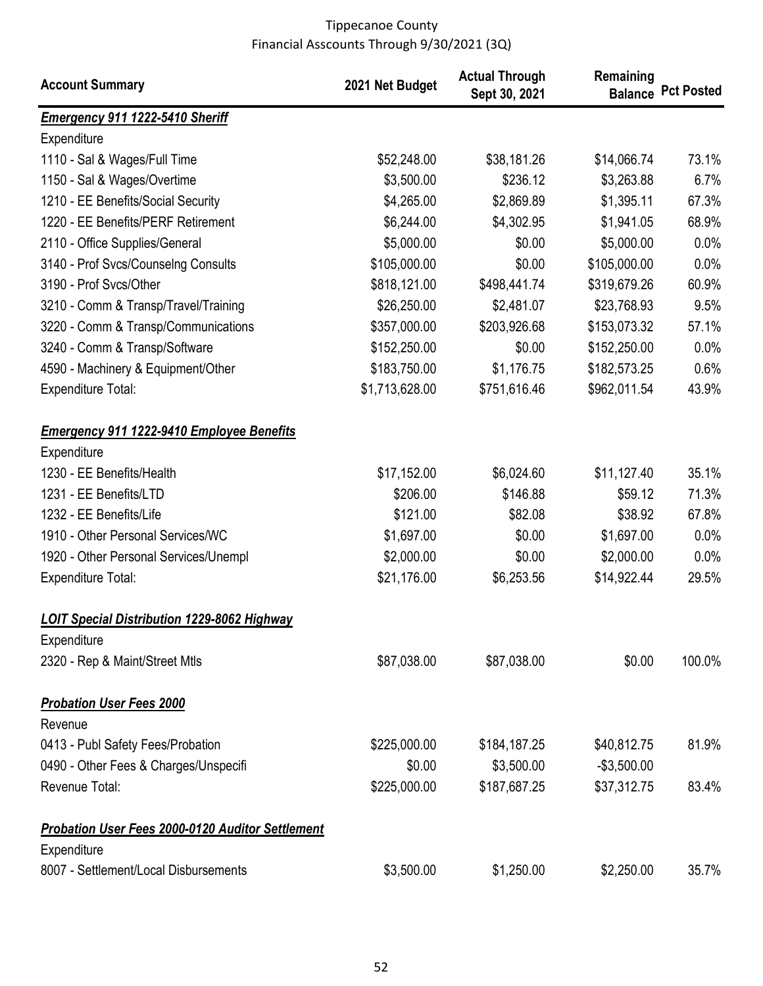| <b>Account Summary</b>                                            | 2021 Net Budget | <b>Actual Through</b><br>Sept 30, 2021 | Remaining    | <b>Balance Pct Posted</b> |
|-------------------------------------------------------------------|-----------------|----------------------------------------|--------------|---------------------------|
| <b>Emergency 911 1222-5410 Sheriff</b>                            |                 |                                        |              |                           |
| Expenditure                                                       |                 |                                        |              |                           |
| 1110 - Sal & Wages/Full Time                                      | \$52,248.00     | \$38,181.26                            | \$14,066.74  | 73.1%                     |
| 1150 - Sal & Wages/Overtime                                       | \$3,500.00      | \$236.12                               | \$3,263.88   | 6.7%                      |
| 1210 - EE Benefits/Social Security                                | \$4,265.00      | \$2,869.89                             | \$1,395.11   | 67.3%                     |
| 1220 - EE Benefits/PERF Retirement                                | \$6,244.00      | \$4,302.95                             | \$1,941.05   | 68.9%                     |
| 2110 - Office Supplies/General                                    | \$5,000.00      | \$0.00                                 | \$5,000.00   | 0.0%                      |
| 3140 - Prof Svcs/Counselng Consults                               | \$105,000.00    | \$0.00                                 | \$105,000.00 | 0.0%                      |
| 3190 - Prof Svcs/Other                                            | \$818,121.00    | \$498,441.74                           | \$319,679.26 | 60.9%                     |
| 3210 - Comm & Transp/Travel/Training                              | \$26,250.00     | \$2,481.07                             | \$23,768.93  | 9.5%                      |
| 3220 - Comm & Transp/Communications                               | \$357,000.00    | \$203,926.68                           | \$153,073.32 | 57.1%                     |
| 3240 - Comm & Transp/Software                                     | \$152,250.00    | \$0.00                                 | \$152,250.00 | 0.0%                      |
| 4590 - Machinery & Equipment/Other                                | \$183,750.00    | \$1,176.75                             | \$182,573.25 | 0.6%                      |
| <b>Expenditure Total:</b>                                         | \$1,713,628.00  | \$751,616.46                           | \$962,011.54 | 43.9%                     |
| <b>Emergency 911 1222-9410 Employee Benefits</b>                  |                 |                                        |              |                           |
| Expenditure                                                       |                 |                                        |              |                           |
| 1230 - EE Benefits/Health                                         | \$17,152.00     | \$6,024.60                             | \$11,127.40  | 35.1%                     |
| 1231 - EE Benefits/LTD                                            | \$206.00        | \$146.88                               | \$59.12      | 71.3%                     |
| 1232 - EE Benefits/Life                                           | \$121.00        | \$82.08                                | \$38.92      | 67.8%                     |
| 1910 - Other Personal Services/WC                                 | \$1,697.00      | \$0.00                                 | \$1,697.00   | 0.0%                      |
| 1920 - Other Personal Services/Unempl                             | \$2,000.00      | \$0.00                                 | \$2,000.00   | 0.0%                      |
| <b>Expenditure Total:</b>                                         | \$21,176.00     | \$6,253.56                             | \$14,922.44  | 29.5%                     |
| <b>LOIT Special Distribution 1229-8062 Highway</b><br>Expenditure |                 |                                        |              |                           |
| 2320 - Rep & Maint/Street Mtls                                    | \$87,038.00     | \$87,038.00                            | \$0.00       | 100.0%                    |
| <b>Probation User Fees 2000</b>                                   |                 |                                        |              |                           |
| Revenue                                                           |                 |                                        |              |                           |
| 0413 - Publ Safety Fees/Probation                                 | \$225,000.00    | \$184,187.25                           | \$40,812.75  | 81.9%                     |
| 0490 - Other Fees & Charges/Unspecifi                             | \$0.00          | \$3,500.00                             | $-$3,500.00$ |                           |
| Revenue Total:                                                    | \$225,000.00    | \$187,687.25                           | \$37,312.75  | 83.4%                     |
| <b>Probation User Fees 2000-0120 Auditor Settlement</b>           |                 |                                        |              |                           |
| Expenditure                                                       |                 |                                        |              |                           |
| 8007 - Settlement/Local Disbursements                             | \$3,500.00      | \$1,250.00                             | \$2,250.00   | 35.7%                     |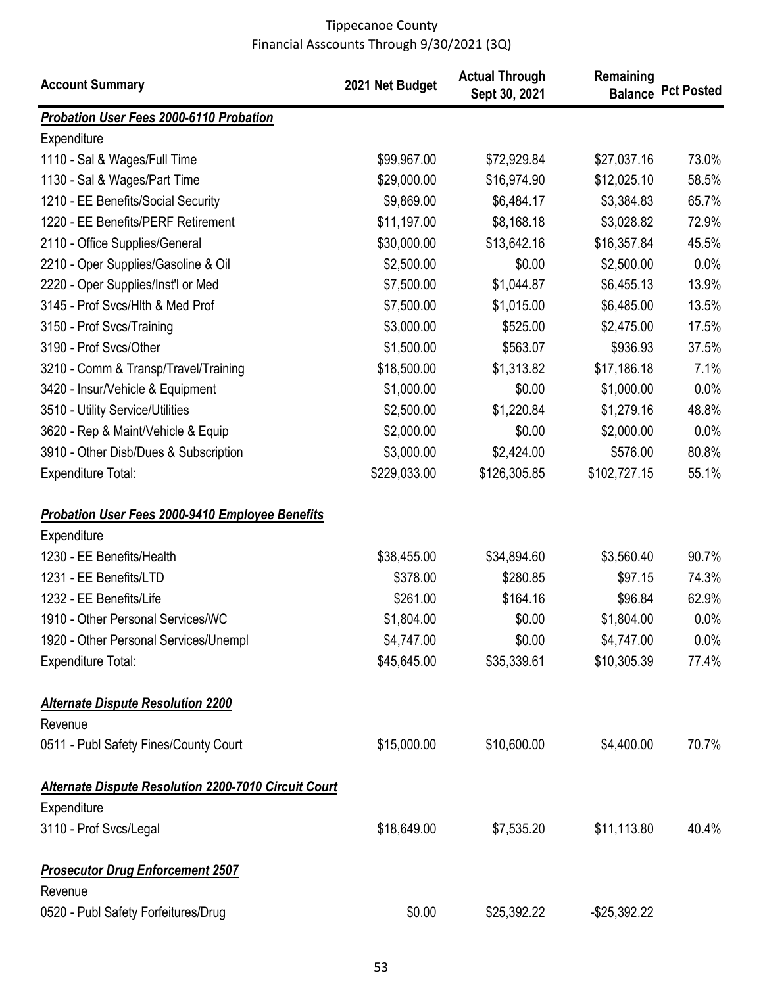| <b>Account Summary</b>                                 | 2021 Net Budget | <b>Actual Through</b><br>Sept 30, 2021 | Remaining       | <b>Balance Pct Posted</b> |
|--------------------------------------------------------|-----------------|----------------------------------------|-----------------|---------------------------|
| <b>Probation User Fees 2000-6110 Probation</b>         |                 |                                        |                 |                           |
| Expenditure                                            |                 |                                        |                 |                           |
| 1110 - Sal & Wages/Full Time                           | \$99,967.00     | \$72,929.84                            | \$27,037.16     | 73.0%                     |
| 1130 - Sal & Wages/Part Time                           | \$29,000.00     | \$16,974.90                            | \$12,025.10     | 58.5%                     |
| 1210 - EE Benefits/Social Security                     | \$9,869.00      | \$6,484.17                             | \$3,384.83      | 65.7%                     |
| 1220 - EE Benefits/PERF Retirement                     | \$11,197.00     | \$8,168.18                             | \$3,028.82      | 72.9%                     |
| 2110 - Office Supplies/General                         | \$30,000.00     | \$13,642.16                            | \$16,357.84     | 45.5%                     |
| 2210 - Oper Supplies/Gasoline & Oil                    | \$2,500.00      | \$0.00                                 | \$2,500.00      | 0.0%                      |
| 2220 - Oper Supplies/Inst'l or Med                     | \$7,500.00      | \$1,044.87                             | \$6,455.13      | 13.9%                     |
| 3145 - Prof Svcs/Hlth & Med Prof                       | \$7,500.00      | \$1,015.00                             | \$6,485.00      | 13.5%                     |
| 3150 - Prof Svcs/Training                              | \$3,000.00      | \$525.00                               | \$2,475.00      | 17.5%                     |
| 3190 - Prof Svcs/Other                                 | \$1,500.00      | \$563.07                               | \$936.93        | 37.5%                     |
| 3210 - Comm & Transp/Travel/Training                   | \$18,500.00     | \$1,313.82                             | \$17,186.18     | 7.1%                      |
| 3420 - Insur/Vehicle & Equipment                       | \$1,000.00      | \$0.00                                 | \$1,000.00      | 0.0%                      |
| 3510 - Utility Service/Utilities                       | \$2,500.00      | \$1,220.84                             | \$1,279.16      | 48.8%                     |
| 3620 - Rep & Maint/Vehicle & Equip                     | \$2,000.00      | \$0.00                                 | \$2,000.00      | 0.0%                      |
| 3910 - Other Disb/Dues & Subscription                  | \$3,000.00      | \$2,424.00                             | \$576.00        | 80.8%                     |
| <b>Expenditure Total:</b>                              | \$229,033.00    | \$126,305.85                           | \$102,727.15    | 55.1%                     |
| <b>Probation User Fees 2000-9410 Employee Benefits</b> |                 |                                        |                 |                           |
| Expenditure                                            |                 |                                        |                 |                           |
| 1230 - EE Benefits/Health                              | \$38,455.00     | \$34,894.60                            | \$3,560.40      | 90.7%                     |
| 1231 - EE Benefits/LTD                                 | \$378.00        | \$280.85                               | \$97.15         | 74.3%                     |
| 1232 - EE Benefits/Life                                | \$261.00        | \$164.16                               | \$96.84         | 62.9%                     |
| 1910 - Other Personal Services/WC                      | \$1,804.00      | \$0.00                                 | \$1,804.00      | 0.0%                      |
| 1920 - Other Personal Services/Unempl                  | \$4,747.00      | \$0.00                                 | \$4,747.00      | $0.0\%$                   |
| <b>Expenditure Total:</b>                              | \$45,645.00     | \$35,339.61                            | \$10,305.39     | 77.4%                     |
| <b>Alternate Dispute Resolution 2200</b>               |                 |                                        |                 |                           |
| Revenue                                                |                 |                                        |                 |                           |
| 0511 - Publ Safety Fines/County Court                  | \$15,000.00     | \$10,600.00                            | \$4,400.00      | 70.7%                     |
| Alternate Dispute Resolution 2200-7010 Circuit Court   |                 |                                        |                 |                           |
| Expenditure                                            |                 |                                        |                 |                           |
| 3110 - Prof Svcs/Legal                                 | \$18,649.00     | \$7,535.20                             | \$11,113.80     | 40.4%                     |
| <b>Prosecutor Drug Enforcement 2507</b><br>Revenue     |                 |                                        |                 |                           |
| 0520 - Publ Safety Forfeitures/Drug                    | \$0.00          | \$25,392.22                            | $-$ \$25,392.22 |                           |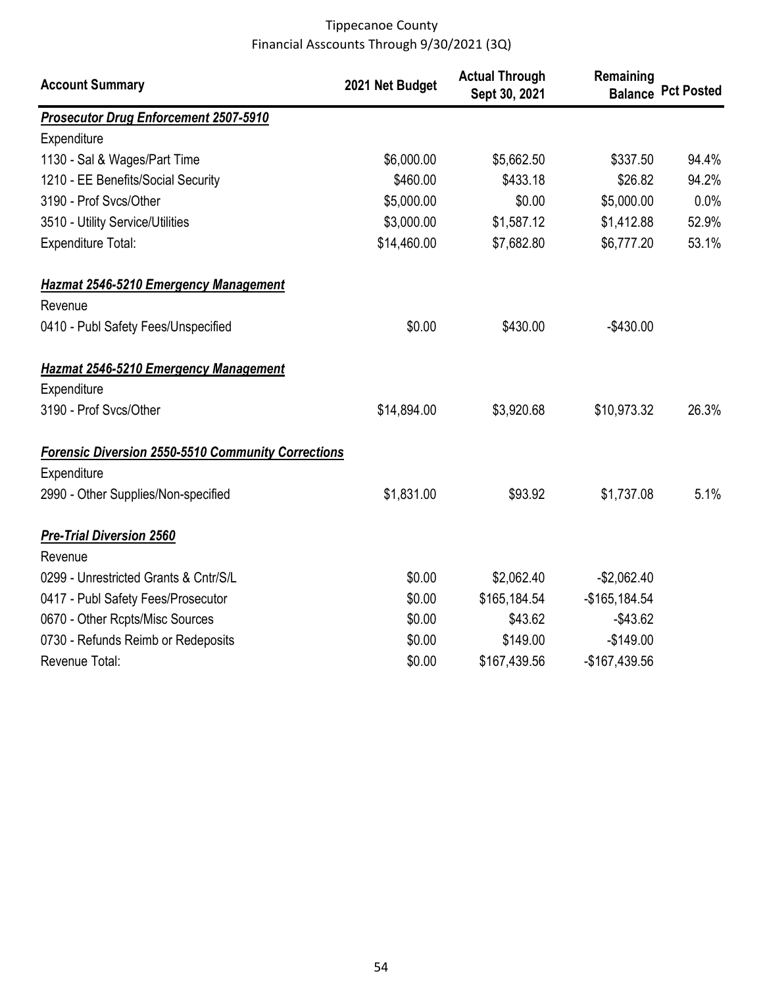| <b>Account Summary</b>                                    | 2021 Net Budget | <b>Actual Through</b><br>Sept 30, 2021 | Remaining      | <b>Balance Pct Posted</b> |
|-----------------------------------------------------------|-----------------|----------------------------------------|----------------|---------------------------|
| <b>Prosecutor Drug Enforcement 2507-5910</b>              |                 |                                        |                |                           |
| Expenditure                                               |                 |                                        |                |                           |
| 1130 - Sal & Wages/Part Time                              | \$6,000.00      | \$5,662.50                             | \$337.50       | 94.4%                     |
| 1210 - EE Benefits/Social Security                        | \$460.00        | \$433.18                               | \$26.82        | 94.2%                     |
| 3190 - Prof Svcs/Other                                    | \$5,000.00      | \$0.00                                 | \$5,000.00     | 0.0%                      |
| 3510 - Utility Service/Utilities                          | \$3,000.00      | \$1,587.12                             | \$1,412.88     | 52.9%                     |
| <b>Expenditure Total:</b>                                 | \$14,460.00     | \$7,682.80                             | \$6,777.20     | 53.1%                     |
| <b>Hazmat 2546-5210 Emergency Management</b>              |                 |                                        |                |                           |
| Revenue                                                   |                 |                                        |                |                           |
| 0410 - Publ Safety Fees/Unspecified                       | \$0.00          | \$430.00                               | $-$430.00$     |                           |
| <b>Hazmat 2546-5210 Emergency Management</b>              |                 |                                        |                |                           |
| Expenditure                                               |                 |                                        |                |                           |
| 3190 - Prof Svcs/Other                                    | \$14,894.00     | \$3,920.68                             | \$10,973.32    | 26.3%                     |
| <b>Forensic Diversion 2550-5510 Community Corrections</b> |                 |                                        |                |                           |
| Expenditure                                               |                 |                                        |                |                           |
| 2990 - Other Supplies/Non-specified                       | \$1,831.00      | \$93.92                                | \$1,737.08     | 5.1%                      |
| <b>Pre-Trial Diversion 2560</b>                           |                 |                                        |                |                           |
| Revenue                                                   |                 |                                        |                |                           |
| 0299 - Unrestricted Grants & Cntr/S/L                     | \$0.00          | \$2,062.40                             | $-$2,062.40$   |                           |
| 0417 - Publ Safety Fees/Prosecutor                        | \$0.00          | \$165,184.54                           | $-$165,184.54$ |                           |
| 0670 - Other Rcpts/Misc Sources                           | \$0.00          | \$43.62                                | $-$43.62$      |                           |
| 0730 - Refunds Reimb or Redeposits                        | \$0.00          | \$149.00                               | $-$149.00$     |                           |
| Revenue Total:                                            | \$0.00          | \$167,439.56                           | -\$167,439.56  |                           |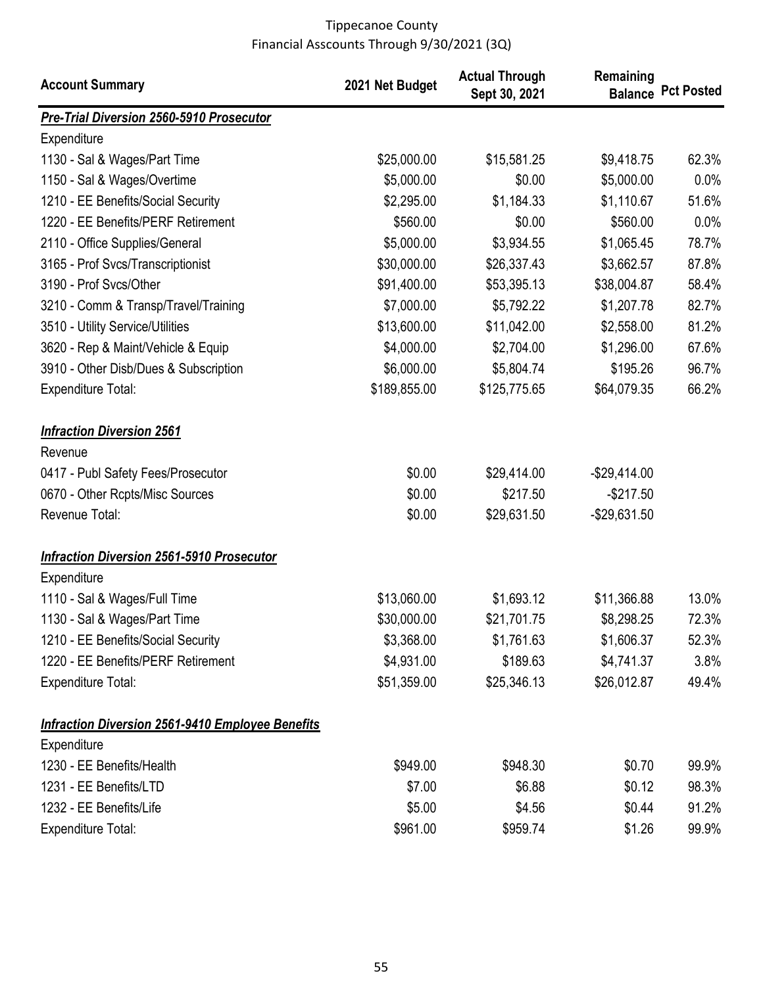| <b>Account Summary</b>                                  | 2021 Net Budget | <b>Actual Through</b><br>Sept 30, 2021 | Remaining       | <b>Balance Pct Posted</b> |
|---------------------------------------------------------|-----------------|----------------------------------------|-----------------|---------------------------|
| <b>Pre-Trial Diversion 2560-5910 Prosecutor</b>         |                 |                                        |                 |                           |
| Expenditure                                             |                 |                                        |                 |                           |
| 1130 - Sal & Wages/Part Time                            | \$25,000.00     | \$15,581.25                            | \$9,418.75      | 62.3%                     |
| 1150 - Sal & Wages/Overtime                             | \$5,000.00      | \$0.00                                 | \$5,000.00      | 0.0%                      |
| 1210 - EE Benefits/Social Security                      | \$2,295.00      | \$1,184.33                             | \$1,110.67      | 51.6%                     |
| 1220 - EE Benefits/PERF Retirement                      | \$560.00        | \$0.00                                 | \$560.00        | 0.0%                      |
| 2110 - Office Supplies/General                          | \$5,000.00      | \$3,934.55                             | \$1,065.45      | 78.7%                     |
| 3165 - Prof Svcs/Transcriptionist                       | \$30,000.00     | \$26,337.43                            | \$3,662.57      | 87.8%                     |
| 3190 - Prof Svcs/Other                                  | \$91,400.00     | \$53,395.13                            | \$38,004.87     | 58.4%                     |
| 3210 - Comm & Transp/Travel/Training                    | \$7,000.00      | \$5,792.22                             | \$1,207.78      | 82.7%                     |
| 3510 - Utility Service/Utilities                        | \$13,600.00     | \$11,042.00                            | \$2,558.00      | 81.2%                     |
| 3620 - Rep & Maint/Vehicle & Equip                      | \$4,000.00      | \$2,704.00                             | \$1,296.00      | 67.6%                     |
| 3910 - Other Disb/Dues & Subscription                   | \$6,000.00      | \$5,804.74                             | \$195.26        | 96.7%                     |
| <b>Expenditure Total:</b>                               | \$189,855.00    | \$125,775.65                           | \$64,079.35     | 66.2%                     |
| <b>Infraction Diversion 2561</b><br>Revenue             |                 |                                        |                 |                           |
| 0417 - Publ Safety Fees/Prosecutor                      | \$0.00          | \$29,414.00                            | $-$ \$29,414.00 |                           |
| 0670 - Other Rcpts/Misc Sources                         | \$0.00          | \$217.50                               | $-$217.50$      |                           |
| Revenue Total:                                          | \$0.00          | \$29,631.50                            | $-$ \$29,631.50 |                           |
| <b>Infraction Diversion 2561-5910 Prosecutor</b>        |                 |                                        |                 |                           |
| Expenditure                                             |                 |                                        |                 |                           |
| 1110 - Sal & Wages/Full Time                            | \$13,060.00     | \$1,693.12                             | \$11,366.88     | 13.0%                     |
| 1130 - Sal & Wages/Part Time                            | \$30,000.00     | \$21,701.75                            | \$8,298.25      | 72.3%                     |
| 1210 - EE Benefits/Social Security                      | \$3,368.00      | \$1,761.63                             | \$1,606.37      | 52.3%                     |
| 1220 - EE Benefits/PERF Retirement                      | \$4,931.00      | \$189.63                               | \$4,741.37      | 3.8%                      |
| <b>Expenditure Total:</b>                               | \$51,359.00     | \$25,346.13                            | \$26,012.87     | 49.4%                     |
| <b>Infraction Diversion 2561-9410 Employee Benefits</b> |                 |                                        |                 |                           |
| Expenditure                                             |                 |                                        |                 |                           |
| 1230 - EE Benefits/Health                               | \$949.00        | \$948.30                               | \$0.70          | 99.9%                     |
| 1231 - EE Benefits/LTD                                  | \$7.00          | \$6.88                                 | \$0.12          | 98.3%                     |
| 1232 - EE Benefits/Life                                 | \$5.00          | \$4.56                                 | \$0.44          | 91.2%                     |
| <b>Expenditure Total:</b>                               | \$961.00        | \$959.74                               | \$1.26          | 99.9%                     |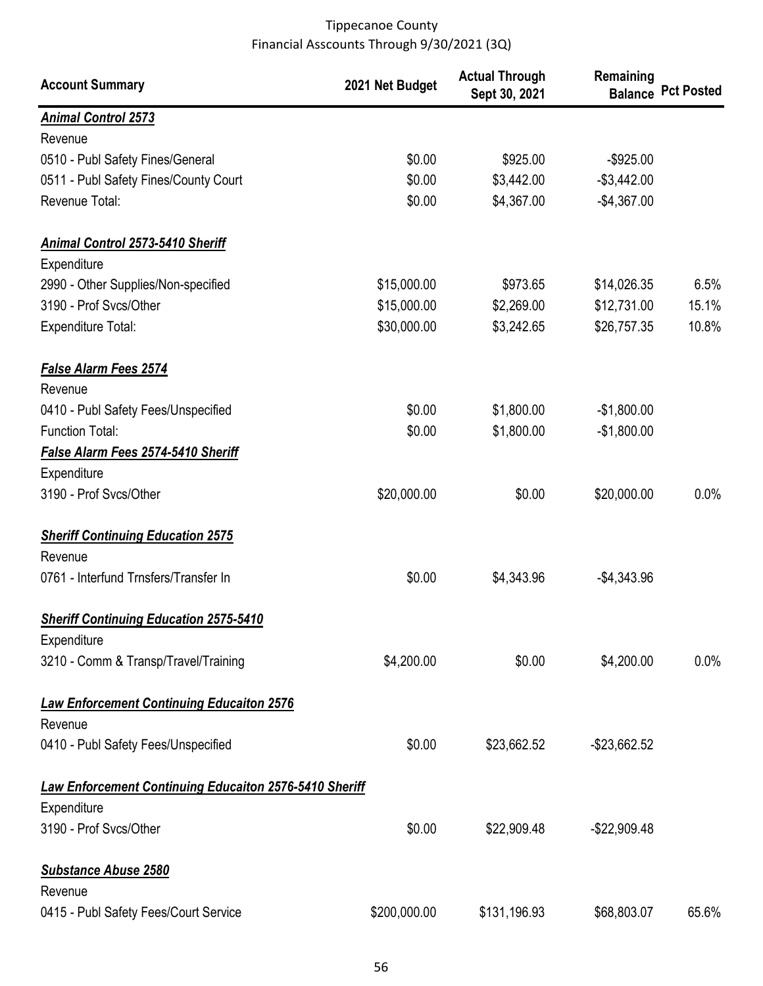| <b>Account Summary</b>                                        | 2021 Net Budget | <b>Actual Through</b><br>Sept 30, 2021 | Remaining       | <b>Balance Pct Posted</b> |
|---------------------------------------------------------------|-----------------|----------------------------------------|-----------------|---------------------------|
| <b>Animal Control 2573</b>                                    |                 |                                        |                 |                           |
| Revenue                                                       |                 |                                        |                 |                           |
| 0510 - Publ Safety Fines/General                              | \$0.00          | \$925.00                               | $-$925.00$      |                           |
| 0511 - Publ Safety Fines/County Court                         | \$0.00          | \$3,442.00                             | $-$3,442.00$    |                           |
| Revenue Total:                                                | \$0.00          | \$4,367.00                             | $-$4,367.00$    |                           |
| <b>Animal Control 2573-5410 Sheriff</b>                       |                 |                                        |                 |                           |
| Expenditure                                                   |                 |                                        |                 |                           |
| 2990 - Other Supplies/Non-specified                           | \$15,000.00     | \$973.65                               | \$14,026.35     | 6.5%                      |
| 3190 - Prof Svcs/Other                                        | \$15,000.00     | \$2,269.00                             | \$12,731.00     | 15.1%                     |
| <b>Expenditure Total:</b>                                     | \$30,000.00     | \$3,242.65                             | \$26,757.35     | 10.8%                     |
| <b>False Alarm Fees 2574</b>                                  |                 |                                        |                 |                           |
| Revenue                                                       |                 |                                        |                 |                           |
| 0410 - Publ Safety Fees/Unspecified                           | \$0.00          | \$1,800.00                             | $-$1,800.00$    |                           |
| <b>Function Total:</b>                                        | \$0.00          | \$1,800.00                             | $-$1,800.00$    |                           |
| False Alarm Fees 2574-5410 Sheriff                            |                 |                                        |                 |                           |
| Expenditure                                                   |                 |                                        |                 |                           |
| 3190 - Prof Svcs/Other                                        | \$20,000.00     | \$0.00                                 | \$20,000.00     | 0.0%                      |
| <b>Sheriff Continuing Education 2575</b>                      |                 |                                        |                 |                           |
| Revenue                                                       |                 |                                        |                 |                           |
| 0761 - Interfund Trnsfers/Transfer In                         | \$0.00          | \$4,343.96                             | $-$4,343.96$    |                           |
| <b>Sheriff Continuing Education 2575-5410</b>                 |                 |                                        |                 |                           |
| Expenditure                                                   |                 |                                        |                 |                           |
| 3210 - Comm & Transp/Travel/Training                          | \$4,200.00      | \$0.00                                 | \$4,200.00      | $0.0\%$                   |
| <b>Law Enforcement Continuing Educaiton 2576</b>              |                 |                                        |                 |                           |
| Revenue                                                       |                 |                                        |                 |                           |
| 0410 - Publ Safety Fees/Unspecified                           | \$0.00          | \$23,662.52                            | $-$ \$23,662.52 |                           |
| <b>Law Enforcement Continuing Educaiton 2576-5410 Sheriff</b> |                 |                                        |                 |                           |
| Expenditure                                                   |                 |                                        |                 |                           |
| 3190 - Prof Svcs/Other                                        | \$0.00          | \$22,909.48                            | $-$22,909.48$   |                           |
| <b>Substance Abuse 2580</b>                                   |                 |                                        |                 |                           |
| Revenue                                                       |                 |                                        |                 |                           |
| 0415 - Publ Safety Fees/Court Service                         | \$200,000.00    | \$131,196.93                           | \$68,803.07     | 65.6%                     |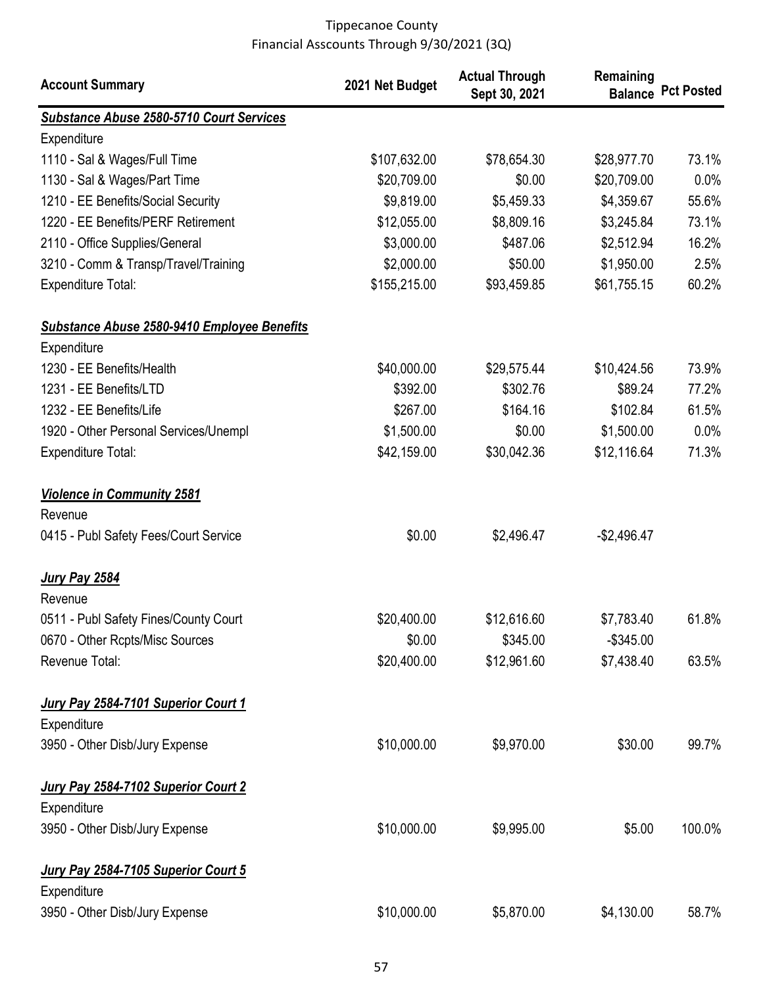| <b>Account Summary</b>                                                                | 2021 Net Budget | <b>Actual Through</b><br>Sept 30, 2021 | Remaining    | <b>Balance Pct Posted</b> |
|---------------------------------------------------------------------------------------|-----------------|----------------------------------------|--------------|---------------------------|
| <b>Substance Abuse 2580-5710 Court Services</b>                                       |                 |                                        |              |                           |
| Expenditure                                                                           |                 |                                        |              |                           |
| 1110 - Sal & Wages/Full Time                                                          | \$107,632.00    | \$78,654.30                            | \$28,977.70  | 73.1%                     |
| 1130 - Sal & Wages/Part Time                                                          | \$20,709.00     | \$0.00                                 | \$20,709.00  | 0.0%                      |
| 1210 - EE Benefits/Social Security                                                    | \$9,819.00      | \$5,459.33                             | \$4,359.67   | 55.6%                     |
| 1220 - EE Benefits/PERF Retirement                                                    | \$12,055.00     | \$8,809.16                             | \$3,245.84   | 73.1%                     |
| 2110 - Office Supplies/General                                                        | \$3,000.00      | \$487.06                               | \$2,512.94   | 16.2%                     |
| 3210 - Comm & Transp/Travel/Training                                                  | \$2,000.00      | \$50.00                                | \$1,950.00   | 2.5%                      |
| <b>Expenditure Total:</b>                                                             | \$155,215.00    | \$93,459.85                            | \$61,755.15  | 60.2%                     |
| <b>Substance Abuse 2580-9410 Employee Benefits</b>                                    |                 |                                        |              |                           |
| Expenditure<br>1230 - EE Benefits/Health                                              | \$40,000.00     | \$29,575.44                            | \$10,424.56  | 73.9%                     |
| 1231 - EE Benefits/LTD                                                                | \$392.00        | \$302.76                               | \$89.24      | 77.2%                     |
| 1232 - EE Benefits/Life                                                               | \$267.00        | \$164.16                               | \$102.84     | 61.5%                     |
| 1920 - Other Personal Services/Unempl                                                 | \$1,500.00      | \$0.00                                 | \$1,500.00   | 0.0%                      |
| <b>Expenditure Total:</b>                                                             | \$42,159.00     | \$30,042.36                            | \$12,116.64  | 71.3%                     |
| <b>Violence in Community 2581</b><br>Revenue<br>0415 - Publ Safety Fees/Court Service | \$0.00          | \$2,496.47                             | $-$2,496.47$ |                           |
| <b>Jury Pay 2584</b>                                                                  |                 |                                        |              |                           |
| Revenue                                                                               |                 |                                        |              |                           |
| 0511 - Publ Safety Fines/County Court                                                 | \$20,400.00     | \$12,616.60                            | \$7,783.40   | 61.8%                     |
| 0670 - Other Rcpts/Misc Sources                                                       | \$0.00          | \$345.00                               | $-$345.00$   |                           |
| Revenue Total:                                                                        | \$20,400.00     | \$12,961.60                            | \$7,438.40   | 63.5%                     |
| Jury Pay 2584-7101 Superior Court 1<br>Expenditure                                    |                 |                                        |              |                           |
| 3950 - Other Disb/Jury Expense                                                        | \$10,000.00     | \$9,970.00                             | \$30.00      | 99.7%                     |
| Jury Pay 2584-7102 Superior Court 2<br>Expenditure                                    |                 |                                        |              |                           |
| 3950 - Other Disb/Jury Expense                                                        | \$10,000.00     | \$9,995.00                             | \$5.00       | 100.0%                    |
| Jury Pay 2584-7105 Superior Court 5<br>Expenditure                                    |                 |                                        |              |                           |
| 3950 - Other Disb/Jury Expense                                                        | \$10,000.00     | \$5,870.00                             | \$4,130.00   | 58.7%                     |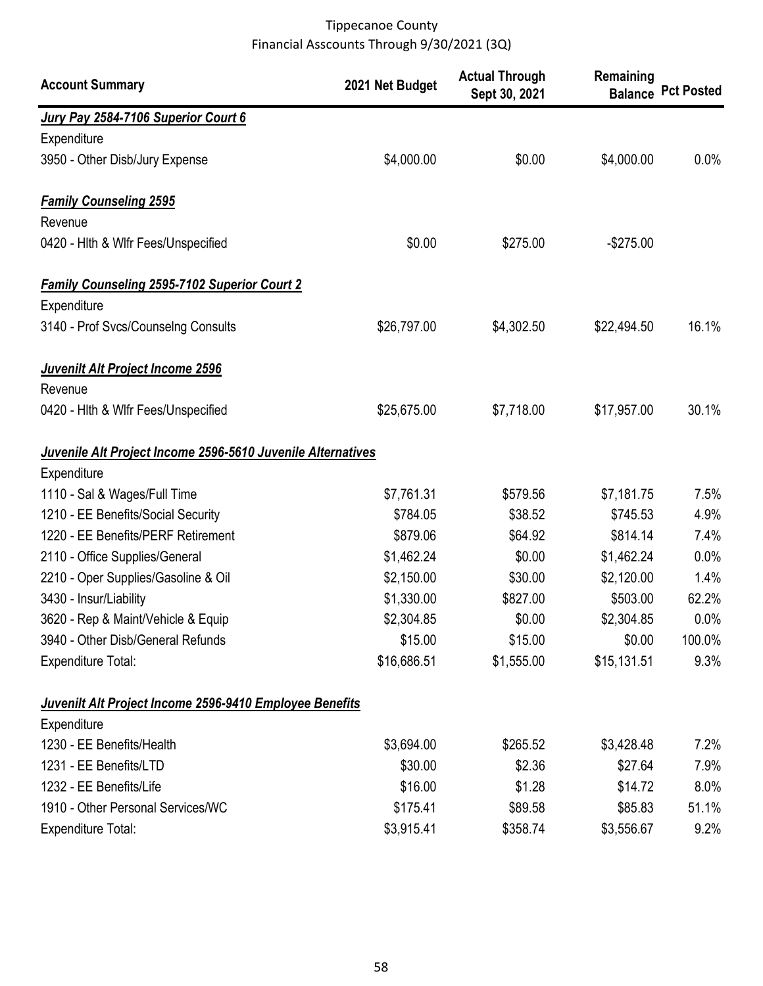| <b>Account Summary</b>                                      | 2021 Net Budget | <b>Actual Through</b><br>Sept 30, 2021 | Remaining   | <b>Balance Pct Posted</b> |
|-------------------------------------------------------------|-----------------|----------------------------------------|-------------|---------------------------|
| Jury Pay 2584-7106 Superior Court 6                         |                 |                                        |             |                           |
| Expenditure                                                 |                 |                                        |             |                           |
| 3950 - Other Disb/Jury Expense                              | \$4,000.00      | \$0.00                                 | \$4,000.00  | 0.0%                      |
| <b>Family Counseling 2595</b>                               |                 |                                        |             |                           |
| Revenue                                                     |                 |                                        |             |                           |
| 0420 - Hith & Wifr Fees/Unspecified                         | \$0.00          | \$275.00                               | $-$275.00$  |                           |
| <b>Family Counseling 2595-7102 Superior Court 2</b>         |                 |                                        |             |                           |
| Expenditure                                                 |                 |                                        |             |                           |
| 3140 - Prof Svcs/Counselng Consults                         | \$26,797.00     | \$4,302.50                             | \$22,494.50 | 16.1%                     |
| Juvenilt Alt Project Income 2596                            |                 |                                        |             |                           |
| Revenue                                                     |                 |                                        |             |                           |
| 0420 - Hith & Wifr Fees/Unspecified                         | \$25,675.00     | \$7,718.00                             | \$17,957.00 | 30.1%                     |
| Juvenile Alt Project Income 2596-5610 Juvenile Alternatives |                 |                                        |             |                           |
| Expenditure                                                 |                 |                                        |             |                           |
| 1110 - Sal & Wages/Full Time                                | \$7,761.31      | \$579.56                               | \$7,181.75  | 7.5%                      |
| 1210 - EE Benefits/Social Security                          | \$784.05        | \$38.52                                | \$745.53    | 4.9%                      |
| 1220 - EE Benefits/PERF Retirement                          | \$879.06        | \$64.92                                | \$814.14    | 7.4%                      |
| 2110 - Office Supplies/General                              | \$1,462.24      | \$0.00                                 | \$1,462.24  | 0.0%                      |
| 2210 - Oper Supplies/Gasoline & Oil                         | \$2,150.00      | \$30.00                                | \$2,120.00  | 1.4%                      |
| 3430 - Insur/Liability                                      | \$1,330.00      | \$827.00                               | \$503.00    | 62.2%                     |
| 3620 - Rep & Maint/Vehicle & Equip                          | \$2,304.85      | \$0.00                                 | \$2,304.85  | 0.0%                      |
| 3940 - Other Disb/General Refunds                           | \$15.00         | \$15.00                                | \$0.00      | 100.0%                    |
| <b>Expenditure Total:</b>                                   | \$16,686.51     | \$1,555.00                             | \$15,131.51 | 9.3%                      |
| Juvenilt Alt Project Income 2596-9410 Employee Benefits     |                 |                                        |             |                           |
| Expenditure                                                 |                 |                                        |             |                           |
| 1230 - EE Benefits/Health                                   | \$3,694.00      | \$265.52                               | \$3,428.48  | 7.2%                      |
| 1231 - EE Benefits/LTD                                      | \$30.00         | \$2.36                                 | \$27.64     | 7.9%                      |
| 1232 - EE Benefits/Life                                     | \$16.00         | \$1.28                                 | \$14.72     | $8.0\%$                   |
| 1910 - Other Personal Services/WC                           | \$175.41        | \$89.58                                | \$85.83     | 51.1%                     |
| <b>Expenditure Total:</b>                                   | \$3,915.41      | \$358.74                               | \$3,556.67  | 9.2%                      |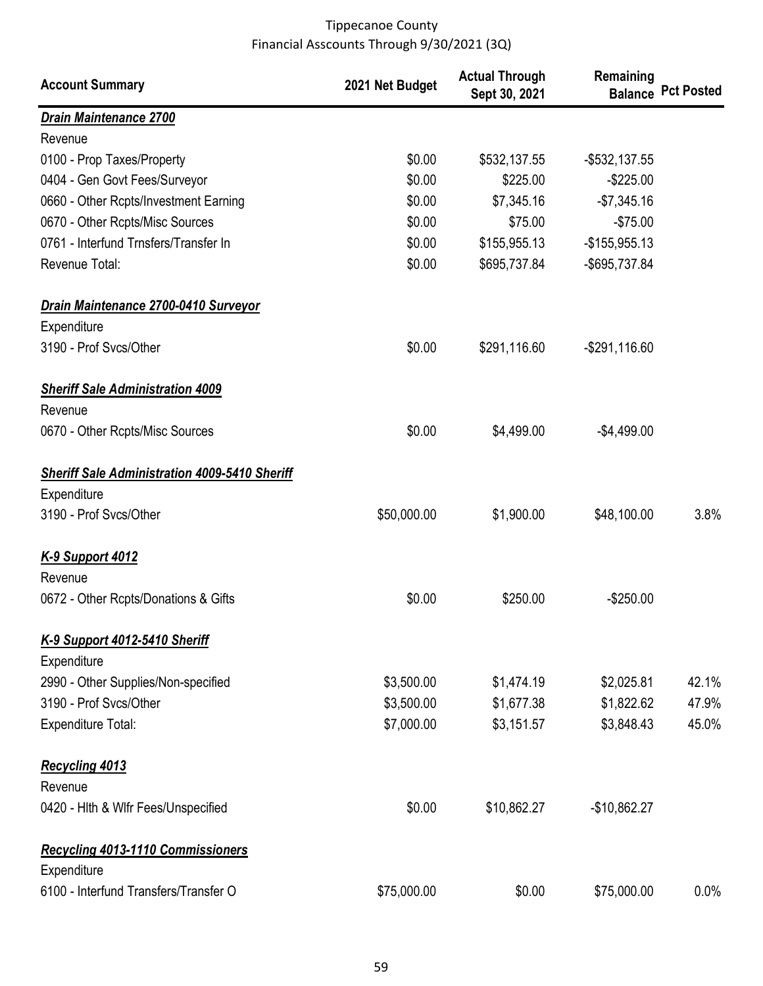| <b>Account Summary</b>                                  | 2021 Net Budget | <b>Actual Through</b><br>Sept 30, 2021 | Remaining        | <b>Balance Pct Posted</b> |
|---------------------------------------------------------|-----------------|----------------------------------------|------------------|---------------------------|
| Drain Maintenance 2700                                  |                 |                                        |                  |                           |
| Revenue                                                 |                 |                                        |                  |                           |
| 0100 - Prop Taxes/Property                              | \$0.00          | \$532,137.55                           | $-$ \$532,137.55 |                           |
| 0404 - Gen Govt Fees/Surveyor                           | \$0.00          | \$225.00                               | $-$225.00$       |                           |
| 0660 - Other Rcpts/Investment Earning                   | \$0.00          | \$7,345.16                             | $-$7,345.16$     |                           |
| 0670 - Other Rcpts/Misc Sources                         | \$0.00          | \$75.00                                | $-$75.00$        |                           |
| 0761 - Interfund Trnsfers/Transfer In                   | \$0.00          | \$155,955.13                           | $-$155,955.13$   |                           |
| Revenue Total:                                          | \$0.00          | \$695,737.84                           | -\$695,737.84    |                           |
| Drain Maintenance 2700-0410 Surveyor                    |                 |                                        |                  |                           |
| Expenditure                                             |                 |                                        |                  |                           |
| 3190 - Prof Svcs/Other                                  | \$0.00          | \$291,116.60                           | $-$ \$291,116.60 |                           |
| <b>Sheriff Sale Administration 4009</b>                 |                 |                                        |                  |                           |
| Revenue                                                 |                 |                                        |                  |                           |
| 0670 - Other Rcpts/Misc Sources                         | \$0.00          | \$4,499.00                             | $-$4,499.00$     |                           |
| <b>Sheriff Sale Administration 4009-5410 Sheriff</b>    |                 |                                        |                  |                           |
| Expenditure                                             |                 |                                        |                  |                           |
| 3190 - Prof Svcs/Other                                  | \$50,000.00     | \$1,900.00                             | \$48,100.00      | 3.8%                      |
| K-9 Support 4012                                        |                 |                                        |                  |                           |
| Revenue                                                 |                 |                                        |                  |                           |
| 0672 - Other Rcpts/Donations & Gifts                    | \$0.00          | \$250.00                               | $-$250.00$       |                           |
| K-9 Support 4012-5410 Sheriff<br>Expenditure            |                 |                                        |                  |                           |
| 2990 - Other Supplies/Non-specified                     | \$3,500.00      | \$1,474.19                             | \$2,025.81       | 42.1%                     |
| 3190 - Prof Svcs/Other                                  | \$3,500.00      | \$1,677.38                             | \$1,822.62       | 47.9%                     |
| <b>Expenditure Total:</b>                               | \$7,000.00      | \$3,151.57                             | \$3,848.43       | 45.0%                     |
| <b>Recycling 4013</b>                                   |                 |                                        |                  |                           |
| Revenue                                                 |                 |                                        |                  |                           |
| 0420 - Hith & Wifr Fees/Unspecified                     | \$0.00          | \$10,862.27                            | $-$10,862.27$    |                           |
| <b>Recycling 4013-1110 Commissioners</b><br>Expenditure |                 |                                        |                  |                           |
| 6100 - Interfund Transfers/Transfer O                   | \$75,000.00     | \$0.00                                 | \$75,000.00      | $0.0\%$                   |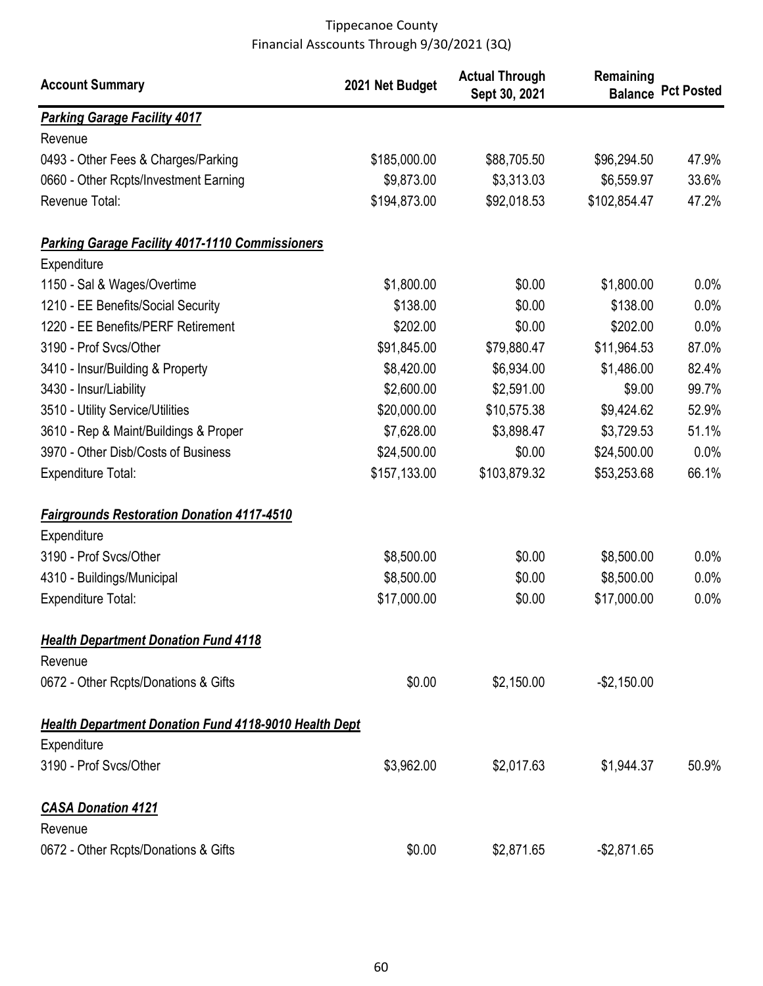| <b>Account Summary</b>                                       | 2021 Net Budget | <b>Actual Through</b><br>Sept 30, 2021 | Remaining    | <b>Balance Pct Posted</b> |
|--------------------------------------------------------------|-----------------|----------------------------------------|--------------|---------------------------|
| <b>Parking Garage Facility 4017</b>                          |                 |                                        |              |                           |
| Revenue                                                      |                 |                                        |              |                           |
| 0493 - Other Fees & Charges/Parking                          | \$185,000.00    | \$88,705.50                            | \$96,294.50  | 47.9%                     |
| 0660 - Other Rcpts/Investment Earning                        | \$9,873.00      | \$3,313.03                             | \$6,559.97   | 33.6%                     |
| Revenue Total:                                               | \$194,873.00    | \$92,018.53                            | \$102,854.47 | 47.2%                     |
| <b>Parking Garage Facility 4017-1110 Commissioners</b>       |                 |                                        |              |                           |
| Expenditure                                                  |                 |                                        |              |                           |
| 1150 - Sal & Wages/Overtime                                  | \$1,800.00      | \$0.00                                 | \$1,800.00   | 0.0%                      |
| 1210 - EE Benefits/Social Security                           | \$138.00        | \$0.00                                 | \$138.00     | 0.0%                      |
| 1220 - EE Benefits/PERF Retirement                           | \$202.00        | \$0.00                                 | \$202.00     | 0.0%                      |
| 3190 - Prof Svcs/Other                                       | \$91,845.00     | \$79,880.47                            | \$11,964.53  | 87.0%                     |
| 3410 - Insur/Building & Property                             | \$8,420.00      | \$6,934.00                             | \$1,486.00   | 82.4%                     |
| 3430 - Insur/Liability                                       | \$2,600.00      | \$2,591.00                             | \$9.00       | 99.7%                     |
| 3510 - Utility Service/Utilities                             | \$20,000.00     | \$10,575.38                            | \$9,424.62   | 52.9%                     |
| 3610 - Rep & Maint/Buildings & Proper                        | \$7,628.00      | \$3,898.47                             | \$3,729.53   | 51.1%                     |
| 3970 - Other Disb/Costs of Business                          | \$24,500.00     | \$0.00                                 | \$24,500.00  | 0.0%                      |
| <b>Expenditure Total:</b>                                    | \$157,133.00    | \$103,879.32                           | \$53,253.68  | 66.1%                     |
| <b>Fairgrounds Restoration Donation 4117-4510</b>            |                 |                                        |              |                           |
| Expenditure                                                  |                 |                                        |              |                           |
| 3190 - Prof Svcs/Other                                       | \$8,500.00      | \$0.00                                 | \$8,500.00   | 0.0%                      |
| 4310 - Buildings/Municipal                                   | \$8,500.00      | \$0.00                                 | \$8,500.00   | 0.0%                      |
| <b>Expenditure Total:</b>                                    | \$17,000.00     | \$0.00                                 | \$17,000.00  | 0.0%                      |
| <b>Health Department Donation Fund 4118</b>                  |                 |                                        |              |                           |
| Revenue                                                      |                 |                                        |              |                           |
| 0672 - Other Rcpts/Donations & Gifts                         | \$0.00          | \$2,150.00                             | $-$2,150.00$ |                           |
| <b>Health Department Donation Fund 4118-9010 Health Dept</b> |                 |                                        |              |                           |
| Expenditure                                                  |                 |                                        |              |                           |
| 3190 - Prof Svcs/Other                                       | \$3,962.00      | \$2,017.63                             | \$1,944.37   | 50.9%                     |
| <b>CASA Donation 4121</b>                                    |                 |                                        |              |                           |
| Revenue                                                      |                 |                                        |              |                           |
| 0672 - Other Rcpts/Donations & Gifts                         | \$0.00          | \$2,871.65                             | $-$2,871.65$ |                           |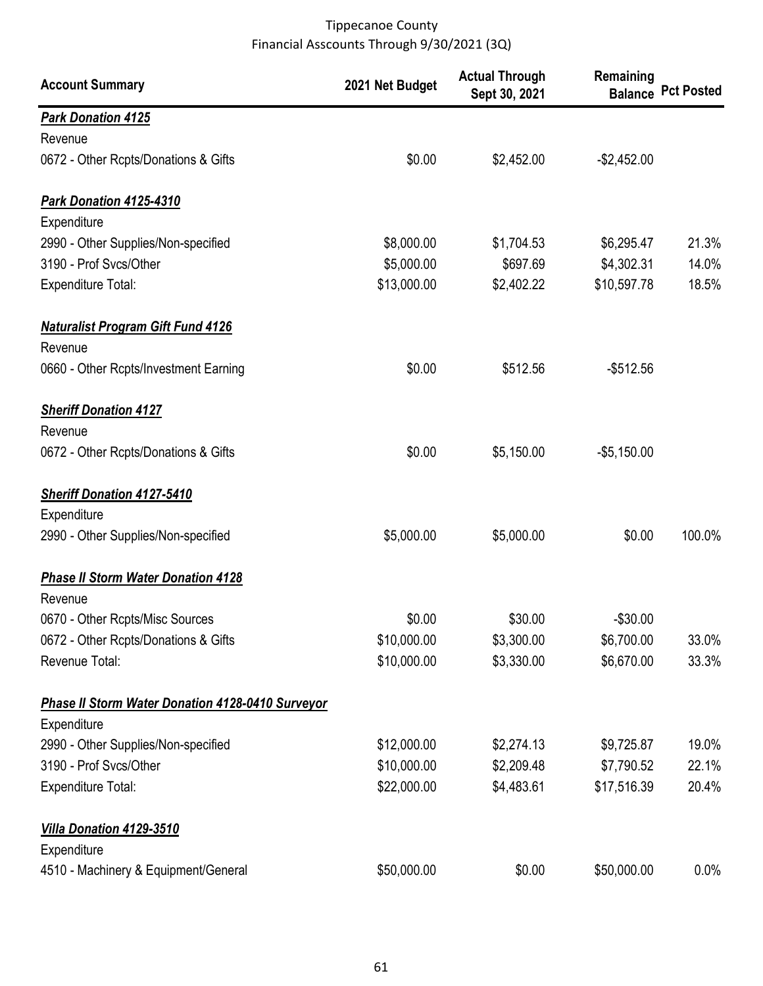| <b>Account Summary</b>                                  | 2021 Net Budget | <b>Actual Through</b><br>Sept 30, 2021 | Remaining    | <b>Balance Pct Posted</b> |
|---------------------------------------------------------|-----------------|----------------------------------------|--------------|---------------------------|
| <b>Park Donation 4125</b>                               |                 |                                        |              |                           |
| Revenue                                                 |                 |                                        |              |                           |
| 0672 - Other Rcpts/Donations & Gifts                    | \$0.00          | \$2,452.00                             | $-$2,452.00$ |                           |
| Park Donation 4125-4310                                 |                 |                                        |              |                           |
| Expenditure                                             |                 |                                        |              |                           |
| 2990 - Other Supplies/Non-specified                     | \$8,000.00      | \$1,704.53                             | \$6,295.47   | 21.3%                     |
| 3190 - Prof Svcs/Other                                  | \$5,000.00      | \$697.69                               | \$4,302.31   | 14.0%                     |
| <b>Expenditure Total:</b>                               | \$13,000.00     | \$2,402.22                             | \$10,597.78  | 18.5%                     |
| <b>Naturalist Program Gift Fund 4126</b>                |                 |                                        |              |                           |
| Revenue                                                 |                 |                                        |              |                           |
| 0660 - Other Rcpts/Investment Earning                   | \$0.00          | \$512.56                               | $-$512.56$   |                           |
| <b>Sheriff Donation 4127</b>                            |                 |                                        |              |                           |
| Revenue                                                 |                 |                                        |              |                           |
| 0672 - Other Rcpts/Donations & Gifts                    | \$0.00          | \$5,150.00                             | $-$5,150.00$ |                           |
| <b>Sheriff Donation 4127-5410</b>                       |                 |                                        |              |                           |
| Expenditure                                             |                 |                                        |              |                           |
| 2990 - Other Supplies/Non-specified                     | \$5,000.00      | \$5,000.00                             | \$0.00       | 100.0%                    |
| <b>Phase II Storm Water Donation 4128</b><br>Revenue    |                 |                                        |              |                           |
| 0670 - Other Rcpts/Misc Sources                         | \$0.00          | \$30.00                                | $-$30.00$    |                           |
| 0672 - Other Rcpts/Donations & Gifts                    | \$10,000.00     | \$3,300.00                             | \$6,700.00   | 33.0%                     |
| Revenue Total:                                          | \$10,000.00     | \$3,330.00                             | \$6,670.00   | 33.3%                     |
| <b>Phase II Storm Water Donation 4128-0410 Surveyor</b> |                 |                                        |              |                           |
| Expenditure                                             |                 |                                        |              |                           |
| 2990 - Other Supplies/Non-specified                     | \$12,000.00     | \$2,274.13                             | \$9,725.87   | 19.0%                     |
| 3190 - Prof Svcs/Other                                  | \$10,000.00     | \$2,209.48                             | \$7,790.52   | 22.1%                     |
| <b>Expenditure Total:</b>                               | \$22,000.00     | \$4,483.61                             | \$17,516.39  | 20.4%                     |
| Villa Donation 4129-3510                                |                 |                                        |              |                           |
| Expenditure                                             |                 |                                        |              |                           |
| 4510 - Machinery & Equipment/General                    | \$50,000.00     | \$0.00                                 | \$50,000.00  | $0.0\%$                   |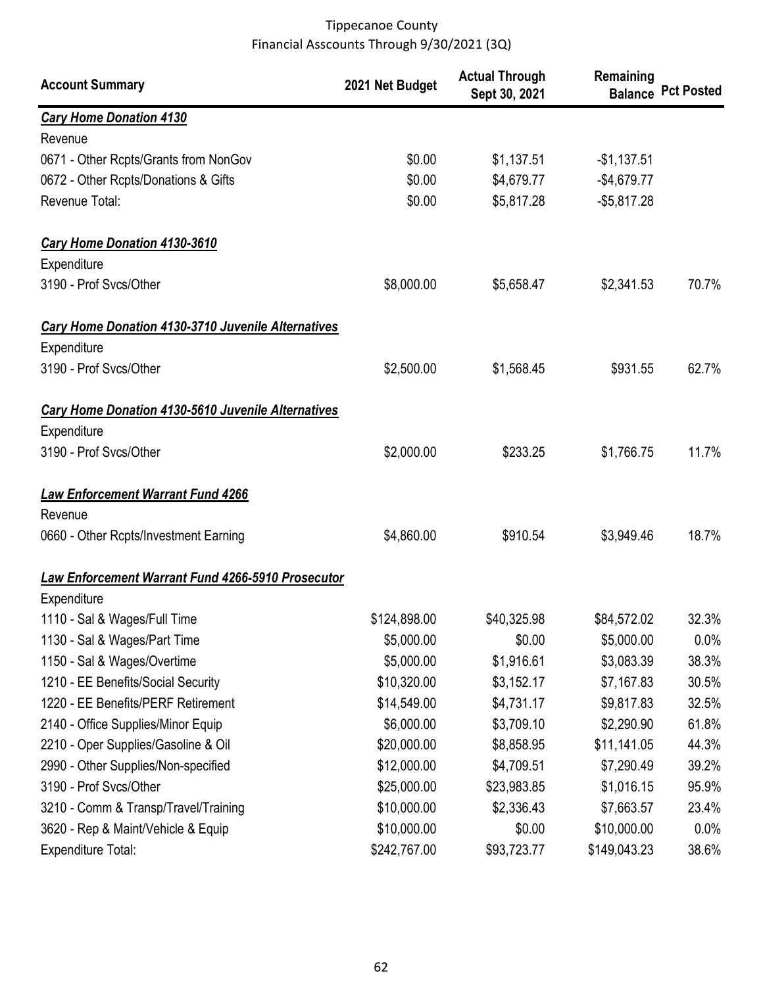| <b>Account Summary</b>                                    | 2021 Net Budget | <b>Actual Through</b><br>Sept 30, 2021 | Remaining    | <b>Balance Pct Posted</b> |
|-----------------------------------------------------------|-----------------|----------------------------------------|--------------|---------------------------|
| <b>Cary Home Donation 4130</b>                            |                 |                                        |              |                           |
| Revenue                                                   |                 |                                        |              |                           |
| 0671 - Other Rcpts/Grants from NonGov                     | \$0.00          | \$1,137.51                             | $-$1,137.51$ |                           |
| 0672 - Other Rcpts/Donations & Gifts                      | \$0.00          | \$4,679.77                             | $-$4,679.77$ |                           |
| Revenue Total:                                            | \$0.00          | \$5,817.28                             | $-$5,817.28$ |                           |
| <b>Cary Home Donation 4130-3610</b>                       |                 |                                        |              |                           |
| Expenditure                                               |                 |                                        |              |                           |
| 3190 - Prof Svcs/Other                                    | \$8,000.00      | \$5,658.47                             | \$2,341.53   | 70.7%                     |
| <b>Cary Home Donation 4130-3710 Juvenile Alternatives</b> |                 |                                        |              |                           |
| Expenditure                                               |                 |                                        |              |                           |
| 3190 - Prof Svcs/Other                                    | \$2,500.00      | \$1,568.45                             | \$931.55     | 62.7%                     |
| Cary Home Donation 4130-5610 Juvenile Alternatives        |                 |                                        |              |                           |
| Expenditure                                               |                 |                                        |              |                           |
| 3190 - Prof Svcs/Other                                    | \$2,000.00      | \$233.25                               | \$1,766.75   | 11.7%                     |
| <b>Law Enforcement Warrant Fund 4266</b>                  |                 |                                        |              |                           |
| Revenue                                                   |                 |                                        |              |                           |
| 0660 - Other Rcpts/Investment Earning                     | \$4,860.00      | \$910.54                               | \$3,949.46   | 18.7%                     |
| <b>Law Enforcement Warrant Fund 4266-5910 Prosecutor</b>  |                 |                                        |              |                           |
| Expenditure                                               |                 |                                        |              |                           |
| 1110 - Sal & Wages/Full Time                              | \$124,898.00    | \$40,325.98                            | \$84,572.02  | 32.3%                     |
| 1130 - Sal & Wages/Part Time                              | \$5,000.00      | \$0.00                                 | \$5,000.00   | $0.0\%$                   |
| 1150 - Sal & Wages/Overtime                               | \$5,000.00      | \$1,916.61                             | \$3,083.39   | 38.3%                     |
| 1210 - EE Benefits/Social Security                        | \$10,320.00     | \$3,152.17                             | \$7,167.83   | 30.5%                     |
| 1220 - EE Benefits/PERF Retirement                        | \$14,549.00     | \$4,731.17                             | \$9,817.83   | 32.5%                     |
| 2140 - Office Supplies/Minor Equip                        | \$6,000.00      | \$3,709.10                             | \$2,290.90   | 61.8%                     |
| 2210 - Oper Supplies/Gasoline & Oil                       | \$20,000.00     | \$8,858.95                             | \$11,141.05  | 44.3%                     |
| 2990 - Other Supplies/Non-specified                       | \$12,000.00     | \$4,709.51                             | \$7,290.49   | 39.2%                     |
| 3190 - Prof Svcs/Other                                    | \$25,000.00     | \$23,983.85                            | \$1,016.15   | 95.9%                     |
| 3210 - Comm & Transp/Travel/Training                      | \$10,000.00     | \$2,336.43                             | \$7,663.57   | 23.4%                     |
| 3620 - Rep & Maint/Vehicle & Equip                        | \$10,000.00     | \$0.00                                 | \$10,000.00  | 0.0%                      |
| <b>Expenditure Total:</b>                                 | \$242,767.00    | \$93,723.77                            | \$149,043.23 | 38.6%                     |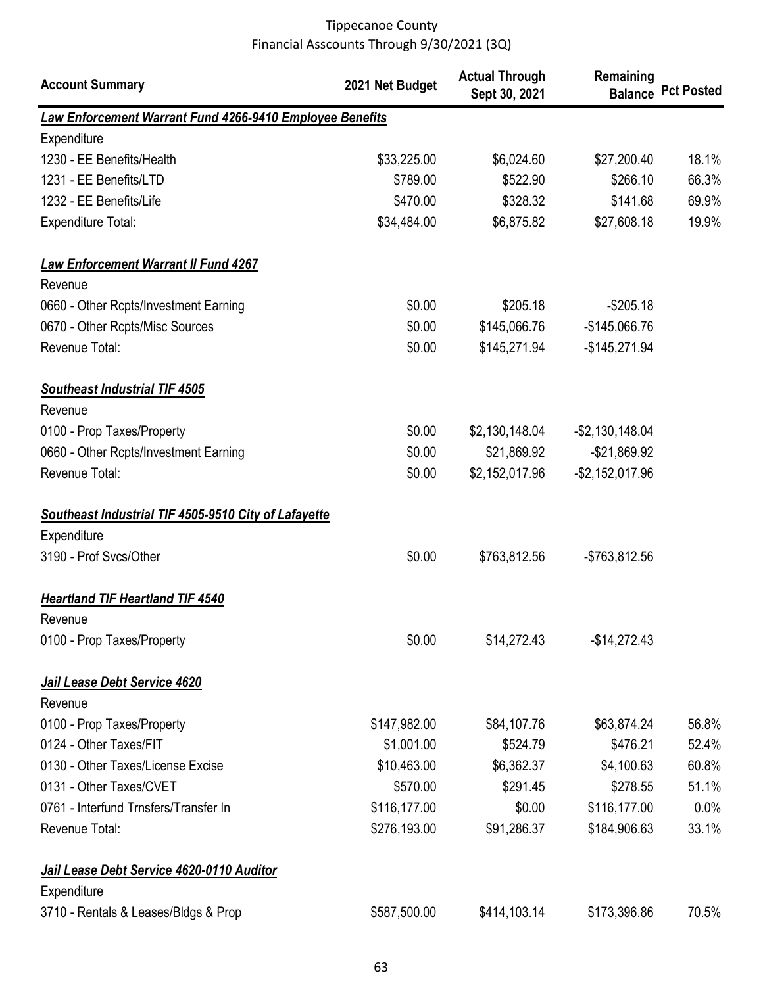| <b>Account Summary</b>                                                     | 2021 Net Budget | <b>Actual Through</b><br>Sept 30, 2021 | Remaining          | <b>Balance Pct Posted</b> |
|----------------------------------------------------------------------------|-----------------|----------------------------------------|--------------------|---------------------------|
| <b>Law Enforcement Warrant Fund 4266-9410 Employee Benefits</b>            |                 |                                        |                    |                           |
| Expenditure                                                                |                 |                                        |                    |                           |
| 1230 - EE Benefits/Health                                                  | \$33,225.00     | \$6,024.60                             | \$27,200.40        | 18.1%                     |
| 1231 - EE Benefits/LTD                                                     | \$789.00        | \$522.90                               | \$266.10           | 66.3%                     |
| 1232 - EE Benefits/Life                                                    | \$470.00        | \$328.32                               | \$141.68           | 69.9%                     |
| <b>Expenditure Total:</b>                                                  | \$34,484.00     | \$6,875.82                             | \$27,608.18        | 19.9%                     |
| <b>Law Enforcement Warrant II Fund 4267</b>                                |                 |                                        |                    |                           |
| Revenue                                                                    |                 |                                        |                    |                           |
| 0660 - Other Rcpts/Investment Earning                                      | \$0.00          | \$205.18                               | $-$205.18$         |                           |
| 0670 - Other Rcpts/Misc Sources                                            | \$0.00          | \$145,066.76                           | $-$145,066.76$     |                           |
| Revenue Total:                                                             | \$0.00          | \$145,271.94                           | $-$145,271.94$     |                           |
| <b>Southeast Industrial TIF 4505</b>                                       |                 |                                        |                    |                           |
| Revenue                                                                    |                 |                                        |                    |                           |
| 0100 - Prop Taxes/Property                                                 | \$0.00          | \$2,130,148.04                         | $-$ \$2,130,148.04 |                           |
| 0660 - Other Rcpts/Investment Earning                                      | \$0.00          | \$21,869.92                            | -\$21,869.92       |                           |
| Revenue Total:                                                             | \$0.00          | \$2,152,017.96                         | $-$2,152,017.96$   |                           |
| <b>Southeast Industrial TIF 4505-9510 City of Lafayette</b><br>Expenditure |                 |                                        |                    |                           |
| 3190 - Prof Svcs/Other                                                     | \$0.00          | \$763,812.56                           | $-$763,812.56$     |                           |
| <b>Heartland TIF Heartland TIF 4540</b>                                    |                 |                                        |                    |                           |
| Revenue                                                                    |                 |                                        |                    |                           |
| 0100 - Prop Taxes/Property                                                 | \$0.00          | \$14,272.43                            | $-$14,272.43$      |                           |
| Jail Lease Debt Service 4620                                               |                 |                                        |                    |                           |
| Revenue                                                                    |                 |                                        |                    |                           |
| 0100 - Prop Taxes/Property                                                 | \$147,982.00    | \$84,107.76                            | \$63,874.24        | 56.8%                     |
| 0124 - Other Taxes/FIT                                                     | \$1,001.00      | \$524.79                               | \$476.21           | 52.4%                     |
| 0130 - Other Taxes/License Excise                                          | \$10,463.00     | \$6,362.37                             | \$4,100.63         | 60.8%                     |
| 0131 - Other Taxes/CVET                                                    | \$570.00        | \$291.45                               | \$278.55           | 51.1%                     |
| 0761 - Interfund Trnsfers/Transfer In                                      | \$116,177.00    | \$0.00                                 | \$116,177.00       | 0.0%                      |
| Revenue Total:                                                             | \$276,193.00    | \$91,286.37                            | \$184,906.63       | 33.1%                     |
| Jail Lease Debt Service 4620-0110 Auditor                                  |                 |                                        |                    |                           |
| Expenditure                                                                |                 |                                        |                    |                           |
| 3710 - Rentals & Leases/Bldgs & Prop                                       | \$587,500.00    | \$414,103.14                           | \$173,396.86       | 70.5%                     |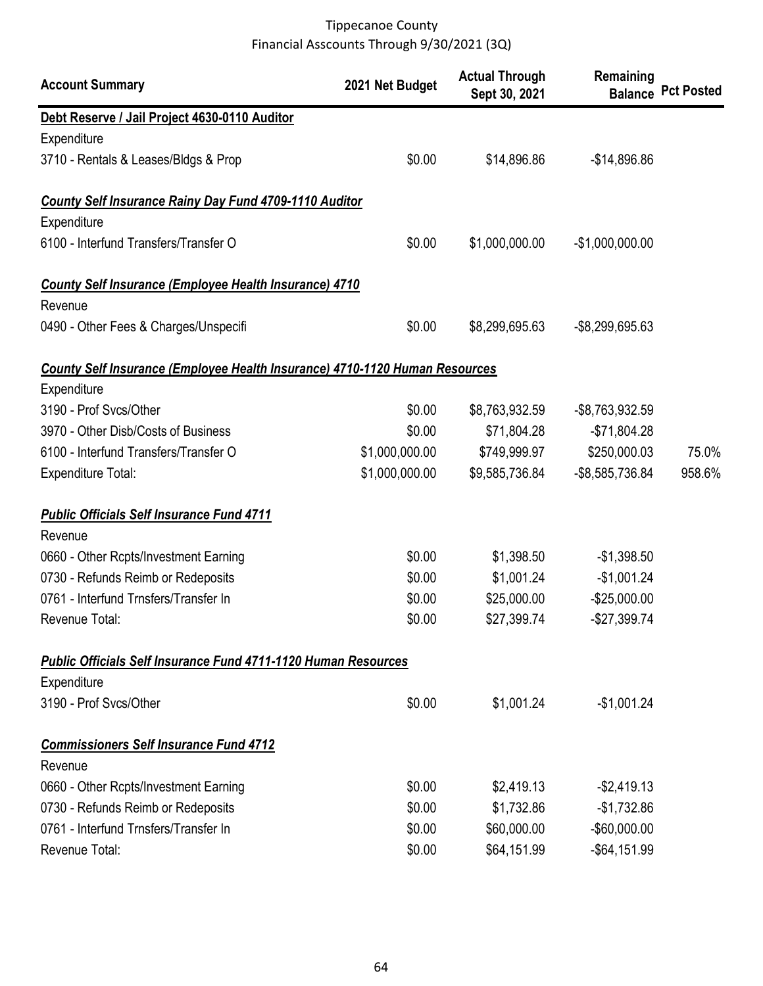| <b>Account Summary</b>                                                      | 2021 Net Budget | <b>Actual Through</b><br>Sept 30, 2021 | Remaining        | <b>Balance Pct Posted</b> |
|-----------------------------------------------------------------------------|-----------------|----------------------------------------|------------------|---------------------------|
| Debt Reserve / Jail Project 4630-0110 Auditor                               |                 |                                        |                  |                           |
| Expenditure                                                                 |                 |                                        |                  |                           |
| 3710 - Rentals & Leases/Bldgs & Prop                                        | \$0.00          | \$14,896.86                            | $-$14,896.86$    |                           |
| <b>County Self Insurance Rainy Day Fund 4709-1110 Auditor</b>               |                 |                                        |                  |                           |
| Expenditure                                                                 |                 |                                        |                  |                           |
| 6100 - Interfund Transfers/Transfer O                                       | \$0.00          | \$1,000,000.00                         | $-$1,000,000.00$ |                           |
| <b>County Self Insurance (Employee Health Insurance) 4710</b>               |                 |                                        |                  |                           |
| Revenue                                                                     |                 |                                        |                  |                           |
| 0490 - Other Fees & Charges/Unspecifi                                       | \$0.00          | \$8,299,695.63                         | -\$8,299,695.63  |                           |
| County Self Insurance (Employee Health Insurance) 4710-1120 Human Resources |                 |                                        |                  |                           |
| Expenditure                                                                 |                 |                                        |                  |                           |
| 3190 - Prof Svcs/Other                                                      | \$0.00          | \$8,763,932.59                         | -\$8,763,932.59  |                           |
| 3970 - Other Disb/Costs of Business                                         | \$0.00          | \$71,804.28                            | $-$71,804.28$    |                           |
| 6100 - Interfund Transfers/Transfer O                                       | \$1,000,000.00  | \$749,999.97                           | \$250,000.03     | 75.0%                     |
| <b>Expenditure Total:</b>                                                   | \$1,000,000.00  | \$9,585,736.84                         | -\$8,585,736.84  | 958.6%                    |
| <b>Public Officials Self Insurance Fund 4711</b>                            |                 |                                        |                  |                           |
| Revenue                                                                     |                 |                                        |                  |                           |
| 0660 - Other Rcpts/Investment Earning                                       | \$0.00          | \$1,398.50                             | $-$1,398.50$     |                           |
| 0730 - Refunds Reimb or Redeposits                                          | \$0.00          | \$1,001.24                             | $-$1,001.24$     |                           |
| 0761 - Interfund Trnsfers/Transfer In                                       | \$0.00          | \$25,000.00                            | $-$25,000.00$    |                           |
| Revenue Total:                                                              | \$0.00          | \$27,399.74                            | $-$27,399.74$    |                           |
| <b>Public Officials Self Insurance Fund 4711-1120 Human Resources</b>       |                 |                                        |                  |                           |
| Expenditure                                                                 |                 |                                        |                  |                           |
| 3190 - Prof Svcs/Other                                                      | \$0.00          | \$1,001.24                             | $-$1,001.24$     |                           |
| <b>Commissioners Self Insurance Fund 4712</b>                               |                 |                                        |                  |                           |
| Revenue                                                                     |                 |                                        |                  |                           |
| 0660 - Other Rcpts/Investment Earning                                       | \$0.00          | \$2,419.13                             | $-$2,419.13$     |                           |
| 0730 - Refunds Reimb or Redeposits                                          | \$0.00          | \$1,732.86                             | $-$1,732.86$     |                           |
| 0761 - Interfund Trnsfers/Transfer In                                       | \$0.00          | \$60,000.00                            | $-$60,000.00$    |                           |
| Revenue Total:                                                              | \$0.00          | \$64,151.99                            | $-$ \$64,151.99  |                           |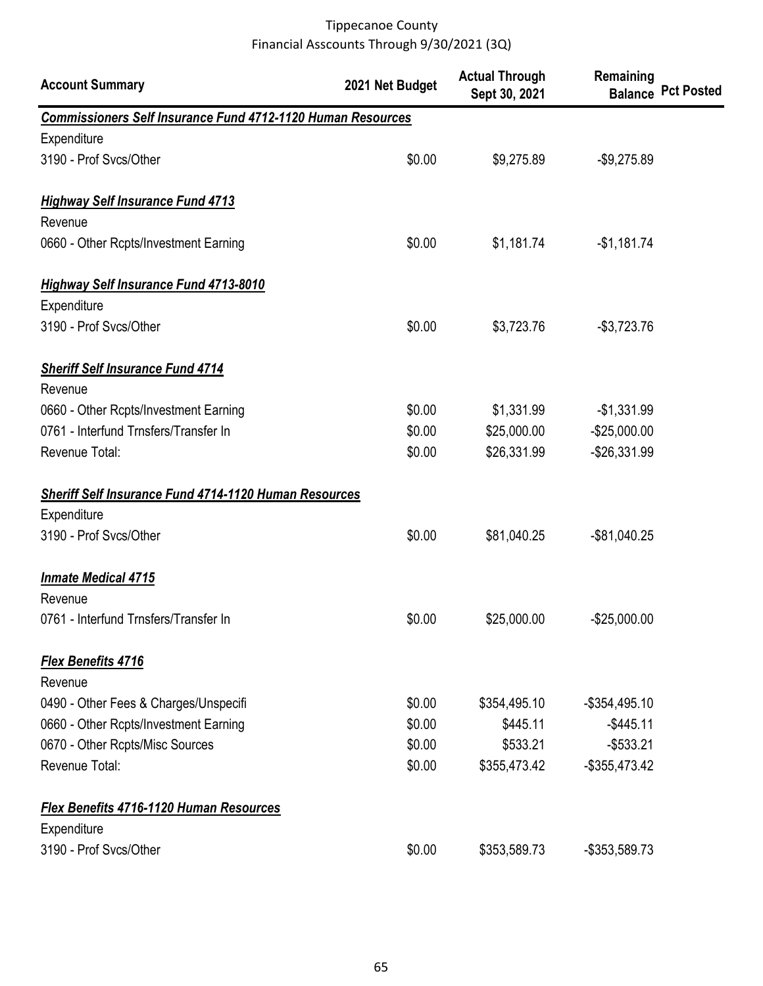| <b>Account Summary</b>                                             | 2021 Net Budget | <b>Actual Through</b><br>Sept 30, 2021 | Remaining        | <b>Balance Pct Posted</b> |
|--------------------------------------------------------------------|-----------------|----------------------------------------|------------------|---------------------------|
| <b>Commissioners Self Insurance Fund 4712-1120 Human Resources</b> |                 |                                        |                  |                           |
| Expenditure                                                        |                 |                                        |                  |                           |
| 3190 - Prof Svcs/Other                                             | \$0.00          | \$9,275.89                             | $-$9,275.89$     |                           |
| <b>Highway Self Insurance Fund 4713</b>                            |                 |                                        |                  |                           |
| Revenue                                                            |                 |                                        |                  |                           |
| 0660 - Other Rcpts/Investment Earning                              | \$0.00          | \$1,181.74                             | $-$1,181.74$     |                           |
| <b>Highway Self Insurance Fund 4713-8010</b>                       |                 |                                        |                  |                           |
| Expenditure                                                        |                 |                                        |                  |                           |
| 3190 - Prof Svcs/Other                                             | \$0.00          | \$3,723.76                             | $-$3,723.76$     |                           |
| <b>Sheriff Self Insurance Fund 4714</b>                            |                 |                                        |                  |                           |
| Revenue                                                            |                 |                                        |                  |                           |
| 0660 - Other Rcpts/Investment Earning                              | \$0.00          | \$1,331.99                             | $-$1,331.99$     |                           |
| 0761 - Interfund Trnsfers/Transfer In                              | \$0.00          | \$25,000.00                            | $-$25,000.00$    |                           |
| Revenue Total:                                                     | \$0.00          | \$26,331.99                            | $-$26,331.99$    |                           |
| <b>Sheriff Self Insurance Fund 4714-1120 Human Resources</b>       |                 |                                        |                  |                           |
| Expenditure                                                        |                 |                                        |                  |                           |
| 3190 - Prof Svcs/Other                                             | \$0.00          | \$81,040.25                            | $-$ \$81,040.25  |                           |
| <b>Inmate Medical 4715</b>                                         |                 |                                        |                  |                           |
| Revenue                                                            |                 |                                        |                  |                           |
| 0761 - Interfund Trnsfers/Transfer In                              | \$0.00          | \$25,000.00                            | $-$25,000.00$    |                           |
| Flex Benefits 4716                                                 |                 |                                        |                  |                           |
| Revenue                                                            |                 |                                        |                  |                           |
| 0490 - Other Fees & Charges/Unspecifi                              | \$0.00          | \$354,495.10                           | $-$ \$354,495.10 |                           |
| 0660 - Other Rcpts/Investment Earning                              | \$0.00          | \$445.11                               | $-$445.11$       |                           |
| 0670 - Other Rcpts/Misc Sources                                    | \$0.00          | \$533.21                               | $-$ \$533.21     |                           |
| Revenue Total:                                                     | \$0.00          | \$355,473.42                           | $-$ \$355,473.42 |                           |
| Flex Benefits 4716-1120 Human Resources                            |                 |                                        |                  |                           |
| Expenditure                                                        |                 |                                        |                  |                           |
| 3190 - Prof Svcs/Other                                             | \$0.00          | \$353,589.73                           | -\$353,589.73    |                           |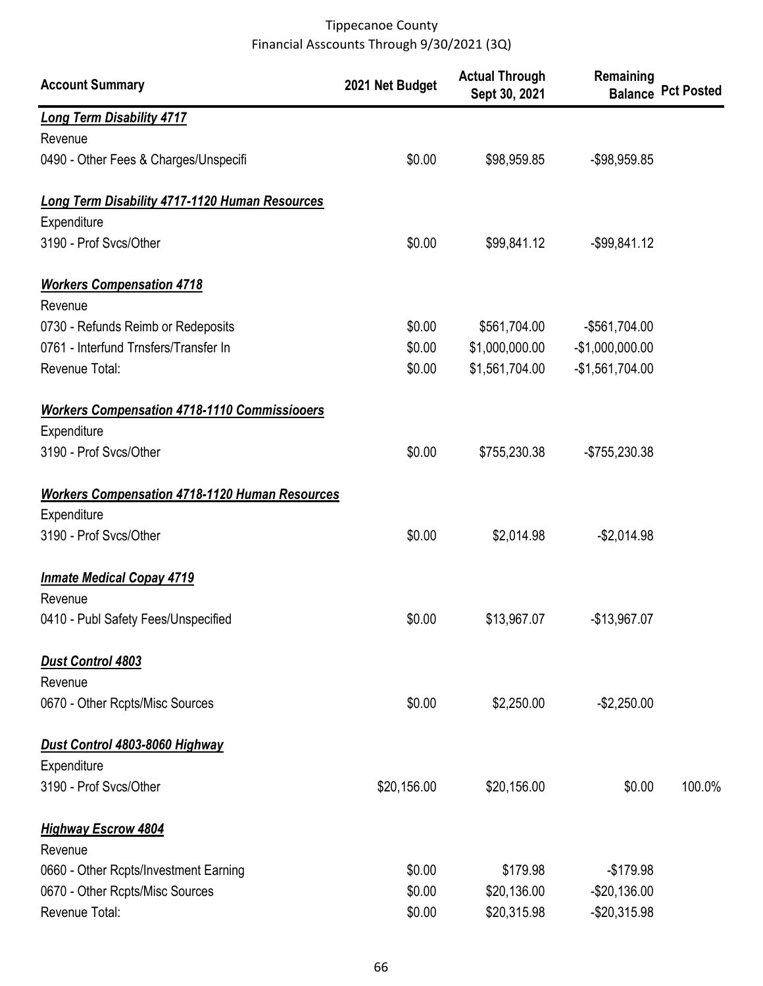| <b>Account Summary</b>                                | 2021 Net Budget | <b>Actual Through</b><br>Sept 30, 2021 | Remaining        | <b>Balance Pct Posted</b> |
|-------------------------------------------------------|-----------------|----------------------------------------|------------------|---------------------------|
| <b>Long Term Disability 4717</b>                      |                 |                                        |                  |                           |
| Revenue                                               |                 |                                        |                  |                           |
| 0490 - Other Fees & Charges/Unspecifi                 | \$0.00          | \$98,959.85                            | -\$98,959.85     |                           |
| Long Term Disability 4717-1120 Human Resources        |                 |                                        |                  |                           |
| Expenditure                                           |                 |                                        |                  |                           |
| 3190 - Prof Svcs/Other                                | \$0.00          | \$99,841.12                            | $-$ \$99,841.12  |                           |
| <b>Workers Compensation 4718</b>                      |                 |                                        |                  |                           |
| Revenue                                               |                 |                                        |                  |                           |
| 0730 - Refunds Reimb or Redeposits                    | \$0.00          | \$561,704.00                           | $-$561,704.00$   |                           |
| 0761 - Interfund Trnsfers/Transfer In                 | \$0.00          | \$1,000,000.00                         | $-$1,000,000.00$ |                           |
| Revenue Total:                                        | \$0.00          | \$1,561,704.00                         | $-$1,561,704.00$ |                           |
| <b>Workers Compensation 4718-1110 Commissiooers</b>   |                 |                                        |                  |                           |
| Expenditure                                           |                 |                                        |                  |                           |
| 3190 - Prof Svcs/Other                                | \$0.00          | \$755,230.38                           | -\$755,230.38    |                           |
| <b>Workers Compensation 4718-1120 Human Resources</b> |                 |                                        |                  |                           |
| Expenditure                                           |                 |                                        |                  |                           |
| 3190 - Prof Svcs/Other                                | \$0.00          | \$2,014.98                             | $-$2,014.98$     |                           |
| <b>Inmate Medical Copay 4719</b>                      |                 |                                        |                  |                           |
| Revenue                                               |                 |                                        |                  |                           |
| 0410 - Publ Safety Fees/Unspecified                   | \$0.00          | \$13,967.07                            | $-$13,967.07$    |                           |
| <b>Dust Control 4803</b>                              |                 |                                        |                  |                           |
| Revenue                                               |                 |                                        |                  |                           |
| 0670 - Other Rcpts/Misc Sources                       | \$0.00          | \$2,250.00                             | $-$2,250.00$     |                           |
| Dust Control 4803-8060 Highway                        |                 |                                        |                  |                           |
| Expenditure                                           |                 |                                        |                  |                           |
| 3190 - Prof Svcs/Other                                | \$20,156.00     | \$20,156.00                            | \$0.00           | 100.0%                    |
| <b>Highway Escrow 4804</b>                            |                 |                                        |                  |                           |
| Revenue                                               |                 |                                        |                  |                           |
| 0660 - Other Rcpts/Investment Earning                 | \$0.00          | \$179.98                               | $-$179.98$       |                           |
| 0670 - Other Rcpts/Misc Sources                       | \$0.00          | \$20,136.00                            | $-$20,136.00$    |                           |
| Revenue Total:                                        | \$0.00          | \$20,315.98                            | $-$20,315.98$    |                           |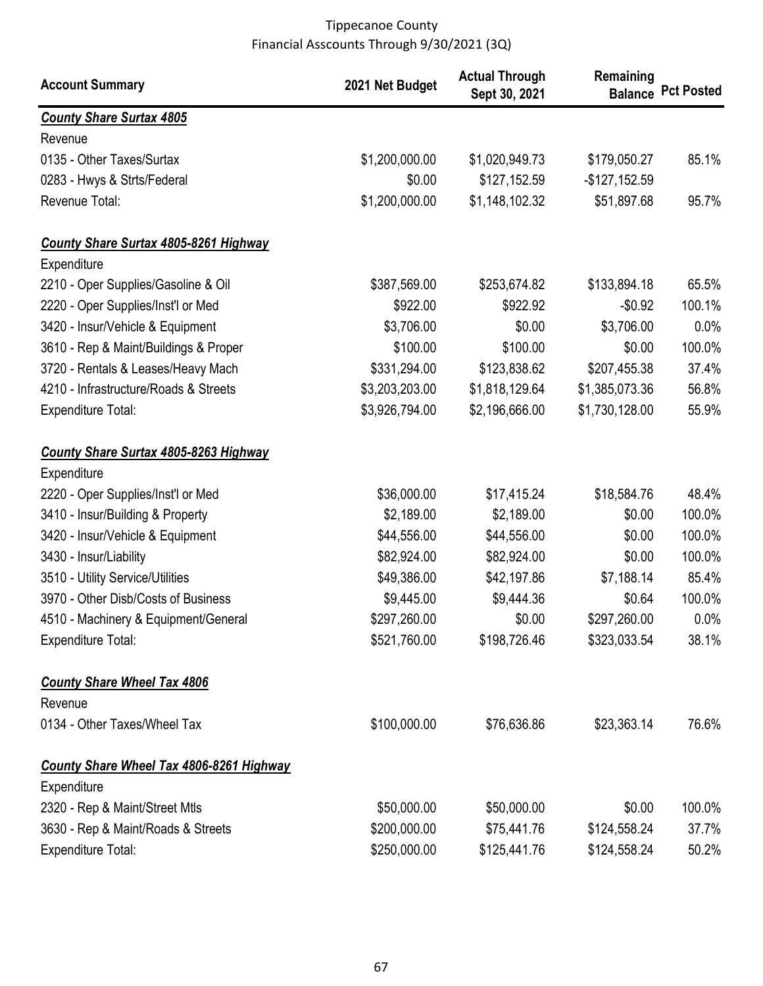| <b>Account Summary</b>                       | 2021 Net Budget | <b>Actual Through</b><br>Sept 30, 2021 | Remaining      | <b>Balance Pct Posted</b> |
|----------------------------------------------|-----------------|----------------------------------------|----------------|---------------------------|
| <b>County Share Surtax 4805</b>              |                 |                                        |                |                           |
| Revenue                                      |                 |                                        |                |                           |
| 0135 - Other Taxes/Surtax                    | \$1,200,000.00  | \$1,020,949.73                         | \$179,050.27   | 85.1%                     |
| 0283 - Hwys & Strts/Federal                  | \$0.00          | \$127,152.59                           | $-$127,152.59$ |                           |
| Revenue Total:                               | \$1,200,000.00  | \$1,148,102.32                         | \$51,897.68    | 95.7%                     |
| <b>County Share Surtax 4805-8261 Highway</b> |                 |                                        |                |                           |
| Expenditure                                  |                 |                                        |                |                           |
| 2210 - Oper Supplies/Gasoline & Oil          | \$387,569.00    | \$253,674.82                           | \$133,894.18   | 65.5%                     |
| 2220 - Oper Supplies/Inst'l or Med           | \$922.00        | \$922.92                               | $-$0.92$       | 100.1%                    |
| 3420 - Insur/Vehicle & Equipment             | \$3,706.00      | \$0.00                                 | \$3,706.00     | 0.0%                      |
| 3610 - Rep & Maint/Buildings & Proper        | \$100.00        | \$100.00                               | \$0.00         | 100.0%                    |
| 3720 - Rentals & Leases/Heavy Mach           | \$331,294.00    | \$123,838.62                           | \$207,455.38   | 37.4%                     |
| 4210 - Infrastructure/Roads & Streets        | \$3,203,203.00  | \$1,818,129.64                         | \$1,385,073.36 | 56.8%                     |
| <b>Expenditure Total:</b>                    | \$3,926,794.00  | \$2,196,666.00                         | \$1,730,128.00 | 55.9%                     |
| <b>County Share Surtax 4805-8263 Highway</b> |                 |                                        |                |                           |
| Expenditure                                  |                 |                                        |                |                           |
| 2220 - Oper Supplies/Inst'l or Med           | \$36,000.00     | \$17,415.24                            | \$18,584.76    | 48.4%                     |
| 3410 - Insur/Building & Property             | \$2,189.00      | \$2,189.00                             | \$0.00         | 100.0%                    |
| 3420 - Insur/Vehicle & Equipment             | \$44,556.00     | \$44,556.00                            | \$0.00         | 100.0%                    |
| 3430 - Insur/Liability                       | \$82,924.00     | \$82,924.00                            | \$0.00         | 100.0%                    |
| 3510 - Utility Service/Utilities             | \$49,386.00     | \$42,197.86                            | \$7,188.14     | 85.4%                     |
| 3970 - Other Disb/Costs of Business          | \$9,445.00      | \$9,444.36                             | \$0.64         | 100.0%                    |
| 4510 - Machinery & Equipment/General         | \$297,260.00    | \$0.00                                 | \$297,260.00   | $0.0\%$                   |
| <b>Expenditure Total:</b>                    | \$521,760.00    | \$198,726.46                           | \$323,033.54   | 38.1%                     |
| <b>County Share Wheel Tax 4806</b>           |                 |                                        |                |                           |
| Revenue                                      |                 |                                        |                |                           |
| 0134 - Other Taxes/Wheel Tax                 | \$100,000.00    | \$76,636.86                            | \$23,363.14    | 76.6%                     |
| County Share Wheel Tax 4806-8261 Highway     |                 |                                        |                |                           |
| Expenditure                                  |                 |                                        |                |                           |
| 2320 - Rep & Maint/Street Mtls               | \$50,000.00     | \$50,000.00                            | \$0.00         | 100.0%                    |
| 3630 - Rep & Maint/Roads & Streets           | \$200,000.00    | \$75,441.76                            | \$124,558.24   | 37.7%                     |
| <b>Expenditure Total:</b>                    | \$250,000.00    | \$125,441.76                           | \$124,558.24   | 50.2%                     |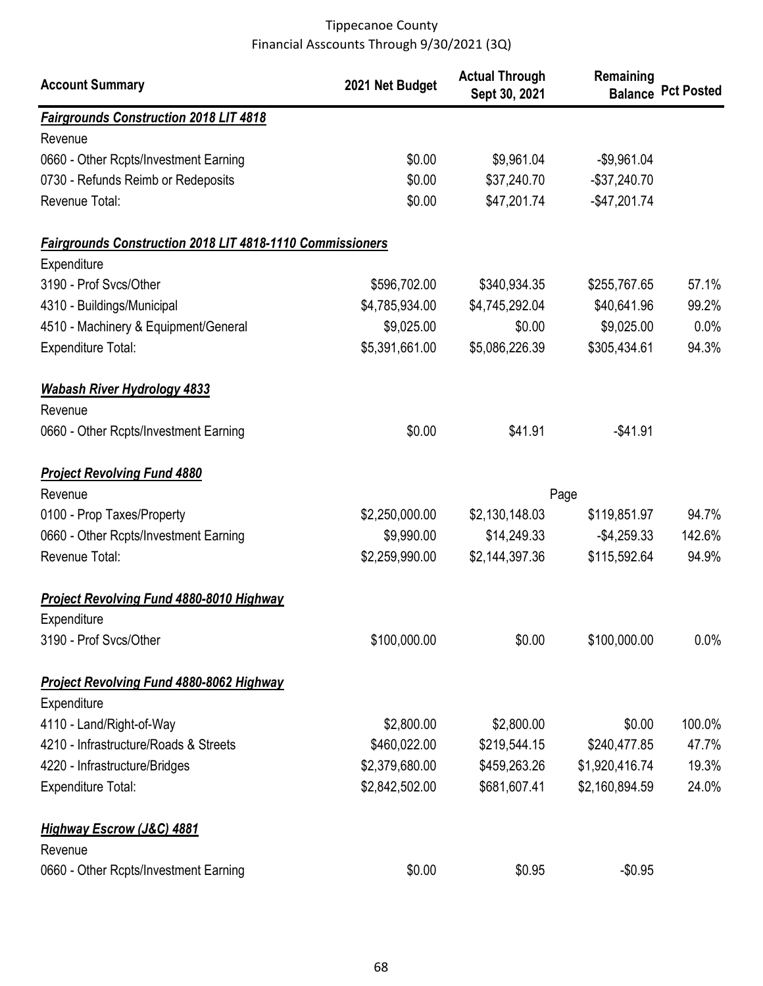| <b>Account Summary</b>                                    | 2021 Net Budget | <b>Actual Through</b><br>Sept 30, 2021 | Remaining      | <b>Balance Pct Posted</b> |
|-----------------------------------------------------------|-----------------|----------------------------------------|----------------|---------------------------|
| <b>Fairgrounds Construction 2018 LIT 4818</b>             |                 |                                        |                |                           |
| Revenue                                                   |                 |                                        |                |                           |
| 0660 - Other Rcpts/Investment Earning                     | \$0.00          | \$9,961.04                             | $-$9,961.04$   |                           |
| 0730 - Refunds Reimb or Redeposits                        | \$0.00          | \$37,240.70                            | $-$37,240.70$  |                           |
| Revenue Total:                                            | \$0.00          | \$47,201.74                            | $-$47,201.74$  |                           |
| Fairgrounds Construction 2018 LIT 4818-1110 Commissioners |                 |                                        |                |                           |
| Expenditure                                               |                 |                                        |                |                           |
| 3190 - Prof Svcs/Other                                    | \$596,702.00    | \$340,934.35                           | \$255,767.65   | 57.1%                     |
| 4310 - Buildings/Municipal                                | \$4,785,934.00  | \$4,745,292.04                         | \$40,641.96    | 99.2%                     |
| 4510 - Machinery & Equipment/General                      | \$9,025.00      | \$0.00                                 | \$9,025.00     | 0.0%                      |
| <b>Expenditure Total:</b>                                 | \$5,391,661.00  | \$5,086,226.39                         | \$305,434.61   | 94.3%                     |
| <b>Wabash River Hydrology 4833</b>                        |                 |                                        |                |                           |
| Revenue                                                   |                 |                                        |                |                           |
| 0660 - Other Rcpts/Investment Earning                     | \$0.00          | \$41.91                                | $-$41.91$      |                           |
| <b>Project Revolving Fund 4880</b>                        |                 |                                        |                |                           |
| Revenue                                                   |                 |                                        | Page           |                           |
| 0100 - Prop Taxes/Property                                | \$2,250,000.00  | \$2,130,148.03                         | \$119,851.97   | 94.7%                     |
| 0660 - Other Rcpts/Investment Earning                     | \$9,990.00      | \$14,249.33                            | $-$4,259.33$   | 142.6%                    |
| Revenue Total:                                            | \$2,259,990.00  | \$2,144,397.36                         | \$115,592.64   | 94.9%                     |
| <b>Project Revolving Fund 4880-8010 Highway</b>           |                 |                                        |                |                           |
| Expenditure                                               |                 |                                        |                |                           |
| 3190 - Prof Svcs/Other                                    | \$100,000.00    | \$0.00                                 | \$100,000.00   | 0.0%                      |
| <b>Project Revolving Fund 4880-8062 Highway</b>           |                 |                                        |                |                           |
| Expenditure                                               |                 |                                        |                |                           |
| 4110 - Land/Right-of-Way                                  | \$2,800.00      | \$2,800.00                             | \$0.00         | 100.0%                    |
| 4210 - Infrastructure/Roads & Streets                     | \$460,022.00    | \$219,544.15                           | \$240,477.85   | 47.7%                     |
| 4220 - Infrastructure/Bridges                             | \$2,379,680.00  | \$459,263.26                           | \$1,920,416.74 | 19.3%                     |
| <b>Expenditure Total:</b>                                 | \$2,842,502.00  | \$681,607.41                           | \$2,160,894.59 | 24.0%                     |
| <b>Highway Escrow (J&amp;C) 4881</b>                      |                 |                                        |                |                           |
| Revenue                                                   |                 |                                        |                |                           |
| 0660 - Other Rcpts/Investment Earning                     | \$0.00          | \$0.95                                 | $-$0.95$       |                           |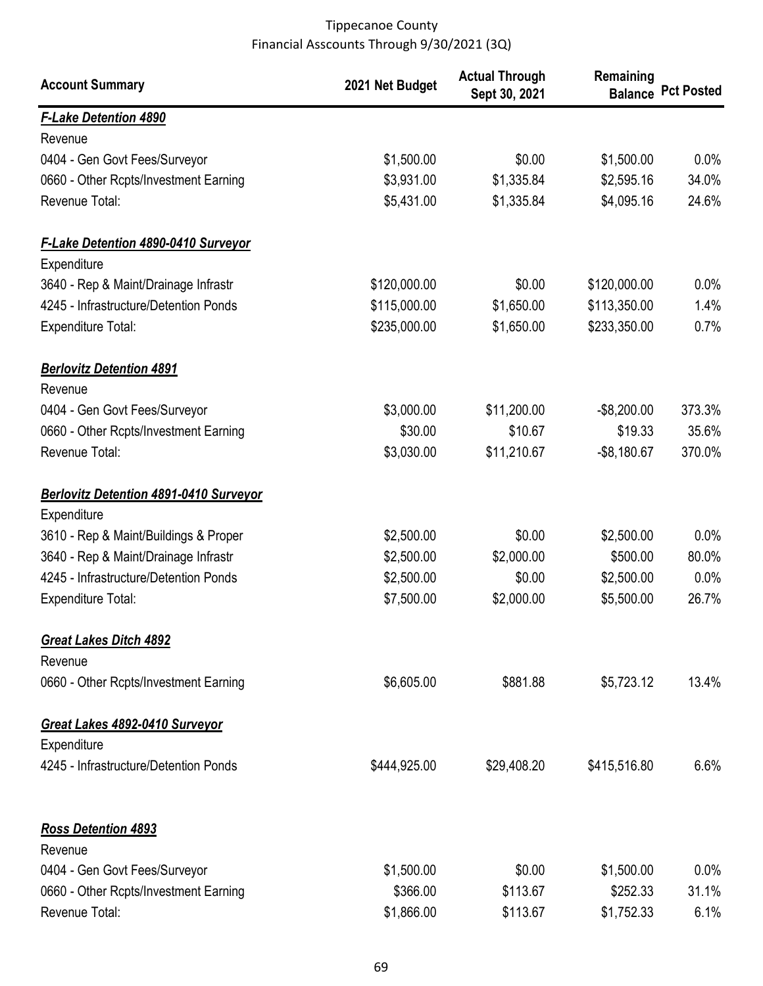| <b>Account Summary</b>                        | 2021 Net Budget | <b>Actual Through</b><br>Sept 30, 2021 | Remaining      | <b>Balance Pct Posted</b> |
|-----------------------------------------------|-----------------|----------------------------------------|----------------|---------------------------|
| <b>F-Lake Detention 4890</b>                  |                 |                                        |                |                           |
| Revenue                                       |                 |                                        |                |                           |
| 0404 - Gen Govt Fees/Surveyor                 | \$1,500.00      | \$0.00                                 | \$1,500.00     | 0.0%                      |
| 0660 - Other Rcpts/Investment Earning         | \$3,931.00      | \$1,335.84                             | \$2,595.16     | 34.0%                     |
| Revenue Total:                                | \$5,431.00      | \$1,335.84                             | \$4,095.16     | 24.6%                     |
| <b>F-Lake Detention 4890-0410 Surveyor</b>    |                 |                                        |                |                           |
| Expenditure                                   |                 |                                        |                |                           |
| 3640 - Rep & Maint/Drainage Infrastr          | \$120,000.00    | \$0.00                                 | \$120,000.00   | 0.0%                      |
| 4245 - Infrastructure/Detention Ponds         | \$115,000.00    | \$1,650.00                             | \$113,350.00   | 1.4%                      |
| <b>Expenditure Total:</b>                     | \$235,000.00    | \$1,650.00                             | \$233,350.00   | 0.7%                      |
| <b>Berlovitz Detention 4891</b>               |                 |                                        |                |                           |
| Revenue                                       |                 |                                        |                |                           |
| 0404 - Gen Govt Fees/Surveyor                 | \$3,000.00      | \$11,200.00                            | $-$8,200.00$   | 373.3%                    |
| 0660 - Other Rcpts/Investment Earning         | \$30.00         | \$10.67                                | \$19.33        | 35.6%                     |
| Revenue Total:                                | \$3,030.00      | \$11,210.67                            | $-$ \$8,180.67 | 370.0%                    |
| <b>Berlovitz Detention 4891-0410 Surveyor</b> |                 |                                        |                |                           |
| Expenditure                                   |                 |                                        |                |                           |
| 3610 - Rep & Maint/Buildings & Proper         | \$2,500.00      | \$0.00                                 | \$2,500.00     | $0.0\%$                   |
| 3640 - Rep & Maint/Drainage Infrastr          | \$2,500.00      | \$2,000.00                             | \$500.00       | 80.0%                     |
| 4245 - Infrastructure/Detention Ponds         | \$2,500.00      | \$0.00                                 | \$2,500.00     | 0.0%                      |
| <b>Expenditure Total:</b>                     | \$7,500.00      | \$2,000.00                             | \$5,500.00     | 26.7%                     |
| <b>Great Lakes Ditch 4892</b><br>Revenue      |                 |                                        |                |                           |
| 0660 - Other Rcpts/Investment Earning         | \$6,605.00      | \$881.88                               | \$5,723.12     | 13.4%                     |
| Great Lakes 4892-0410 Surveyor                |                 |                                        |                |                           |
| Expenditure                                   |                 |                                        |                |                           |
| 4245 - Infrastructure/Detention Ponds         | \$444,925.00    | \$29,408.20                            | \$415,516.80   | 6.6%                      |
| <b>Ross Detention 4893</b>                    |                 |                                        |                |                           |
| Revenue                                       |                 |                                        |                |                           |
| 0404 - Gen Govt Fees/Surveyor                 | \$1,500.00      | \$0.00                                 | \$1,500.00     | $0.0\%$                   |
| 0660 - Other Rcpts/Investment Earning         | \$366.00        | \$113.67                               | \$252.33       | 31.1%                     |
| Revenue Total:                                | \$1,866.00      | \$113.67                               | \$1,752.33     | 6.1%                      |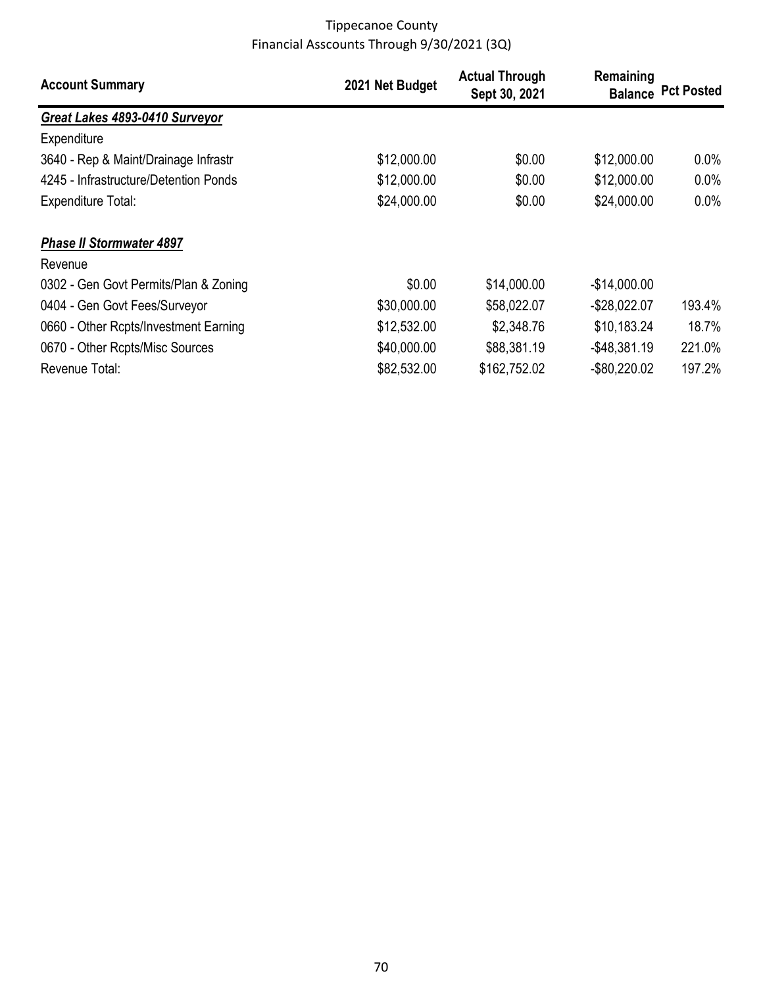| <b>Account Summary</b>                | 2021 Net Budget | <b>Actual Through</b><br>Sept 30, 2021 | Remaining       | <b>Balance Pct Posted</b> |
|---------------------------------------|-----------------|----------------------------------------|-----------------|---------------------------|
| Great Lakes 4893-0410 Surveyor        |                 |                                        |                 |                           |
| Expenditure                           |                 |                                        |                 |                           |
| 3640 - Rep & Maint/Drainage Infrastr  | \$12,000.00     | \$0.00                                 | \$12,000.00     | $0.0\%$                   |
| 4245 - Infrastructure/Detention Ponds | \$12,000.00     | \$0.00                                 | \$12,000.00     | 0.0%                      |
| Expenditure Total:                    | \$24,000.00     | \$0.00                                 | \$24,000.00     | $0.0\%$                   |
| <b>Phase II Stormwater 4897</b>       |                 |                                        |                 |                           |
| Revenue                               |                 |                                        |                 |                           |
| 0302 - Gen Govt Permits/Plan & Zoning | \$0.00          | \$14,000.00                            | $-$14,000.00$   |                           |
| 0404 - Gen Govt Fees/Surveyor         | \$30,000.00     | \$58,022.07                            | $-$28,022.07$   | 193.4%                    |
| 0660 - Other Rcpts/Investment Earning | \$12,532.00     | \$2,348.76                             | \$10,183.24     | 18.7%                     |
| 0670 - Other Rcpts/Misc Sources       | \$40,000.00     | \$88,381.19                            | $-$ \$48,381.19 | 221.0%                    |
| Revenue Total:                        | \$82,532.00     | \$162,752.02                           | $-$ \$80,220.02 | 197.2%                    |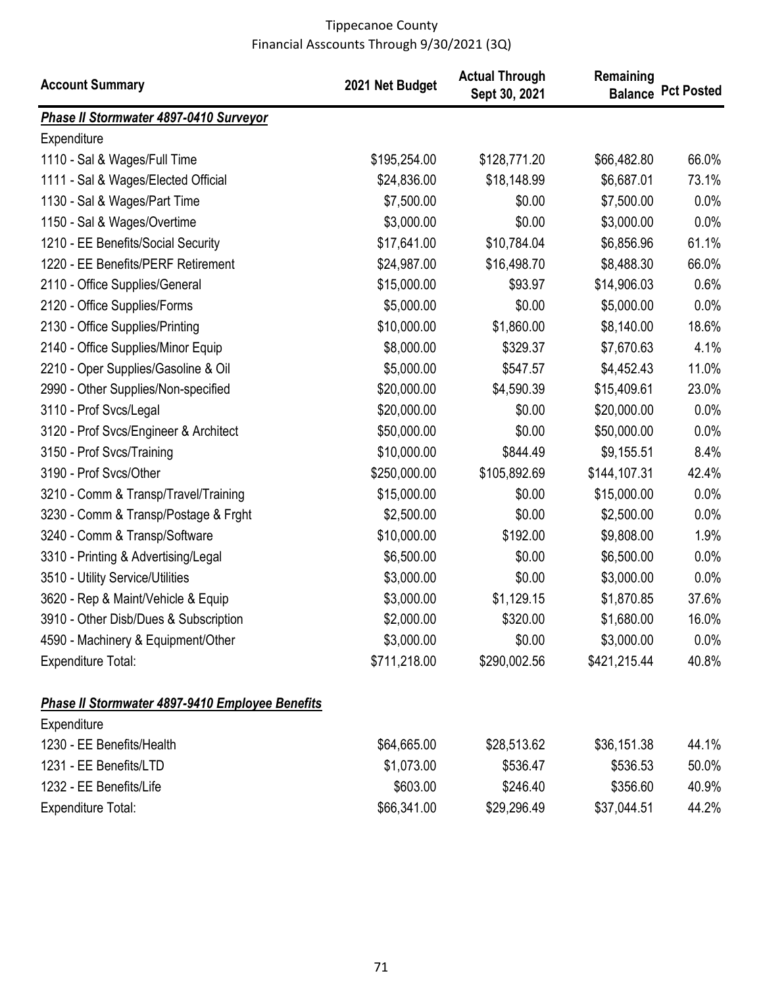| <b>Account Summary</b>                          | 2021 Net Budget | <b>Actual Through</b><br>Sept 30, 2021 | Remaining    | <b>Balance Pct Posted</b> |
|-------------------------------------------------|-----------------|----------------------------------------|--------------|---------------------------|
| Phase II Stormwater 4897-0410 Surveyor          |                 |                                        |              |                           |
| Expenditure                                     |                 |                                        |              |                           |
| 1110 - Sal & Wages/Full Time                    | \$195,254.00    | \$128,771.20                           | \$66,482.80  | 66.0%                     |
| 1111 - Sal & Wages/Elected Official             | \$24,836.00     | \$18,148.99                            | \$6,687.01   | 73.1%                     |
| 1130 - Sal & Wages/Part Time                    | \$7,500.00      | \$0.00                                 | \$7,500.00   | 0.0%                      |
| 1150 - Sal & Wages/Overtime                     | \$3,000.00      | \$0.00                                 | \$3,000.00   | 0.0%                      |
| 1210 - EE Benefits/Social Security              | \$17,641.00     | \$10,784.04                            | \$6,856.96   | 61.1%                     |
| 1220 - EE Benefits/PERF Retirement              | \$24,987.00     | \$16,498.70                            | \$8,488.30   | 66.0%                     |
| 2110 - Office Supplies/General                  | \$15,000.00     | \$93.97                                | \$14,906.03  | 0.6%                      |
| 2120 - Office Supplies/Forms                    | \$5,000.00      | \$0.00                                 | \$5,000.00   | 0.0%                      |
| 2130 - Office Supplies/Printing                 | \$10,000.00     | \$1,860.00                             | \$8,140.00   | 18.6%                     |
| 2140 - Office Supplies/Minor Equip              | \$8,000.00      | \$329.37                               | \$7,670.63   | 4.1%                      |
| 2210 - Oper Supplies/Gasoline & Oil             | \$5,000.00      | \$547.57                               | \$4,452.43   | 11.0%                     |
| 2990 - Other Supplies/Non-specified             | \$20,000.00     | \$4,590.39                             | \$15,409.61  | 23.0%                     |
| 3110 - Prof Svcs/Legal                          | \$20,000.00     | \$0.00                                 | \$20,000.00  | 0.0%                      |
| 3120 - Prof Svcs/Engineer & Architect           | \$50,000.00     | \$0.00                                 | \$50,000.00  | 0.0%                      |
| 3150 - Prof Svcs/Training                       | \$10,000.00     | \$844.49                               | \$9,155.51   | 8.4%                      |
| 3190 - Prof Svcs/Other                          | \$250,000.00    | \$105,892.69                           | \$144,107.31 | 42.4%                     |
| 3210 - Comm & Transp/Travel/Training            | \$15,000.00     | \$0.00                                 | \$15,000.00  | 0.0%                      |
| 3230 - Comm & Transp/Postage & Frght            | \$2,500.00      | \$0.00                                 | \$2,500.00   | 0.0%                      |
| 3240 - Comm & Transp/Software                   | \$10,000.00     | \$192.00                               | \$9,808.00   | 1.9%                      |
| 3310 - Printing & Advertising/Legal             | \$6,500.00      | \$0.00                                 | \$6,500.00   | 0.0%                      |
| 3510 - Utility Service/Utilities                | \$3,000.00      | \$0.00                                 | \$3,000.00   | 0.0%                      |
| 3620 - Rep & Maint/Vehicle & Equip              | \$3,000.00      | \$1,129.15                             | \$1,870.85   | 37.6%                     |
| 3910 - Other Disb/Dues & Subscription           | \$2,000.00      | \$320.00                               | \$1,680.00   | 16.0%                     |
| 4590 - Machinery & Equipment/Other              | \$3,000.00      | \$0.00                                 | \$3,000.00   | $0.0\%$                   |
| <b>Expenditure Total:</b>                       | \$711,218.00    | \$290,002.56                           | \$421,215.44 | 40.8%                     |
| Phase II Stormwater 4897-9410 Employee Benefits |                 |                                        |              |                           |
| Expenditure                                     |                 |                                        |              |                           |
| 1230 - EE Benefits/Health                       | \$64,665.00     | \$28,513.62                            | \$36,151.38  | 44.1%                     |
| 1231 - EE Benefits/LTD                          | \$1,073.00      | \$536.47                               | \$536.53     | 50.0%                     |
| 1232 - EE Benefits/Life                         | \$603.00        | \$246.40                               | \$356.60     | 40.9%                     |
| <b>Expenditure Total:</b>                       | \$66,341.00     | \$29,296.49                            | \$37,044.51  | 44.2%                     |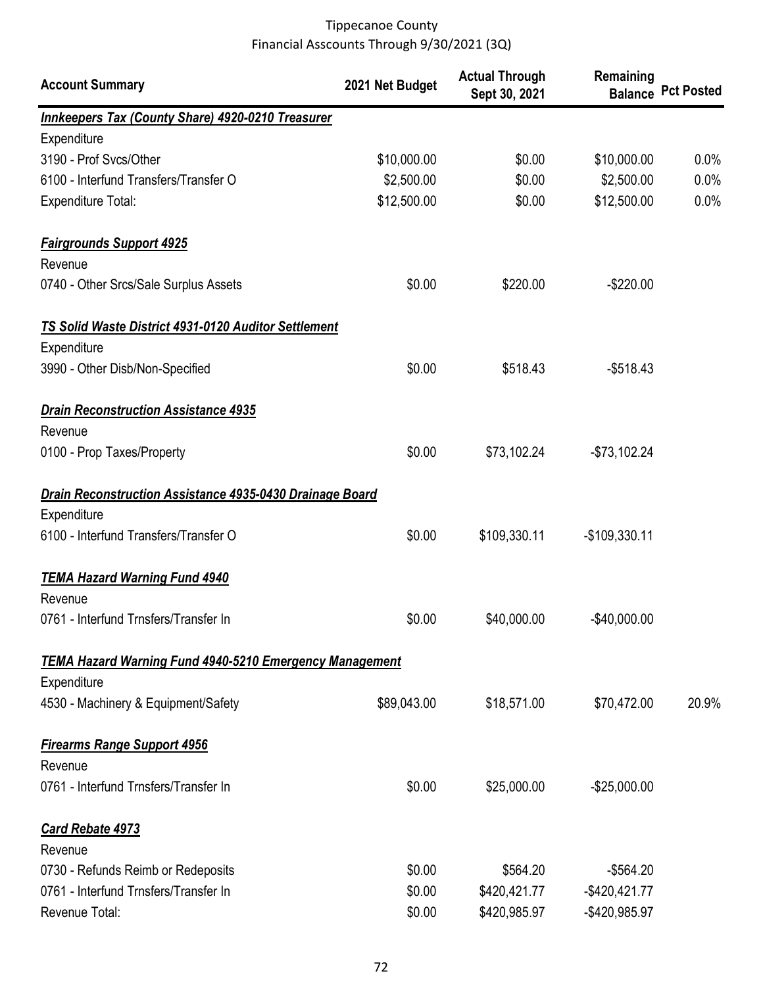| <b>Account Summary</b>                                          | 2021 Net Budget | <b>Actual Through</b><br>Sept 30, 2021 | Remaining        | <b>Balance Pct Posted</b> |
|-----------------------------------------------------------------|-----------------|----------------------------------------|------------------|---------------------------|
| <b>Innkeepers Tax (County Share) 4920-0210 Treasurer</b>        |                 |                                        |                  |                           |
| Expenditure                                                     |                 |                                        |                  |                           |
| 3190 - Prof Svcs/Other                                          | \$10,000.00     | \$0.00                                 | \$10,000.00      | 0.0%                      |
| 6100 - Interfund Transfers/Transfer O                           | \$2,500.00      | \$0.00                                 | \$2,500.00       | 0.0%                      |
| <b>Expenditure Total:</b>                                       | \$12,500.00     | \$0.00                                 | \$12,500.00      | 0.0%                      |
| <b>Fairgrounds Support 4925</b><br>Revenue                      |                 |                                        |                  |                           |
| 0740 - Other Srcs/Sale Surplus Assets                           | \$0.00          | \$220.00                               | $-$220.00$       |                           |
| <b>TS Solid Waste District 4931-0120 Auditor Settlement</b>     |                 |                                        |                  |                           |
| Expenditure                                                     |                 |                                        |                  |                           |
| 3990 - Other Disb/Non-Specified                                 | \$0.00          | \$518.43                               | $-$518.43$       |                           |
| <b>Drain Reconstruction Assistance 4935</b>                     |                 |                                        |                  |                           |
| Revenue                                                         |                 |                                        |                  |                           |
| 0100 - Prop Taxes/Property                                      | \$0.00          | \$73,102.24                            | $-$73,102.24$    |                           |
| <b>Drain Reconstruction Assistance 4935-0430 Drainage Board</b> |                 |                                        |                  |                           |
| Expenditure                                                     |                 |                                        |                  |                           |
| 6100 - Interfund Transfers/Transfer O                           | \$0.00          | \$109,330.11                           | $-$109,330.11$   |                           |
| <b>TEMA Hazard Warning Fund 4940</b>                            |                 |                                        |                  |                           |
| Revenue                                                         |                 |                                        |                  |                           |
| 0761 - Interfund Trnsfers/Transfer In                           | \$0.00          | \$40,000.00                            | $-$40.000.00$    |                           |
| <b>TEMA Hazard Warning Fund 4940-5210 Emergency Management</b>  |                 |                                        |                  |                           |
| Expenditure                                                     |                 |                                        |                  |                           |
| 4530 - Machinery & Equipment/Safety                             | \$89,043.00     | \$18,571.00                            | \$70,472.00      | 20.9%                     |
| <b>Firearms Range Support 4956</b>                              |                 |                                        |                  |                           |
| Revenue<br>0761 - Interfund Trnsfers/Transfer In                | \$0.00          | \$25,000.00                            | $-$25,000.00$    |                           |
|                                                                 |                 |                                        |                  |                           |
| <b>Card Rebate 4973</b><br>Revenue                              |                 |                                        |                  |                           |
| 0730 - Refunds Reimb or Redeposits                              | \$0.00          | \$564.20                               | $-$564.20$       |                           |
| 0761 - Interfund Trnsfers/Transfer In                           | \$0.00          | \$420,421.77                           | $-$ \$420,421.77 |                           |
| Revenue Total:                                                  | \$0.00          | \$420,985.97                           | -\$420,985.97    |                           |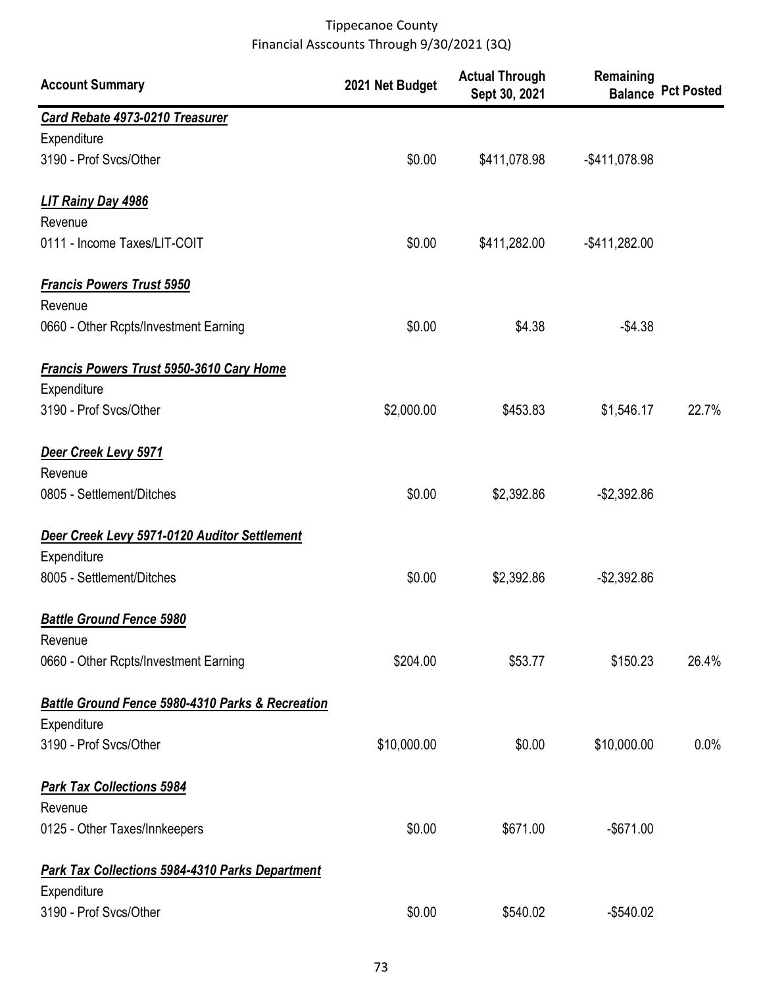| <b>Account Summary</b>                                 | 2021 Net Budget | <b>Actual Through</b><br>Sept 30, 2021 | Remaining        | <b>Balance Pct Posted</b> |
|--------------------------------------------------------|-----------------|----------------------------------------|------------------|---------------------------|
| Card Rebate 4973-0210 Treasurer                        |                 |                                        |                  |                           |
| Expenditure                                            |                 |                                        |                  |                           |
| 3190 - Prof Svcs/Other                                 | \$0.00          | \$411,078.98                           | -\$411,078.98    |                           |
| LIT Rainy Day 4986                                     |                 |                                        |                  |                           |
| Revenue                                                |                 |                                        |                  |                           |
| 0111 - Income Taxes/LIT-COIT                           | \$0.00          | \$411,282.00                           | $-$ \$411,282.00 |                           |
| <b>Francis Powers Trust 5950</b>                       |                 |                                        |                  |                           |
| Revenue                                                |                 |                                        |                  |                           |
| 0660 - Other Rcpts/Investment Earning                  | \$0.00          | \$4.38                                 | $-$4.38$         |                           |
| <b>Francis Powers Trust 5950-3610 Cary Home</b>        |                 |                                        |                  |                           |
| Expenditure                                            |                 |                                        |                  |                           |
| 3190 - Prof Svcs/Other                                 | \$2,000.00      | \$453.83                               | \$1,546.17       | 22.7%                     |
| Deer Creek Levy 5971                                   |                 |                                        |                  |                           |
| Revenue                                                |                 |                                        |                  |                           |
| 0805 - Settlement/Ditches                              | \$0.00          | \$2,392.86                             | $-$2,392.86$     |                           |
| Deer Creek Levy 5971-0120 Auditor Settlement           |                 |                                        |                  |                           |
| Expenditure                                            |                 |                                        |                  |                           |
| 8005 - Settlement/Ditches                              | \$0.00          | \$2,392.86                             | $-$2,392.86$     |                           |
| <b>Battle Ground Fence 5980</b>                        |                 |                                        |                  |                           |
| Revenue                                                |                 |                                        |                  |                           |
| 0660 - Other Rcpts/Investment Earning                  | \$204.00        | \$53.77                                | \$150.23         | 26.4%                     |
| Battle Ground Fence 5980-4310 Parks & Recreation       |                 |                                        |                  |                           |
| Expenditure                                            |                 |                                        |                  |                           |
| 3190 - Prof Svcs/Other                                 | \$10,000.00     | \$0.00                                 | \$10,000.00      | 0.0%                      |
| <b>Park Tax Collections 5984</b>                       |                 |                                        |                  |                           |
| Revenue                                                |                 |                                        |                  |                           |
| 0125 - Other Taxes/Innkeepers                          | \$0.00          | \$671.00                               | $-$671.00$       |                           |
| <b>Park Tax Collections 5984-4310 Parks Department</b> |                 |                                        |                  |                           |
| Expenditure                                            |                 |                                        |                  |                           |
| 3190 - Prof Svcs/Other                                 | \$0.00          | \$540.02                               | $-$540.02$       |                           |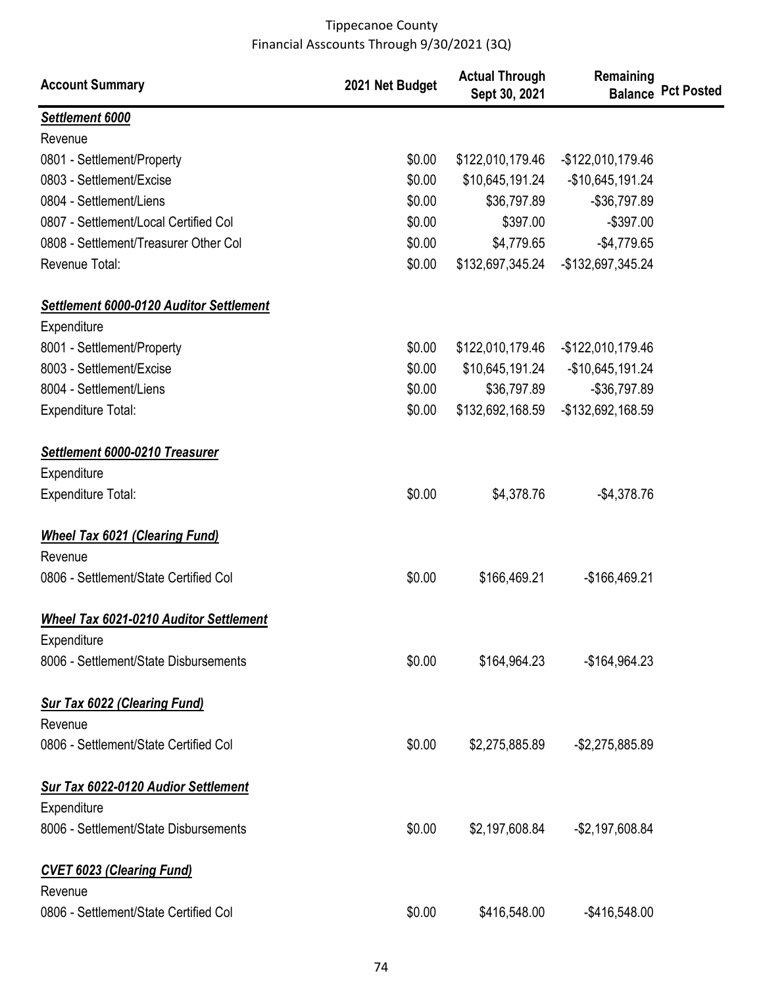| <b>Account Summary</b>                         | 2021 Net Budget | <b>Actual Through</b><br>Sept 30, 2021 | Remaining          | <b>Balance Pct Posted</b> |
|------------------------------------------------|-----------------|----------------------------------------|--------------------|---------------------------|
| Settlement 6000                                |                 |                                        |                    |                           |
| Revenue                                        |                 |                                        |                    |                           |
| 0801 - Settlement/Property                     | \$0.00          | \$122,010,179.46                       | -\$122,010,179.46  |                           |
| 0803 - Settlement/Excise                       | \$0.00          | \$10,645,191.24                        | $-$10,645,191.24$  |                           |
| 0804 - Settlement/Liens                        | \$0.00          | \$36,797.89                            | -\$36,797.89       |                           |
| 0807 - Settlement/Local Certified Col          | \$0.00          | \$397.00                               | $-$397.00$         |                           |
| 0808 - Settlement/Treasurer Other Col          | \$0.00          | \$4,779.65                             | $-$4,779.65$       |                           |
| Revenue Total:                                 | \$0.00          | \$132,697,345.24                       | -\$132,697,345.24  |                           |
| <b>Settlement 6000-0120 Auditor Settlement</b> |                 |                                        |                    |                           |
| Expenditure                                    |                 |                                        |                    |                           |
| 8001 - Settlement/Property                     | \$0.00          | \$122,010,179.46                       | -\$122,010,179.46  |                           |
| 8003 - Settlement/Excise                       | \$0.00          | \$10,645,191.24                        | $-$10,645,191.24$  |                           |
| 8004 - Settlement/Liens                        | \$0.00          | \$36,797.89                            | -\$36,797.89       |                           |
| <b>Expenditure Total:</b>                      | \$0.00          | \$132,692,168.59                       | -\$132,692,168.59  |                           |
| Settlement 6000-0210 Treasurer                 |                 |                                        |                    |                           |
| Expenditure                                    |                 |                                        |                    |                           |
| Expenditure Total:                             | \$0.00          | \$4,378.76                             | $-$4,378.76$       |                           |
| <b>Wheel Tax 6021 (Clearing Fund)</b>          |                 |                                        |                    |                           |
| Revenue                                        |                 |                                        |                    |                           |
| 0806 - Settlement/State Certified Col          | \$0.00          | \$166,469.21                           | $-$166,469.21$     |                           |
| <b>Wheel Tax 6021-0210 Auditor Settlement</b>  |                 |                                        |                    |                           |
| Expenditure                                    |                 |                                        |                    |                           |
| 8006 - Settlement/State Disbursements          | \$0.00          | \$164,964.23                           | -\$164,964.23      |                           |
| <b>Sur Tax 6022 (Clearing Fund)</b>            |                 |                                        |                    |                           |
| Revenue                                        |                 |                                        |                    |                           |
| 0806 - Settlement/State Certified Col          | \$0.00          | \$2,275,885.89                         | -\$2,275,885.89    |                           |
| <b>Sur Tax 6022-0120 Audior Settlement</b>     |                 |                                        |                    |                           |
| Expenditure                                    |                 |                                        |                    |                           |
| 8006 - Settlement/State Disbursements          | \$0.00          | \$2,197,608.84                         | $-$ \$2,197,608.84 |                           |
| <b>CVET 6023 (Clearing Fund)</b>               |                 |                                        |                    |                           |
| Revenue                                        |                 |                                        |                    |                           |
| 0806 - Settlement/State Certified Col          | \$0.00          | \$416,548.00                           | $-$ \$416,548.00   |                           |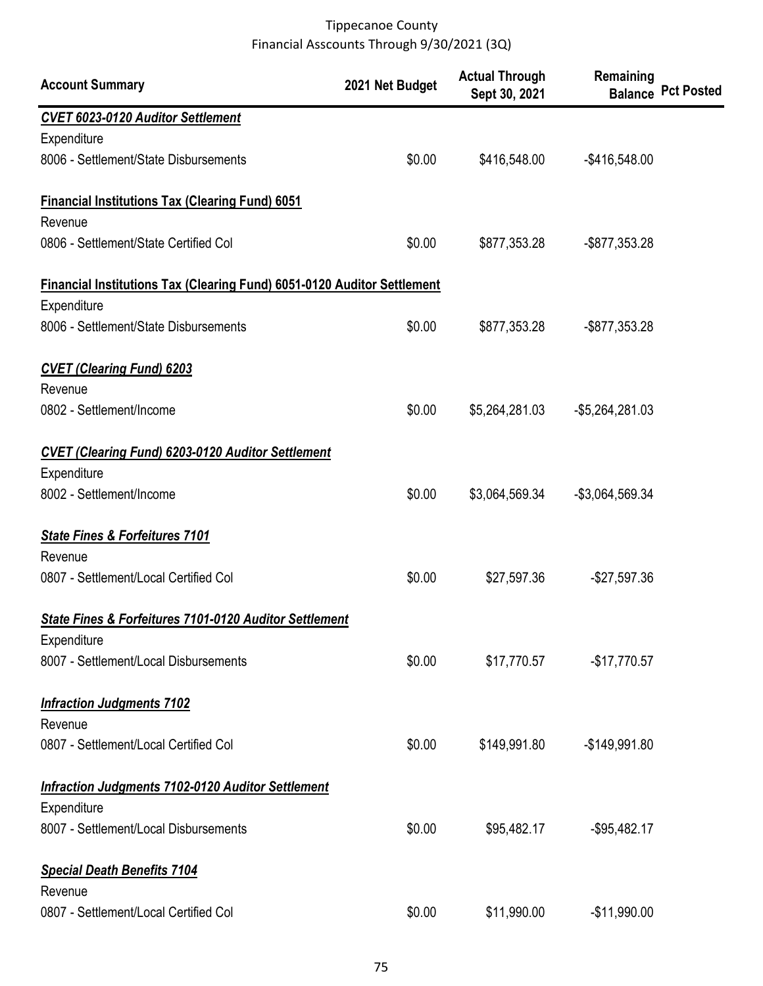| <b>Account Summary</b>                                                         | 2021 Net Budget | <b>Actual Through</b><br>Sept 30, 2021 | Remaining        | <b>Balance Pct Posted</b> |
|--------------------------------------------------------------------------------|-----------------|----------------------------------------|------------------|---------------------------|
| <b>CVET 6023-0120 Auditor Settlement</b>                                       |                 |                                        |                  |                           |
| Expenditure                                                                    |                 |                                        |                  |                           |
| 8006 - Settlement/State Disbursements                                          | \$0.00          | \$416,548.00                           | $-$ \$416,548.00 |                           |
| <b>Financial Institutions Tax (Clearing Fund) 6051</b>                         |                 |                                        |                  |                           |
| Revenue                                                                        |                 |                                        |                  |                           |
| 0806 - Settlement/State Certified Col                                          | \$0.00          | \$877,353.28                           | -\$877,353.28    |                           |
| <b>Financial Institutions Tax (Clearing Fund) 6051-0120 Auditor Settlement</b> |                 |                                        |                  |                           |
| Expenditure                                                                    |                 |                                        |                  |                           |
| 8006 - Settlement/State Disbursements                                          | \$0.00          | \$877,353.28                           | -\$877,353.28    |                           |
| <b>CVET (Clearing Fund) 6203</b>                                               |                 |                                        |                  |                           |
| Revenue                                                                        |                 |                                        |                  |                           |
| 0802 - Settlement/Income                                                       | \$0.00          | \$5,264,281.03                         | $-$5,264,281.03$ |                           |
| <b>CVET (Clearing Fund) 6203-0120 Auditor Settlement</b>                       |                 |                                        |                  |                           |
| Expenditure                                                                    |                 |                                        |                  |                           |
| 8002 - Settlement/Income                                                       | \$0.00          | \$3,064,569.34                         | -\$3,064,569.34  |                           |
| <b>State Fines &amp; Forfeitures 7101</b>                                      |                 |                                        |                  |                           |
| Revenue                                                                        |                 |                                        |                  |                           |
| 0807 - Settlement/Local Certified Col                                          | \$0.00          | \$27,597.36                            | $-$27,597.36$    |                           |
| <b>State Fines &amp; Forfeitures 7101-0120 Auditor Settlement</b>              |                 |                                        |                  |                           |
| Expenditure                                                                    |                 |                                        |                  |                           |
| 8007 - Settlement/Local Disbursements                                          | \$0.00          | \$17,770.57                            | $-$17,770.57$    |                           |
| <b>Infraction Judgments 7102</b>                                               |                 |                                        |                  |                           |
| Revenue                                                                        |                 |                                        |                  |                           |
| 0807 - Settlement/Local Certified Col                                          | \$0.00          | \$149,991.80                           | $-$149,991.80$   |                           |
| <b>Infraction Judgments 7102-0120 Auditor Settlement</b>                       |                 |                                        |                  |                           |
| Expenditure                                                                    |                 |                                        |                  |                           |
| 8007 - Settlement/Local Disbursements                                          | \$0.00          | \$95,482.17                            | $-$ \$95,482.17  |                           |
| <b>Special Death Benefits 7104</b>                                             |                 |                                        |                  |                           |
| Revenue                                                                        |                 |                                        |                  |                           |
| 0807 - Settlement/Local Certified Col                                          | \$0.00          | \$11,990.00                            | $-$11,990.00$    |                           |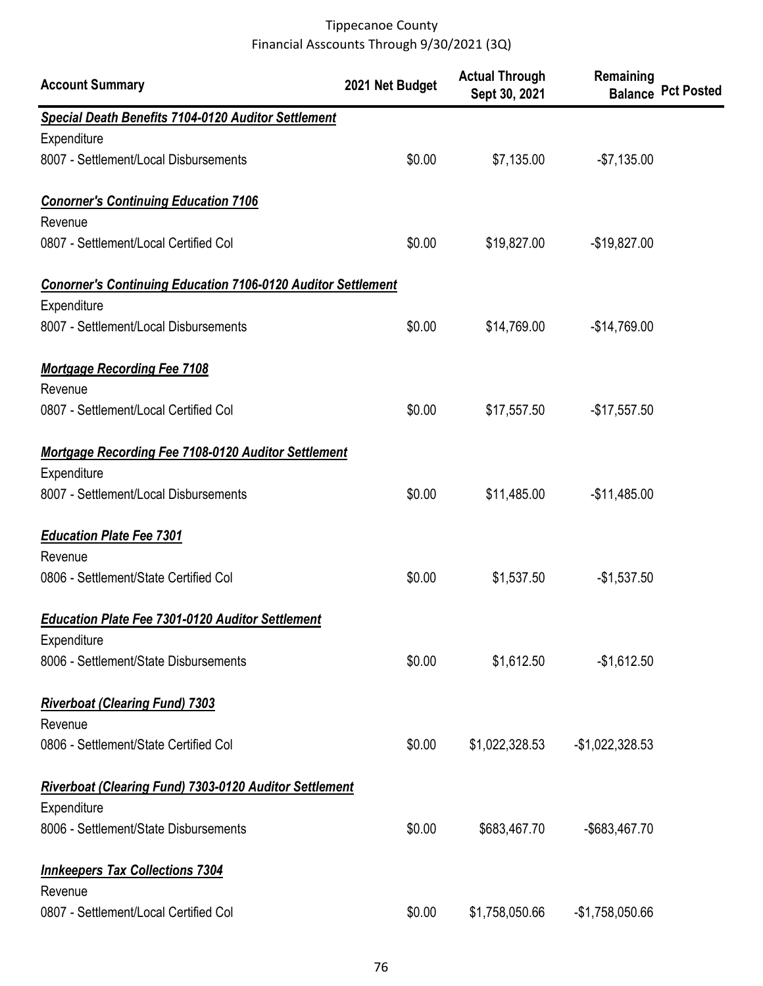| <b>Account Summary</b>                                              | 2021 Net Budget | <b>Actual Through</b><br>Sept 30, 2021 | Remaining        | <b>Balance Pct Posted</b> |
|---------------------------------------------------------------------|-----------------|----------------------------------------|------------------|---------------------------|
| <b>Special Death Benefits 7104-0120 Auditor Settlement</b>          |                 |                                        |                  |                           |
| Expenditure                                                         |                 |                                        |                  |                           |
| 8007 - Settlement/Local Disbursements                               | \$0.00          | \$7,135.00                             | $-$7,135.00$     |                           |
| <b>Conorner's Continuing Education 7106</b>                         |                 |                                        |                  |                           |
| Revenue                                                             |                 |                                        |                  |                           |
| 0807 - Settlement/Local Certified Col                               | \$0.00          | \$19,827.00                            | $-$19,827.00$    |                           |
| <b>Conorner's Continuing Education 7106-0120 Auditor Settlement</b> |                 |                                        |                  |                           |
| Expenditure                                                         |                 |                                        |                  |                           |
| 8007 - Settlement/Local Disbursements                               | \$0.00          | \$14,769.00                            | $-$14,769.00$    |                           |
| <b>Mortgage Recording Fee 7108</b>                                  |                 |                                        |                  |                           |
| Revenue                                                             |                 |                                        |                  |                           |
| 0807 - Settlement/Local Certified Col                               | \$0.00          | \$17,557.50                            | $-$17,557.50$    |                           |
| <b>Mortgage Recording Fee 7108-0120 Auditor Settlement</b>          |                 |                                        |                  |                           |
| Expenditure                                                         |                 |                                        |                  |                           |
| 8007 - Settlement/Local Disbursements                               | \$0.00          | \$11,485.00                            | $-$11,485.00$    |                           |
| <b>Education Plate Fee 7301</b>                                     |                 |                                        |                  |                           |
| Revenue                                                             |                 |                                        |                  |                           |
| 0806 - Settlement/State Certified Col                               | \$0.00          | \$1,537.50                             | $-$1,537.50$     |                           |
| <b>Education Plate Fee 7301-0120 Auditor Settlement</b>             |                 |                                        |                  |                           |
| Expenditure                                                         |                 |                                        |                  |                           |
| 8006 - Settlement/State Disbursements                               | \$0.00          | \$1,612.50                             | $-$1,612.50$     |                           |
| <b>Riverboat (Clearing Fund) 7303</b>                               |                 |                                        |                  |                           |
| Revenue                                                             |                 |                                        |                  |                           |
| 0806 - Settlement/State Certified Col                               | \$0.00          | \$1,022,328.53                         | $-$1,022,328.53$ |                           |
| <b>Riverboat (Clearing Fund) 7303-0120 Auditor Settlement</b>       |                 |                                        |                  |                           |
| Expenditure                                                         |                 |                                        |                  |                           |
| 8006 - Settlement/State Disbursements                               | \$0.00          | \$683,467.70                           | -\$683,467.70    |                           |
| <b>Innkeepers Tax Collections 7304</b>                              |                 |                                        |                  |                           |
| Revenue                                                             |                 |                                        |                  |                           |
| 0807 - Settlement/Local Certified Col                               | \$0.00          | \$1,758,050.66                         | $-$1,758,050.66$ |                           |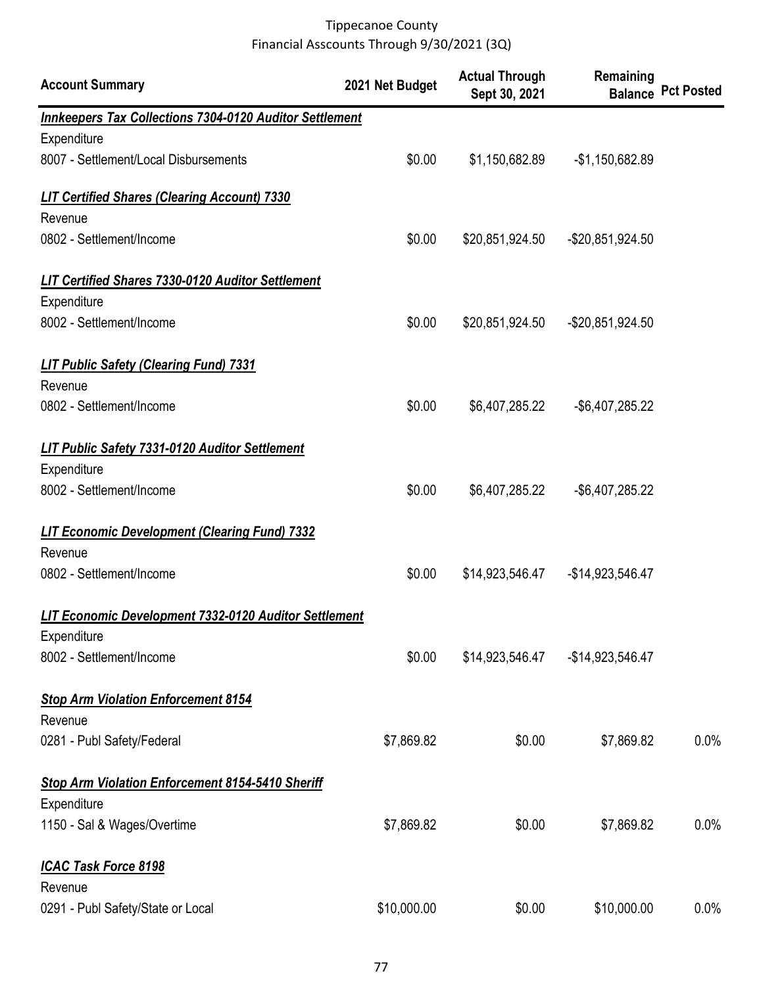| <b>Account Summary</b>                                                  | 2021 Net Budget | <b>Actual Through</b><br>Sept 30, 2021 | Remaining           | <b>Balance Pct Posted</b> |
|-------------------------------------------------------------------------|-----------------|----------------------------------------|---------------------|---------------------------|
| <b>Innkeepers Tax Collections 7304-0120 Auditor Settlement</b>          |                 |                                        |                     |                           |
| Expenditure                                                             |                 |                                        |                     |                           |
| 8007 - Settlement/Local Disbursements                                   | \$0.00          | \$1,150,682.89                         | $-$1,150,682.89$    |                           |
| <b>LIT Certified Shares (Clearing Account) 7330</b>                     |                 |                                        |                     |                           |
| Revenue                                                                 |                 |                                        |                     |                           |
| 0802 - Settlement/Income                                                | \$0.00          | \$20,851,924.50                        | $-$ \$20,851,924.50 |                           |
| <b>LIT Certified Shares 7330-0120 Auditor Settlement</b><br>Expenditure |                 |                                        |                     |                           |
| 8002 - Settlement/Income                                                | \$0.00          | \$20,851,924.50                        | -\$20,851,924.50    |                           |
| <b>LIT Public Safety (Clearing Fund) 7331</b>                           |                 |                                        |                     |                           |
| Revenue                                                                 |                 |                                        |                     |                           |
| 0802 - Settlement/Income                                                | \$0.00          | \$6,407,285.22                         | -\$6,407,285.22     |                           |
| <b>LIT Public Safety 7331-0120 Auditor Settlement</b>                   |                 |                                        |                     |                           |
| Expenditure                                                             |                 |                                        |                     |                           |
| 8002 - Settlement/Income                                                | \$0.00          | \$6,407,285.22                         | -\$6,407,285.22     |                           |
| <b>LIT Economic Development (Clearing Fund) 7332</b>                    |                 |                                        |                     |                           |
| Revenue                                                                 |                 |                                        |                     |                           |
| 0802 - Settlement/Income                                                | \$0.00          | \$14,923,546.47                        | -\$14,923,546.47    |                           |
| LIT Economic Development 7332-0120 Auditor Settlement                   |                 |                                        |                     |                           |
| Expenditure                                                             |                 |                                        |                     |                           |
| 8002 - Settlement/Income                                                | \$0.00          | \$14,923,546.47                        | -\$14,923,546.47    |                           |
| <b>Stop Arm Violation Enforcement 8154</b>                              |                 |                                        |                     |                           |
| Revenue                                                                 |                 |                                        |                     |                           |
| 0281 - Publ Safety/Federal                                              | \$7,869.82      | \$0.00                                 | \$7,869.82          | 0.0%                      |
| Stop Arm Violation Enforcement 8154-5410 Sheriff                        |                 |                                        |                     |                           |
| Expenditure                                                             |                 |                                        |                     |                           |
| 1150 - Sal & Wages/Overtime                                             | \$7,869.82      | \$0.00                                 | \$7,869.82          | 0.0%                      |
| <b>ICAC Task Force 8198</b>                                             |                 |                                        |                     |                           |
| Revenue                                                                 |                 |                                        |                     |                           |
| 0291 - Publ Safety/State or Local                                       | \$10,000.00     | \$0.00                                 | \$10,000.00         | $0.0\%$                   |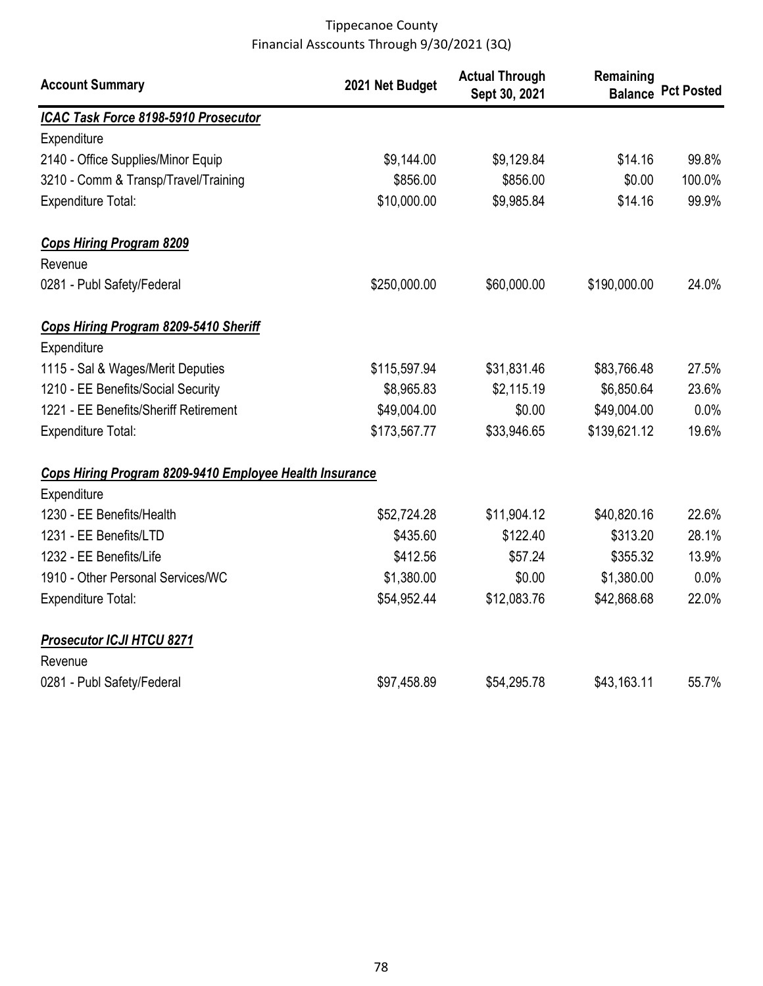| <b>Account Summary</b>                                  | 2021 Net Budget | <b>Actual Through</b><br>Sept 30, 2021 | Remaining<br><b>Balance</b> | <b>Pct Posted</b> |
|---------------------------------------------------------|-----------------|----------------------------------------|-----------------------------|-------------------|
| ICAC Task Force 8198-5910 Prosecutor                    |                 |                                        |                             |                   |
| Expenditure                                             |                 |                                        |                             |                   |
| 2140 - Office Supplies/Minor Equip                      | \$9,144.00      | \$9,129.84                             | \$14.16                     | 99.8%             |
| 3210 - Comm & Transp/Travel/Training                    | \$856.00        | \$856.00                               | \$0.00                      | 100.0%            |
| <b>Expenditure Total:</b>                               | \$10,000.00     | \$9,985.84                             | \$14.16                     | 99.9%             |
| <b>Cops Hiring Program 8209</b>                         |                 |                                        |                             |                   |
| Revenue                                                 |                 |                                        |                             |                   |
| 0281 - Publ Safety/Federal                              | \$250,000.00    | \$60,000.00                            | \$190,000.00                | 24.0%             |
| Cops Hiring Program 8209-5410 Sheriff                   |                 |                                        |                             |                   |
| Expenditure                                             |                 |                                        |                             |                   |
| 1115 - Sal & Wages/Merit Deputies                       | \$115,597.94    | \$31,831.46                            | \$83,766.48                 | 27.5%             |
| 1210 - EE Benefits/Social Security                      | \$8,965.83      | \$2,115.19                             | \$6,850.64                  | 23.6%             |
| 1221 - EE Benefits/Sheriff Retirement                   | \$49,004.00     | \$0.00                                 | \$49,004.00                 | 0.0%              |
| <b>Expenditure Total:</b>                               | \$173,567.77    | \$33,946.65                            | \$139,621.12                | 19.6%             |
| Cops Hiring Program 8209-9410 Employee Health Insurance |                 |                                        |                             |                   |
| Expenditure                                             |                 |                                        |                             |                   |
| 1230 - EE Benefits/Health                               | \$52,724.28     | \$11,904.12                            | \$40,820.16                 | 22.6%             |
| 1231 - EE Benefits/LTD                                  | \$435.60        | \$122.40                               | \$313.20                    | 28.1%             |
| 1232 - EE Benefits/Life                                 | \$412.56        | \$57.24                                | \$355.32                    | 13.9%             |
| 1910 - Other Personal Services/WC                       | \$1,380.00      | \$0.00                                 | \$1,380.00                  | 0.0%              |
| <b>Expenditure Total:</b>                               | \$54,952.44     | \$12,083.76                            | \$42,868.68                 | 22.0%             |
| <b>Prosecutor ICJI HTCU 8271</b>                        |                 |                                        |                             |                   |
| Revenue                                                 |                 |                                        |                             |                   |
| 0281 - Publ Safety/Federal                              | \$97,458.89     | \$54,295.78                            | \$43,163.11                 | 55.7%             |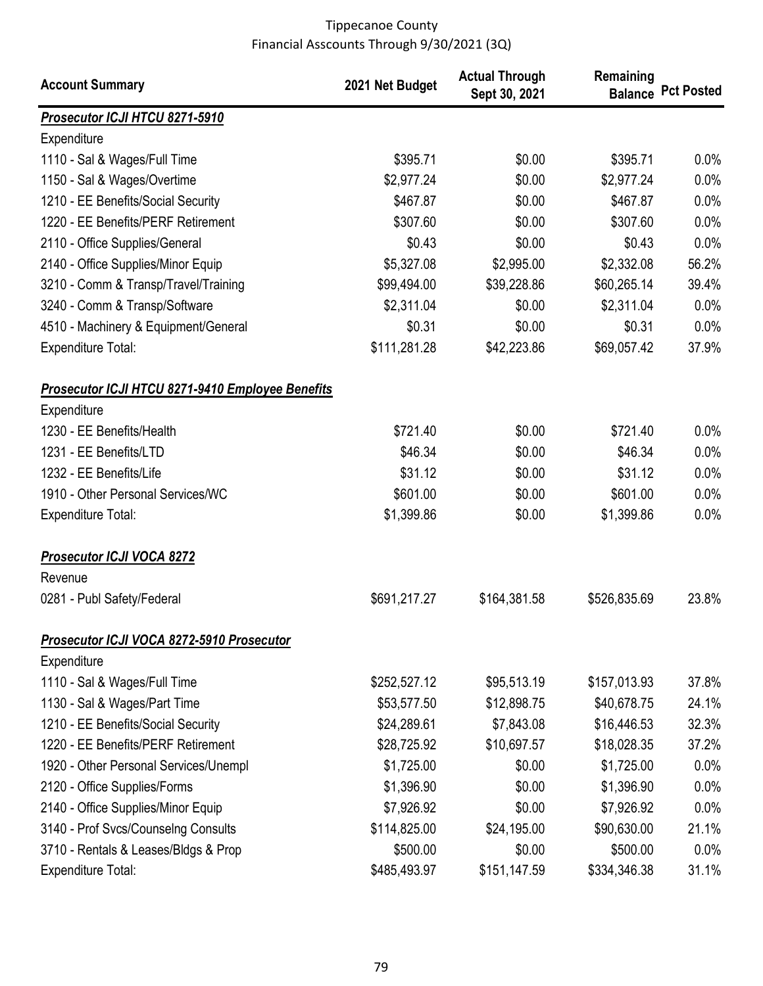| <b>Account Summary</b>                                          | 2021 Net Budget | <b>Actual Through</b><br>Sept 30, 2021 | Remaining    | <b>Balance Pct Posted</b> |
|-----------------------------------------------------------------|-----------------|----------------------------------------|--------------|---------------------------|
| <b>Prosecutor ICJI HTCU 8271-5910</b>                           |                 |                                        |              |                           |
| Expenditure                                                     |                 |                                        |              |                           |
| 1110 - Sal & Wages/Full Time                                    | \$395.71        | \$0.00                                 | \$395.71     | 0.0%                      |
| 1150 - Sal & Wages/Overtime                                     | \$2,977.24      | \$0.00                                 | \$2,977.24   | 0.0%                      |
| 1210 - EE Benefits/Social Security                              | \$467.87        | \$0.00                                 | \$467.87     | 0.0%                      |
| 1220 - EE Benefits/PERF Retirement                              | \$307.60        | \$0.00                                 | \$307.60     | 0.0%                      |
| 2110 - Office Supplies/General                                  | \$0.43          | \$0.00                                 | \$0.43       | 0.0%                      |
| 2140 - Office Supplies/Minor Equip                              | \$5,327.08      | \$2,995.00                             | \$2,332.08   | 56.2%                     |
| 3210 - Comm & Transp/Travel/Training                            | \$99,494.00     | \$39,228.86                            | \$60,265.14  | 39.4%                     |
| 3240 - Comm & Transp/Software                                   | \$2,311.04      | \$0.00                                 | \$2,311.04   | 0.0%                      |
| 4510 - Machinery & Equipment/General                            | \$0.31          | \$0.00                                 | \$0.31       | 0.0%                      |
| <b>Expenditure Total:</b>                                       | \$111,281.28    | \$42,223.86                            | \$69,057.42  | 37.9%                     |
| Prosecutor ICJI HTCU 8271-9410 Employee Benefits<br>Expenditure |                 |                                        |              |                           |
| 1230 - EE Benefits/Health                                       | \$721.40        | \$0.00                                 | \$721.40     | 0.0%                      |
| 1231 - EE Benefits/LTD                                          | \$46.34         | \$0.00                                 | \$46.34      | 0.0%                      |
| 1232 - EE Benefits/Life                                         | \$31.12         | \$0.00                                 | \$31.12      | 0.0%                      |
| 1910 - Other Personal Services/WC                               | \$601.00        | \$0.00                                 | \$601.00     | 0.0%                      |
| <b>Expenditure Total:</b>                                       | \$1,399.86      | \$0.00                                 | \$1,399.86   | 0.0%                      |
| Prosecutor ICJI VOCA 8272<br>Revenue                            |                 |                                        |              |                           |
| 0281 - Publ Safety/Federal                                      | \$691,217.27    | \$164,381.58                           | \$526,835.69 | 23.8%                     |
| Prosecutor ICJI VOCA 8272-5910 Prosecutor                       |                 |                                        |              |                           |
| Expenditure                                                     |                 |                                        |              |                           |
| 1110 - Sal & Wages/Full Time                                    | \$252,527.12    | \$95,513.19                            | \$157,013.93 | 37.8%                     |
| 1130 - Sal & Wages/Part Time                                    | \$53,577.50     | \$12,898.75                            | \$40,678.75  | 24.1%                     |
| 1210 - EE Benefits/Social Security                              | \$24,289.61     | \$7,843.08                             | \$16,446.53  | 32.3%                     |
| 1220 - EE Benefits/PERF Retirement                              | \$28,725.92     | \$10,697.57                            | \$18,028.35  | 37.2%                     |
| 1920 - Other Personal Services/Unempl                           | \$1,725.00      | \$0.00                                 | \$1,725.00   | 0.0%                      |
| 2120 - Office Supplies/Forms                                    | \$1,396.90      | \$0.00                                 | \$1,396.90   | 0.0%                      |
| 2140 - Office Supplies/Minor Equip                              | \$7,926.92      | \$0.00                                 | \$7,926.92   | 0.0%                      |
| 3140 - Prof Svcs/Counselng Consults                             | \$114,825.00    | \$24,195.00                            | \$90,630.00  | 21.1%                     |
| 3710 - Rentals & Leases/Bldgs & Prop                            | \$500.00        | \$0.00                                 | \$500.00     | 0.0%                      |
| <b>Expenditure Total:</b>                                       | \$485,493.97    | \$151,147.59                           | \$334,346.38 | 31.1%                     |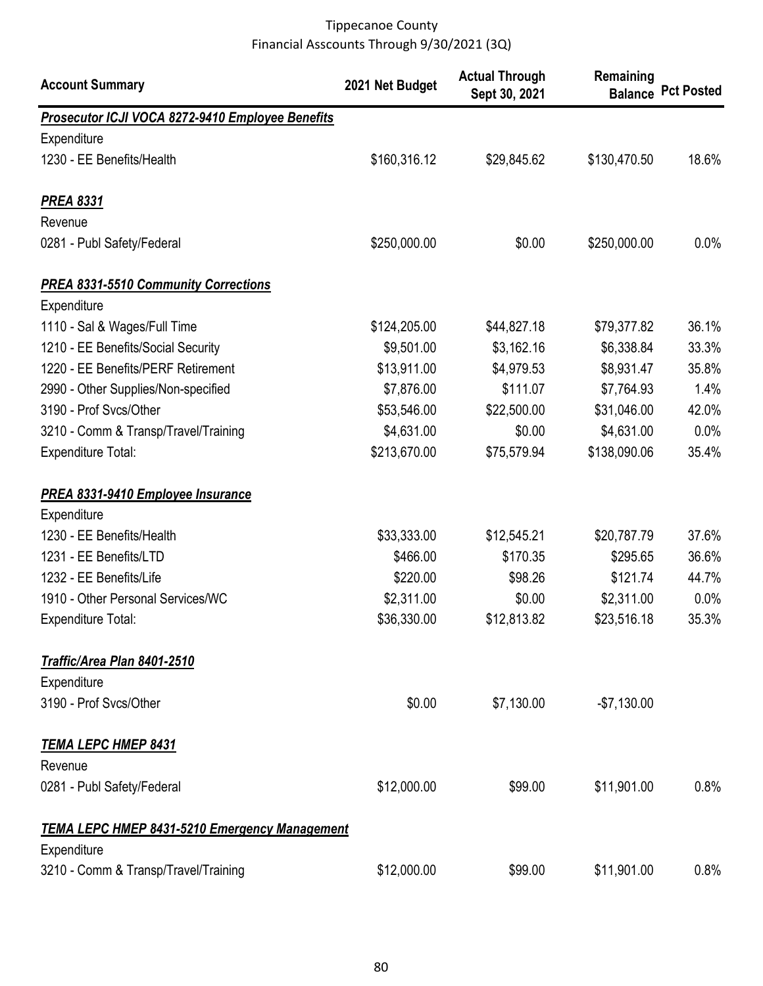| <b>Account Summary</b>                               | 2021 Net Budget | <b>Actual Through</b><br>Sept 30, 2021 | Remaining    | <b>Balance Pct Posted</b> |
|------------------------------------------------------|-----------------|----------------------------------------|--------------|---------------------------|
| Prosecutor ICJI VOCA 8272-9410 Employee Benefits     |                 |                                        |              |                           |
| Expenditure                                          |                 |                                        |              |                           |
| 1230 - EE Benefits/Health                            | \$160,316.12    | \$29,845.62                            | \$130,470.50 | 18.6%                     |
| <b>PREA 8331</b>                                     |                 |                                        |              |                           |
| Revenue                                              |                 |                                        |              |                           |
| 0281 - Publ Safety/Federal                           | \$250,000.00    | \$0.00                                 | \$250,000.00 | $0.0\%$                   |
| <b>PREA 8331-5510 Community Corrections</b>          |                 |                                        |              |                           |
| Expenditure                                          |                 |                                        |              |                           |
| 1110 - Sal & Wages/Full Time                         | \$124,205.00    | \$44,827.18                            | \$79,377.82  | 36.1%                     |
| 1210 - EE Benefits/Social Security                   | \$9,501.00      | \$3,162.16                             | \$6,338.84   | 33.3%                     |
| 1220 - EE Benefits/PERF Retirement                   | \$13,911.00     | \$4,979.53                             | \$8,931.47   | 35.8%                     |
| 2990 - Other Supplies/Non-specified                  | \$7,876.00      | \$111.07                               | \$7,764.93   | 1.4%                      |
| 3190 - Prof Svcs/Other                               | \$53,546.00     | \$22,500.00                            | \$31,046.00  | 42.0%                     |
| 3210 - Comm & Transp/Travel/Training                 | \$4,631.00      | \$0.00                                 | \$4,631.00   | 0.0%                      |
| <b>Expenditure Total:</b>                            | \$213,670.00    | \$75,579.94                            | \$138,090.06 | 35.4%                     |
| <b>PREA 8331-9410 Employee Insurance</b>             |                 |                                        |              |                           |
| Expenditure                                          |                 |                                        |              |                           |
| 1230 - EE Benefits/Health                            | \$33,333.00     | \$12,545.21                            | \$20,787.79  | 37.6%                     |
| 1231 - EE Benefits/LTD                               | \$466.00        | \$170.35                               | \$295.65     | 36.6%                     |
| 1232 - EE Benefits/Life                              | \$220.00        | \$98.26                                | \$121.74     | 44.7%                     |
| 1910 - Other Personal Services/WC                    | \$2,311.00      | \$0.00                                 | \$2,311.00   | 0.0%                      |
| Expenditure Total:                                   | \$36,330.00     | \$12,813.82                            | \$23,516.18  | 35.3%                     |
| Traffic/Area Plan 8401-2510                          |                 |                                        |              |                           |
| Expenditure                                          |                 |                                        |              |                           |
| 3190 - Prof Svcs/Other                               | \$0.00          | \$7,130.00                             | $-$7,130.00$ |                           |
| <u>TEMA LEPC HMEP 8431</u>                           |                 |                                        |              |                           |
| Revenue                                              |                 |                                        |              |                           |
| 0281 - Publ Safety/Federal                           | \$12,000.00     | \$99.00                                | \$11,901.00  | 0.8%                      |
| <b>TEMA LEPC HMEP 8431-5210 Emergency Management</b> |                 |                                        |              |                           |
| Expenditure                                          |                 |                                        |              |                           |
| 3210 - Comm & Transp/Travel/Training                 | \$12,000.00     | \$99.00                                | \$11,901.00  | 0.8%                      |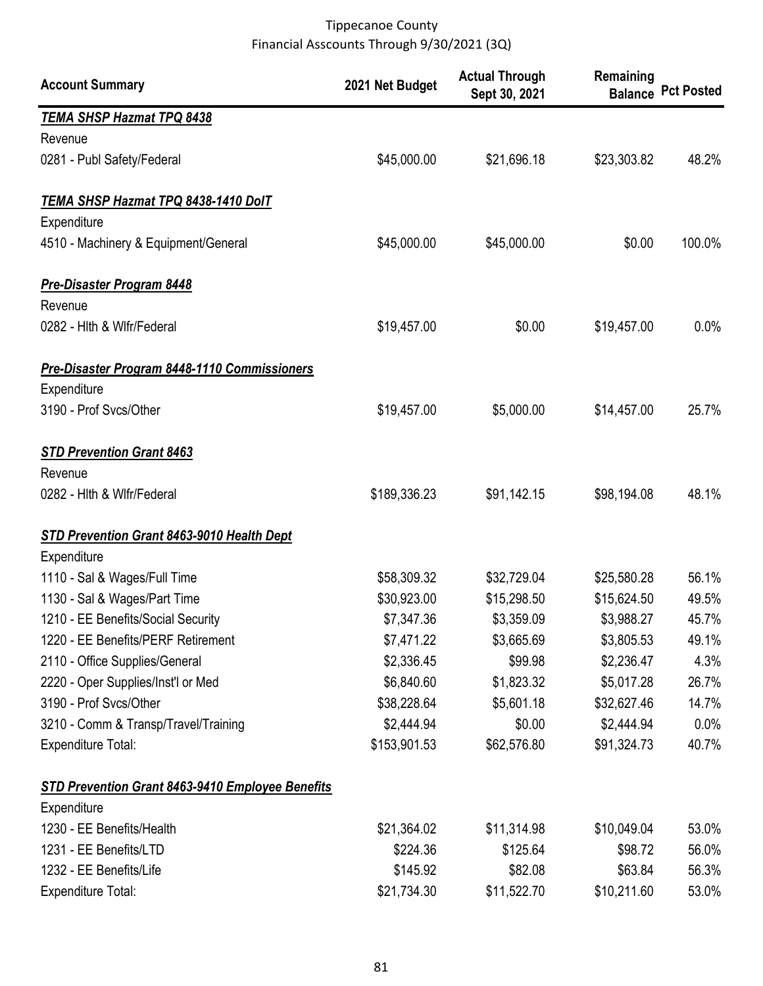| <b>Account Summary</b>                            | 2021 Net Budget | <b>Actual Through</b><br>Sept 30, 2021 | Remaining   | <b>Balance Pct Posted</b> |
|---------------------------------------------------|-----------------|----------------------------------------|-------------|---------------------------|
| <b>TEMA SHSP Hazmat TPQ 8438</b>                  |                 |                                        |             |                           |
| Revenue                                           |                 |                                        |             |                           |
| 0281 - Publ Safety/Federal                        | \$45,000.00     | \$21,696.18                            | \$23,303.82 | 48.2%                     |
| TEMA SHSP Hazmat TPQ 8438-1410 DolT               |                 |                                        |             |                           |
| Expenditure                                       |                 |                                        |             |                           |
| 4510 - Machinery & Equipment/General              | \$45,000.00     | \$45,000.00                            | \$0.00      | 100.0%                    |
| <b>Pre-Disaster Program 8448</b>                  |                 |                                        |             |                           |
| Revenue                                           |                 |                                        |             |                           |
| 0282 - Hith & Wifr/Federal                        | \$19,457.00     | \$0.00                                 | \$19,457.00 | $0.0\%$                   |
| Pre-Disaster Program 8448-1110 Commissioners      |                 |                                        |             |                           |
| Expenditure                                       |                 |                                        |             |                           |
| 3190 - Prof Svcs/Other                            | \$19,457.00     | \$5,000.00                             | \$14,457.00 | 25.7%                     |
| <b>STD Prevention Grant 8463</b>                  |                 |                                        |             |                           |
| Revenue                                           |                 |                                        |             |                           |
| 0282 - Hith & Wifr/Federal                        | \$189,336.23    | \$91,142.15                            | \$98,194.08 | 48.1%                     |
| <b>STD Prevention Grant 8463-9010 Health Dept</b> |                 |                                        |             |                           |
| Expenditure                                       |                 |                                        |             |                           |
| 1110 - Sal & Wages/Full Time                      | \$58,309.32     | \$32,729.04                            | \$25,580.28 | 56.1%                     |
| 1130 - Sal & Wages/Part Time                      | \$30,923.00     | \$15,298.50                            | \$15,624.50 | 49.5%                     |
| 1210 - EE Benefits/Social Security                | \$7,347.36      | \$3,359.09                             | \$3,988.27  | 45.7%                     |
| 1220 - EE Benefits/PERF Retirement                | \$7,471.22      | \$3,665.69                             | \$3,805.53  | 49.1%                     |
| 2110 - Office Supplies/General                    | \$2,336.45      | \$99.98                                | \$2,236.47  | 4.3%                      |
| 2220 - Oper Supplies/Inst'l or Med                | \$6,840.60      | \$1,823.32                             | \$5,017.28  | 26.7%                     |
| 3190 - Prof Svcs/Other                            | \$38,228.64     | \$5,601.18                             | \$32,627.46 | 14.7%                     |
| 3210 - Comm & Transp/Travel/Training              | \$2,444.94      | \$0.00                                 | \$2,444.94  | $0.0\%$                   |
| <b>Expenditure Total:</b>                         | \$153,901.53    | \$62,576.80                            | \$91,324.73 | 40.7%                     |
| STD Prevention Grant 8463-9410 Employee Benefits  |                 |                                        |             |                           |
| Expenditure                                       |                 |                                        |             |                           |
| 1230 - EE Benefits/Health                         | \$21,364.02     | \$11,314.98                            | \$10,049.04 | 53.0%                     |
| 1231 - EE Benefits/LTD                            | \$224.36        | \$125.64                               | \$98.72     | 56.0%                     |
| 1232 - EE Benefits/Life                           | \$145.92        | \$82.08                                | \$63.84     | 56.3%                     |
| <b>Expenditure Total:</b>                         | \$21,734.30     | \$11,522.70                            | \$10,211.60 | 53.0%                     |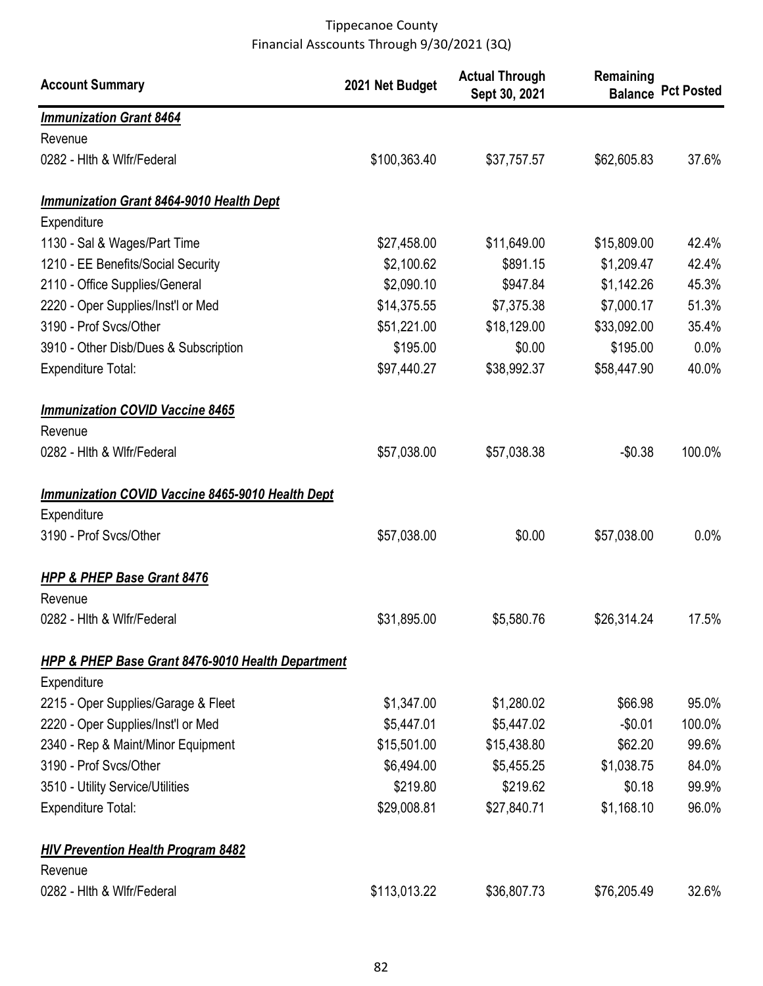| <b>Account Summary</b>                                       | 2021 Net Budget | <b>Actual Through</b><br>Sept 30, 2021 | Remaining   | <b>Balance Pct Posted</b> |
|--------------------------------------------------------------|-----------------|----------------------------------------|-------------|---------------------------|
| <b>Immunization Grant 8464</b>                               |                 |                                        |             |                           |
| Revenue                                                      |                 |                                        |             |                           |
| 0282 - Hith & Wifr/Federal                                   | \$100,363.40    | \$37,757.57                            | \$62,605.83 | 37.6%                     |
| Immunization Grant 8464-9010 Health Dept                     |                 |                                        |             |                           |
| Expenditure                                                  |                 |                                        |             |                           |
| 1130 - Sal & Wages/Part Time                                 | \$27,458.00     | \$11,649.00                            | \$15,809.00 | 42.4%                     |
| 1210 - EE Benefits/Social Security                           | \$2,100.62      | \$891.15                               | \$1,209.47  | 42.4%                     |
| 2110 - Office Supplies/General                               | \$2,090.10      | \$947.84                               | \$1,142.26  | 45.3%                     |
| 2220 - Oper Supplies/Inst'l or Med                           | \$14,375.55     | \$7,375.38                             | \$7,000.17  | 51.3%                     |
| 3190 - Prof Svcs/Other                                       | \$51,221.00     | \$18,129.00                            | \$33,092.00 | 35.4%                     |
| 3910 - Other Disb/Dues & Subscription                        | \$195.00        | \$0.00                                 | \$195.00    | $0.0\%$                   |
| <b>Expenditure Total:</b>                                    | \$97,440.27     | \$38,992.37                            | \$58,447.90 | 40.0%                     |
| <b>Immunization COVID Vaccine 8465</b>                       |                 |                                        |             |                           |
| Revenue                                                      |                 |                                        |             |                           |
| 0282 - Hith & Wifr/Federal                                   | \$57,038.00     | \$57,038.38                            | $-$0.38$    | 100.0%                    |
| <b>Immunization COVID Vaccine 8465-9010 Health Dept</b>      |                 |                                        |             |                           |
| Expenditure                                                  |                 |                                        |             |                           |
| 3190 - Prof Svcs/Other                                       | \$57,038.00     | \$0.00                                 | \$57,038.00 | 0.0%                      |
| HPP & PHEP Base Grant 8476                                   |                 |                                        |             |                           |
| Revenue                                                      |                 |                                        |             |                           |
| 0282 - Hith & Wifr/Federal                                   | \$31,895.00     | \$5,580.76                             | \$26,314.24 | 17.5%                     |
| <b>HPP &amp; PHEP Base Grant 8476-9010 Health Department</b> |                 |                                        |             |                           |
| Expenditure                                                  |                 |                                        |             |                           |
| 2215 - Oper Supplies/Garage & Fleet                          | \$1,347.00      | \$1,280.02                             | \$66.98     | 95.0%                     |
| 2220 - Oper Supplies/Inst'l or Med                           | \$5,447.01      | \$5,447.02                             | $-$0.01$    | 100.0%                    |
| 2340 - Rep & Maint/Minor Equipment                           | \$15,501.00     | \$15,438.80                            | \$62.20     | 99.6%                     |
| 3190 - Prof Svcs/Other                                       | \$6,494.00      | \$5,455.25                             | \$1,038.75  | 84.0%                     |
| 3510 - Utility Service/Utilities                             | \$219.80        | \$219.62                               | \$0.18      | 99.9%                     |
| <b>Expenditure Total:</b>                                    | \$29,008.81     | \$27,840.71                            | \$1,168.10  | 96.0%                     |
| <b>HIV Prevention Health Program 8482</b>                    |                 |                                        |             |                           |
| Revenue                                                      |                 |                                        |             |                           |
| 0282 - Hith & Wifr/Federal                                   | \$113,013.22    | \$36,807.73                            | \$76,205.49 | 32.6%                     |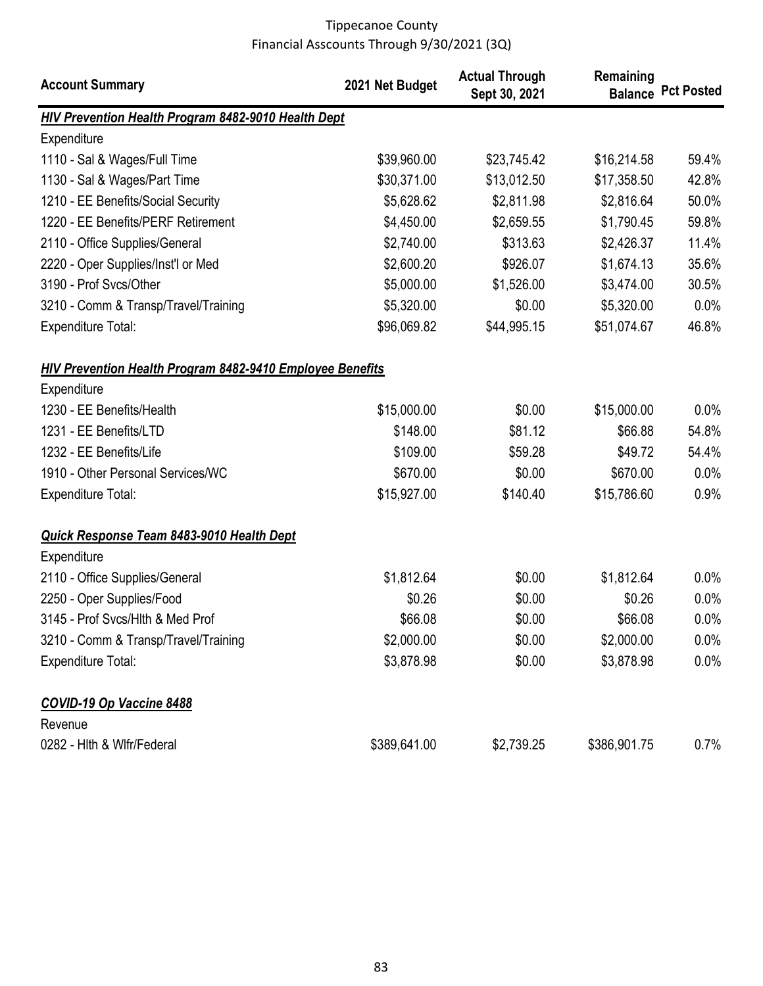| <b>Account Summary</b>                                           | 2021 Net Budget | <b>Actual Through</b><br>Sept 30, 2021 | Remaining    | <b>Balance Pct Posted</b> |
|------------------------------------------------------------------|-----------------|----------------------------------------|--------------|---------------------------|
| HIV Prevention Health Program 8482-9010 Health Dept              |                 |                                        |              |                           |
| Expenditure                                                      |                 |                                        |              |                           |
| 1110 - Sal & Wages/Full Time                                     | \$39,960.00     | \$23,745.42                            | \$16,214.58  | 59.4%                     |
| 1130 - Sal & Wages/Part Time                                     | \$30,371.00     | \$13,012.50                            | \$17,358.50  | 42.8%                     |
| 1210 - EE Benefits/Social Security                               | \$5,628.62      | \$2,811.98                             | \$2,816.64   | 50.0%                     |
| 1220 - EE Benefits/PERF Retirement                               | \$4,450.00      | \$2,659.55                             | \$1,790.45   | 59.8%                     |
| 2110 - Office Supplies/General                                   | \$2,740.00      | \$313.63                               | \$2,426.37   | 11.4%                     |
| 2220 - Oper Supplies/Inst'l or Med                               | \$2,600.20      | \$926.07                               | \$1,674.13   | 35.6%                     |
| 3190 - Prof Svcs/Other                                           | \$5,000.00      | \$1,526.00                             | \$3,474.00   | 30.5%                     |
| 3210 - Comm & Transp/Travel/Training                             | \$5,320.00      | \$0.00                                 | \$5,320.00   | 0.0%                      |
| <b>Expenditure Total:</b>                                        | \$96,069.82     | \$44,995.15                            | \$51,074.67  | 46.8%                     |
| <b>HIV Prevention Health Program 8482-9410 Employee Benefits</b> |                 |                                        |              |                           |
| Expenditure                                                      |                 |                                        |              |                           |
| 1230 - EE Benefits/Health                                        | \$15,000.00     | \$0.00                                 | \$15,000.00  | 0.0%                      |
| 1231 - EE Benefits/LTD                                           | \$148.00        | \$81.12                                | \$66.88      | 54.8%                     |
| 1232 - EE Benefits/Life                                          | \$109.00        | \$59.28                                | \$49.72      | 54.4%                     |
| 1910 - Other Personal Services/WC                                | \$670.00        | \$0.00                                 | \$670.00     | 0.0%                      |
| <b>Expenditure Total:</b>                                        | \$15,927.00     | \$140.40                               | \$15,786.60  | 0.9%                      |
| <b>Quick Response Team 8483-9010 Health Dept</b>                 |                 |                                        |              |                           |
| Expenditure                                                      |                 |                                        |              |                           |
| 2110 - Office Supplies/General                                   | \$1,812.64      | \$0.00                                 | \$1,812.64   | $0.0\%$                   |
| 2250 - Oper Supplies/Food                                        | \$0.26          | \$0.00                                 | \$0.26       | 0.0%                      |
| 3145 - Prof Svcs/Hlth & Med Prof                                 | \$66.08         | \$0.00                                 | \$66.08      | $0.0\%$                   |
| 3210 - Comm & Transp/Travel/Training                             | \$2,000.00      | \$0.00                                 | \$2,000.00   | $0.0\%$                   |
| <b>Expenditure Total:</b>                                        | \$3,878.98      | \$0.00                                 | \$3,878.98   | 0.0%                      |
| <b>COVID-19 Op Vaccine 8488</b>                                  |                 |                                        |              |                           |
| Revenue                                                          |                 |                                        |              |                           |
| 0282 - Hith & Wifr/Federal                                       | \$389,641.00    | \$2,739.25                             | \$386,901.75 | 0.7%                      |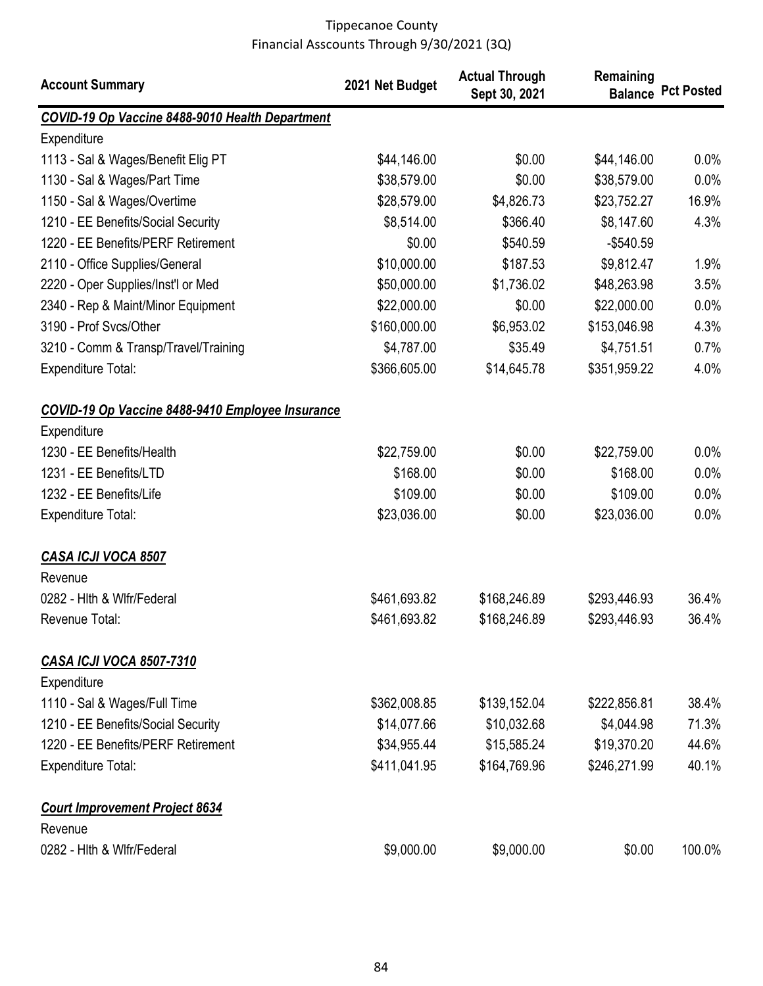| <b>Account Summary</b>                                          | 2021 Net Budget | <b>Actual Through</b><br>Sept 30, 2021 | Remaining    | <b>Balance Pct Posted</b> |
|-----------------------------------------------------------------|-----------------|----------------------------------------|--------------|---------------------------|
| COVID-19 Op Vaccine 8488-9010 Health Department                 |                 |                                        |              |                           |
| Expenditure                                                     |                 |                                        |              |                           |
| 1113 - Sal & Wages/Benefit Elig PT                              | \$44,146.00     | \$0.00                                 | \$44,146.00  | $0.0\%$                   |
| 1130 - Sal & Wages/Part Time                                    | \$38,579.00     | \$0.00                                 | \$38,579.00  | 0.0%                      |
| 1150 - Sal & Wages/Overtime                                     | \$28,579.00     | \$4,826.73                             | \$23,752.27  | 16.9%                     |
| 1210 - EE Benefits/Social Security                              | \$8,514.00      | \$366.40                               | \$8,147.60   | 4.3%                      |
| 1220 - EE Benefits/PERF Retirement                              | \$0.00          | \$540.59                               | $-$540.59$   |                           |
| 2110 - Office Supplies/General                                  | \$10,000.00     | \$187.53                               | \$9,812.47   | 1.9%                      |
| 2220 - Oper Supplies/Inst'l or Med                              | \$50,000.00     | \$1,736.02                             | \$48,263.98  | 3.5%                      |
| 2340 - Rep & Maint/Minor Equipment                              | \$22,000.00     | \$0.00                                 | \$22,000.00  | 0.0%                      |
| 3190 - Prof Svcs/Other                                          | \$160,000.00    | \$6,953.02                             | \$153,046.98 | 4.3%                      |
| 3210 - Comm & Transp/Travel/Training                            | \$4,787.00      | \$35.49                                | \$4,751.51   | 0.7%                      |
| <b>Expenditure Total:</b>                                       | \$366,605.00    | \$14,645.78                            | \$351,959.22 | 4.0%                      |
| COVID-19 Op Vaccine 8488-9410 Employee Insurance<br>Expenditure |                 |                                        |              |                           |
| 1230 - EE Benefits/Health                                       | \$22,759.00     | \$0.00                                 | \$22,759.00  | $0.0\%$                   |
| 1231 - EE Benefits/LTD                                          | \$168.00        | \$0.00                                 | \$168.00     | $0.0\%$                   |
| 1232 - EE Benefits/Life                                         | \$109.00        | \$0.00                                 | \$109.00     | 0.0%                      |
| <b>Expenditure Total:</b>                                       | \$23,036.00     | \$0.00                                 | \$23,036.00  | 0.0%                      |
| CASA ICJI VOCA 8507                                             |                 |                                        |              |                           |
| Revenue                                                         |                 |                                        |              |                           |
| 0282 - Hith & Wifr/Federal                                      | \$461,693.82    | \$168,246.89                           | \$293,446.93 | 36.4%                     |
| Revenue Total:                                                  | \$461,693.82    | \$168,246.89                           | \$293,446.93 | 36.4%                     |
| <b>CASA ICJI VOCA 8507-7310</b><br>Expenditure                  |                 |                                        |              |                           |
| 1110 - Sal & Wages/Full Time                                    | \$362,008.85    | \$139,152.04                           | \$222,856.81 | 38.4%                     |
| 1210 - EE Benefits/Social Security                              | \$14,077.66     | \$10,032.68                            | \$4,044.98   | 71.3%                     |
| 1220 - EE Benefits/PERF Retirement                              | \$34,955.44     | \$15,585.24                            | \$19,370.20  | 44.6%                     |
| <b>Expenditure Total:</b>                                       | \$411,041.95    | \$164,769.96                           | \$246,271.99 | 40.1%                     |
| <b>Court Improvement Project 8634</b><br>Revenue                |                 |                                        |              |                           |
| 0282 - Hith & Wifr/Federal                                      | \$9,000.00      | \$9,000.00                             | \$0.00       | 100.0%                    |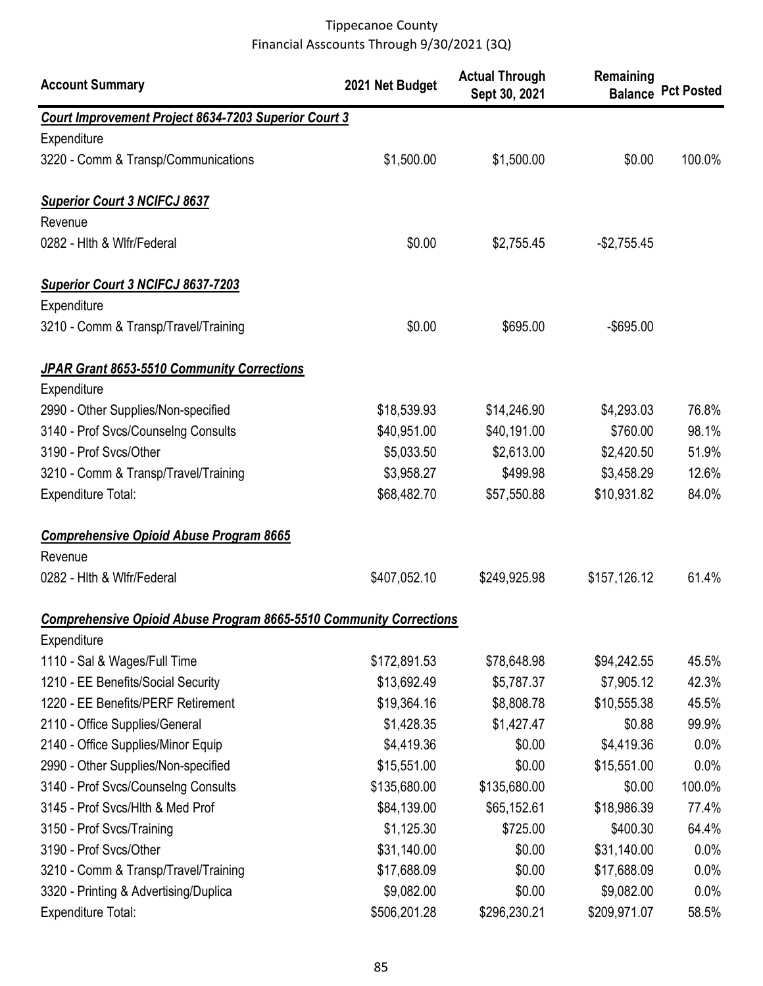| <b>Account Summary</b>                                                    | 2021 Net Budget | <b>Actual Through</b><br>Sept 30, 2021 | Remaining    | <b>Balance Pct Posted</b> |
|---------------------------------------------------------------------------|-----------------|----------------------------------------|--------------|---------------------------|
| Court Improvement Project 8634-7203 Superior Court 3                      |                 |                                        |              |                           |
| Expenditure                                                               |                 |                                        |              |                           |
| 3220 - Comm & Transp/Communications                                       | \$1,500.00      | \$1,500.00                             | \$0.00       | 100.0%                    |
| <b>Superior Court 3 NCIFCJ 8637</b>                                       |                 |                                        |              |                           |
| Revenue                                                                   |                 |                                        |              |                           |
| 0282 - Hith & Wifr/Federal                                                | \$0.00          | \$2,755.45                             | $-$2,755.45$ |                           |
| <b>Superior Court 3 NCIFCJ 8637-7203</b>                                  |                 |                                        |              |                           |
| Expenditure                                                               |                 |                                        |              |                           |
| 3210 - Comm & Transp/Travel/Training                                      | \$0.00          | \$695.00                               | $-$ \$695.00 |                           |
| JPAR Grant 8653-5510 Community Corrections                                |                 |                                        |              |                           |
| Expenditure                                                               |                 |                                        |              |                           |
| 2990 - Other Supplies/Non-specified                                       | \$18,539.93     | \$14,246.90                            | \$4,293.03   | 76.8%                     |
| 3140 - Prof Svcs/Counselng Consults                                       | \$40,951.00     | \$40,191.00                            | \$760.00     | 98.1%                     |
| 3190 - Prof Svcs/Other                                                    | \$5,033.50      | \$2,613.00                             | \$2,420.50   | 51.9%                     |
| 3210 - Comm & Transp/Travel/Training                                      | \$3,958.27      | \$499.98                               | \$3,458.29   | 12.6%                     |
| <b>Expenditure Total:</b>                                                 | \$68,482.70     | \$57,550.88                            | \$10,931.82  | 84.0%                     |
| <b>Comprehensive Opioid Abuse Program 8665</b>                            |                 |                                        |              |                           |
| Revenue                                                                   |                 |                                        |              |                           |
| 0282 - Hith & Wifr/Federal                                                | \$407,052.10    | \$249,925.98                           | \$157,126.12 | 61.4%                     |
| <b>Comprehensive Opioid Abuse Program 8665-5510 Community Corrections</b> |                 |                                        |              |                           |
| Expenditure                                                               |                 |                                        |              |                           |
| 1110 - Sal & Wages/Full Time                                              | \$172,891.53    | \$78,648.98                            | \$94,242.55  | 45.5%                     |
| 1210 - EE Benefits/Social Security                                        | \$13,692.49     | \$5,787.37                             | \$7,905.12   | 42.3%                     |
| 1220 - EE Benefits/PERF Retirement                                        | \$19,364.16     | \$8,808.78                             | \$10,555.38  | 45.5%                     |
| 2110 - Office Supplies/General                                            | \$1,428.35      | \$1,427.47                             | \$0.88       | 99.9%                     |
| 2140 - Office Supplies/Minor Equip                                        | \$4,419.36      | \$0.00                                 | \$4,419.36   | 0.0%                      |
| 2990 - Other Supplies/Non-specified                                       | \$15,551.00     | \$0.00                                 | \$15,551.00  | 0.0%                      |
| 3140 - Prof Svcs/Counselng Consults                                       | \$135,680.00    | \$135,680.00                           | \$0.00       | 100.0%                    |
| 3145 - Prof Svcs/Hlth & Med Prof                                          | \$84,139.00     | \$65,152.61                            | \$18,986.39  | 77.4%                     |
| 3150 - Prof Svcs/Training                                                 | \$1,125.30      | \$725.00                               | \$400.30     | 64.4%                     |
| 3190 - Prof Svcs/Other                                                    | \$31,140.00     | \$0.00                                 | \$31,140.00  | 0.0%                      |
| 3210 - Comm & Transp/Travel/Training                                      | \$17,688.09     | \$0.00                                 | \$17,688.09  | 0.0%                      |
| 3320 - Printing & Advertising/Duplica                                     | \$9,082.00      | \$0.00                                 | \$9,082.00   | 0.0%                      |
| <b>Expenditure Total:</b>                                                 | \$506,201.28    | \$296,230.21                           | \$209,971.07 | 58.5%                     |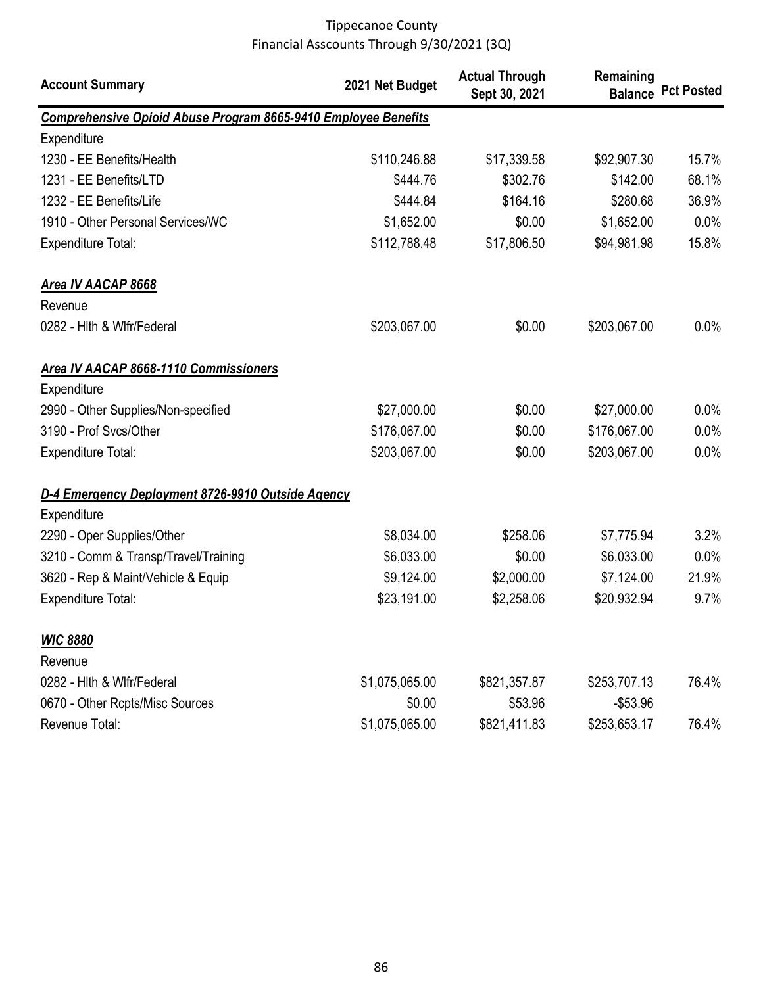| <b>Account Summary</b>                                                | 2021 Net Budget | <b>Actual Through</b><br>Sept 30, 2021 | Remaining    | <b>Balance Pct Posted</b> |
|-----------------------------------------------------------------------|-----------------|----------------------------------------|--------------|---------------------------|
| <b>Comprehensive Opioid Abuse Program 8665-9410 Employee Benefits</b> |                 |                                        |              |                           |
| Expenditure                                                           |                 |                                        |              |                           |
| 1230 - EE Benefits/Health                                             | \$110,246.88    | \$17,339.58                            | \$92,907.30  | 15.7%                     |
| 1231 - EE Benefits/LTD                                                | \$444.76        | \$302.76                               | \$142.00     | 68.1%                     |
| 1232 - EE Benefits/Life                                               | \$444.84        | \$164.16                               | \$280.68     | 36.9%                     |
| 1910 - Other Personal Services/WC                                     | \$1,652.00      | \$0.00                                 | \$1,652.00   | 0.0%                      |
| Expenditure Total:                                                    | \$112,788.48    | \$17,806.50                            | \$94,981.98  | 15.8%                     |
| <b>Area IV AACAP 8668</b>                                             |                 |                                        |              |                           |
| Revenue                                                               |                 |                                        |              |                           |
| 0282 - Hith & Wifr/Federal                                            | \$203,067.00    | \$0.00                                 | \$203,067.00 | 0.0%                      |
| <b>Area IV AACAP 8668-1110 Commissioners</b>                          |                 |                                        |              |                           |
| Expenditure                                                           |                 |                                        |              |                           |
| 2990 - Other Supplies/Non-specified                                   | \$27,000.00     | \$0.00                                 | \$27,000.00  | 0.0%                      |
| 3190 - Prof Svcs/Other                                                | \$176,067.00    | \$0.00                                 | \$176,067.00 | 0.0%                      |
| <b>Expenditure Total:</b>                                             | \$203,067.00    | \$0.00                                 | \$203,067.00 | 0.0%                      |
| D-4 Emergency Deployment 8726-9910 Outside Agency                     |                 |                                        |              |                           |
| Expenditure                                                           |                 |                                        |              |                           |
| 2290 - Oper Supplies/Other                                            | \$8,034.00      | \$258.06                               | \$7,775.94   | 3.2%                      |
| 3210 - Comm & Transp/Travel/Training                                  | \$6,033.00      | \$0.00                                 | \$6,033.00   | 0.0%                      |
| 3620 - Rep & Maint/Vehicle & Equip                                    | \$9,124.00      | \$2,000.00                             | \$7,124.00   | 21.9%                     |
| <b>Expenditure Total:</b>                                             | \$23,191.00     | \$2,258.06                             | \$20,932.94  | 9.7%                      |
| <b>WIC 8880</b>                                                       |                 |                                        |              |                           |
| Revenue                                                               |                 |                                        |              |                           |
| 0282 - Hith & Wifr/Federal                                            | \$1,075,065.00  | \$821,357.87                           | \$253,707.13 | 76.4%                     |
| 0670 - Other Rcpts/Misc Sources                                       | \$0.00          | \$53.96                                | $-$53.96$    |                           |
| Revenue Total:                                                        | \$1,075,065.00  | \$821,411.83                           | \$253,653.17 | 76.4%                     |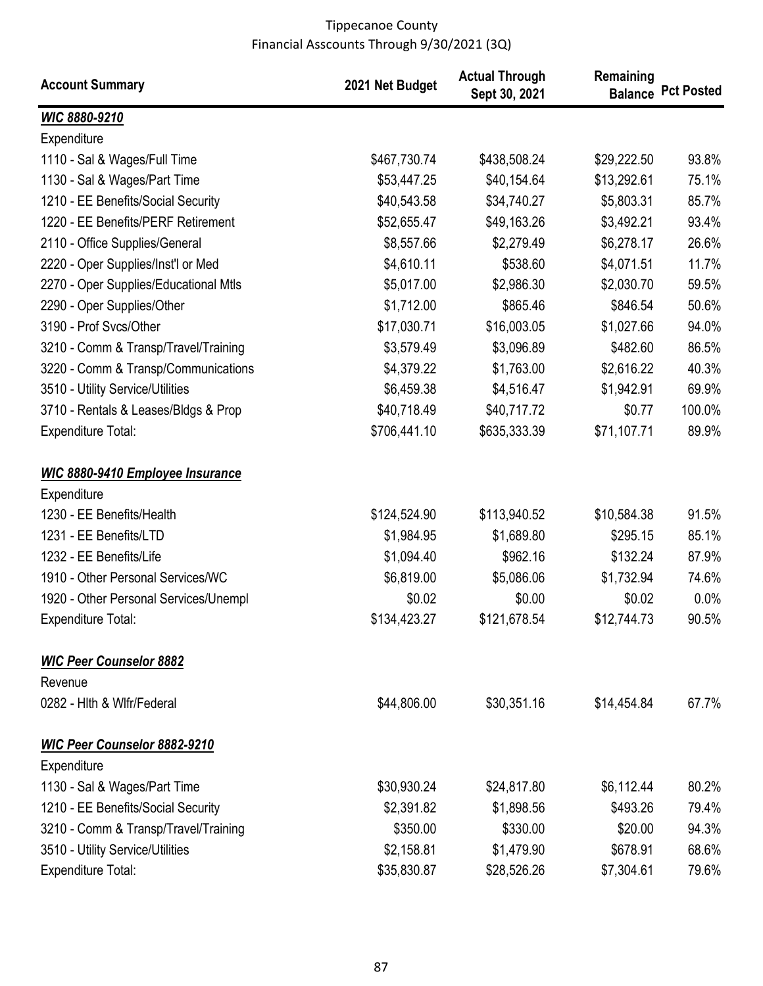| <b>Account Summary</b>                  | 2021 Net Budget | <b>Actual Through</b><br>Sept 30, 2021 | Remaining   | <b>Balance Pct Posted</b> |
|-----------------------------------------|-----------------|----------------------------------------|-------------|---------------------------|
| WIC 8880-9210                           |                 |                                        |             |                           |
| Expenditure                             |                 |                                        |             |                           |
| 1110 - Sal & Wages/Full Time            | \$467,730.74    | \$438,508.24                           | \$29,222.50 | 93.8%                     |
| 1130 - Sal & Wages/Part Time            | \$53,447.25     | \$40,154.64                            | \$13,292.61 | 75.1%                     |
| 1210 - EE Benefits/Social Security      | \$40,543.58     | \$34,740.27                            | \$5,803.31  | 85.7%                     |
| 1220 - EE Benefits/PERF Retirement      | \$52,655.47     | \$49,163.26                            | \$3,492.21  | 93.4%                     |
| 2110 - Office Supplies/General          | \$8,557.66      | \$2,279.49                             | \$6,278.17  | 26.6%                     |
| 2220 - Oper Supplies/Inst'l or Med      | \$4,610.11      | \$538.60                               | \$4,071.51  | 11.7%                     |
| 2270 - Oper Supplies/Educational Mtls   | \$5,017.00      | \$2,986.30                             | \$2,030.70  | 59.5%                     |
| 2290 - Oper Supplies/Other              | \$1,712.00      | \$865.46                               | \$846.54    | 50.6%                     |
| 3190 - Prof Svcs/Other                  | \$17,030.71     | \$16,003.05                            | \$1,027.66  | 94.0%                     |
| 3210 - Comm & Transp/Travel/Training    | \$3,579.49      | \$3,096.89                             | \$482.60    | 86.5%                     |
| 3220 - Comm & Transp/Communications     | \$4,379.22      | \$1,763.00                             | \$2,616.22  | 40.3%                     |
| 3510 - Utility Service/Utilities        | \$6,459.38      | \$4,516.47                             | \$1,942.91  | 69.9%                     |
| 3710 - Rentals & Leases/Bldgs & Prop    | \$40,718.49     | \$40,717.72                            | \$0.77      | 100.0%                    |
| <b>Expenditure Total:</b>               | \$706,441.10    | \$635,333.39                           | \$71,107.71 | 89.9%                     |
| <b>WIC 8880-9410 Employee Insurance</b> |                 |                                        |             |                           |
| Expenditure                             |                 |                                        |             |                           |
| 1230 - EE Benefits/Health               | \$124,524.90    | \$113,940.52                           | \$10,584.38 | 91.5%                     |
| 1231 - EE Benefits/LTD                  | \$1,984.95      | \$1,689.80                             | \$295.15    | 85.1%                     |
| 1232 - EE Benefits/Life                 | \$1,094.40      | \$962.16                               | \$132.24    | 87.9%                     |
| 1910 - Other Personal Services/WC       | \$6,819.00      | \$5,086.06                             | \$1,732.94  | 74.6%                     |
| 1920 - Other Personal Services/Unempl   | \$0.02          | \$0.00                                 | \$0.02      | 0.0%                      |
| <b>Expenditure Total:</b>               | \$134,423.27    | \$121,678.54                           | \$12,744.73 | 90.5%                     |
| <b>WIC Peer Counselor 8882</b>          |                 |                                        |             |                           |
| Revenue                                 |                 |                                        |             |                           |
| 0282 - Hith & Wifr/Federal              | \$44,806.00     | \$30,351.16                            | \$14,454.84 | 67.7%                     |
| <b>WIC Peer Counselor 8882-9210</b>     |                 |                                        |             |                           |
| Expenditure                             |                 |                                        |             |                           |
| 1130 - Sal & Wages/Part Time            | \$30,930.24     | \$24,817.80                            | \$6,112.44  | 80.2%                     |
| 1210 - EE Benefits/Social Security      | \$2,391.82      | \$1,898.56                             | \$493.26    | 79.4%                     |
| 3210 - Comm & Transp/Travel/Training    | \$350.00        | \$330.00                               | \$20.00     | 94.3%                     |
| 3510 - Utility Service/Utilities        | \$2,158.81      | \$1,479.90                             | \$678.91    | 68.6%                     |
| <b>Expenditure Total:</b>               | \$35,830.87     | \$28,526.26                            | \$7,304.61  | 79.6%                     |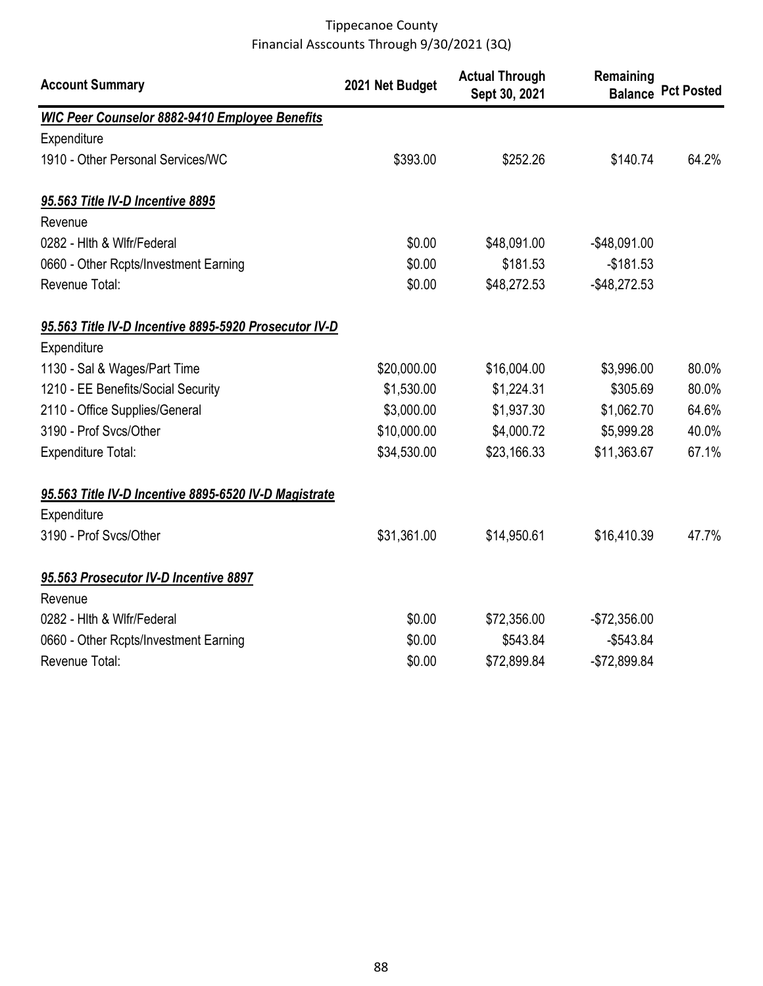| <b>Account Summary</b>                                | 2021 Net Budget | <b>Actual Through</b><br>Sept 30, 2021 | Remaining<br><b>Balance</b> | <b>Pct Posted</b> |
|-------------------------------------------------------|-----------------|----------------------------------------|-----------------------------|-------------------|
| <b>WIC Peer Counselor 8882-9410 Employee Benefits</b> |                 |                                        |                             |                   |
| Expenditure                                           |                 |                                        |                             |                   |
| 1910 - Other Personal Services/WC                     | \$393.00        | \$252.26                               | \$140.74                    | 64.2%             |
| 95.563 Title IV-D Incentive 8895                      |                 |                                        |                             |                   |
| Revenue                                               |                 |                                        |                             |                   |
| 0282 - Hith & Wifr/Federal                            | \$0.00          | \$48,091.00                            | $-$48,091.00$               |                   |
| 0660 - Other Rcpts/Investment Earning                 | \$0.00          | \$181.53                               | $-$181.53$                  |                   |
| Revenue Total:                                        | \$0.00          | \$48,272.53                            | $-$ \$48,272.53             |                   |
| 95.563 Title IV-D Incentive 8895-5920 Prosecutor IV-D |                 |                                        |                             |                   |
| Expenditure                                           |                 |                                        |                             |                   |
| 1130 - Sal & Wages/Part Time                          | \$20,000.00     | \$16,004.00                            | \$3,996.00                  | 80.0%             |
| 1210 - EE Benefits/Social Security                    | \$1,530.00      | \$1,224.31                             | \$305.69                    | 80.0%             |
| 2110 - Office Supplies/General                        | \$3,000.00      | \$1,937.30                             | \$1,062.70                  | 64.6%             |
| 3190 - Prof Svcs/Other                                | \$10,000.00     | \$4,000.72                             | \$5,999.28                  | 40.0%             |
| <b>Expenditure Total:</b>                             | \$34,530.00     | \$23,166.33                            | \$11,363.67                 | 67.1%             |
| 95.563 Title IV-D Incentive 8895-6520 IV-D Magistrate |                 |                                        |                             |                   |
| Expenditure                                           |                 |                                        |                             |                   |
| 3190 - Prof Svcs/Other                                | \$31,361.00     | \$14,950.61                            | \$16,410.39                 | 47.7%             |
| 95.563 Prosecutor IV-D Incentive 8897                 |                 |                                        |                             |                   |
| Revenue                                               |                 |                                        |                             |                   |
| 0282 - Hith & Wifr/Federal                            | \$0.00          | \$72,356.00                            | $-$72,356.00$               |                   |
| 0660 - Other Rcpts/Investment Earning                 | \$0.00          | \$543.84                               | $-$543.84$                  |                   |
| Revenue Total:                                        | \$0.00          | \$72,899.84                            | $-$72,899.84$               |                   |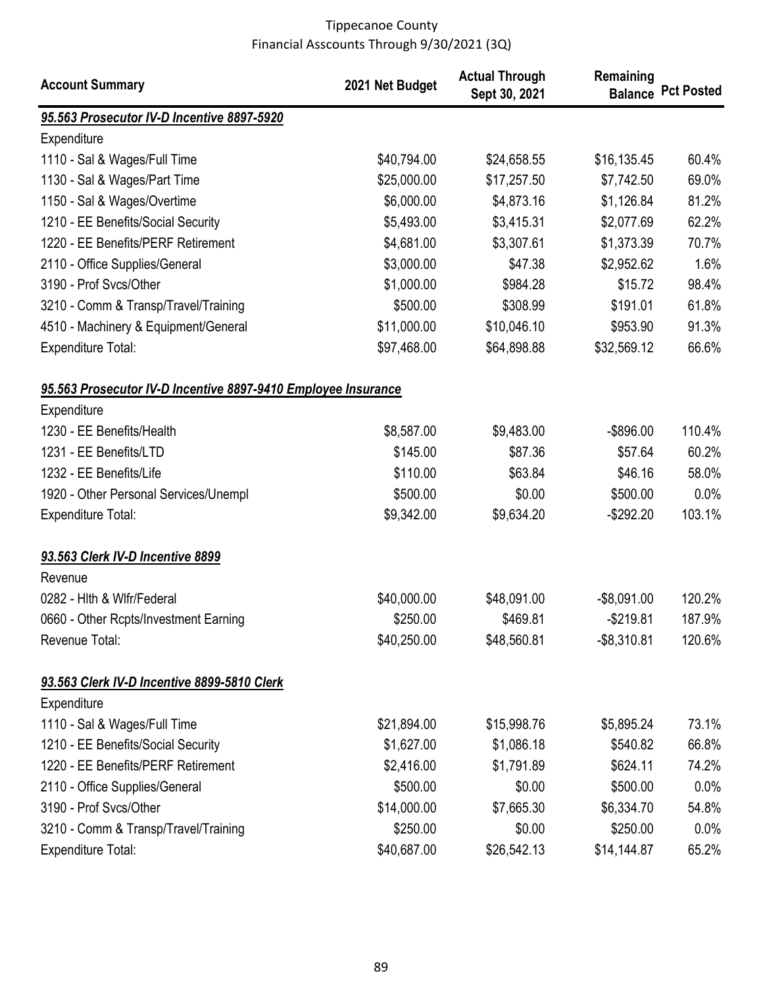| <b>Account Summary</b>                                        | 2021 Net Budget | <b>Actual Through</b><br>Sept 30, 2021 | Remaining      | <b>Balance Pct Posted</b> |
|---------------------------------------------------------------|-----------------|----------------------------------------|----------------|---------------------------|
| 95.563 Prosecutor IV-D Incentive 8897-5920                    |                 |                                        |                |                           |
| Expenditure                                                   |                 |                                        |                |                           |
| 1110 - Sal & Wages/Full Time                                  | \$40,794.00     | \$24,658.55                            | \$16,135.45    | 60.4%                     |
| 1130 - Sal & Wages/Part Time                                  | \$25,000.00     | \$17,257.50                            | \$7,742.50     | 69.0%                     |
| 1150 - Sal & Wages/Overtime                                   | \$6,000.00      | \$4,873.16                             | \$1,126.84     | 81.2%                     |
| 1210 - EE Benefits/Social Security                            | \$5,493.00      | \$3,415.31                             | \$2,077.69     | 62.2%                     |
| 1220 - EE Benefits/PERF Retirement                            | \$4,681.00      | \$3,307.61                             | \$1,373.39     | 70.7%                     |
| 2110 - Office Supplies/General                                | \$3,000.00      | \$47.38                                | \$2,952.62     | 1.6%                      |
| 3190 - Prof Svcs/Other                                        | \$1,000.00      | \$984.28                               | \$15.72        | 98.4%                     |
| 3210 - Comm & Transp/Travel/Training                          | \$500.00        | \$308.99                               | \$191.01       | 61.8%                     |
| 4510 - Machinery & Equipment/General                          | \$11,000.00     | \$10,046.10                            | \$953.90       | 91.3%                     |
| Expenditure Total:                                            | \$97,468.00     | \$64,898.88                            | \$32,569.12    | 66.6%                     |
| 95.563 Prosecutor IV-D Incentive 8897-9410 Employee Insurance |                 |                                        |                |                           |
| Expenditure                                                   |                 |                                        |                |                           |
| 1230 - EE Benefits/Health                                     | \$8,587.00      | \$9,483.00                             | $-$ \$896.00   | 110.4%                    |
| 1231 - EE Benefits/LTD                                        | \$145.00        | \$87.36                                | \$57.64        | 60.2%                     |
| 1232 - EE Benefits/Life                                       | \$110.00        | \$63.84                                | \$46.16        | 58.0%                     |
| 1920 - Other Personal Services/Unempl                         | \$500.00        | \$0.00                                 | \$500.00       | 0.0%                      |
| <b>Expenditure Total:</b>                                     | \$9,342.00      | \$9,634.20                             | $-$292.20$     | 103.1%                    |
| 93.563 Clerk IV-D Incentive 8899                              |                 |                                        |                |                           |
| Revenue                                                       |                 |                                        |                |                           |
| 0282 - Hith & Wifr/Federal                                    | \$40,000.00     | \$48,091.00                            | $-$8,091.00$   | 120.2%                    |
| 0660 - Other Rcpts/Investment Earning                         | \$250.00        | \$469.81                               | $-$219.81$     | 187.9%                    |
| Revenue Total:                                                | \$40,250.00     | \$48,560.81                            | $-$ \$8,310.81 | 120.6%                    |
| 93.563 Clerk IV-D Incentive 8899-5810 Clerk                   |                 |                                        |                |                           |
| Expenditure                                                   |                 |                                        |                |                           |
| 1110 - Sal & Wages/Full Time                                  | \$21,894.00     | \$15,998.76                            | \$5,895.24     | 73.1%                     |
| 1210 - EE Benefits/Social Security                            | \$1,627.00      | \$1,086.18                             | \$540.82       | 66.8%                     |
| 1220 - EE Benefits/PERF Retirement                            | \$2,416.00      | \$1,791.89                             | \$624.11       | 74.2%                     |
| 2110 - Office Supplies/General                                | \$500.00        | \$0.00                                 | \$500.00       | 0.0%                      |
| 3190 - Prof Svcs/Other                                        | \$14,000.00     | \$7,665.30                             | \$6,334.70     | 54.8%                     |
| 3210 - Comm & Transp/Travel/Training                          | \$250.00        | \$0.00                                 | \$250.00       | 0.0%                      |
| <b>Expenditure Total:</b>                                     | \$40,687.00     | \$26,542.13                            | \$14,144.87    | 65.2%                     |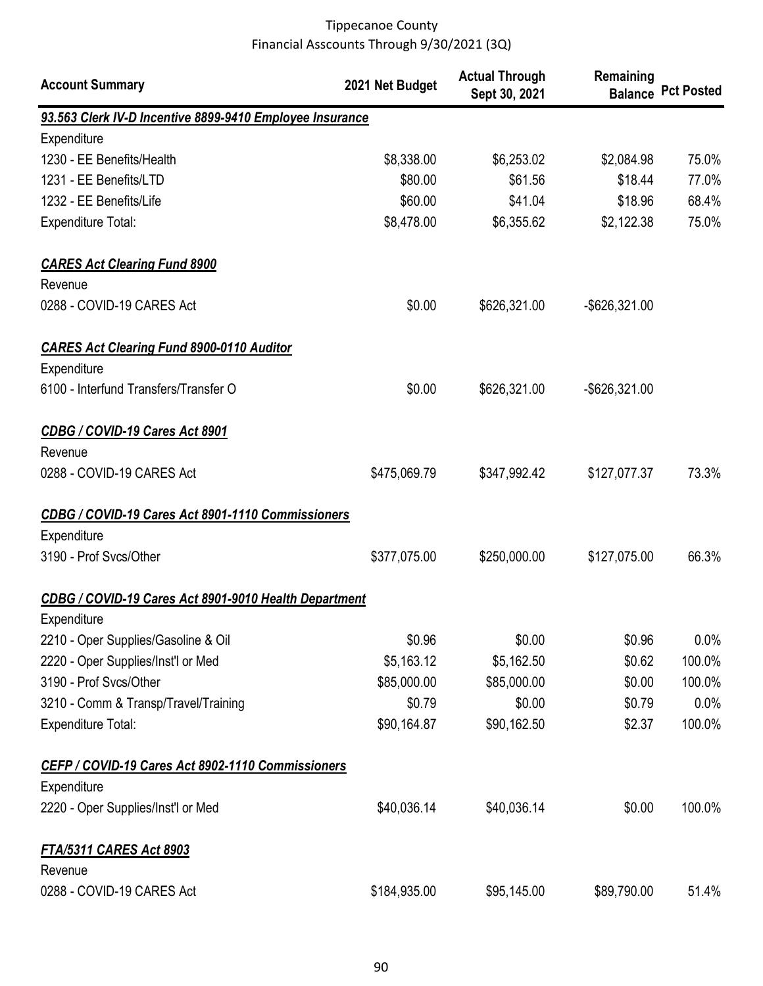| <b>Account Summary</b>                                   | 2021 Net Budget | <b>Actual Through</b><br>Sept 30, 2021 | Remaining        | <b>Balance Pct Posted</b> |
|----------------------------------------------------------|-----------------|----------------------------------------|------------------|---------------------------|
| 93.563 Clerk IV-D Incentive 8899-9410 Employee Insurance |                 |                                        |                  |                           |
| Expenditure                                              |                 |                                        |                  |                           |
| 1230 - EE Benefits/Health                                | \$8,338.00      | \$6,253.02                             | \$2,084.98       | 75.0%                     |
| 1231 - EE Benefits/LTD                                   | \$80.00         | \$61.56                                | \$18.44          | 77.0%                     |
| 1232 - EE Benefits/Life                                  | \$60.00         | \$41.04                                | \$18.96          | 68.4%                     |
| <b>Expenditure Total:</b>                                | \$8,478.00      | \$6,355.62                             | \$2,122.38       | 75.0%                     |
| <b>CARES Act Clearing Fund 8900</b>                      |                 |                                        |                  |                           |
| Revenue                                                  |                 |                                        |                  |                           |
| 0288 - COVID-19 CARES Act                                | \$0.00          | \$626,321.00                           | $-$ \$626,321.00 |                           |
| <b>CARES Act Clearing Fund 8900-0110 Auditor</b>         |                 |                                        |                  |                           |
| Expenditure                                              |                 |                                        |                  |                           |
| 6100 - Interfund Transfers/Transfer O                    | \$0.00          | \$626,321.00                           | -\$626,321.00    |                           |
| CDBG / COVID-19 Cares Act 8901                           |                 |                                        |                  |                           |
| Revenue                                                  |                 |                                        |                  |                           |
| 0288 - COVID-19 CARES Act                                | \$475,069.79    | \$347,992.42                           | \$127,077.37     | 73.3%                     |
| CDBG / COVID-19 Cares Act 8901-1110 Commissioners        |                 |                                        |                  |                           |
| Expenditure                                              |                 |                                        |                  |                           |
| 3190 - Prof Svcs/Other                                   | \$377,075.00    | \$250,000.00                           | \$127,075.00     | 66.3%                     |
| CDBG / COVID-19 Cares Act 8901-9010 Health Department    |                 |                                        |                  |                           |
| Expenditure                                              |                 |                                        |                  |                           |
| 2210 - Oper Supplies/Gasoline & Oil                      | \$0.96          | \$0.00                                 | \$0.96           | $0.0\%$                   |
| 2220 - Oper Supplies/Inst'l or Med                       | \$5,163.12      | \$5,162.50                             | \$0.62           | 100.0%                    |
| 3190 - Prof Svcs/Other                                   | \$85,000.00     | \$85,000.00                            | \$0.00           | 100.0%                    |
| 3210 - Comm & Transp/Travel/Training                     | \$0.79          | \$0.00                                 | \$0.79           | 0.0%                      |
| <b>Expenditure Total:</b>                                | \$90,164.87     | \$90,162.50                            | \$2.37           | 100.0%                    |
| CEFP / COVID-19 Cares Act 8902-1110 Commissioners        |                 |                                        |                  |                           |
| Expenditure                                              |                 |                                        |                  |                           |
| 2220 - Oper Supplies/Inst'l or Med                       | \$40,036.14     | \$40,036.14                            | \$0.00           | 100.0%                    |
| <b>FTA/5311 CARES Act 8903</b>                           |                 |                                        |                  |                           |
| Revenue                                                  |                 |                                        |                  |                           |
| 0288 - COVID-19 CARES Act                                | \$184,935.00    | \$95,145.00                            | \$89,790.00      | 51.4%                     |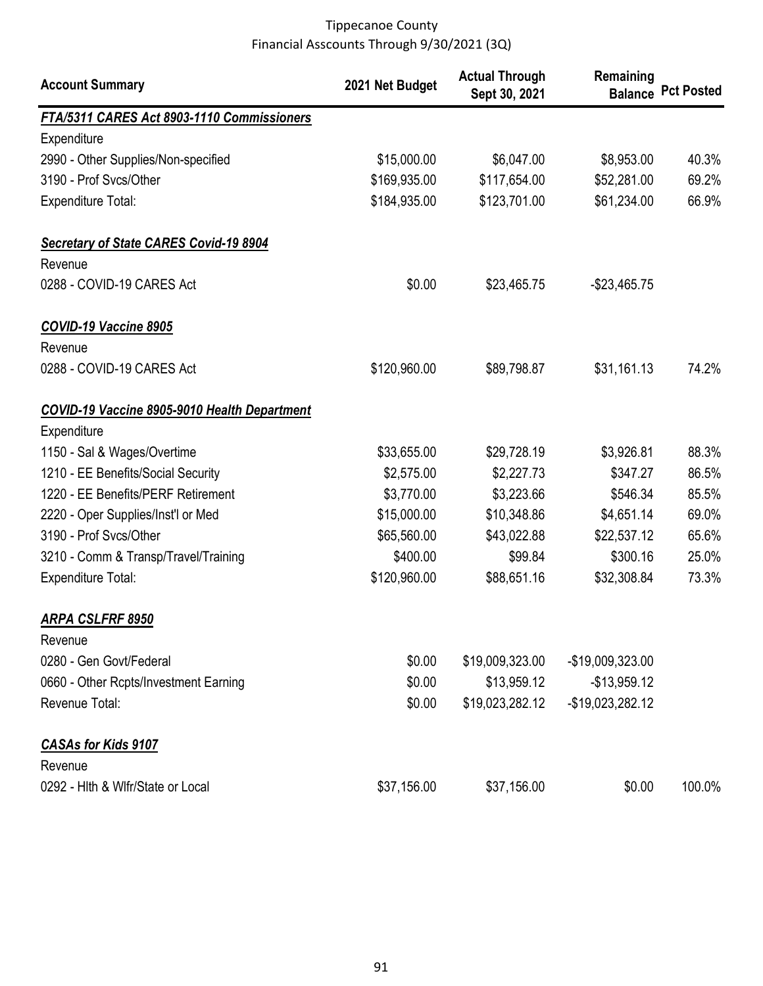| <b>Account Summary</b>                              | 2021 Net Budget | <b>Actual Through</b><br>Sept 30, 2021 | Remaining<br><b>Balance</b> | <b>Pct Posted</b> |
|-----------------------------------------------------|-----------------|----------------------------------------|-----------------------------|-------------------|
| FTA/5311 CARES Act 8903-1110 Commissioners          |                 |                                        |                             |                   |
| Expenditure                                         |                 |                                        |                             |                   |
| 2990 - Other Supplies/Non-specified                 | \$15,000.00     | \$6,047.00                             | \$8,953.00                  | 40.3%             |
| 3190 - Prof Svcs/Other                              | \$169,935.00    | \$117,654.00                           | \$52,281.00                 | 69.2%             |
| <b>Expenditure Total:</b>                           | \$184,935.00    | \$123,701.00                           | \$61,234.00                 | 66.9%             |
| <b>Secretary of State CARES Covid-19 8904</b>       |                 |                                        |                             |                   |
| Revenue                                             |                 |                                        |                             |                   |
| 0288 - COVID-19 CARES Act                           | \$0.00          | \$23,465.75                            | $-$23,465.75$               |                   |
| COVID-19 Vaccine 8905                               |                 |                                        |                             |                   |
| Revenue                                             |                 |                                        |                             |                   |
| 0288 - COVID-19 CARES Act                           | \$120,960.00    | \$89,798.87                            | \$31,161.13                 | 74.2%             |
| <b>COVID-19 Vaccine 8905-9010 Health Department</b> |                 |                                        |                             |                   |
| Expenditure                                         |                 |                                        |                             |                   |
| 1150 - Sal & Wages/Overtime                         | \$33,655.00     | \$29,728.19                            | \$3,926.81                  | 88.3%             |
| 1210 - EE Benefits/Social Security                  | \$2,575.00      | \$2,227.73                             | \$347.27                    | 86.5%             |
| 1220 - EE Benefits/PERF Retirement                  | \$3,770.00      | \$3,223.66                             | \$546.34                    | 85.5%             |
| 2220 - Oper Supplies/Inst'l or Med                  | \$15,000.00     | \$10,348.86                            | \$4,651.14                  | 69.0%             |
| 3190 - Prof Svcs/Other                              | \$65,560.00     | \$43,022.88                            | \$22,537.12                 | 65.6%             |
| 3210 - Comm & Transp/Travel/Training                | \$400.00        | \$99.84                                | \$300.16                    | 25.0%             |
| <b>Expenditure Total:</b>                           | \$120,960.00    | \$88,651.16                            | \$32,308.84                 | 73.3%             |
| <b>ARPA CSLFRF 8950</b>                             |                 |                                        |                             |                   |
| Revenue                                             |                 |                                        |                             |                   |
| 0280 - Gen Govt/Federal                             | \$0.00          | \$19,009,323.00                        | -\$19,009,323.00            |                   |
| 0660 - Other Rcpts/Investment Earning               | \$0.00          | \$13,959.12                            | $-$13,959.12$               |                   |
| Revenue Total:                                      | \$0.00          | \$19,023,282.12                        | -\$19,023,282.12            |                   |
| <b>CASAs for Kids 9107</b>                          |                 |                                        |                             |                   |
| Revenue                                             |                 |                                        |                             |                   |
| 0292 - Hlth & Wlfr/State or Local                   | \$37,156.00     | \$37,156.00                            | \$0.00                      | 100.0%            |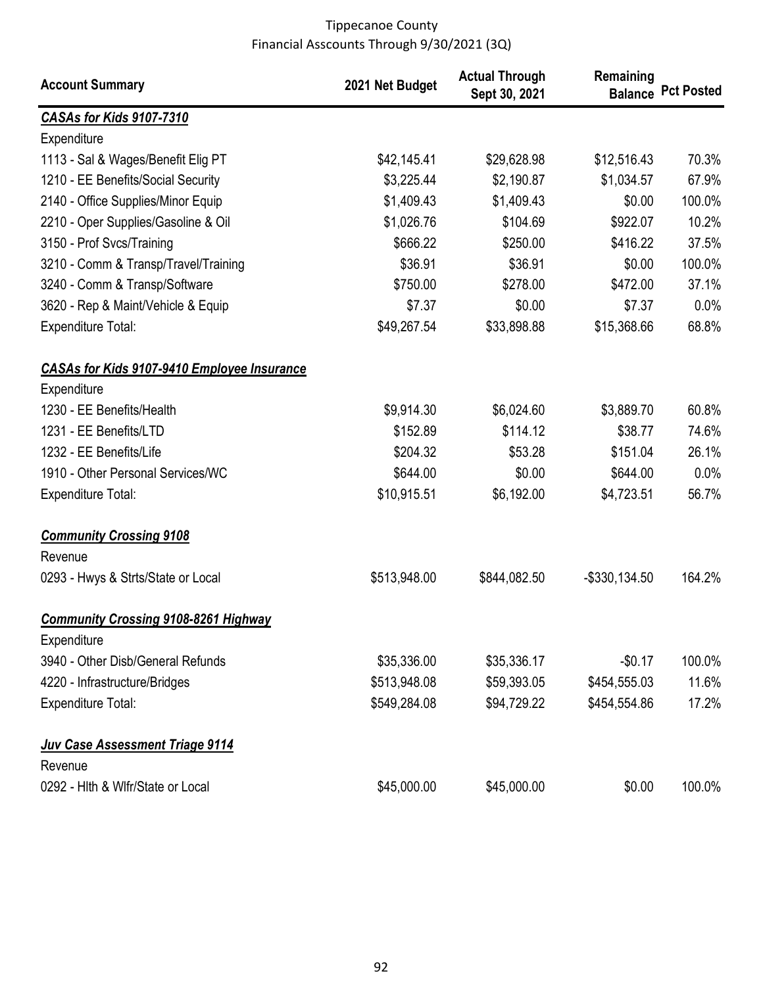| <b>Account Summary</b>                                     | 2021 Net Budget | <b>Actual Through</b><br>Sept 30, 2021 | Remaining        | <b>Balance Pct Posted</b> |
|------------------------------------------------------------|-----------------|----------------------------------------|------------------|---------------------------|
| <b>CASAs for Kids 9107-7310</b>                            |                 |                                        |                  |                           |
| Expenditure                                                |                 |                                        |                  |                           |
| 1113 - Sal & Wages/Benefit Elig PT                         | \$42,145.41     | \$29,628.98                            | \$12,516.43      | 70.3%                     |
| 1210 - EE Benefits/Social Security                         | \$3,225.44      | \$2,190.87                             | \$1,034.57       | 67.9%                     |
| 2140 - Office Supplies/Minor Equip                         | \$1,409.43      | \$1,409.43                             | \$0.00           | 100.0%                    |
| 2210 - Oper Supplies/Gasoline & Oil                        | \$1,026.76      | \$104.69                               | \$922.07         | 10.2%                     |
| 3150 - Prof Svcs/Training                                  | \$666.22        | \$250.00                               | \$416.22         | 37.5%                     |
| 3210 - Comm & Transp/Travel/Training                       | \$36.91         | \$36.91                                | \$0.00           | 100.0%                    |
| 3240 - Comm & Transp/Software                              | \$750.00        | \$278.00                               | \$472.00         | 37.1%                     |
| 3620 - Rep & Maint/Vehicle & Equip                         | \$7.37          | \$0.00                                 | \$7.37           | 0.0%                      |
| <b>Expenditure Total:</b>                                  | \$49,267.54     | \$33,898.88                            | \$15,368.66      | 68.8%                     |
| <b>CASAs for Kids 9107-9410 Employee Insurance</b>         |                 |                                        |                  |                           |
| Expenditure                                                |                 |                                        |                  |                           |
| 1230 - EE Benefits/Health                                  | \$9,914.30      | \$6,024.60                             | \$3,889.70       | 60.8%                     |
| 1231 - EE Benefits/LTD                                     | \$152.89        | \$114.12                               | \$38.77          | 74.6%                     |
| 1232 - EE Benefits/Life                                    | \$204.32        | \$53.28                                | \$151.04         | 26.1%                     |
| 1910 - Other Personal Services/WC                          | \$644.00        | \$0.00                                 | \$644.00         | 0.0%                      |
| <b>Expenditure Total:</b>                                  | \$10,915.51     | \$6,192.00                             | \$4,723.51       | 56.7%                     |
| <b>Community Crossing 9108</b><br>Revenue                  |                 |                                        |                  |                           |
| 0293 - Hwys & Strts/State or Local                         | \$513,948.00    | \$844,082.50                           | $-$ \$330,134.50 | 164.2%                    |
| <b>Community Crossing 9108-8261 Highway</b><br>Expenditure |                 |                                        |                  |                           |
| 3940 - Other Disb/General Refunds                          | \$35,336.00     | \$35,336.17                            | $-$0.17$         | 100.0%                    |
| 4220 - Infrastructure/Bridges                              | \$513,948.08    | \$59,393.05                            | \$454,555.03     | 11.6%                     |
| <b>Expenditure Total:</b>                                  | \$549,284.08    | \$94,729.22                            | \$454,554.86     | 17.2%                     |
| Juv Case Assessment Triage 9114<br>Revenue                 |                 |                                        |                  |                           |
| 0292 - Hlth & Wlfr/State or Local                          | \$45,000.00     | \$45,000.00                            | \$0.00           | 100.0%                    |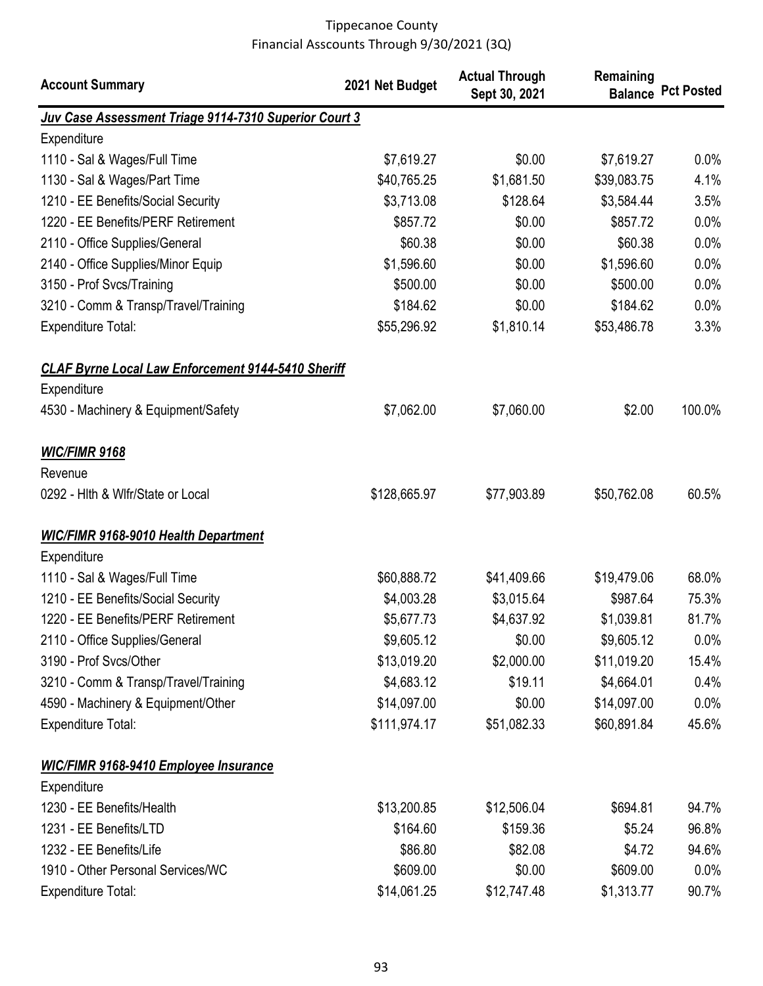| <b>Account Summary</b>                                    | 2021 Net Budget | <b>Actual Through</b><br>Sept 30, 2021 | Remaining   | <b>Balance Pct Posted</b> |
|-----------------------------------------------------------|-----------------|----------------------------------------|-------------|---------------------------|
| Juv Case Assessment Triage 9114-7310 Superior Court 3     |                 |                                        |             |                           |
| Expenditure                                               |                 |                                        |             |                           |
| 1110 - Sal & Wages/Full Time                              | \$7,619.27      | \$0.00                                 | \$7,619.27  | $0.0\%$                   |
| 1130 - Sal & Wages/Part Time                              | \$40,765.25     | \$1,681.50                             | \$39,083.75 | 4.1%                      |
| 1210 - EE Benefits/Social Security                        | \$3,713.08      | \$128.64                               | \$3,584.44  | 3.5%                      |
| 1220 - EE Benefits/PERF Retirement                        | \$857.72        | \$0.00                                 | \$857.72    | 0.0%                      |
| 2110 - Office Supplies/General                            | \$60.38         | \$0.00                                 | \$60.38     | 0.0%                      |
| 2140 - Office Supplies/Minor Equip                        | \$1,596.60      | \$0.00                                 | \$1,596.60  | 0.0%                      |
| 3150 - Prof Svcs/Training                                 | \$500.00        | \$0.00                                 | \$500.00    | $0.0\%$                   |
| 3210 - Comm & Transp/Travel/Training                      | \$184.62        | \$0.00                                 | \$184.62    | $0.0\%$                   |
| <b>Expenditure Total:</b>                                 | \$55,296.92     | \$1,810.14                             | \$53,486.78 | 3.3%                      |
| <b>CLAF Byrne Local Law Enforcement 9144-5410 Sheriff</b> |                 |                                        |             |                           |
| Expenditure                                               |                 |                                        |             |                           |
| 4530 - Machinery & Equipment/Safety                       | \$7,062.00      | \$7,060.00                             | \$2.00      | 100.0%                    |
| <b>WIC/FIMR 9168</b><br>Revenue                           |                 |                                        |             |                           |
| 0292 - Hith & Wifr/State or Local                         | \$128,665.97    | \$77,903.89                            | \$50,762.08 | 60.5%                     |
| <b>WIC/FIMR 9168-9010 Health Department</b>               |                 |                                        |             |                           |
| Expenditure                                               |                 |                                        |             |                           |
| 1110 - Sal & Wages/Full Time                              | \$60,888.72     | \$41,409.66                            | \$19,479.06 | 68.0%                     |
| 1210 - EE Benefits/Social Security                        | \$4,003.28      | \$3,015.64                             | \$987.64    | 75.3%                     |
| 1220 - EE Benefits/PERF Retirement                        | \$5,677.73      | \$4,637.92                             | \$1,039.81  | 81.7%                     |
| 2110 - Office Supplies/General                            | \$9,605.12      | \$0.00                                 | \$9,605.12  | $0.0\%$                   |
| 3190 - Prof Svcs/Other                                    | \$13,019.20     | \$2,000.00                             | \$11,019.20 | 15.4%                     |
| 3210 - Comm & Transp/Travel/Training                      | \$4,683.12      | \$19.11                                | \$4,664.01  | 0.4%                      |
| 4590 - Machinery & Equipment/Other                        | \$14,097.00     | \$0.00                                 | \$14,097.00 | $0.0\%$                   |
| <b>Expenditure Total:</b>                                 | \$111,974.17    | \$51,082.33                            | \$60,891.84 | 45.6%                     |
| <b>WIC/FIMR 9168-9410 Employee Insurance</b>              |                 |                                        |             |                           |
| Expenditure                                               |                 |                                        |             |                           |
| 1230 - EE Benefits/Health                                 | \$13,200.85     | \$12,506.04                            | \$694.81    | 94.7%                     |
| 1231 - EE Benefits/LTD                                    | \$164.60        | \$159.36                               | \$5.24      | 96.8%                     |
| 1232 - EE Benefits/Life                                   | \$86.80         | \$82.08                                | \$4.72      | 94.6%                     |
| 1910 - Other Personal Services/WC                         | \$609.00        | \$0.00                                 | \$609.00    | $0.0\%$                   |
| <b>Expenditure Total:</b>                                 | \$14,061.25     | \$12,747.48                            | \$1,313.77  | 90.7%                     |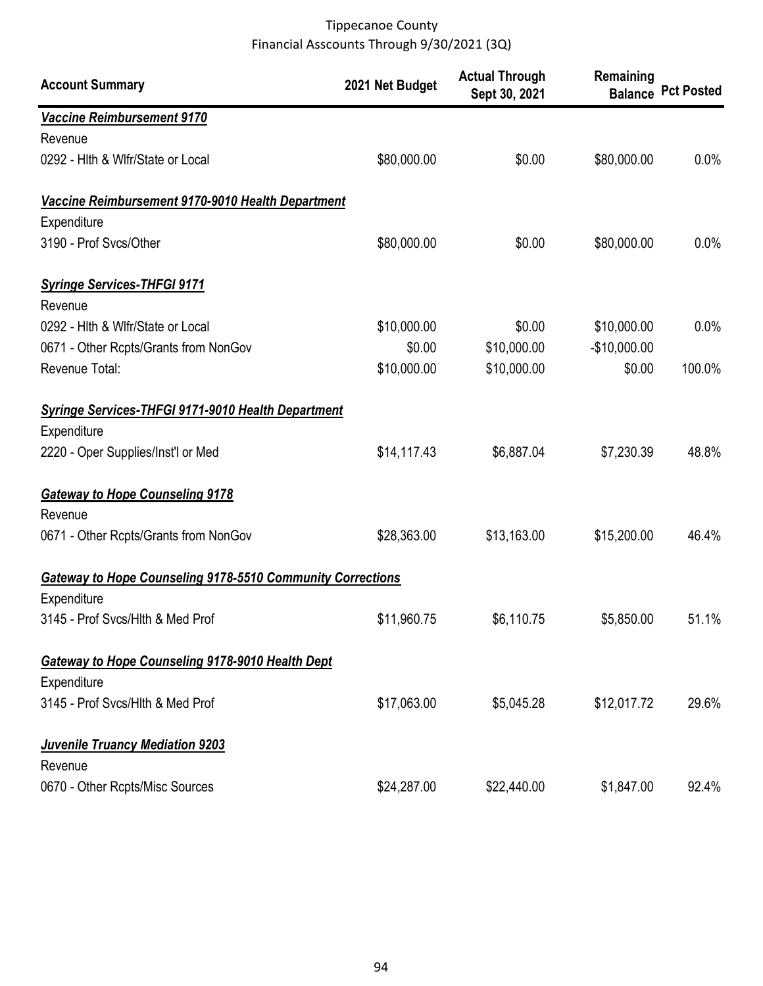| <b>Account Summary</b>                                                                                  | 2021 Net Budget | <b>Actual Through</b><br>Sept 30, 2021 | Remaining     | <b>Balance Pct Posted</b> |
|---------------------------------------------------------------------------------------------------------|-----------------|----------------------------------------|---------------|---------------------------|
| Vaccine Reimbursement 9170                                                                              |                 |                                        |               |                           |
| Revenue                                                                                                 |                 |                                        |               |                           |
| 0292 - Hith & Wifr/State or Local                                                                       | \$80,000.00     | \$0.00                                 | \$80,000.00   | 0.0%                      |
| Vaccine Reimbursement 9170-9010 Health Department<br>Expenditure                                        |                 |                                        |               |                           |
| 3190 - Prof Svcs/Other                                                                                  | \$80,000.00     | \$0.00                                 | \$80,000.00   | 0.0%                      |
| <b>Syringe Services-THFGI 9171</b><br>Revenue                                                           |                 |                                        |               |                           |
| 0292 - Hith & Wifr/State or Local                                                                       | \$10,000.00     | \$0.00                                 | \$10,000.00   | 0.0%                      |
| 0671 - Other Rcpts/Grants from NonGov                                                                   | \$0.00          | \$10,000.00                            | $-$10,000.00$ |                           |
| Revenue Total:                                                                                          | \$10,000.00     | \$10,000.00                            | \$0.00        | 100.0%                    |
| Syringe Services-THFGI 9171-9010 Health Department<br>Expenditure<br>2220 - Oper Supplies/Inst'l or Med | \$14,117.43     | \$6,887.04                             | \$7,230.39    | 48.8%                     |
|                                                                                                         |                 |                                        |               |                           |
| <b>Gateway to Hope Counseling 9178</b><br>Revenue                                                       |                 |                                        |               |                           |
| 0671 - Other Rcpts/Grants from NonGov                                                                   | \$28,363.00     | \$13,163.00                            | \$15,200.00   | 46.4%                     |
| Gateway to Hope Counseling 9178-5510 Community Corrections                                              |                 |                                        |               |                           |
| Expenditure                                                                                             |                 |                                        |               |                           |
| 3145 - Prof Svcs/Hlth & Med Prof                                                                        | \$11,960.75     | \$6,110.75                             | \$5,850.00    | 51.1%                     |
| <b>Gateway to Hope Counseling 9178-9010 Health Dept</b><br>Expenditure                                  |                 |                                        |               |                           |
| 3145 - Prof Svcs/Hlth & Med Prof                                                                        | \$17,063.00     | \$5,045.28                             | \$12,017.72   | 29.6%                     |
| <b>Juvenile Truancy Mediation 9203</b><br>Revenue                                                       |                 |                                        |               |                           |
| 0670 - Other Rcpts/Misc Sources                                                                         | \$24,287.00     | \$22,440.00                            | \$1,847.00    | 92.4%                     |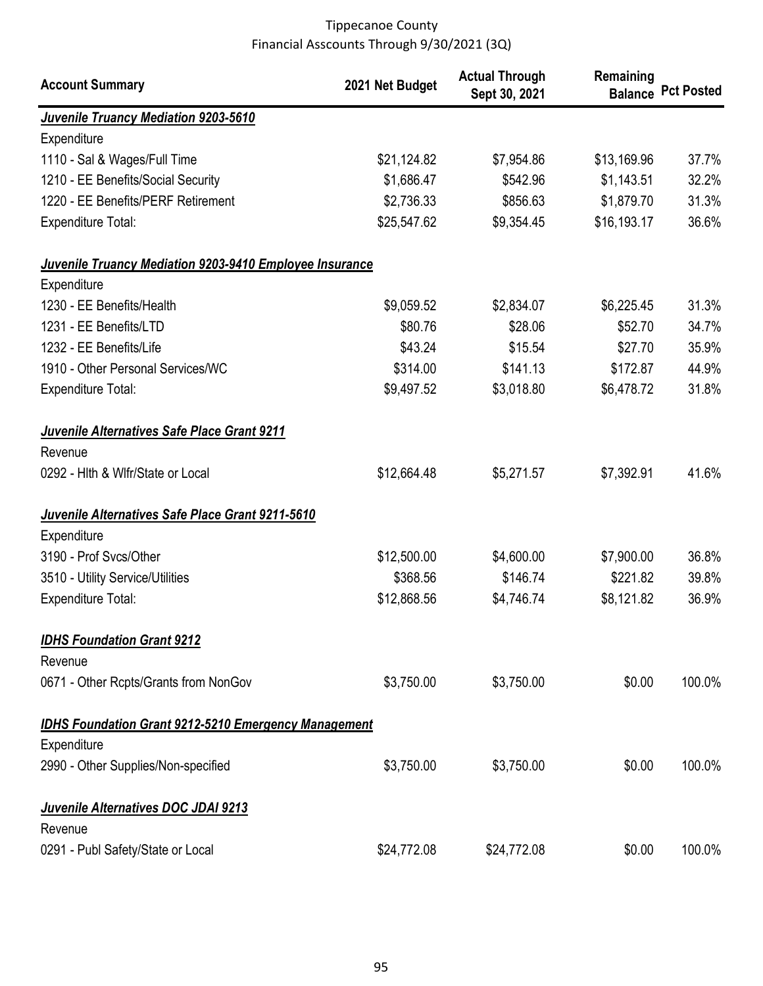| <b>Account Summary</b>                                         | 2021 Net Budget | <b>Actual Through</b><br>Sept 30, 2021 | Remaining   | <b>Balance Pct Posted</b> |
|----------------------------------------------------------------|-----------------|----------------------------------------|-------------|---------------------------|
| <b>Juvenile Truancy Mediation 9203-5610</b>                    |                 |                                        |             |                           |
| Expenditure                                                    |                 |                                        |             |                           |
| 1110 - Sal & Wages/Full Time                                   | \$21,124.82     | \$7,954.86                             | \$13,169.96 | 37.7%                     |
| 1210 - EE Benefits/Social Security                             | \$1,686.47      | \$542.96                               | \$1,143.51  | 32.2%                     |
| 1220 - EE Benefits/PERF Retirement                             | \$2,736.33      | \$856.63                               | \$1,879.70  | 31.3%                     |
| <b>Expenditure Total:</b>                                      | \$25,547.62     | \$9,354.45                             | \$16,193.17 | 36.6%                     |
| <b>Juvenile Truancy Mediation 9203-9410 Employee Insurance</b> |                 |                                        |             |                           |
| Expenditure                                                    |                 |                                        |             |                           |
| 1230 - EE Benefits/Health                                      | \$9,059.52      | \$2,834.07                             | \$6,225.45  | 31.3%                     |
| 1231 - EE Benefits/LTD                                         | \$80.76         | \$28.06                                | \$52.70     | 34.7%                     |
| 1232 - EE Benefits/Life                                        | \$43.24         | \$15.54                                | \$27.70     | 35.9%                     |
| 1910 - Other Personal Services/WC                              | \$314.00        | \$141.13                               | \$172.87    | 44.9%                     |
| <b>Expenditure Total:</b>                                      | \$9,497.52      | \$3,018.80                             | \$6,478.72  | 31.8%                     |
| Juvenile Alternatives Safe Place Grant 9211                    |                 |                                        |             |                           |
| Revenue                                                        |                 |                                        |             |                           |
| 0292 - Hith & Wifr/State or Local                              | \$12,664.48     | \$5,271.57                             | \$7,392.91  | 41.6%                     |
| Juvenile Alternatives Safe Place Grant 9211-5610               |                 |                                        |             |                           |
| Expenditure                                                    |                 |                                        |             |                           |
| 3190 - Prof Svcs/Other                                         | \$12,500.00     | \$4,600.00                             | \$7,900.00  | 36.8%                     |
| 3510 - Utility Service/Utilities                               | \$368.56        | \$146.74                               | \$221.82    | 39.8%                     |
| <b>Expenditure Total:</b>                                      | \$12,868.56     | \$4,746.74                             | \$8,121.82  | 36.9%                     |
| <b>IDHS Foundation Grant 9212</b>                              |                 |                                        |             |                           |
| Revenue                                                        |                 |                                        |             |                           |
| 0671 - Other Rcpts/Grants from NonGov                          | \$3,750.00      | \$3,750.00                             | \$0.00      | 100.0%                    |
| <b>IDHS Foundation Grant 9212-5210 Emergency Management</b>    |                 |                                        |             |                           |
| Expenditure                                                    |                 |                                        |             |                           |
| 2990 - Other Supplies/Non-specified                            | \$3,750.00      | \$3,750.00                             | \$0.00      | 100.0%                    |
| Juvenile Alternatives DOC JDAI 9213                            |                 |                                        |             |                           |
| Revenue                                                        |                 |                                        |             |                           |
| 0291 - Publ Safety/State or Local                              | \$24,772.08     | \$24,772.08                            | \$0.00      | 100.0%                    |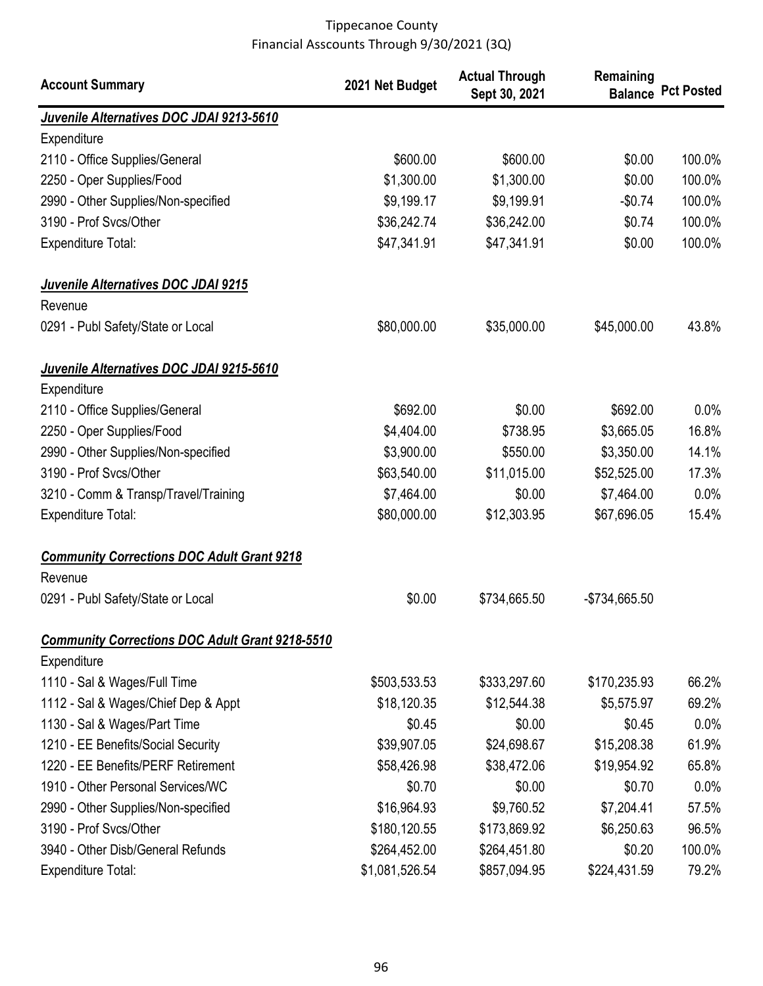| <b>Account Summary</b>                                 | 2021 Net Budget | <b>Actual Through</b><br>Sept 30, 2021 | Remaining     | <b>Balance Pct Posted</b> |
|--------------------------------------------------------|-----------------|----------------------------------------|---------------|---------------------------|
| Juvenile Alternatives DOC JDAI 9213-5610               |                 |                                        |               |                           |
| Expenditure                                            |                 |                                        |               |                           |
| 2110 - Office Supplies/General                         | \$600.00        | \$600.00                               | \$0.00        | 100.0%                    |
| 2250 - Oper Supplies/Food                              | \$1,300.00      | \$1,300.00                             | \$0.00        | 100.0%                    |
| 2990 - Other Supplies/Non-specified                    | \$9,199.17      | \$9,199.91                             | $-$0.74$      | 100.0%                    |
| 3190 - Prof Svcs/Other                                 | \$36,242.74     | \$36,242.00                            | \$0.74        | 100.0%                    |
| <b>Expenditure Total:</b>                              | \$47,341.91     | \$47,341.91                            | \$0.00        | 100.0%                    |
| Juvenile Alternatives DOC JDAI 9215                    |                 |                                        |               |                           |
| Revenue                                                |                 |                                        |               |                           |
| 0291 - Publ Safety/State or Local                      | \$80,000.00     | \$35,000.00                            | \$45,000.00   | 43.8%                     |
| Juvenile Alternatives DOC JDAI 9215-5610               |                 |                                        |               |                           |
| Expenditure                                            |                 |                                        |               |                           |
| 2110 - Office Supplies/General                         | \$692.00        | \$0.00                                 | \$692.00      | 0.0%                      |
| 2250 - Oper Supplies/Food                              | \$4,404.00      | \$738.95                               | \$3,665.05    | 16.8%                     |
| 2990 - Other Supplies/Non-specified                    | \$3,900.00      | \$550.00                               | \$3,350.00    | 14.1%                     |
| 3190 - Prof Svcs/Other                                 | \$63,540.00     | \$11,015.00                            | \$52,525.00   | 17.3%                     |
| 3210 - Comm & Transp/Travel/Training                   | \$7,464.00      | \$0.00                                 | \$7,464.00    | 0.0%                      |
| Expenditure Total:                                     | \$80,000.00     | \$12,303.95                            | \$67,696.05   | 15.4%                     |
| <b>Community Corrections DOC Adult Grant 9218</b>      |                 |                                        |               |                           |
| Revenue                                                |                 |                                        |               |                           |
| 0291 - Publ Safety/State or Local                      | \$0.00          | \$734,665.50                           | -\$734,665.50 |                           |
| <b>Community Corrections DOC Adult Grant 9218-5510</b> |                 |                                        |               |                           |
| Expenditure                                            |                 |                                        |               |                           |
| 1110 - Sal & Wages/Full Time                           | \$503,533.53    | \$333,297.60                           | \$170,235.93  | 66.2%                     |
| 1112 - Sal & Wages/Chief Dep & Appt                    | \$18,120.35     | \$12,544.38                            | \$5,575.97    | 69.2%                     |
| 1130 - Sal & Wages/Part Time                           | \$0.45          | \$0.00                                 | \$0.45        | 0.0%                      |
| 1210 - EE Benefits/Social Security                     | \$39,907.05     | \$24,698.67                            | \$15,208.38   | 61.9%                     |
| 1220 - EE Benefits/PERF Retirement                     | \$58,426.98     | \$38,472.06                            | \$19,954.92   | 65.8%                     |
| 1910 - Other Personal Services/WC                      | \$0.70          | \$0.00                                 | \$0.70        | 0.0%                      |
| 2990 - Other Supplies/Non-specified                    | \$16,964.93     | \$9,760.52                             | \$7,204.41    | 57.5%                     |
| 3190 - Prof Svcs/Other                                 | \$180,120.55    | \$173,869.92                           | \$6,250.63    | 96.5%                     |
| 3940 - Other Disb/General Refunds                      | \$264,452.00    | \$264,451.80                           | \$0.20        | 100.0%                    |
| Expenditure Total:                                     | \$1,081,526.54  | \$857,094.95                           | \$224,431.59  | 79.2%                     |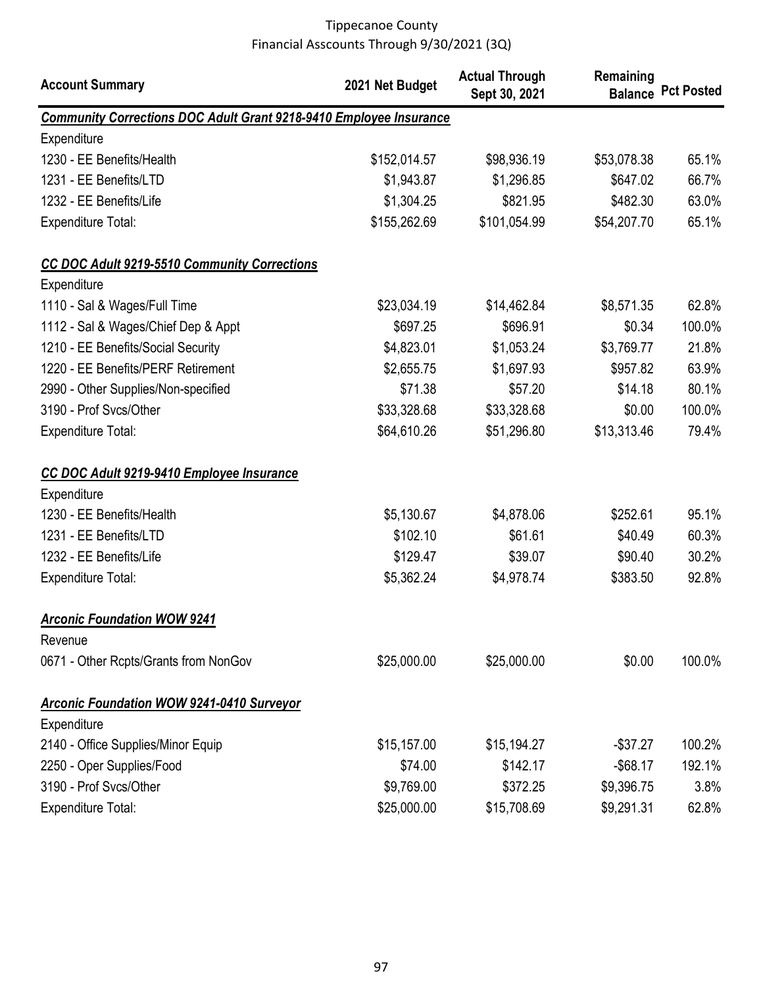| <b>Account Summary</b>                                                    | 2021 Net Budget | <b>Actual Through</b><br>Sept 30, 2021 | Remaining   | <b>Balance Pct Posted</b> |
|---------------------------------------------------------------------------|-----------------|----------------------------------------|-------------|---------------------------|
| <b>Community Corrections DOC Adult Grant 9218-9410 Employee Insurance</b> |                 |                                        |             |                           |
| Expenditure                                                               |                 |                                        |             |                           |
| 1230 - EE Benefits/Health                                                 | \$152,014.57    | \$98,936.19                            | \$53,078.38 | 65.1%                     |
| 1231 - EE Benefits/LTD                                                    | \$1,943.87      | \$1,296.85                             | \$647.02    | 66.7%                     |
| 1232 - EE Benefits/Life                                                   | \$1,304.25      | \$821.95                               | \$482.30    | 63.0%                     |
| Expenditure Total:                                                        | \$155,262.69    | \$101,054.99                           | \$54,207.70 | 65.1%                     |
| CC DOC Adult 9219-5510 Community Corrections                              |                 |                                        |             |                           |
| Expenditure                                                               |                 |                                        |             |                           |
| 1110 - Sal & Wages/Full Time                                              | \$23,034.19     | \$14,462.84                            | \$8,571.35  | 62.8%                     |
| 1112 - Sal & Wages/Chief Dep & Appt                                       | \$697.25        | \$696.91                               | \$0.34      | 100.0%                    |
| 1210 - EE Benefits/Social Security                                        | \$4,823.01      | \$1,053.24                             | \$3,769.77  | 21.8%                     |
| 1220 - EE Benefits/PERF Retirement                                        | \$2,655.75      | \$1,697.93                             | \$957.82    | 63.9%                     |
| 2990 - Other Supplies/Non-specified                                       | \$71.38         | \$57.20                                | \$14.18     | 80.1%                     |
| 3190 - Prof Svcs/Other                                                    | \$33,328.68     | \$33,328.68                            | \$0.00      | 100.0%                    |
| Expenditure Total:                                                        | \$64,610.26     | \$51,296.80                            | \$13,313.46 | 79.4%                     |
| CC DOC Adult 9219-9410 Employee Insurance                                 |                 |                                        |             |                           |
| Expenditure                                                               |                 |                                        |             |                           |
| 1230 - EE Benefits/Health                                                 | \$5,130.67      | \$4,878.06                             | \$252.61    | 95.1%                     |
| 1231 - EE Benefits/LTD                                                    | \$102.10        | \$61.61                                | \$40.49     | 60.3%                     |
| 1232 - EE Benefits/Life                                                   | \$129.47        | \$39.07                                | \$90.40     | 30.2%                     |
| <b>Expenditure Total:</b>                                                 | \$5,362.24      | \$4,978.74                             | \$383.50    | 92.8%                     |
| <b>Arconic Foundation WOW 9241</b>                                        |                 |                                        |             |                           |
| Revenue                                                                   |                 |                                        |             |                           |
| 0671 - Other Rcpts/Grants from NonGov                                     | \$25,000.00     | \$25,000.00                            | \$0.00      | 100.0%                    |
| <b>Arconic Foundation WOW 9241-0410 Surveyor</b>                          |                 |                                        |             |                           |
| Expenditure                                                               |                 |                                        |             |                           |
| 2140 - Office Supplies/Minor Equip                                        | \$15,157.00     | \$15,194.27                            | $-$37.27$   | 100.2%                    |
| 2250 - Oper Supplies/Food                                                 | \$74.00         | \$142.17                               | $-$ \$68.17 | 192.1%                    |
| 3190 - Prof Svcs/Other                                                    | \$9,769.00      | \$372.25                               | \$9,396.75  | 3.8%                      |
| <b>Expenditure Total:</b>                                                 | \$25,000.00     | \$15,708.69                            | \$9,291.31  | 62.8%                     |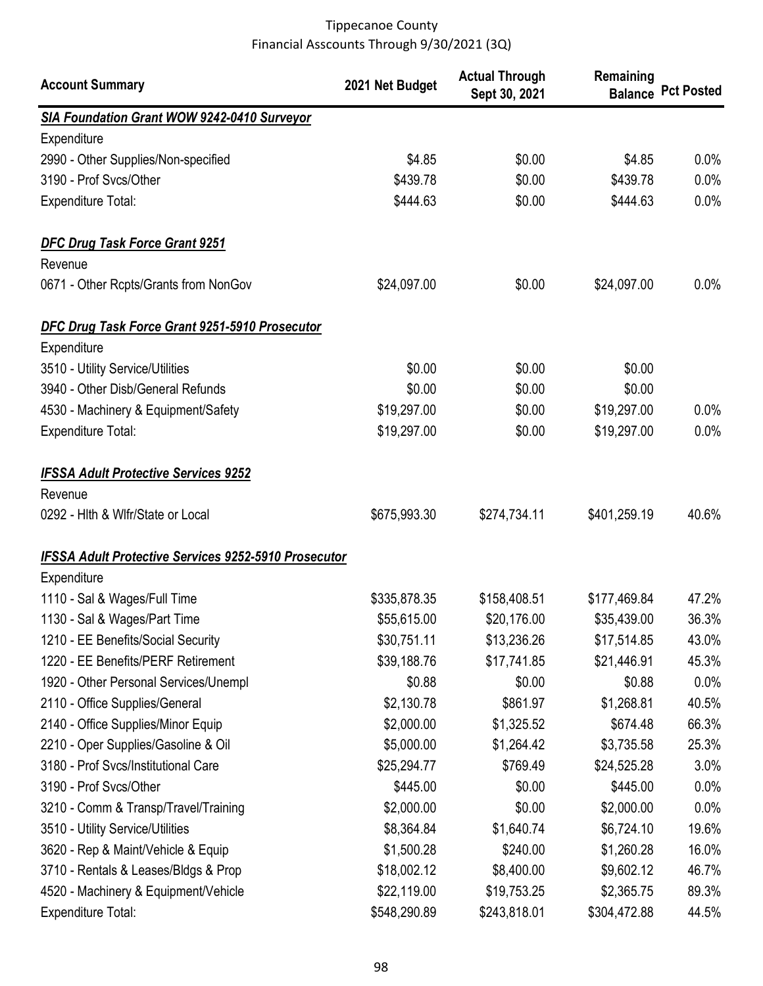| <b>Account Summary</b>                                      | 2021 Net Budget | <b>Actual Through</b><br>Sept 30, 2021 | Remaining    | <b>Balance Pct Posted</b> |
|-------------------------------------------------------------|-----------------|----------------------------------------|--------------|---------------------------|
| SIA Foundation Grant WOW 9242-0410 Surveyor                 |                 |                                        |              |                           |
| Expenditure                                                 |                 |                                        |              |                           |
| 2990 - Other Supplies/Non-specified                         | \$4.85          | \$0.00                                 | \$4.85       | 0.0%                      |
| 3190 - Prof Svcs/Other                                      | \$439.78        | \$0.00                                 | \$439.78     | 0.0%                      |
| <b>Expenditure Total:</b>                                   | \$444.63        | \$0.00                                 | \$444.63     | 0.0%                      |
| <b>DFC Drug Task Force Grant 9251</b>                       |                 |                                        |              |                           |
| Revenue                                                     |                 |                                        |              |                           |
| 0671 - Other Rcpts/Grants from NonGov                       | \$24,097.00     | \$0.00                                 | \$24,097.00  | 0.0%                      |
| DFC Drug Task Force Grant 9251-5910 Prosecutor              |                 |                                        |              |                           |
| Expenditure                                                 |                 |                                        |              |                           |
| 3510 - Utility Service/Utilities                            | \$0.00          | \$0.00                                 | \$0.00       |                           |
| 3940 - Other Disb/General Refunds                           | \$0.00          | \$0.00                                 | \$0.00       |                           |
| 4530 - Machinery & Equipment/Safety                         | \$19,297.00     | \$0.00                                 | \$19,297.00  | 0.0%                      |
| <b>Expenditure Total:</b>                                   | \$19,297.00     | \$0.00                                 | \$19,297.00  | 0.0%                      |
| <b>IFSSA Adult Protective Services 9252</b>                 |                 |                                        |              |                           |
| Revenue                                                     |                 |                                        |              |                           |
| 0292 - Hith & Wifr/State or Local                           | \$675,993.30    | \$274,734.11                           | \$401,259.19 | 40.6%                     |
| <b>IFSSA Adult Protective Services 9252-5910 Prosecutor</b> |                 |                                        |              |                           |
| Expenditure                                                 |                 |                                        |              |                           |
| 1110 - Sal & Wages/Full Time                                | \$335,878.35    | \$158,408.51                           | \$177,469.84 | 47.2%                     |
| 1130 - Sal & Wages/Part Time                                | \$55,615.00     | \$20,176.00                            | \$35,439.00  | 36.3%                     |
| 1210 - EE Benefits/Social Security                          | \$30,751.11     | \$13,236.26                            | \$17,514.85  | 43.0%                     |
| 1220 - EE Benefits/PERF Retirement                          | \$39,188.76     | \$17,741.85                            | \$21,446.91  | 45.3%                     |
| 1920 - Other Personal Services/Unempl                       | \$0.88          | \$0.00                                 | \$0.88       | $0.0\%$                   |
| 2110 - Office Supplies/General                              | \$2,130.78      | \$861.97                               | \$1,268.81   | 40.5%                     |
| 2140 - Office Supplies/Minor Equip                          | \$2,000.00      | \$1,325.52                             | \$674.48     | 66.3%                     |
| 2210 - Oper Supplies/Gasoline & Oil                         | \$5,000.00      | \$1,264.42                             | \$3,735.58   | 25.3%                     |
| 3180 - Prof Svcs/Institutional Care                         | \$25,294.77     | \$769.49                               | \$24,525.28  | 3.0%                      |
| 3190 - Prof Svcs/Other                                      | \$445.00        | \$0.00                                 | \$445.00     | 0.0%                      |
| 3210 - Comm & Transp/Travel/Training                        | \$2,000.00      | \$0.00                                 | \$2,000.00   | 0.0%                      |
| 3510 - Utility Service/Utilities                            | \$8,364.84      | \$1,640.74                             | \$6,724.10   | 19.6%                     |
| 3620 - Rep & Maint/Vehicle & Equip                          | \$1,500.28      | \$240.00                               | \$1,260.28   | 16.0%                     |
| 3710 - Rentals & Leases/Bldgs & Prop                        | \$18,002.12     | \$8,400.00                             | \$9,602.12   | 46.7%                     |
| 4520 - Machinery & Equipment/Vehicle                        | \$22,119.00     | \$19,753.25                            | \$2,365.75   | 89.3%                     |
| <b>Expenditure Total:</b>                                   | \$548,290.89    | \$243,818.01                           | \$304,472.88 | 44.5%                     |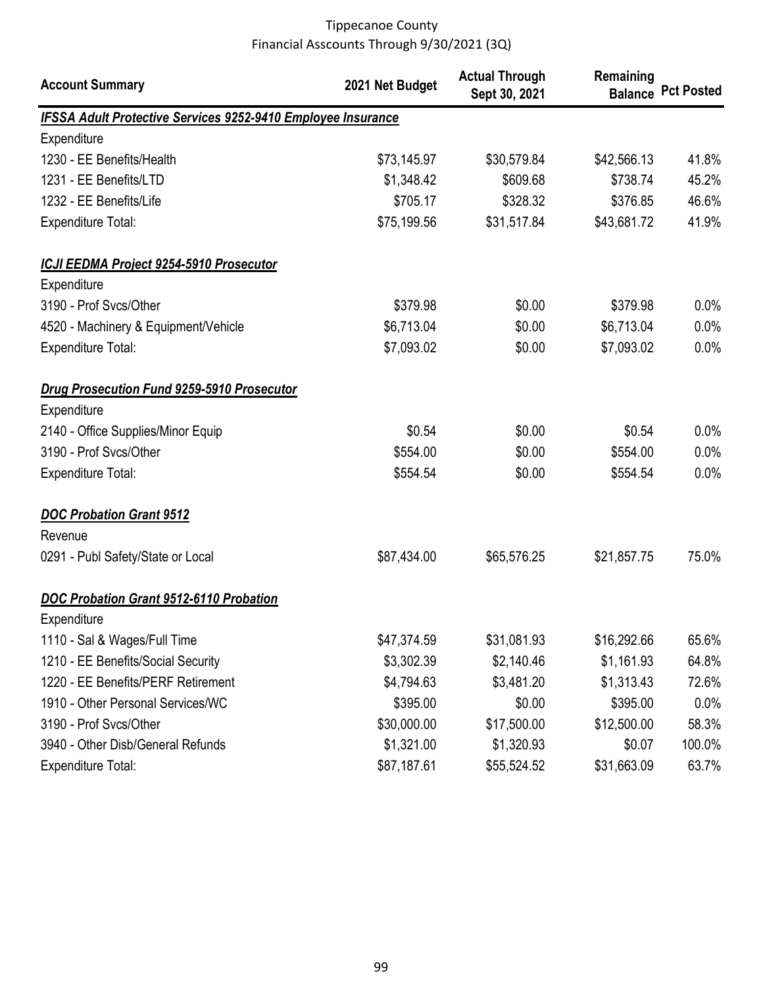| <b>Account Summary</b>                                              | 2021 Net Budget | <b>Actual Through</b><br>Sept 30, 2021 | Remaining   | <b>Balance Pct Posted</b> |
|---------------------------------------------------------------------|-----------------|----------------------------------------|-------------|---------------------------|
| <b>IFSSA Adult Protective Services 9252-9410 Employee Insurance</b> |                 |                                        |             |                           |
| Expenditure                                                         |                 |                                        |             |                           |
| 1230 - EE Benefits/Health                                           | \$73,145.97     | \$30,579.84                            | \$42,566.13 | 41.8%                     |
| 1231 - EE Benefits/LTD                                              | \$1,348.42      | \$609.68                               | \$738.74    | 45.2%                     |
| 1232 - EE Benefits/Life                                             | \$705.17        | \$328.32                               | \$376.85    | 46.6%                     |
| <b>Expenditure Total:</b>                                           | \$75,199.56     | \$31,517.84                            | \$43,681.72 | 41.9%                     |
| ICJI EEDMA Project 9254-5910 Prosecutor                             |                 |                                        |             |                           |
| Expenditure                                                         |                 |                                        |             |                           |
| 3190 - Prof Svcs/Other                                              | \$379.98        | \$0.00                                 | \$379.98    | 0.0%                      |
| 4520 - Machinery & Equipment/Vehicle                                | \$6,713.04      | \$0.00                                 | \$6,713.04  | 0.0%                      |
| <b>Expenditure Total:</b>                                           | \$7,093.02      | \$0.00                                 | \$7,093.02  | 0.0%                      |
| Drug Prosecution Fund 9259-5910 Prosecutor                          |                 |                                        |             |                           |
| Expenditure                                                         |                 |                                        |             |                           |
| 2140 - Office Supplies/Minor Equip                                  | \$0.54          | \$0.00                                 | \$0.54      | 0.0%                      |
| 3190 - Prof Svcs/Other                                              | \$554.00        | \$0.00                                 | \$554.00    | 0.0%                      |
| <b>Expenditure Total:</b>                                           | \$554.54        | \$0.00                                 | \$554.54    | 0.0%                      |
| <b>DOC Probation Grant 9512</b>                                     |                 |                                        |             |                           |
| Revenue                                                             |                 |                                        |             |                           |
| 0291 - Publ Safety/State or Local                                   | \$87,434.00     | \$65,576.25                            | \$21,857.75 | 75.0%                     |
| <b>DOC Probation Grant 9512-6110 Probation</b>                      |                 |                                        |             |                           |
| Expenditure                                                         |                 |                                        |             |                           |
| 1110 - Sal & Wages/Full Time                                        | \$47,374.59     | \$31,081.93                            | \$16,292.66 | 65.6%                     |
| 1210 - EE Benefits/Social Security                                  | \$3,302.39      | \$2,140.46                             | \$1,161.93  | 64.8%                     |
| 1220 - EE Benefits/PERF Retirement                                  | \$4,794.63      | \$3,481.20                             | \$1,313.43  | 72.6%                     |
| 1910 - Other Personal Services/WC                                   | \$395.00        | \$0.00                                 | \$395.00    | 0.0%                      |
| 3190 - Prof Svcs/Other                                              | \$30,000.00     | \$17,500.00                            | \$12,500.00 | 58.3%                     |
| 3940 - Other Disb/General Refunds                                   | \$1,321.00      | \$1,320.93                             | \$0.07      | 100.0%                    |
| <b>Expenditure Total:</b>                                           | \$87,187.61     | \$55,524.52                            | \$31,663.09 | 63.7%                     |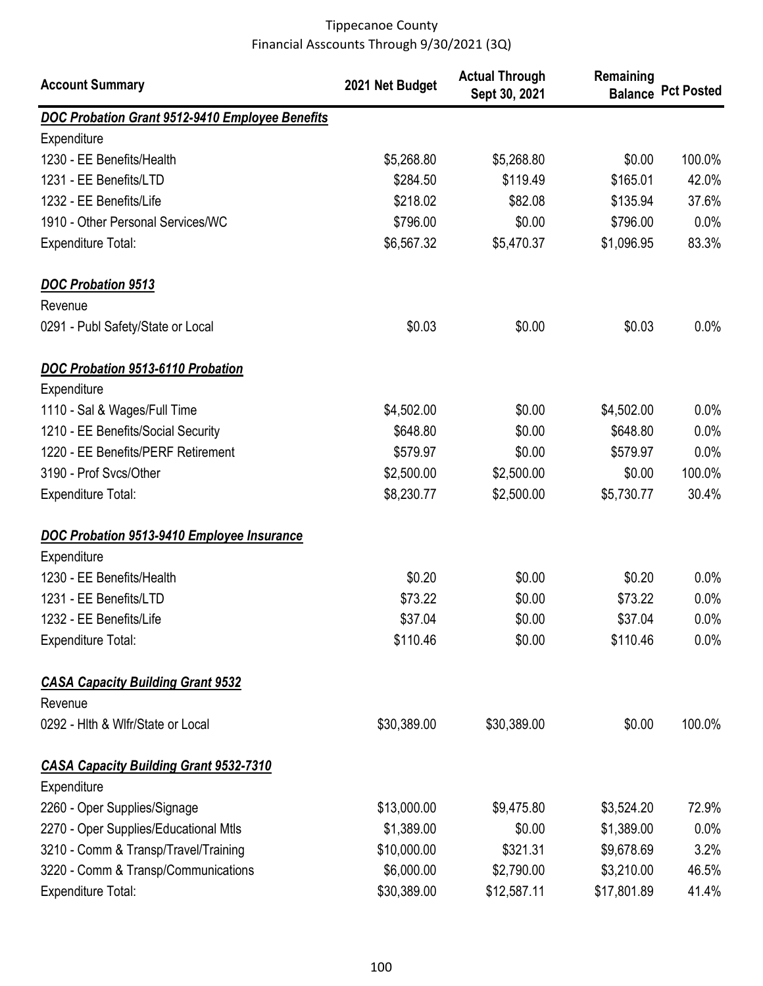| <b>Account Summary</b>                          | 2021 Net Budget | <b>Actual Through</b><br>Sept 30, 2021 | Remaining   | <b>Balance Pct Posted</b> |
|-------------------------------------------------|-----------------|----------------------------------------|-------------|---------------------------|
| DOC Probation Grant 9512-9410 Employee Benefits |                 |                                        |             |                           |
| Expenditure                                     |                 |                                        |             |                           |
| 1230 - EE Benefits/Health                       | \$5,268.80      | \$5,268.80                             | \$0.00      | 100.0%                    |
| 1231 - EE Benefits/LTD                          | \$284.50        | \$119.49                               | \$165.01    | 42.0%                     |
| 1232 - EE Benefits/Life                         | \$218.02        | \$82.08                                | \$135.94    | 37.6%                     |
| 1910 - Other Personal Services/WC               | \$796.00        | \$0.00                                 | \$796.00    | 0.0%                      |
| <b>Expenditure Total:</b>                       | \$6,567.32      | \$5,470.37                             | \$1,096.95  | 83.3%                     |
| <b>DOC Probation 9513</b>                       |                 |                                        |             |                           |
| Revenue                                         |                 |                                        |             |                           |
| 0291 - Publ Safety/State or Local               | \$0.03          | \$0.00                                 | \$0.03      | 0.0%                      |
| <b>DOC Probation 9513-6110 Probation</b>        |                 |                                        |             |                           |
| Expenditure                                     |                 |                                        |             |                           |
| 1110 - Sal & Wages/Full Time                    | \$4,502.00      | \$0.00                                 | \$4,502.00  | $0.0\%$                   |
| 1210 - EE Benefits/Social Security              | \$648.80        | \$0.00                                 | \$648.80    | 0.0%                      |
| 1220 - EE Benefits/PERF Retirement              | \$579.97        | \$0.00                                 | \$579.97    | 0.0%                      |
| 3190 - Prof Svcs/Other                          | \$2,500.00      | \$2,500.00                             | \$0.00      | 100.0%                    |
| <b>Expenditure Total:</b>                       | \$8,230.77      | \$2,500.00                             | \$5,730.77  | 30.4%                     |
| DOC Probation 9513-9410 Employee Insurance      |                 |                                        |             |                           |
| Expenditure                                     |                 |                                        |             |                           |
| 1230 - EE Benefits/Health                       | \$0.20          | \$0.00                                 | \$0.20      | $0.0\%$                   |
| 1231 - EE Benefits/LTD                          | \$73.22         | \$0.00                                 | \$73.22     | $0.0\%$                   |
| 1232 - EE Benefits/Life                         | \$37.04         | \$0.00                                 | \$37.04     | 0.0%                      |
| <b>Expenditure Total:</b>                       | \$110.46        | \$0.00                                 | \$110.46    | $0.0\%$                   |
| <b>CASA Capacity Building Grant 9532</b>        |                 |                                        |             |                           |
| Revenue                                         |                 |                                        |             |                           |
| 0292 - Hith & Wifr/State or Local               | \$30,389.00     | \$30,389.00                            | \$0.00      | 100.0%                    |
| <b>CASA Capacity Building Grant 9532-7310</b>   |                 |                                        |             |                           |
| Expenditure                                     |                 |                                        |             |                           |
| 2260 - Oper Supplies/Signage                    | \$13,000.00     | \$9,475.80                             | \$3,524.20  | 72.9%                     |
| 2270 - Oper Supplies/Educational Mtls           | \$1,389.00      | \$0.00                                 | \$1,389.00  | $0.0\%$                   |
| 3210 - Comm & Transp/Travel/Training            | \$10,000.00     | \$321.31                               | \$9,678.69  | 3.2%                      |
| 3220 - Comm & Transp/Communications             | \$6,000.00      | \$2,790.00                             | \$3,210.00  | 46.5%                     |
| Expenditure Total:                              | \$30,389.00     | \$12,587.11                            | \$17,801.89 | 41.4%                     |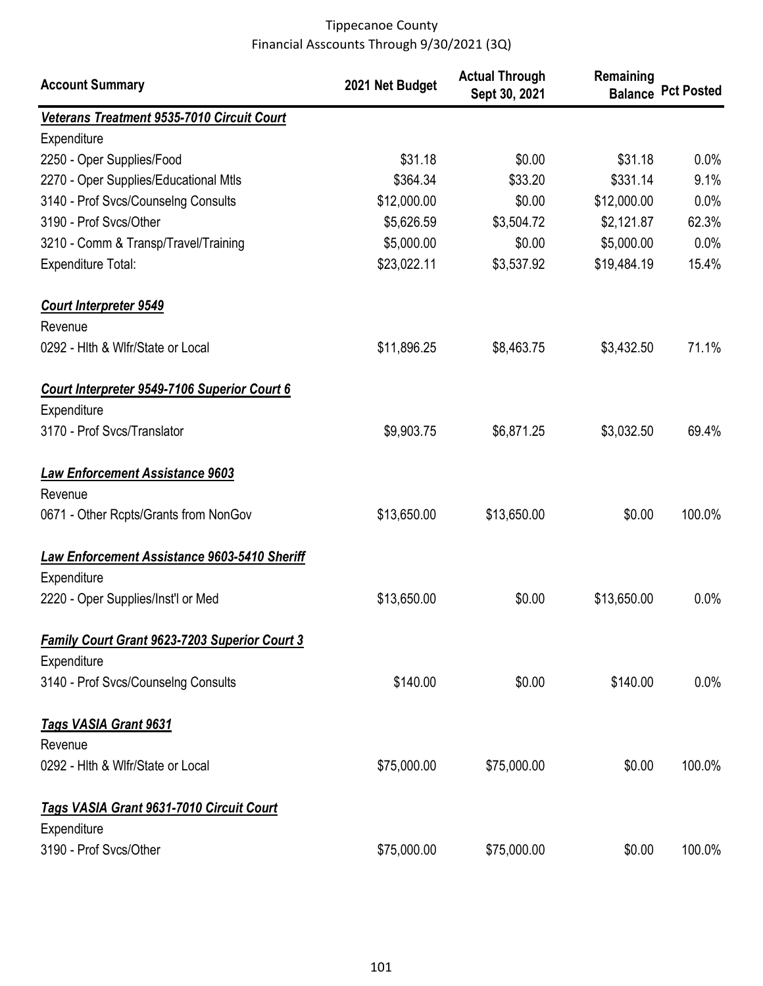| <b>Account Summary</b>                               | 2021 Net Budget | <b>Actual Through</b><br>Sept 30, 2021 | Remaining   | <b>Balance Pct Posted</b> |
|------------------------------------------------------|-----------------|----------------------------------------|-------------|---------------------------|
| Veterans Treatment 9535-7010 Circuit Court           |                 |                                        |             |                           |
| Expenditure                                          |                 |                                        |             |                           |
| 2250 - Oper Supplies/Food                            | \$31.18         | \$0.00                                 | \$31.18     | 0.0%                      |
| 2270 - Oper Supplies/Educational Mtls                | \$364.34        | \$33.20                                | \$331.14    | 9.1%                      |
| 3140 - Prof Svcs/Counselng Consults                  | \$12,000.00     | \$0.00                                 | \$12,000.00 | 0.0%                      |
| 3190 - Prof Svcs/Other                               | \$5,626.59      | \$3,504.72                             | \$2,121.87  | 62.3%                     |
| 3210 - Comm & Transp/Travel/Training                 | \$5,000.00      | \$0.00                                 | \$5,000.00  | 0.0%                      |
| <b>Expenditure Total:</b>                            | \$23,022.11     | \$3,537.92                             | \$19,484.19 | 15.4%                     |
| <b>Court Interpreter 9549</b>                        |                 |                                        |             |                           |
| Revenue                                              |                 |                                        |             |                           |
| 0292 - Hith & Wifr/State or Local                    | \$11,896.25     | \$8,463.75                             | \$3,432.50  | 71.1%                     |
| Court Interpreter 9549-7106 Superior Court 6         |                 |                                        |             |                           |
| Expenditure                                          |                 |                                        |             |                           |
| 3170 - Prof Svcs/Translator                          | \$9,903.75      | \$6,871.25                             | \$3,032.50  | 69.4%                     |
| <b>Law Enforcement Assistance 9603</b>               |                 |                                        |             |                           |
| Revenue                                              |                 |                                        |             |                           |
| 0671 - Other Rcpts/Grants from NonGov                | \$13,650.00     | \$13,650.00                            | \$0.00      | 100.0%                    |
| Law Enforcement Assistance 9603-5410 Sheriff         |                 |                                        |             |                           |
| Expenditure                                          |                 |                                        |             |                           |
| 2220 - Oper Supplies/Inst'l or Med                   | \$13,650.00     | \$0.00                                 | \$13,650.00 | 0.0%                      |
| <b>Family Court Grant 9623-7203 Superior Court 3</b> |                 |                                        |             |                           |
| Expenditure                                          |                 |                                        |             |                           |
| 3140 - Prof Svcs/Counselng Consults                  | \$140.00        | \$0.00                                 | \$140.00    | 0.0%                      |
| <b>Tags VASIA Grant 9631</b>                         |                 |                                        |             |                           |
| Revenue                                              |                 |                                        |             |                           |
| 0292 - Hith & Wifr/State or Local                    | \$75,000.00     | \$75,000.00                            | \$0.00      | 100.0%                    |
| Tags VASIA Grant 9631-7010 Circuit Court             |                 |                                        |             |                           |
| Expenditure                                          |                 |                                        |             |                           |
| 3190 - Prof Svcs/Other                               | \$75,000.00     | \$75,000.00                            | \$0.00      | 100.0%                    |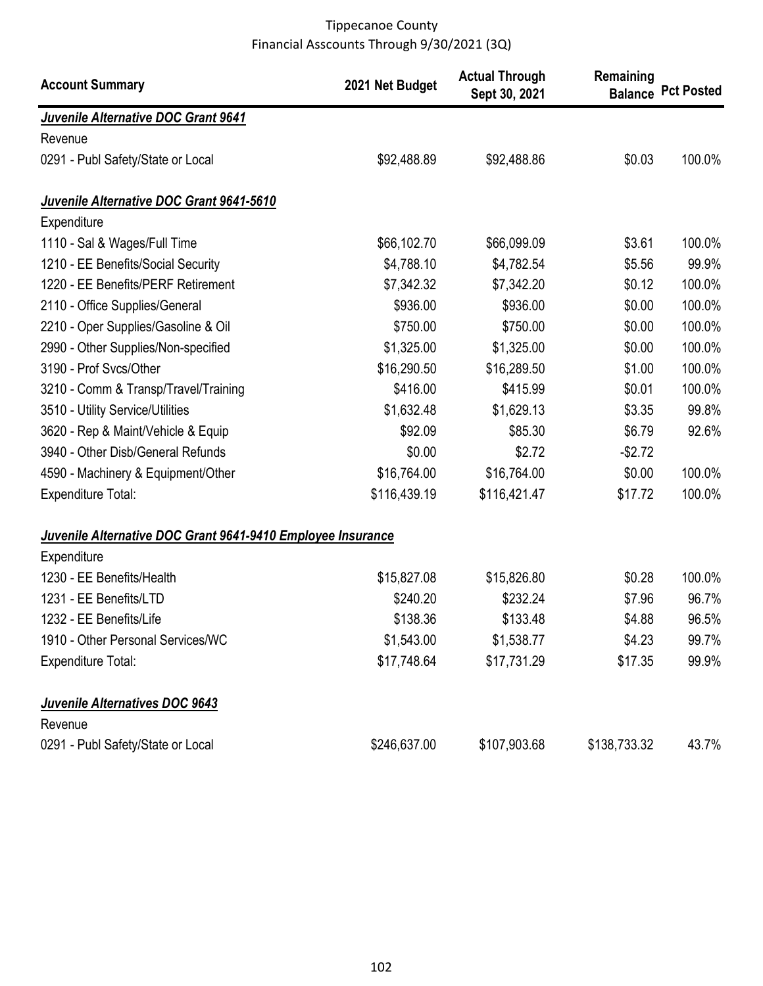| <b>Account Summary</b>                                      | 2021 Net Budget | <b>Actual Through</b><br>Sept 30, 2021 | Remaining<br><b>Balance</b> | <b>Pct Posted</b> |
|-------------------------------------------------------------|-----------------|----------------------------------------|-----------------------------|-------------------|
| Juvenile Alternative DOC Grant 9641                         |                 |                                        |                             |                   |
| Revenue                                                     |                 |                                        |                             |                   |
| 0291 - Publ Safety/State or Local                           | \$92,488.89     | \$92,488.86                            | \$0.03                      | 100.0%            |
| Juvenile Alternative DOC Grant 9641-5610                    |                 |                                        |                             |                   |
| Expenditure                                                 |                 |                                        |                             |                   |
| 1110 - Sal & Wages/Full Time                                | \$66,102.70     | \$66,099.09                            | \$3.61                      | 100.0%            |
| 1210 - EE Benefits/Social Security                          | \$4,788.10      | \$4,782.54                             | \$5.56                      | 99.9%             |
| 1220 - EE Benefits/PERF Retirement                          | \$7,342.32      | \$7,342.20                             | \$0.12                      | 100.0%            |
| 2110 - Office Supplies/General                              | \$936.00        | \$936.00                               | \$0.00                      | 100.0%            |
| 2210 - Oper Supplies/Gasoline & Oil                         | \$750.00        | \$750.00                               | \$0.00                      | 100.0%            |
| 2990 - Other Supplies/Non-specified                         | \$1,325.00      | \$1,325.00                             | \$0.00                      | 100.0%            |
| 3190 - Prof Svcs/Other                                      | \$16,290.50     | \$16,289.50                            | \$1.00                      | 100.0%            |
| 3210 - Comm & Transp/Travel/Training                        | \$416.00        | \$415.99                               | \$0.01                      | 100.0%            |
| 3510 - Utility Service/Utilities                            | \$1,632.48      | \$1,629.13                             | \$3.35                      | 99.8%             |
| 3620 - Rep & Maint/Vehicle & Equip                          | \$92.09         | \$85.30                                | \$6.79                      | 92.6%             |
| 3940 - Other Disb/General Refunds                           | \$0.00          | \$2.72                                 | $-$2.72$                    |                   |
| 4590 - Machinery & Equipment/Other                          | \$16,764.00     | \$16,764.00                            | \$0.00                      | 100.0%            |
| <b>Expenditure Total:</b>                                   | \$116,439.19    | \$116,421.47                           | \$17.72                     | 100.0%            |
| Juvenile Alternative DOC Grant 9641-9410 Employee Insurance |                 |                                        |                             |                   |
| Expenditure                                                 |                 |                                        |                             |                   |
| 1230 - EE Benefits/Health                                   | \$15,827.08     | \$15,826.80                            | \$0.28                      | 100.0%            |
| 1231 - EE Benefits/LTD                                      | \$240.20        | \$232.24                               | \$7.96                      | 96.7%             |
| 1232 - EE Benefits/Life                                     | \$138.36        | \$133.48                               | \$4.88                      | 96.5%             |
| 1910 - Other Personal Services/WC                           | \$1,543.00      | \$1,538.77                             | \$4.23                      | 99.7%             |
| <b>Expenditure Total:</b>                                   | \$17,748.64     | \$17,731.29                            | \$17.35                     | 99.9%             |
| Juvenile Alternatives DOC 9643                              |                 |                                        |                             |                   |
| Revenue                                                     |                 |                                        |                             |                   |
| 0291 - Publ Safety/State or Local                           | \$246,637.00    | \$107,903.68                           | \$138,733.32                | 43.7%             |